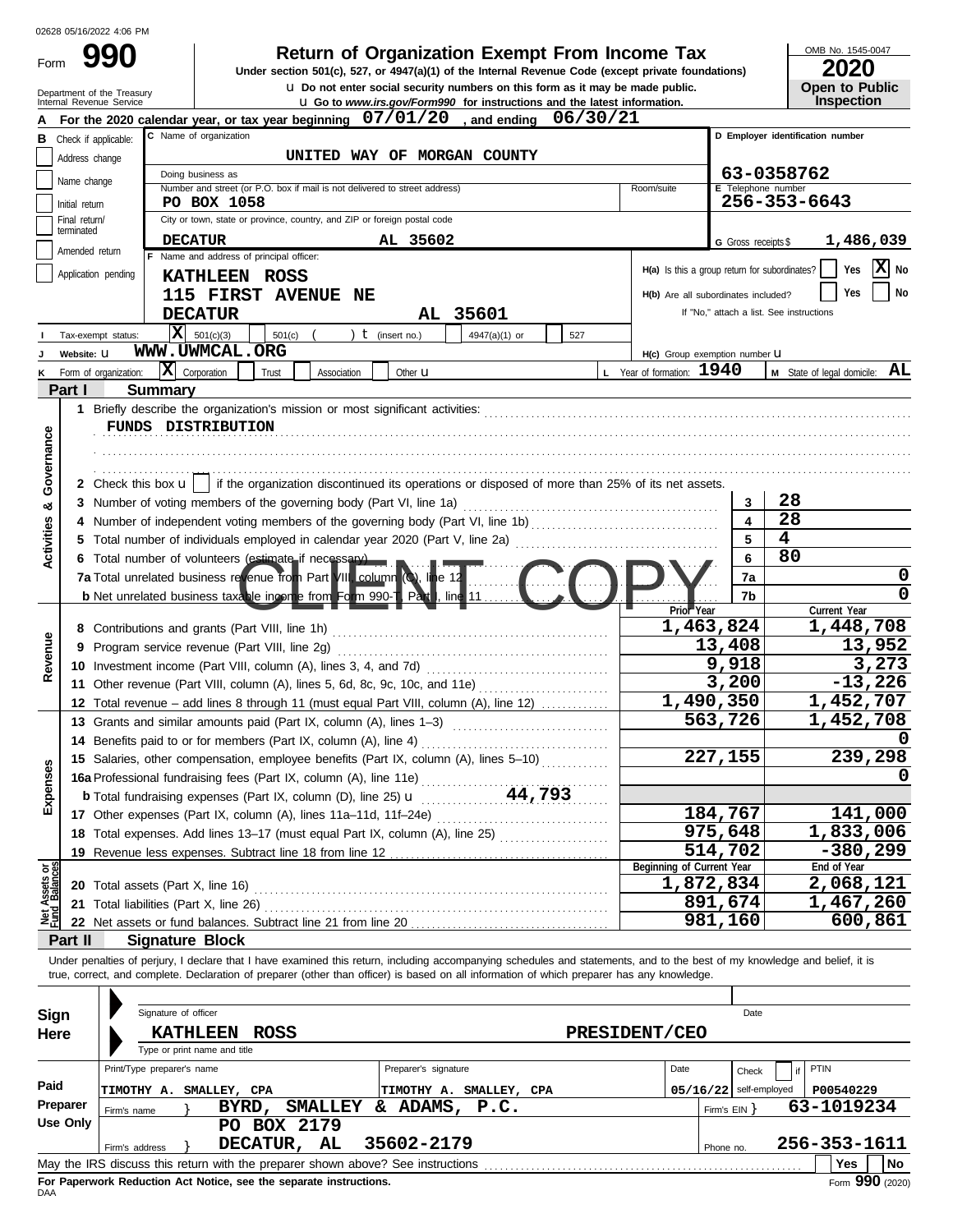| Form                           |                 | 02628 05/16/2022 4:06 PM<br>990                                                                                                                   |                                          |                                                                            |                                | <b>Return of Organization Exempt From Income Tax</b><br>Under section 501(c), 527, or 4947(a)(1) of the Internal Revenue Code (except private foundations)                                                                                                                                                               |                                               |                          | OMB No. 1545-0047<br>2020                  |
|--------------------------------|-----------------|---------------------------------------------------------------------------------------------------------------------------------------------------|------------------------------------------|----------------------------------------------------------------------------|--------------------------------|--------------------------------------------------------------------------------------------------------------------------------------------------------------------------------------------------------------------------------------------------------------------------------------------------------------------------|-----------------------------------------------|--------------------------|--------------------------------------------|
|                                |                 | Department of the Treasury<br>Internal Revenue Service                                                                                            |                                          |                                                                            |                                | <b>u</b> Do not enter social security numbers on this form as it may be made public.<br><b>u</b> Go to www.irs.gov/Form990 for instructions and the latest information.                                                                                                                                                  |                                               |                          | <b>Open to Public</b><br><b>Inspection</b> |
|                                |                 | For the 2020 calendar year, or tax year beginning $07/01/20$ , and ending                                                                         |                                          |                                                                            |                                |                                                                                                                                                                                                                                                                                                                          | 06/30/21                                      |                          |                                            |
| в                              |                 | Check if applicable:                                                                                                                              | C Name of organization                   |                                                                            |                                |                                                                                                                                                                                                                                                                                                                          |                                               |                          | D Employer identification number           |
|                                | Address change  |                                                                                                                                                   |                                          |                                                                            | UNITED WAY OF MORGAN COUNTY    |                                                                                                                                                                                                                                                                                                                          |                                               |                          |                                            |
|                                | Name change     |                                                                                                                                                   | Doing business as                        |                                                                            |                                |                                                                                                                                                                                                                                                                                                                          |                                               |                          | 63-0358762                                 |
|                                | Initial return  |                                                                                                                                                   | PO BOX 1058                              | Number and street (or P.O. box if mail is not delivered to street address) |                                |                                                                                                                                                                                                                                                                                                                          | Room/suite                                    | E Telephone number       | 256-353-6643                               |
|                                | Final return/   |                                                                                                                                                   |                                          | City or town, state or province, country, and ZIP or foreign postal code   |                                |                                                                                                                                                                                                                                                                                                                          |                                               |                          |                                            |
|                                | terminated      |                                                                                                                                                   | <b>DECATUR</b>                           |                                                                            | AL 35602                       |                                                                                                                                                                                                                                                                                                                          |                                               | G Gross receipts \$      | 1,486,039                                  |
|                                | Amended return  |                                                                                                                                                   | F Name and address of principal officer: |                                                                            |                                |                                                                                                                                                                                                                                                                                                                          |                                               |                          |                                            |
|                                |                 | Application pending                                                                                                                               | KATHLEEN ROSS                            |                                                                            |                                |                                                                                                                                                                                                                                                                                                                          | H(a) Is this a group return for subordinates? |                          | X No<br>Yes                                |
|                                |                 |                                                                                                                                                   |                                          | <b>115 FIRST AVENUE NE</b>                                                 |                                |                                                                                                                                                                                                                                                                                                                          | H(b) Are all subordinates included?           |                          | <b>No</b><br>Yes                           |
|                                |                 |                                                                                                                                                   | <b>DECATUR</b>                           |                                                                            | AL 35601                       |                                                                                                                                                                                                                                                                                                                          |                                               |                          | If "No," attach a list. See instructions   |
|                                |                 | X <br>Tax-exempt status:                                                                                                                          | 501(c)(3)                                | 501(c)                                                                     | $t$ (insert no.)               | 4947(a)(1) or<br>527                                                                                                                                                                                                                                                                                                     |                                               |                          |                                            |
|                                | Website: U      |                                                                                                                                                   | WWW.UWMCAL.ORG                           |                                                                            |                                |                                                                                                                                                                                                                                                                                                                          | H(c) Group exemption number U                 |                          |                                            |
|                                |                 | Form of organization:                                                                                                                             | $ \mathbf{X} $ Corporation<br>Trust      | Association                                                                | Other $\mathbf u$              |                                                                                                                                                                                                                                                                                                                          | L Year of formation: 1940                     |                          | M State of legal domicile: AL              |
|                                | Part I          | <b>Summary</b>                                                                                                                                    |                                          |                                                                            |                                |                                                                                                                                                                                                                                                                                                                          |                                               |                          |                                            |
| Governance                     |                 | FUNDS DISTRIBUTION                                                                                                                                |                                          |                                                                            |                                |                                                                                                                                                                                                                                                                                                                          |                                               |                          |                                            |
|                                |                 | 2 Check this box $\mathbf{u}$                                                                                                                     |                                          |                                                                            |                                | if the organization discontinued its operations or disposed of more than 25% of its net assets.                                                                                                                                                                                                                          |                                               |                          | 28                                         |
| య                              |                 | 3 Number of voting members of the governing body (Part VI, line 1a)                                                                               |                                          |                                                                            |                                |                                                                                                                                                                                                                                                                                                                          |                                               | 3<br>4                   | 28                                         |
| Activities                     |                 |                                                                                                                                                   |                                          |                                                                            |                                |                                                                                                                                                                                                                                                                                                                          |                                               |                          | 4                                          |
|                                |                 |                                                                                                                                                   |                                          |                                                                            |                                |                                                                                                                                                                                                                                                                                                                          |                                               | 5                        | 80                                         |
|                                |                 | 6 Total number of volunteers (estimate if necessary)                                                                                              |                                          |                                                                            |                                |                                                                                                                                                                                                                                                                                                                          |                                               | 6<br>7a                  | 0                                          |
|                                |                 | 7a Total unrelated business revenue from Part VIII, column (C), line 12<br>b Net unrelated business taxable income from Form 990-1 Part , line 11 |                                          |                                                                            |                                |                                                                                                                                                                                                                                                                                                                          |                                               | 7b                       | 0                                          |
|                                |                 |                                                                                                                                                   |                                          |                                                                            |                                |                                                                                                                                                                                                                                                                                                                          | Prior Year                                    |                          | Current Year                               |
|                                |                 |                                                                                                                                                   |                                          |                                                                            |                                |                                                                                                                                                                                                                                                                                                                          |                                               | 1,463,824                | 1,448,708                                  |
|                                |                 | 9 Program service revenue (Part VIII, line 2g)                                                                                                    |                                          |                                                                            |                                |                                                                                                                                                                                                                                                                                                                          |                                               | 13,408                   | 13,952                                     |
| Revenue                        |                 |                                                                                                                                                   |                                          |                                                                            |                                |                                                                                                                                                                                                                                                                                                                          |                                               | 9,918                    | 3,273                                      |
|                                |                 |                                                                                                                                                   |                                          |                                                                            |                                | 11 Other revenue (Part VIII, column (A), lines 5, 6d, 8c, 9c, 10c, and 11e)                                                                                                                                                                                                                                              |                                               | 3,200                    | $-13,226$                                  |
|                                |                 | 12 Total revenue - add lines 8 through 11 (must equal Part VIII, column (A), line 12)                                                             |                                          |                                                                            |                                |                                                                                                                                                                                                                                                                                                                          |                                               | 1,490,350                | 1,452,707                                  |
|                                |                 | 13 Grants and similar amounts paid (Part IX, column (A), lines 1-3)                                                                               |                                          |                                                                            |                                |                                                                                                                                                                                                                                                                                                                          |                                               | 563,726                  | 1,452,708                                  |
|                                |                 |                                                                                                                                                   |                                          |                                                                            |                                |                                                                                                                                                                                                                                                                                                                          |                                               |                          | 0                                          |
|                                |                 |                                                                                                                                                   |                                          |                                                                            |                                | 15 Salaries, other compensation, employee benefits (Part IX, column (A), lines 5-10)                                                                                                                                                                                                                                     |                                               | 227,155                  | 239,298                                    |
| Expenses                       |                 | 16a Professional fundraising fees (Part IX, column (A), line 11e)                                                                                 |                                          |                                                                            |                                |                                                                                                                                                                                                                                                                                                                          |                                               |                          | 0                                          |
|                                |                 |                                                                                                                                                   |                                          |                                                                            |                                |                                                                                                                                                                                                                                                                                                                          |                                               |                          |                                            |
|                                |                 |                                                                                                                                                   |                                          |                                                                            |                                |                                                                                                                                                                                                                                                                                                                          |                                               | 184,767                  | 141,000                                    |
|                                |                 |                                                                                                                                                   |                                          |                                                                            |                                | 18 Total expenses. Add lines 13-17 (must equal Part IX, column (A), line 25)                                                                                                                                                                                                                                             |                                               | 975,648<br>514,702       | 1,833,006<br>$-380,299$                    |
|                                |                 | 19 Revenue less expenses. Subtract line 18 from line 12                                                                                           |                                          |                                                                            |                                |                                                                                                                                                                                                                                                                                                                          | Beginning of Current Year                     |                          | End of Year                                |
|                                |                 |                                                                                                                                                   |                                          |                                                                            |                                |                                                                                                                                                                                                                                                                                                                          |                                               | 1,872,834                | 2,068,121                                  |
| Net Assets or<br>Fund Balances |                 | 21 Total liabilities (Part X, line 26)                                                                                                            |                                          |                                                                            |                                |                                                                                                                                                                                                                                                                                                                          |                                               | 891,674                  | 1,467,260                                  |
|                                |                 | 22 Net assets or fund balances. Subtract line 21 from line 20                                                                                     |                                          |                                                                            |                                |                                                                                                                                                                                                                                                                                                                          |                                               | 981,160                  | 600,861                                    |
|                                | Part II         | <b>Signature Block</b>                                                                                                                            |                                          |                                                                            |                                |                                                                                                                                                                                                                                                                                                                          |                                               |                          |                                            |
| Sign<br>Here                   |                 | Signature of officer                                                                                                                              | KATHLEEN ROSS                            |                                                                            |                                | Under penalties of perjury, I declare that I have examined this return, including accompanying schedules and statements, and to the best of my knowledge and belief, it is<br>true, correct, and complete. Declaration of preparer (other than officer) is based on all information of which preparer has any knowledge. | PRESIDENT/CEO                                 | Date                     |                                            |
|                                |                 |                                                                                                                                                   | Type or print name and title             |                                                                            |                                |                                                                                                                                                                                                                                                                                                                          |                                               |                          |                                            |
|                                |                 | Print/Type preparer's name                                                                                                                        |                                          |                                                                            | Preparer's signature           |                                                                                                                                                                                                                                                                                                                          | Date                                          | Check                    | PTIN                                       |
| Paid                           |                 | TIMOTHY A. SMALLEY, CPA                                                                                                                           |                                          |                                                                            | <b>TIMOTHY A. SMALLEY, CPA</b> |                                                                                                                                                                                                                                                                                                                          |                                               | $05/16/22$ self-employed | P00540229                                  |
|                                | Preparer        | Firm's name                                                                                                                                       | BYRD,                                    | <b>SMALLEY</b>                                                             | & ADAMS, P.C.                  |                                                                                                                                                                                                                                                                                                                          |                                               | Firm's $EIN$ }           | 63-1019234                                 |
|                                | <b>Use Only</b> |                                                                                                                                                   | PO BOX 2179                              |                                                                            |                                |                                                                                                                                                                                                                                                                                                                          |                                               |                          |                                            |
|                                |                 | Firm's address                                                                                                                                    | DECATUR, AL                              |                                                                            | 35602-2179                     |                                                                                                                                                                                                                                                                                                                          |                                               | Phone no.                | 256-353-1611                               |
|                                |                 |                                                                                                                                                   |                                          |                                                                            |                                |                                                                                                                                                                                                                                                                                                                          |                                               |                          | No  <br>Yes                                |

| Sign        |                | Signature of officer       |                                                 |                 |                                                                     |                                                                                 |               |      |              | Date                     |                                   |     |  |  |  |  |
|-------------|----------------|----------------------------|-------------------------------------------------|-----------------|---------------------------------------------------------------------|---------------------------------------------------------------------------------|---------------|------|--------------|--------------------------|-----------------------------------|-----|--|--|--|--|
| <b>Here</b> |                |                            | <b>KATHLEEN</b><br>Type or print name and title | <b>ROSS</b>     |                                                                     |                                                                                 | PRESIDENT/CEO |      |              |                          |                                   |     |  |  |  |  |
|             |                | Print/Type preparer's name |                                                 |                 |                                                                     | Preparer's signature                                                            |               | Date |              | Check                    | PTIN                              |     |  |  |  |  |
| Paid        | TIMOTHY        | <b>A.</b>                  | SMALLEY, CPA                                    |                 |                                                                     | TIMOTHY A.                                                                      | SMALLEY, CPA  |      |              | $05/16/22$ self-employed | P00540229                         |     |  |  |  |  |
| Preparer    | Firm's name    |                            |                                                 | BYRD,           | <b>SMALLEY</b>                                                      | ADAMS,<br>P.C.<br>&.                                                            |               |      | Firm's EIN Y |                          | 63-1019234                        |     |  |  |  |  |
| Use Only    |                |                            | PΟ                                              |                 | BOX 2179                                                            |                                                                                 |               |      |              |                          |                                   |     |  |  |  |  |
|             | Firm's address |                            |                                                 | <b>DECATUR,</b> | AL                                                                  | 35602-2179                                                                      |               |      | Phone no.    |                          | 256-353-1611                      |     |  |  |  |  |
|             |                |                            |                                                 |                 |                                                                     | May the IRS discuss this return with the preparer shown above? See instructions |               |      |              |                          | Yes                               | No. |  |  |  |  |
|             |                |                            |                                                 |                 | Ear Donoruark Daduation, Act Nation, can the conorate instructions. |                                                                                 |               |      |              |                          | $\overline{a}$ 000 $\overline{a}$ |     |  |  |  |  |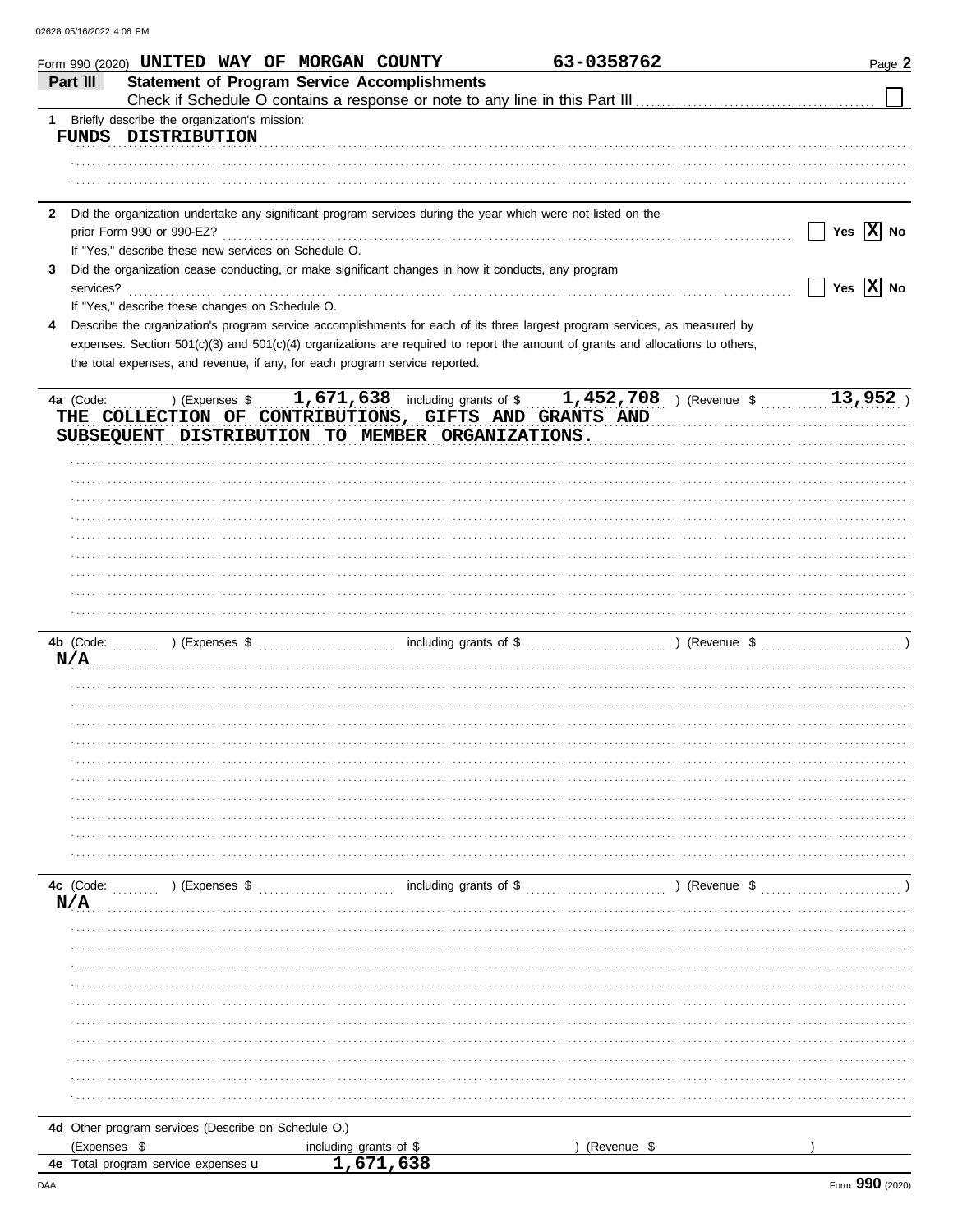|              | Form 990 (2020) UNITED WAY OF MORGAN COUNTY                                       |                                                                                                                                | 63-0358762    | Page 2       |
|--------------|-----------------------------------------------------------------------------------|--------------------------------------------------------------------------------------------------------------------------------|---------------|--------------|
| Part III     | <b>Statement of Program Service Accomplishments</b>                               |                                                                                                                                |               |              |
|              | 1 Briefly describe the organization's mission:                                    |                                                                                                                                |               |              |
|              | FUNDS DISTRIBUTION                                                                |                                                                                                                                |               |              |
|              |                                                                                   |                                                                                                                                |               |              |
|              |                                                                                   |                                                                                                                                |               |              |
|              |                                                                                   |                                                                                                                                |               |              |
|              |                                                                                   | 2 Did the organization undertake any significant program services during the year which were not listed on the                 |               |              |
|              | prior Form 990 or 990-EZ?<br>If "Yes," describe these new services on Schedule O. |                                                                                                                                |               | Yes $ X $ No |
| 3            |                                                                                   | Did the organization cease conducting, or make significant changes in how it conducts, any program                             |               |              |
| services?    |                                                                                   |                                                                                                                                |               | Yes $X$ No   |
|              | If "Yes," describe these changes on Schedule O.                                   |                                                                                                                                |               |              |
|              |                                                                                   | Describe the organization's program service accomplishments for each of its three largest program services, as measured by     |               |              |
|              |                                                                                   | expenses. Section 501(c)(3) and 501(c)(4) organizations are required to report the amount of grants and allocations to others, |               |              |
|              | the total expenses, and revenue, if any, for each program service reported.       |                                                                                                                                |               |              |
| 4a (Code:    |                                                                                   | ) (Expenses $$1,671,638$ including grants of $$1,452,708$ ) (Revenue \$                                                        |               | 13,952       |
|              |                                                                                   | THE COLLECTION OF CONTRIBUTIONS, GIFTS AND GRANTS AND                                                                          |               |              |
|              |                                                                                   | SUBSEQUENT DISTRIBUTION TO MEMBER ORGANIZATIONS.                                                                               |               |              |
|              |                                                                                   |                                                                                                                                |               |              |
|              |                                                                                   |                                                                                                                                |               |              |
|              |                                                                                   |                                                                                                                                |               |              |
|              |                                                                                   |                                                                                                                                |               |              |
|              |                                                                                   |                                                                                                                                |               |              |
|              |                                                                                   |                                                                                                                                |               |              |
|              |                                                                                   |                                                                                                                                |               |              |
|              |                                                                                   |                                                                                                                                |               |              |
|              |                                                                                   |                                                                                                                                |               |              |
|              |                                                                                   |                                                                                                                                |               |              |
| N/A          |                                                                                   |                                                                                                                                |               |              |
|              |                                                                                   |                                                                                                                                |               |              |
|              |                                                                                   |                                                                                                                                |               |              |
|              |                                                                                   |                                                                                                                                |               |              |
|              |                                                                                   |                                                                                                                                |               |              |
|              |                                                                                   |                                                                                                                                |               |              |
|              |                                                                                   |                                                                                                                                |               |              |
|              |                                                                                   |                                                                                                                                |               |              |
|              |                                                                                   |                                                                                                                                |               |              |
|              |                                                                                   |                                                                                                                                |               |              |
| 4c (Code:    | ) (Expenses \$                                                                    | including grants of \$                                                                                                         | ) (Revenue \$ |              |
| N/A          |                                                                                   |                                                                                                                                |               |              |
|              |                                                                                   |                                                                                                                                |               |              |
|              |                                                                                   |                                                                                                                                |               |              |
|              |                                                                                   |                                                                                                                                |               |              |
|              |                                                                                   |                                                                                                                                |               |              |
|              |                                                                                   |                                                                                                                                |               |              |
|              |                                                                                   |                                                                                                                                |               |              |
|              |                                                                                   |                                                                                                                                |               |              |
|              |                                                                                   |                                                                                                                                |               |              |
|              |                                                                                   |                                                                                                                                |               |              |
|              |                                                                                   |                                                                                                                                |               |              |
| (Expenses \$ | 4d Other program services (Describe on Schedule O.)                               | including grants of \$                                                                                                         | (Revenue \$   |              |
|              | 4e Total program service expenses u                                               | 1,671,638                                                                                                                      |               |              |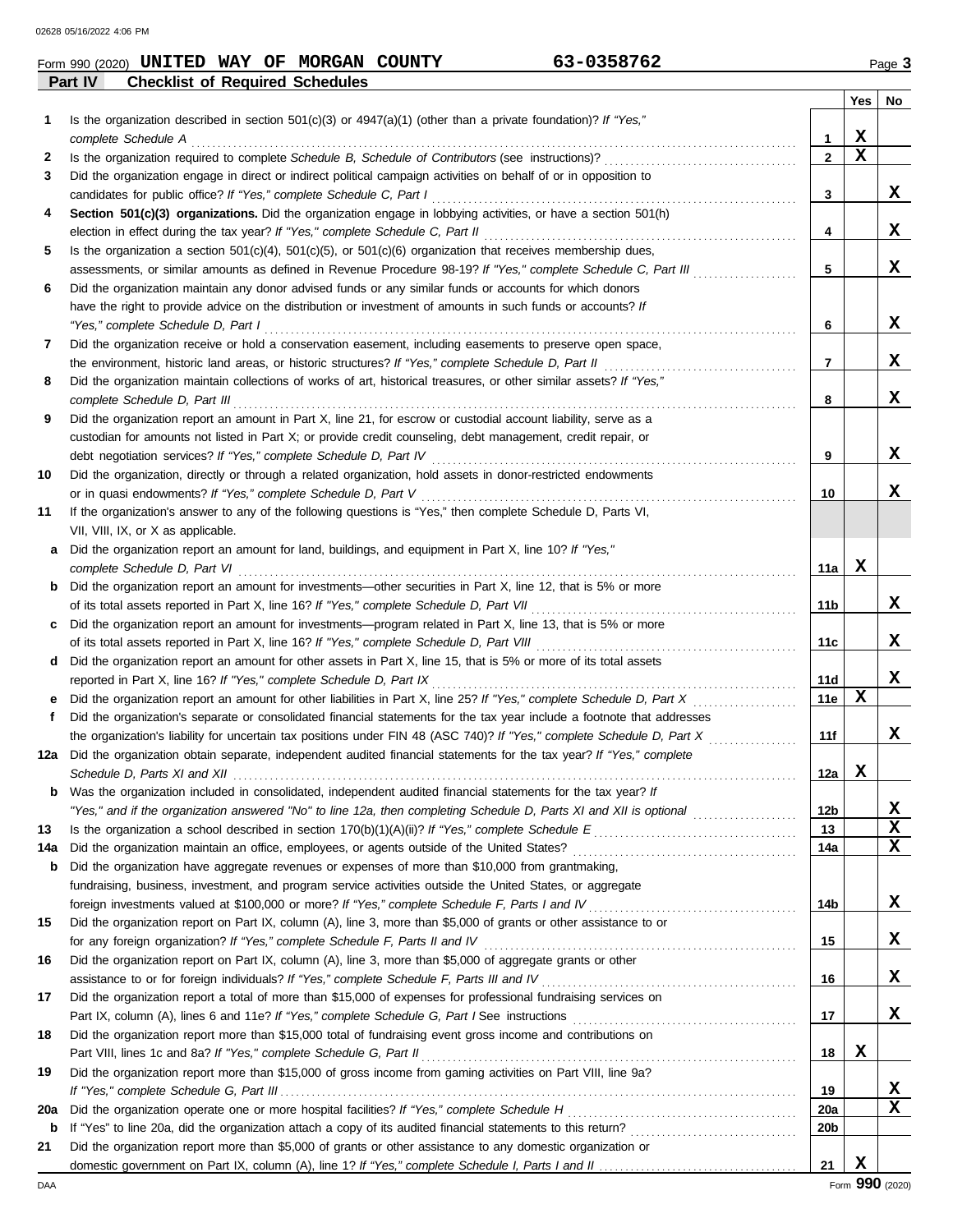| Form 990 (2020) | UNITED                                 | <b>WAY</b> | OF | MORGAN | <b>COUNTY</b> | 0358762 | Page |
|-----------------|----------------------------------------|------------|----|--------|---------------|---------|------|
| Part IV         | <b>Checklist of Required Schedules</b> |            |    |        |               |         |      |

|     |                                                                                                                                                                               |                 | Yes | No |
|-----|-------------------------------------------------------------------------------------------------------------------------------------------------------------------------------|-----------------|-----|----|
| 1   | Is the organization described in section $501(c)(3)$ or $4947(a)(1)$ (other than a private foundation)? If "Yes,"                                                             |                 |     |    |
|     | complete Schedule A                                                                                                                                                           | 1               | х   |    |
| 2   |                                                                                                                                                                               | $\mathbf{2}$    | x   |    |
| 3   | Did the organization engage in direct or indirect political campaign activities on behalf of or in opposition to                                                              |                 |     |    |
|     | candidates for public office? If "Yes," complete Schedule C, Part I                                                                                                           | 3               |     | X. |
| 4   | Section 501(c)(3) organizations. Did the organization engage in lobbying activities, or have a section 501(h)                                                                 |                 |     |    |
|     | election in effect during the tax year? If "Yes," complete Schedule C, Part II                                                                                                | 4               |     | X. |
| 5   | Is the organization a section $501(c)(4)$ , $501(c)(5)$ , or $501(c)(6)$ organization that receives membership dues,                                                          |                 |     |    |
|     | assessments, or similar amounts as defined in Revenue Procedure 98-19? If "Yes," complete Schedule C, Part III                                                                | 5               |     | X. |
| 6   | Did the organization maintain any donor advised funds or any similar funds or accounts for which donors                                                                       |                 |     |    |
|     | have the right to provide advice on the distribution or investment of amounts in such funds or accounts? If                                                                   |                 |     |    |
|     | "Yes," complete Schedule D, Part I                                                                                                                                            | 6               |     | X  |
| 7   | Did the organization receive or hold a conservation easement, including easements to preserve open space,                                                                     |                 |     |    |
|     | the environment, historic land areas, or historic structures? If "Yes," complete Schedule D, Part II                                                                          | 7               |     | X. |
| 8   | Did the organization maintain collections of works of art, historical treasures, or other similar assets? If "Yes,"                                                           |                 |     |    |
|     | complete Schedule D, Part III                                                                                                                                                 | 8               |     | x  |
| 9   | Did the organization report an amount in Part X, line 21, for escrow or custodial account liability, serve as a                                                               |                 |     |    |
|     | custodian for amounts not listed in Part X; or provide credit counseling, debt management, credit repair, or                                                                  |                 |     |    |
|     | debt negotiation services? If "Yes," complete Schedule D, Part IV                                                                                                             | 9               |     | X. |
| 10  | Did the organization, directly or through a related organization, hold assets in donor-restricted endowments                                                                  |                 |     | X. |
| 11  | or in quasi endowments? If "Yes," complete Schedule D, Part V<br>If the organization's answer to any of the following questions is "Yes," then complete Schedule D, Parts VI, | 10              |     |    |
|     | VII, VIII, IX, or X as applicable.                                                                                                                                            |                 |     |    |
| a   | Did the organization report an amount for land, buildings, and equipment in Part X, line 10? If "Yes,"                                                                        |                 |     |    |
|     | complete Schedule D, Part VI                                                                                                                                                  | 11a             | х   |    |
| b   | Did the organization report an amount for investments-other securities in Part X, line 12, that is 5% or more                                                                 |                 |     |    |
|     | of its total assets reported in Part X, line 16? If "Yes," complete Schedule D, Part VII                                                                                      | 11b             |     | X. |
| c   | Did the organization report an amount for investments—program related in Part X, line 13, that is 5% or more                                                                  |                 |     |    |
|     | of its total assets reported in Part X, line 16? If "Yes," complete Schedule D, Part VIII                                                                                     | 11c             |     | X. |
| d   | Did the organization report an amount for other assets in Part X, line 15, that is 5% or more of its total assets                                                             |                 |     |    |
|     | reported in Part X, line 16? If "Yes," complete Schedule D, Part IX                                                                                                           | 11d             |     | x  |
| е   | Did the organization report an amount for other liabilities in Part X, line 25? If "Yes," complete Schedule D, Part X                                                         | 11e             | х   |    |
| f   | Did the organization's separate or consolidated financial statements for the tax year include a footnote that addresses                                                       |                 |     |    |
|     | the organization's liability for uncertain tax positions under FIN 48 (ASC 740)? If "Yes," complete Schedule D, Part X                                                        | 11f             |     | X. |
| 12a | Did the organization obtain separate, independent audited financial statements for the tax year? If "Yes," complete                                                           |                 |     |    |
|     |                                                                                                                                                                               | 12a             | x   |    |
| b   | Was the organization included in consolidated, independent audited financial statements for the tax year? If                                                                  |                 |     |    |
|     |                                                                                                                                                                               | 12 <sub>b</sub> |     | x  |
| 13  |                                                                                                                                                                               | 13              |     | X  |
| 14a |                                                                                                                                                                               | 14a             |     | x  |
| b   | Did the organization have aggregate revenues or expenses of more than \$10,000 from grantmaking,                                                                              |                 |     |    |
|     | fundraising, business, investment, and program service activities outside the United States, or aggregate                                                                     |                 |     | x  |
| 15  | Did the organization report on Part IX, column (A), line 3, more than \$5,000 of grants or other assistance to or                                                             | 14b             |     |    |
|     | for any foreign organization? If "Yes," complete Schedule F, Parts II and IV                                                                                                  | 15              |     | x  |
| 16  | Did the organization report on Part IX, column (A), line 3, more than \$5,000 of aggregate grants or other                                                                    |                 |     |    |
|     | assistance to or for foreign individuals? If "Yes," complete Schedule F, Parts III and IV [[[[[[[[[[[[[[[[[[[                                                                 | 16              |     | x  |
| 17  | Did the organization report a total of more than \$15,000 of expenses for professional fundraising services on                                                                |                 |     |    |
|     |                                                                                                                                                                               | 17              |     | X  |
| 18  | Did the organization report more than \$15,000 total of fundraising event gross income and contributions on                                                                   |                 |     |    |
|     | Part VIII, lines 1c and 8a? If "Yes," complete Schedule G, Part II                                                                                                            | 18              | X   |    |
| 19  | Did the organization report more than \$15,000 of gross income from gaming activities on Part VIII, line 9a?                                                                  |                 |     |    |
|     |                                                                                                                                                                               | 19              |     | x  |
| 20a |                                                                                                                                                                               | <b>20a</b>      |     | x  |
| b   |                                                                                                                                                                               | 20b             |     |    |
| 21  | Did the organization report more than \$5,000 of grants or other assistance to any domestic organization or                                                                   |                 |     |    |
|     |                                                                                                                                                                               | 21              | X   |    |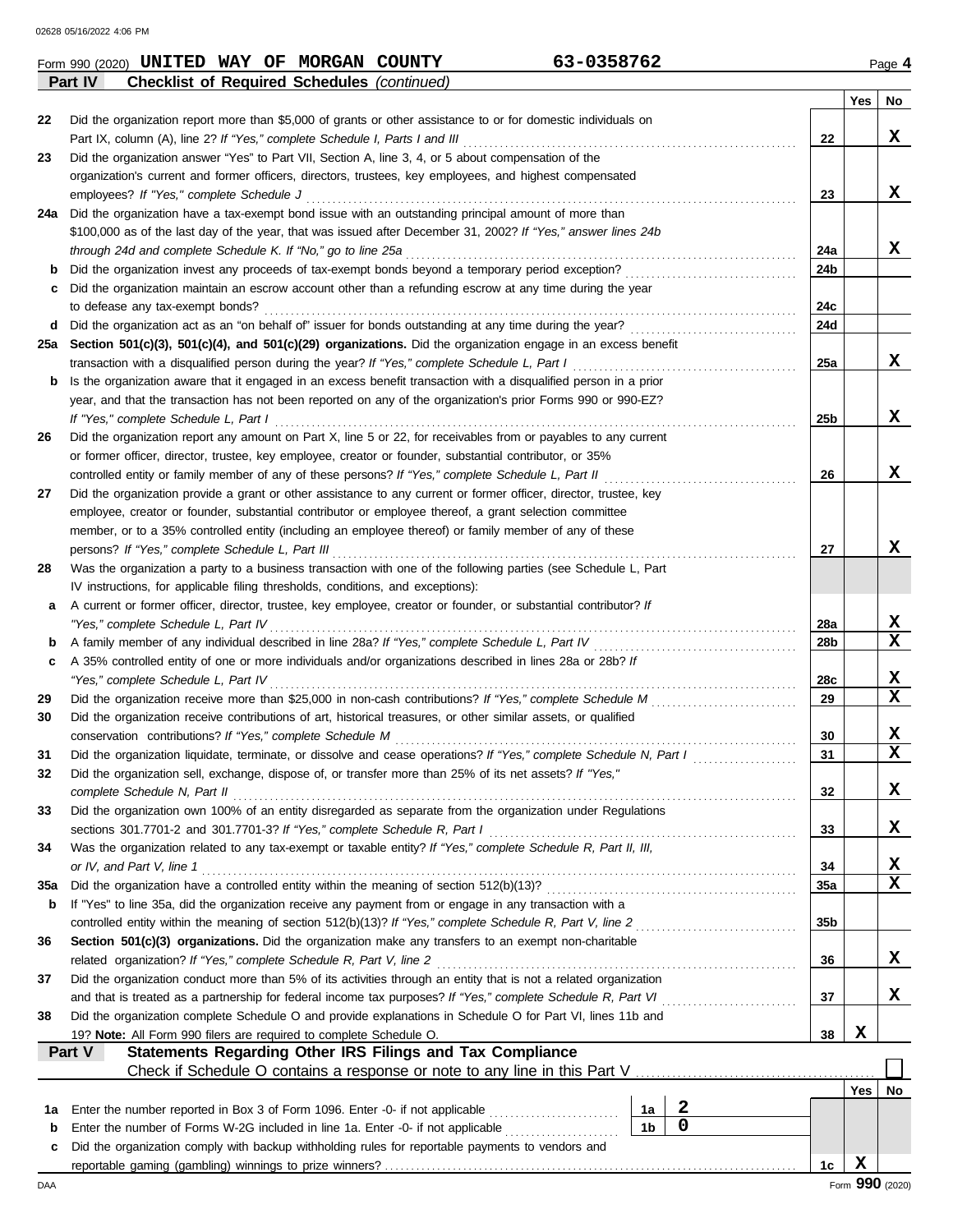**Part IV Checklist of Required Schedules** *(continued)*

|         |                                                                                                                                                  |                      |             |                 | Yes     | No              |
|---------|--------------------------------------------------------------------------------------------------------------------------------------------------|----------------------|-------------|-----------------|---------|-----------------|
| 22      | Did the organization report more than \$5,000 of grants or other assistance to or for domestic individuals on                                    |                      |             |                 |         |                 |
|         | Part IX, column (A), line 2? If "Yes," complete Schedule I, Parts I and III                                                                      |                      |             | 22              |         | x               |
| 23      | Did the organization answer "Yes" to Part VII, Section A, line 3, 4, or 5 about compensation of the                                              |                      |             |                 |         |                 |
|         | organization's current and former officers, directors, trustees, key employees, and highest compensated                                          |                      |             |                 |         |                 |
|         | employees? If "Yes," complete Schedule J                                                                                                         |                      |             | 23              |         | x               |
| 24a     | Did the organization have a tax-exempt bond issue with an outstanding principal amount of more than                                              |                      |             |                 |         |                 |
|         | \$100,000 as of the last day of the year, that was issued after December 31, 2002? If "Yes," answer lines 24b                                    |                      |             | 24a             |         | x               |
| b       | through 24d and complete Schedule K. If "No," go to line 25a                                                                                     |                      |             | 24b             |         |                 |
| С       | Did the organization maintain an escrow account other than a refunding escrow at any time during the year                                        |                      |             |                 |         |                 |
|         | to defease any tax-exempt bonds?                                                                                                                 |                      |             | 24с             |         |                 |
| d       |                                                                                                                                                  |                      |             | 24d             |         |                 |
| 25а     | Section 501(c)(3), 501(c)(4), and 501(c)(29) organizations. Did the organization engage in an excess benefit                                     |                      |             |                 |         |                 |
|         | transaction with a disqualified person during the year? If "Yes," complete Schedule L, Part I                                                    |                      |             | 25a             |         | x               |
| b       | Is the organization aware that it engaged in an excess benefit transaction with a disqualified person in a prior                                 |                      |             |                 |         |                 |
|         | year, and that the transaction has not been reported on any of the organization's prior Forms 990 or 990-EZ?                                     |                      |             |                 |         |                 |
|         | If "Yes," complete Schedule L, Part I                                                                                                            |                      |             | 25 <sub>b</sub> |         | x               |
| 26      | Did the organization report any amount on Part X, line 5 or 22, for receivables from or payables to any current                                  |                      |             |                 |         |                 |
|         | or former officer, director, trustee, key employee, creator or founder, substantial contributor, or 35%                                          |                      |             |                 |         |                 |
|         | controlled entity or family member of any of these persons? If "Yes," complete Schedule L, Part II                                               |                      |             | 26              |         | x               |
| 27      | Did the organization provide a grant or other assistance to any current or former officer, director, trustee, key                                |                      |             |                 |         |                 |
|         | employee, creator or founder, substantial contributor or employee thereof, a grant selection committee                                           |                      |             |                 |         |                 |
|         | member, or to a 35% controlled entity (including an employee thereof) or family member of any of these                                           |                      |             |                 |         |                 |
|         | persons? If "Yes," complete Schedule L, Part III                                                                                                 |                      |             | 27              |         | x               |
| 28      | Was the organization a party to a business transaction with one of the following parties (see Schedule L, Part                                   |                      |             |                 |         |                 |
|         | IV instructions, for applicable filing thresholds, conditions, and exceptions):                                                                  |                      |             |                 |         |                 |
| a       | A current or former officer, director, trustee, key employee, creator or founder, or substantial contributor? If                                 |                      |             |                 |         |                 |
|         | "Yes," complete Schedule L, Part IV                                                                                                              |                      |             | 28a             |         | X<br>X          |
| b       | A family member of any individual described in line 28a? If "Yes," complete Schedule L, Part IV                                                  |                      |             | 28b             |         |                 |
| c       | A 35% controlled entity of one or more individuals and/or organizations described in lines 28a or 28b? If<br>"Yes," complete Schedule L, Part IV |                      |             | 28c             |         | X               |
| 29      |                                                                                                                                                  |                      |             | 29              |         | х               |
| 30      | Did the organization receive contributions of art, historical treasures, or other similar assets, or qualified                                   |                      |             |                 |         |                 |
|         | conservation contributions? If "Yes," complete Schedule M                                                                                        |                      |             | 30              |         | x               |
| 31      | Did the organization liquidate, terminate, or dissolve and cease operations? If "Yes," complete Schedule N, Part I                               |                      |             | 31              |         | $\mathbf x$     |
| 32      | Did the organization sell, exchange, dispose of, or transfer more than 25% of its net assets? If "Yes,"                                          |                      |             |                 |         |                 |
|         | complete Schedule N, Part II                                                                                                                     |                      |             | 32              |         | A               |
| 33      | Did the organization own 100% of an entity disregarded as separate from the organization under Regulations                                       |                      |             |                 |         |                 |
|         | sections 301.7701-2 and 301.7701-3? If "Yes," complete Schedule R, Part I                                                                        |                      |             | 33              |         | x               |
| 34      | Was the organization related to any tax-exempt or taxable entity? If "Yes," complete Schedule R, Part II, III,                                   |                      |             |                 |         |                 |
|         | or IV, and Part V, line 1                                                                                                                        |                      |             | 34              |         | x               |
| 35a     |                                                                                                                                                  |                      |             | 35a             |         | X               |
| b       | If "Yes" to line 35a, did the organization receive any payment from or engage in any transaction with a                                          |                      |             |                 |         |                 |
|         |                                                                                                                                                  |                      |             | 35b             |         |                 |
| 36      | Section 501(c)(3) organizations. Did the organization make any transfers to an exempt non-charitable                                             |                      |             |                 |         |                 |
|         | related organization? If "Yes," complete Schedule R, Part V, line 2                                                                              |                      |             | 36              |         | x               |
| 37      | Did the organization conduct more than 5% of its activities through an entity that is not a related organization                                 |                      |             |                 |         |                 |
|         |                                                                                                                                                  |                      |             | 37              |         | x               |
| 38      | Did the organization complete Schedule O and provide explanations in Schedule O for Part VI, lines 11b and                                       |                      |             |                 |         |                 |
|         | 19? Note: All Form 990 filers are required to complete Schedule O.                                                                               |                      |             | 38              | X       |                 |
|         | Statements Regarding Other IRS Filings and Tax Compliance<br>Part V                                                                              |                      |             |                 |         |                 |
|         |                                                                                                                                                  |                      |             |                 |         |                 |
|         | Enter the number reported in Box 3 of Form 1096. Enter -0- if not applicable                                                                     |                      | 2           |                 | Yes $ $ | No              |
| 1а<br>b | Enter the number of Forms W-2G included in line 1a. Enter -0- if not applicable                                                                  | 1a<br>1 <sub>b</sub> | $\mathbf 0$ |                 |         |                 |
| c       | Did the organization comply with backup withholding rules for reportable payments to vendors and                                                 |                      |             |                 |         |                 |
|         |                                                                                                                                                  |                      |             | 1c              | X       |                 |
| DAA     |                                                                                                                                                  |                      |             |                 |         | Form 990 (2020) |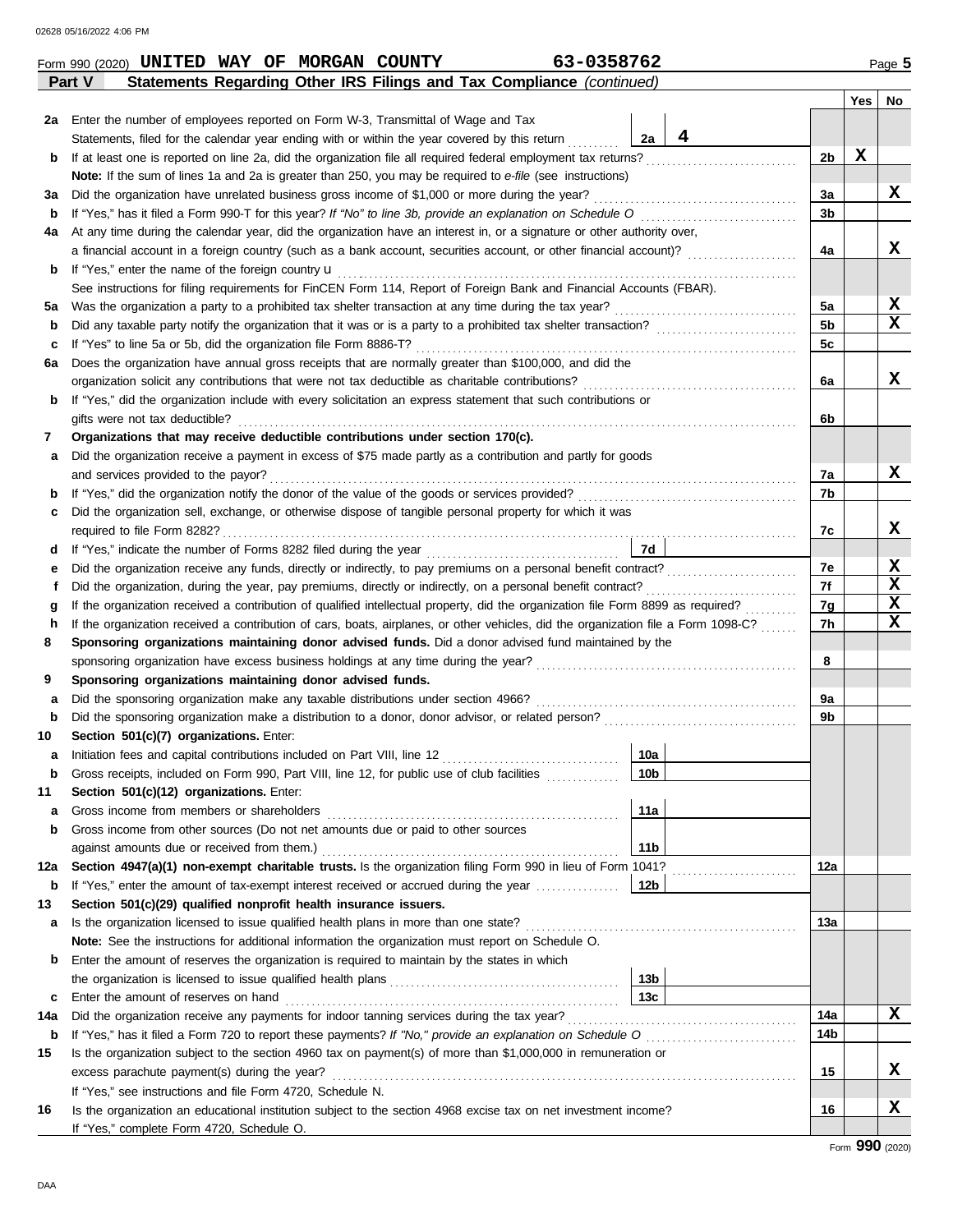|             |                                                                                                                                    |                 |   |                | Yes | No                           |
|-------------|------------------------------------------------------------------------------------------------------------------------------------|-----------------|---|----------------|-----|------------------------------|
| 2a          | Enter the number of employees reported on Form W-3, Transmittal of Wage and Tax                                                    |                 |   |                |     |                              |
|             | Statements, filed for the calendar year ending with or within the year covered by this return                                      | 2a              | 4 |                |     |                              |
| b           | If at least one is reported on line 2a, did the organization file all required federal employment tax returns?                     |                 |   | 2b             | x   |                              |
|             | Note: If the sum of lines 1a and 2a is greater than 250, you may be required to e-file (see instructions)                          |                 |   |                |     |                              |
| За          | Did the organization have unrelated business gross income of \$1,000 or more during the year?                                      |                 |   | За             |     | x                            |
| b           |                                                                                                                                    |                 |   | 3b             |     |                              |
| 4a          | At any time during the calendar year, did the organization have an interest in, or a signature or other authority over,            |                 |   |                |     |                              |
|             |                                                                                                                                    |                 |   | 4a             |     | x                            |
| b           | If "Yes," enter the name of the foreign country u                                                                                  |                 |   |                |     |                              |
|             | See instructions for filing requirements for FinCEN Form 114, Report of Foreign Bank and Financial Accounts (FBAR).                |                 |   |                |     |                              |
| 5a          |                                                                                                                                    |                 |   | 5a             |     | X<br>$\overline{\mathbf{x}}$ |
| b           |                                                                                                                                    |                 |   | 5 <sub>b</sub> |     |                              |
| c           | If "Yes" to line 5a or 5b, did the organization file Form 8886-T?                                                                  |                 |   | 5с             |     |                              |
| 6а          | Does the organization have annual gross receipts that are normally greater than \$100,000, and did the                             |                 |   |                |     |                              |
|             | organization solicit any contributions that were not tax deductible as charitable contributions?                                   |                 |   | 6a             |     | X.                           |
| b           | If "Yes," did the organization include with every solicitation an express statement that such contributions or                     |                 |   |                |     |                              |
|             | gifts were not tax deductible?                                                                                                     |                 |   | 6b             |     |                              |
| 7           | Organizations that may receive deductible contributions under section 170(c).                                                      |                 |   |                |     |                              |
| а           | Did the organization receive a payment in excess of \$75 made partly as a contribution and partly for goods                        |                 |   |                |     | x                            |
|             | and services provided to the payor?                                                                                                |                 |   | 7а<br>7b       |     |                              |
| b           | Did the organization sell, exchange, or otherwise dispose of tangible personal property for which it was                           |                 |   |                |     |                              |
| c           | required to file Form 8282?                                                                                                        |                 |   | 7c             |     | x                            |
| d           |                                                                                                                                    | 7d              |   |                |     |                              |
| е           |                                                                                                                                    |                 |   | 7e             |     | X                            |
| f           | Did the organization, during the year, pay premiums, directly or indirectly, on a personal benefit contract?                       |                 |   | 7f             |     | $\overline{\mathbf{x}}$      |
| g           | If the organization received a contribution of qualified intellectual property, did the organization file Form 8899 as required?   |                 |   | 7g             |     | $\mathbf x$                  |
| h           | If the organization received a contribution of cars, boats, airplanes, or other vehicles, did the organization file a Form 1098-C? |                 |   | 7h             |     | $\mathbf x$                  |
| 8           | Sponsoring organizations maintaining donor advised funds. Did a donor advised fund maintained by the                               |                 |   |                |     |                              |
|             | sponsoring organization have excess business holdings at any time during the year?                                                 |                 |   | 8              |     |                              |
| 9           | Sponsoring organizations maintaining donor advised funds.                                                                          |                 |   |                |     |                              |
| a           | Did the sponsoring organization make any taxable distributions under section 4966?                                                 |                 |   | 9a             |     |                              |
| b           |                                                                                                                                    |                 |   | 9b             |     |                              |
| 10          | Section 501(c)(7) organizations. Enter:                                                                                            |                 |   |                |     |                              |
| а           | Initiation fees and capital contributions included on Part VIII, line 12                                                           | 10a             |   |                |     |                              |
| b           | Gross receipts, included on Form 990, Part VIII, line 12, for public use of club facilities                                        | 10 <sub>b</sub> |   |                |     |                              |
| 11          | Section 501(c)(12) organizations. Enter:                                                                                           |                 |   |                |     |                              |
| а           | Gross income from members or shareholders                                                                                          | 11a             |   |                |     |                              |
| b           | Gross income from other sources (Do not net amounts due or paid to other sources                                                   |                 |   |                |     |                              |
|             |                                                                                                                                    | 11 <sub>b</sub> |   |                |     |                              |
| 12a         | Section 4947(a)(1) non-exempt charitable trusts. Is the organization filing Form 990 in lieu of Form 1041?                         |                 |   | 12a            |     |                              |
| b           | If "Yes," enter the amount of tax-exempt interest received or accrued during the year                                              | 12 <sub>b</sub> |   |                |     |                              |
| 13          | Section 501(c)(29) qualified nonprofit health insurance issuers.                                                                   |                 |   |                |     |                              |
| а           | Is the organization licensed to issue qualified health plans in more than one state?                                               |                 |   | 13a            |     |                              |
|             | Note: See the instructions for additional information the organization must report on Schedule O.                                  |                 |   |                |     |                              |
| b           | Enter the amount of reserves the organization is required to maintain by the states in which                                       |                 |   |                |     |                              |
|             |                                                                                                                                    | 13 <sub>b</sub> |   |                |     |                              |
| c           | Enter the amount of reserves on hand                                                                                               | 13 <sub>c</sub> |   |                |     |                              |
| 14a         | Did the organization receive any payments for indoor tanning services during the tax year?                                         |                 |   | 14a            |     | x                            |
| $\mathbf b$ |                                                                                                                                    |                 |   | 14b            |     |                              |
| 15          | Is the organization subject to the section 4960 tax on payment(s) of more than \$1,000,000 in remuneration or                      |                 |   |                |     |                              |
|             | excess parachute payment(s) during the year?                                                                                       |                 |   | 15             |     | x                            |
|             | If "Yes," see instructions and file Form 4720, Schedule N.                                                                         |                 |   |                |     | x                            |
| 16          | Is the organization an educational institution subject to the section 4968 excise tax on net investment income?                    |                 |   | 16             |     |                              |
|             | If "Yes," complete Form 4720, Schedule O.                                                                                          |                 |   |                |     | Form $990(2020)$             |

**Part V Statements Regarding Other IRS Filings and Tax Compliance** *(continued)*

| Form 990 (2020) | UNITED | <b>WAY</b> | OF | <b>MORGAN</b> | <b>COUNTY</b> | 358762<br>. | Paαe |
|-----------------|--------|------------|----|---------------|---------------|-------------|------|
|                 |        |            |    |               |               |             |      |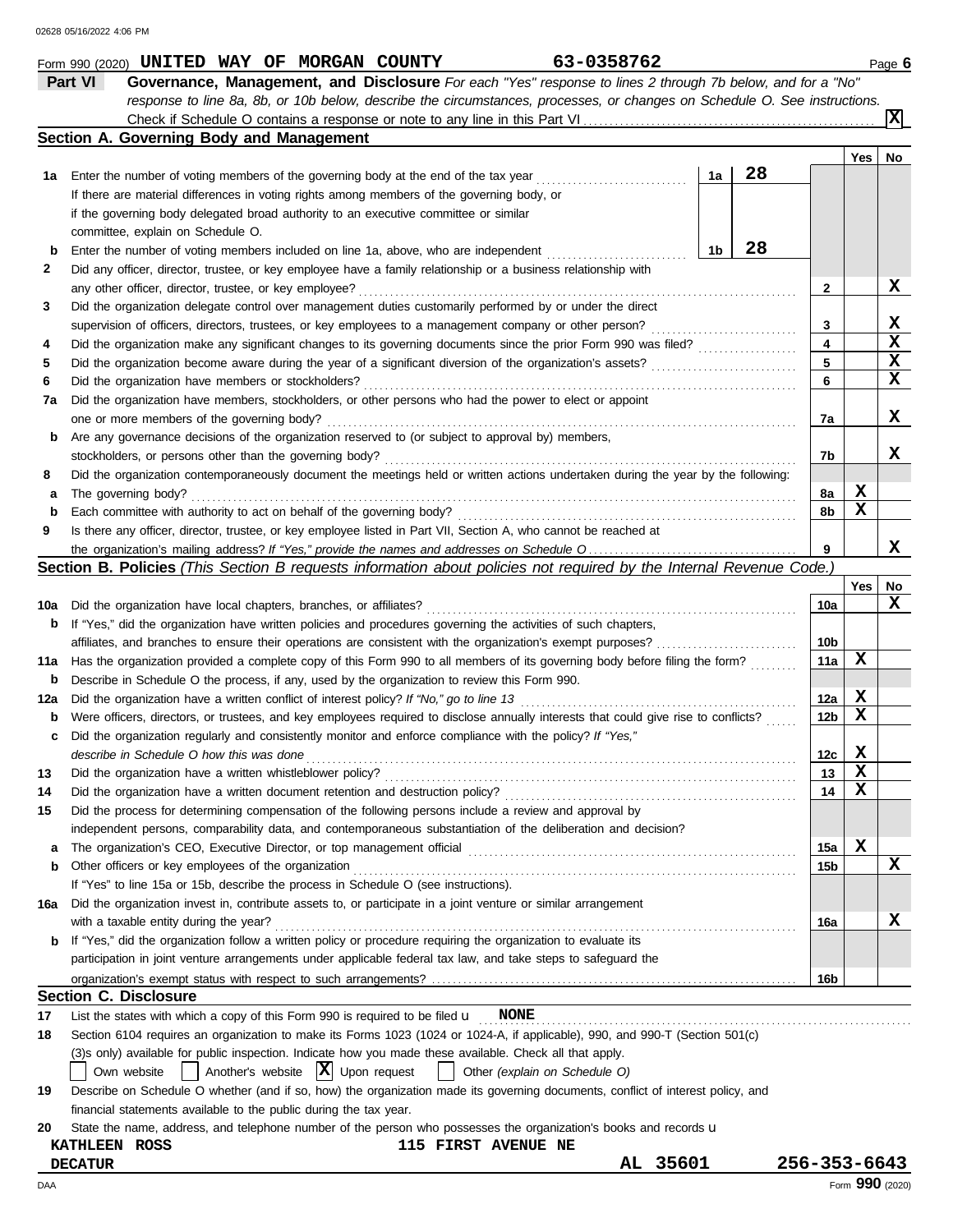|     | Part VI<br>Governance, Management, and Disclosure For each "Yes" response to lines 2 through 7b below, and for a "No"                                    |                         |             |                 |
|-----|----------------------------------------------------------------------------------------------------------------------------------------------------------|-------------------------|-------------|-----------------|
|     | response to line 8a, 8b, or 10b below, describe the circumstances, processes, or changes on Schedule O. See instructions.                                |                         |             | x               |
|     | Section A. Governing Body and Management                                                                                                                 |                         |             |                 |
|     |                                                                                                                                                          |                         | Yes         | No              |
| 1a  | 28<br>Enter the number of voting members of the governing body at the end of the tax year<br>1a                                                          |                         |             |                 |
|     | If there are material differences in voting rights among members of the governing body, or                                                               |                         |             |                 |
|     | if the governing body delegated broad authority to an executive committee or similar                                                                     |                         |             |                 |
|     | committee, explain on Schedule O.                                                                                                                        |                         |             |                 |
| b   | 28<br>1b<br>Enter the number of voting members included on line 1a, above, who are independent                                                           |                         |             |                 |
| 2   | Did any officer, director, trustee, or key employee have a family relationship or a business relationship with                                           |                         |             |                 |
|     | any other officer, director, trustee, or key employee?                                                                                                   | 2                       |             | x               |
| 3   | Did the organization delegate control over management duties customarily performed by or under the direct                                                |                         |             |                 |
|     | supervision of officers, directors, trustees, or key employees to a management company or other person?                                                  | 3                       |             | X               |
| 4   |                                                                                                                                                          | $\overline{\mathbf{4}}$ |             | $\mathbf x$     |
| 5   |                                                                                                                                                          | 5                       |             | X               |
| 6   | Did the organization have members or stockholders?                                                                                                       | 6                       |             | $\mathbf x$     |
| 7а  | Did the organization have members, stockholders, or other persons who had the power to elect or appoint                                                  |                         |             |                 |
|     | one or more members of the governing body?                                                                                                               | 7а                      |             | x               |
| b   | Are any governance decisions of the organization reserved to (or subject to approval by) members,                                                        |                         |             |                 |
|     | stockholders, or persons other than the governing body?                                                                                                  | 7b                      |             | x               |
| 8   | Did the organization contemporaneously document the meetings held or written actions undertaken during the year by the following:                        |                         |             |                 |
| а   | The governing body?                                                                                                                                      | 8а                      | x<br>X      |                 |
| b   | Each committee with authority to act on behalf of the governing body?                                                                                    | 8b                      |             |                 |
| 9   | Is there any officer, director, trustee, or key employee listed in Part VII, Section A, who cannot be reached at                                         | 9                       |             | x               |
|     | Section B. Policies (This Section B requests information about policies not required by the Internal Revenue Code.                                       |                         |             |                 |
|     |                                                                                                                                                          |                         | Yes         | No              |
| 10a | Did the organization have local chapters, branches, or affiliates?                                                                                       | 10a                     |             | x               |
| b   | If "Yes," did the organization have written policies and procedures governing the activities of such chapters,                                           |                         |             |                 |
|     | affiliates, and branches to ensure their operations are consistent with the organization's exempt purposes?                                              | 10b                     |             |                 |
| 11a | Has the organization provided a complete copy of this Form 990 to all members of its governing body before filing the form?                              | 11a                     | x           |                 |
| b   | Describe in Schedule O the process, if any, used by the organization to review this Form 990.                                                            |                         |             |                 |
| 12a | Did the organization have a written conflict of interest policy? If "No," go to line 13                                                                  | 12a                     | X           |                 |
| b   | Were officers, directors, or trustees, and key employees required to disclose annually interests that could give rise to conflicts?                      | 12b                     | X           |                 |
| c   | Did the organization regularly and consistently monitor and enforce compliance with the policy? If "Yes,"                                                |                         |             |                 |
|     | describe in Schedule O how this was done                                                                                                                 | 12c                     | x           |                 |
| 13  | Did the organization have a written whistleblower policy?                                                                                                | 13                      | X           |                 |
| 14  | Did the organization have a written document retention and destruction policy?                                                                           | 14                      | $\mathbf x$ |                 |
| 15  | Did the process for determining compensation of the following persons include a review and approval by                                                   |                         |             |                 |
|     | independent persons, comparability data, and contemporaneous substantiation of the deliberation and decision?                                            |                         |             |                 |
| а   |                                                                                                                                                          | 15a                     | X           |                 |
| b   | Other officers or key employees of the organization                                                                                                      | 15 <sub>b</sub>         |             | x               |
|     | If "Yes" to line 15a or 15b, describe the process in Schedule O (see instructions).                                                                      |                         |             |                 |
| 16a | Did the organization invest in, contribute assets to, or participate in a joint venture or similar arrangement<br>with a taxable entity during the year? |                         |             | x               |
| b   | If "Yes," did the organization follow a written policy or procedure requiring the organization to evaluate its                                           | 16a                     |             |                 |
|     | participation in joint venture arrangements under applicable federal tax law, and take steps to safeguard the                                            |                         |             |                 |
|     |                                                                                                                                                          | 16b                     |             |                 |
|     | <b>Section C. Disclosure</b>                                                                                                                             |                         |             |                 |
| 17  | List the states with which a copy of this Form 990 is required to be filed $\mathbf{u}$ MONE                                                             |                         |             |                 |
| 18  | Section 6104 requires an organization to make its Forms 1023 (1024 or 1024-A, if applicable), 990, and 990-T (Section 501(c)                             |                         |             |                 |
|     | (3)s only) available for public inspection. Indicate how you made these available. Check all that apply.                                                 |                         |             |                 |
|     | $\vert$ Another's website $\vert X \vert$ Upon request<br>Other (explain on Schedule O)<br>Own website                                                   |                         |             |                 |
| 19  | Describe on Schedule O whether (and if so, how) the organization made its governing documents, conflict of interest policy, and                          |                         |             |                 |
|     | financial statements available to the public during the tax year.                                                                                        |                         |             |                 |
| 20  | State the name, address, and telephone number of the person who possesses the organization's books and records u                                         |                         |             |                 |
|     | 115 FIRST AVENUE NE<br><b>KATHLEEN ROSS</b>                                                                                                              |                         |             |                 |
|     | AL 35601<br><b>DECATUR</b>                                                                                                                               | 256-353-6643            |             |                 |
| DAA |                                                                                                                                                          |                         |             | Form 990 (2020) |

Form 990 (2020) **UNITED WAY OF MORGAN COUNTY 63-0358762** Page **6** 

**UNITED WAY OF MORGAN COUNTY 63-0358762**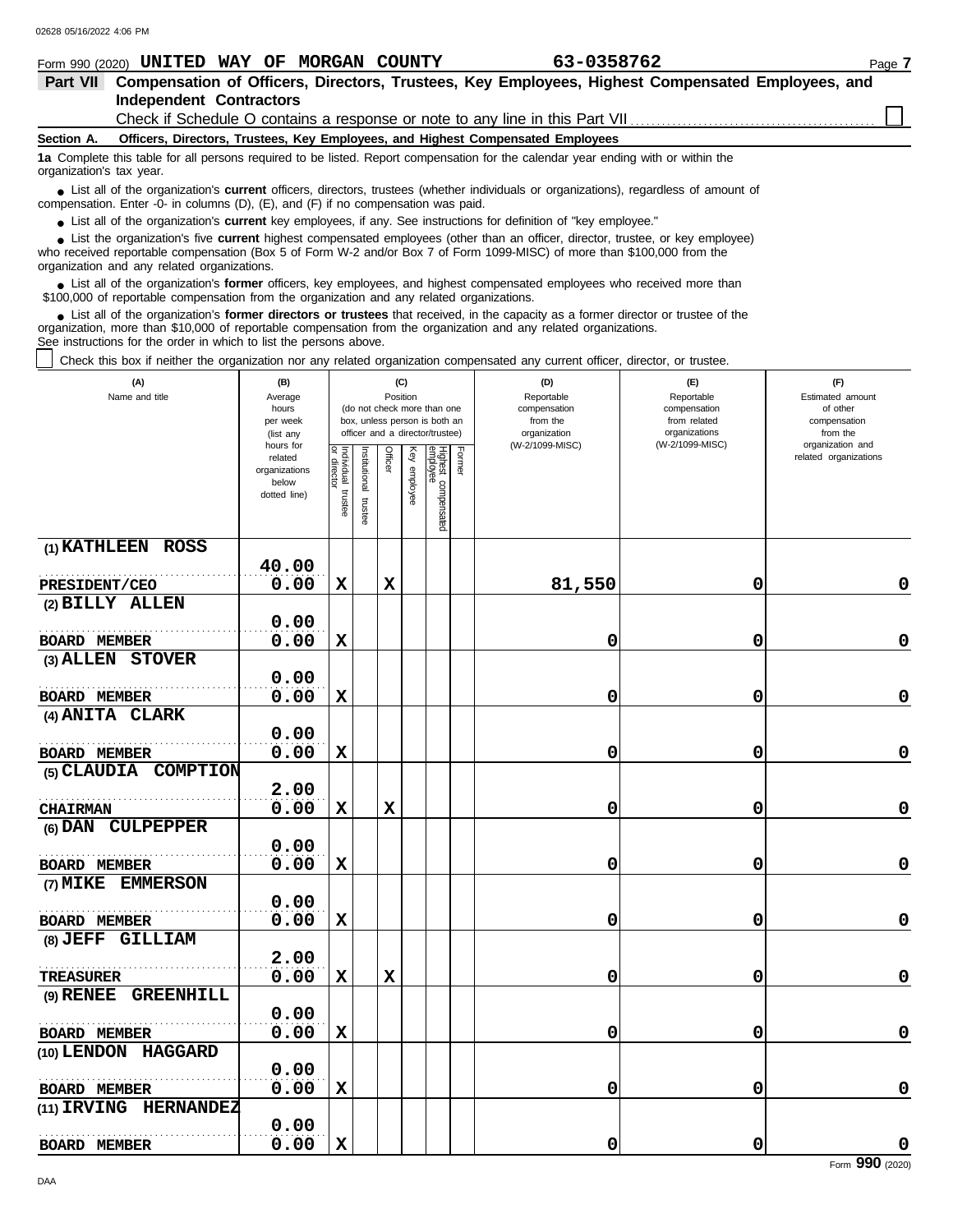| <b>Independent Contractors</b>                                                                                                                                                                                                                                                                                                                                |                        |                        |                       |         |              |                                                              |        |                                 |                                  |                              |  |  |  |
|---------------------------------------------------------------------------------------------------------------------------------------------------------------------------------------------------------------------------------------------------------------------------------------------------------------------------------------------------------------|------------------------|------------------------|-----------------------|---------|--------------|--------------------------------------------------------------|--------|---------------------------------|----------------------------------|------------------------------|--|--|--|
| Check if Schedule O contains a response or note to any line in this Part VII.<br>Section A.<br>Officers, Directors, Trustees, Key Employees, and Highest Compensated Employees                                                                                                                                                                                |                        |                        |                       |         |              |                                                              |        |                                 |                                  |                              |  |  |  |
| 1a Complete this table for all persons required to be listed. Report compensation for the calendar year ending with or within the<br>organization's tax year.                                                                                                                                                                                                 |                        |                        |                       |         |              |                                                              |        |                                 |                                  |                              |  |  |  |
| • List all of the organization's <b>current</b> officers, directors, trustees (whether individuals or organizations), regardless of amount of                                                                                                                                                                                                                 |                        |                        |                       |         |              |                                                              |        |                                 |                                  |                              |  |  |  |
| compensation. Enter -0- in columns (D), (E), and (F) if no compensation was paid.                                                                                                                                                                                                                                                                             |                        |                        |                       |         |              |                                                              |        |                                 |                                  |                              |  |  |  |
| • List all of the organization's current key employees, if any. See instructions for definition of "key employee."                                                                                                                                                                                                                                            |                        |                        |                       |         |              |                                                              |        |                                 |                                  |                              |  |  |  |
| List the organization's five current highest compensated employees (other than an officer, director, trustee, or key employee)<br>who received reportable compensation (Box 5 of Form W-2 and/or Box 7 of Form 1099-MISC) of more than \$100,000 from the<br>organization and any related organizations.                                                      |                        |                        |                       |         |              |                                                              |        |                                 |                                  |                              |  |  |  |
| • List all of the organization's former officers, key employees, and highest compensated employees who received more than<br>\$100,000 of reportable compensation from the organization and any related organizations.<br>• List all of the organization's former directors or trustees that received, in the capacity as a former director or trustee of the |                        |                        |                       |         |              |                                                              |        |                                 |                                  |                              |  |  |  |
| organization, more than \$10,000 of reportable compensation from the organization and any related organizations.<br>See instructions for the order in which to list the persons above.                                                                                                                                                                        |                        |                        |                       |         |              |                                                              |        |                                 |                                  |                              |  |  |  |
| Check this box if neither the organization nor any related organization compensated any current officer, director, or trustee.                                                                                                                                                                                                                                |                        |                        |                       |         |              |                                                              |        |                                 |                                  |                              |  |  |  |
| (A)                                                                                                                                                                                                                                                                                                                                                           | (B)                    |                        |                       |         | (C)          |                                                              |        | (D)                             | (E)                              | (F)                          |  |  |  |
| Name and title                                                                                                                                                                                                                                                                                                                                                | Average                |                        |                       |         | Position     |                                                              |        | Reportable                      | Reportable                       | Estimated amount             |  |  |  |
|                                                                                                                                                                                                                                                                                                                                                               | hours<br>per week      |                        |                       |         |              | (do not check more than one<br>box, unless person is both an |        | compensation<br>from the        | compensation<br>from related     | of other<br>compensation     |  |  |  |
|                                                                                                                                                                                                                                                                                                                                                               | (list any<br>hours for |                        |                       |         |              | officer and a director/trustee)                              |        | organization<br>(W-2/1099-MISC) | organizations<br>(W-2/1099-MISC) | from the<br>organization and |  |  |  |
|                                                                                                                                                                                                                                                                                                                                                               | related                |                        |                       | Officer |              |                                                              | Former |                                 |                                  | related organizations        |  |  |  |
|                                                                                                                                                                                                                                                                                                                                                               | organizations<br>below | Individual<br>director |                       |         |              |                                                              |        |                                 |                                  |                              |  |  |  |
|                                                                                                                                                                                                                                                                                                                                                               | dotted line)           | trustee                | Institutional trustee |         | Key employee |                                                              |        |                                 |                                  |                              |  |  |  |
|                                                                                                                                                                                                                                                                                                                                                               |                        |                        |                       |         |              | Highest compensated<br>employee                              |        |                                 |                                  |                              |  |  |  |
| (1) KATHLEEN ROSS                                                                                                                                                                                                                                                                                                                                             |                        |                        |                       |         |              |                                                              |        |                                 |                                  |                              |  |  |  |
|                                                                                                                                                                                                                                                                                                                                                               | 40.00                  |                        |                       |         |              |                                                              |        |                                 |                                  |                              |  |  |  |
| <b>PRESIDENT/CEO</b>                                                                                                                                                                                                                                                                                                                                          | 0.00                   | X                      |                       | X       |              |                                                              |        | 81,550                          | 0                                | 0                            |  |  |  |
| (2) BILLY ALLEN                                                                                                                                                                                                                                                                                                                                               |                        |                        |                       |         |              |                                                              |        |                                 |                                  |                              |  |  |  |
|                                                                                                                                                                                                                                                                                                                                                               | 0.00                   |                        |                       |         |              |                                                              |        |                                 |                                  |                              |  |  |  |
| <b>BOARD MEMBER</b>                                                                                                                                                                                                                                                                                                                                           | 0.00                   | X                      |                       |         |              |                                                              |        | 0                               | 0                                | $\mathbf 0$                  |  |  |  |
| (3) ALLEN STOVER                                                                                                                                                                                                                                                                                                                                              |                        |                        |                       |         |              |                                                              |        |                                 |                                  |                              |  |  |  |
|                                                                                                                                                                                                                                                                                                                                                               | 0.00                   |                        |                       |         |              |                                                              |        |                                 |                                  |                              |  |  |  |
| <b>BOARD MEMBER</b>                                                                                                                                                                                                                                                                                                                                           | 0.00                   | X                      |                       |         |              |                                                              |        | 0                               | 0                                | $\mathbf 0$                  |  |  |  |
| (4) ANITA CLARK                                                                                                                                                                                                                                                                                                                                               |                        |                        |                       |         |              |                                                              |        |                                 |                                  |                              |  |  |  |
|                                                                                                                                                                                                                                                                                                                                                               | 0.00                   |                        |                       |         |              |                                                              |        |                                 |                                  |                              |  |  |  |
| <b>BOARD MEMBER</b>                                                                                                                                                                                                                                                                                                                                           | 0.00                   | X                      |                       |         |              |                                                              |        | 0                               | 0                                | $\mathbf 0$                  |  |  |  |
| (5) CLAUDIA COMPTION                                                                                                                                                                                                                                                                                                                                          |                        |                        |                       |         |              |                                                              |        |                                 |                                  |                              |  |  |  |
| .                                                                                                                                                                                                                                                                                                                                                             | 2.00                   |                        |                       |         |              |                                                              |        |                                 |                                  |                              |  |  |  |
| <b>CHAIRMAN</b>                                                                                                                                                                                                                                                                                                                                               | 0.00                   | x                      |                       | x       |              |                                                              |        | 0                               | 0                                | $\mathbf 0$                  |  |  |  |
| (6) DAN CULPEPPER                                                                                                                                                                                                                                                                                                                                             |                        |                        |                       |         |              |                                                              |        |                                 |                                  |                              |  |  |  |
|                                                                                                                                                                                                                                                                                                                                                               | 0.00                   |                        |                       |         |              |                                                              |        |                                 |                                  |                              |  |  |  |
| <b>BOARD MEMBER</b>                                                                                                                                                                                                                                                                                                                                           | 0.00                   | X                      |                       |         |              |                                                              |        | 0                               | 0                                | 0                            |  |  |  |
| (7) MIKE EMMERSON                                                                                                                                                                                                                                                                                                                                             |                        |                        |                       |         |              |                                                              |        |                                 |                                  |                              |  |  |  |
|                                                                                                                                                                                                                                                                                                                                                               | 0.00<br>0.00           | х                      |                       |         |              |                                                              |        | 0                               | 0                                | 0                            |  |  |  |
| <b>BOARD MEMBER</b><br>(8) JEFF GILLIAM                                                                                                                                                                                                                                                                                                                       |                        |                        |                       |         |              |                                                              |        |                                 |                                  |                              |  |  |  |
|                                                                                                                                                                                                                                                                                                                                                               | 2.00                   |                        |                       |         |              |                                                              |        |                                 |                                  |                              |  |  |  |
| TREASURER                                                                                                                                                                                                                                                                                                                                                     | 0.00                   | х                      |                       | X       |              |                                                              |        | 0                               | 0                                | 0                            |  |  |  |
| (9) RENEE GREENHILL                                                                                                                                                                                                                                                                                                                                           |                        |                        |                       |         |              |                                                              |        |                                 |                                  |                              |  |  |  |
|                                                                                                                                                                                                                                                                                                                                                               | 0.00                   |                        |                       |         |              |                                                              |        |                                 |                                  |                              |  |  |  |
| <b>BOARD MEMBER</b>                                                                                                                                                                                                                                                                                                                                           | 0.00                   | X                      |                       |         |              |                                                              |        | 0                               | 0                                | 0                            |  |  |  |
| (10) LENDON HAGGARD                                                                                                                                                                                                                                                                                                                                           |                        |                        |                       |         |              |                                                              |        |                                 |                                  |                              |  |  |  |
|                                                                                                                                                                                                                                                                                                                                                               | 0.00                   |                        |                       |         |              |                                                              |        |                                 |                                  |                              |  |  |  |
| <b>BOARD MEMBER</b>                                                                                                                                                                                                                                                                                                                                           | 0.00                   | X                      |                       |         |              |                                                              |        | 0                               | 0                                | 0                            |  |  |  |
| (11) IRVING HERNANDEZ                                                                                                                                                                                                                                                                                                                                         |                        |                        |                       |         |              |                                                              |        |                                 |                                  |                              |  |  |  |

**0.00 X 0 0 0**

**Part VII Compensation of Officers, Directors, Trustees, Key Employees, Highest Compensated Employees, and Form 990 (2020) UNITED WAY OF MORGAN COUNTY 63-0358762** Page 7

**BOARD MEMBER**

. . . . . . . . . . . . . . . . . . . . . . . . . . . . . . . . . . . . . . . . . . . . . . . . . . . . . . . **0.00**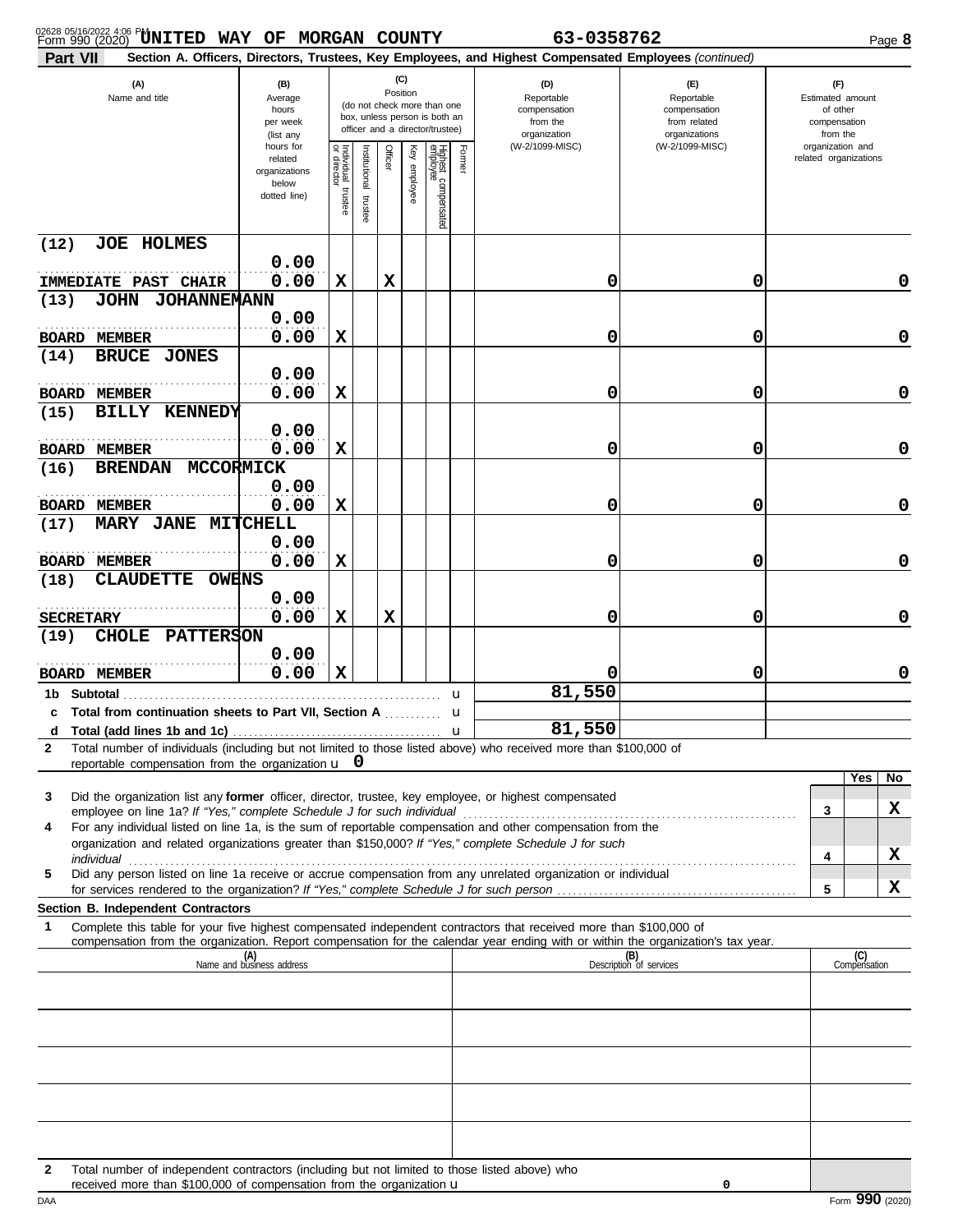## 02628 05/16/2022 4:06 P**M<br><u>Form 990 (2020)</u> UNITED WAY OF MORGAN COUNTY 63-0358762** Page 8

| Part VII                                                                                                                                                                                                                  |                                                                |                                   |                          |                                                                                                                    |              |                                 |        | Section A. Officers, Directors, Trustees, Key Employees, and Highest Compensated Employees (continued) |                                                                    |                                                                 |
|---------------------------------------------------------------------------------------------------------------------------------------------------------------------------------------------------------------------------|----------------------------------------------------------------|-----------------------------------|--------------------------|--------------------------------------------------------------------------------------------------------------------|--------------|---------------------------------|--------|--------------------------------------------------------------------------------------------------------|--------------------------------------------------------------------|-----------------------------------------------------------------|
| (A)<br>Name and title                                                                                                                                                                                                     | (B)<br>Average<br>hours<br>per week<br>(list any               |                                   |                          | (C)<br>Position<br>(do not check more than one<br>box, unless person is both an<br>officer and a director/trustee) |              |                                 |        | (D)<br>Reportable<br>compensation<br>from the<br>organization                                          | (F)<br>Reportable<br>compensation<br>from related<br>organizations | (F)<br>Estimated amount<br>of other<br>compensation<br>from the |
|                                                                                                                                                                                                                           | hours for<br>related<br>organizations<br>below<br>dotted line) | Individual trustee<br>or director | Institutional<br>trustee | Officer                                                                                                            | Key employee | Highest compensated<br>employee | Former | (W-2/1099-MISC)                                                                                        | (W-2/1099-MISC)                                                    | organization and<br>related organizations                       |
| (12)<br><b>JOE HOLMES</b><br><b>IMMEDIATE PAST CHAIR</b>                                                                                                                                                                  | 0.00<br>0.00                                                   | X                                 |                          | X                                                                                                                  |              |                                 |        | 0                                                                                                      | 0                                                                  | 0                                                               |
| <b>JOHANNEMANN</b><br>(13)<br><b>JOHN</b>                                                                                                                                                                                 |                                                                |                                   |                          |                                                                                                                    |              |                                 |        |                                                                                                        |                                                                    |                                                                 |
|                                                                                                                                                                                                                           | 0.00                                                           |                                   |                          |                                                                                                                    |              |                                 |        |                                                                                                        |                                                                    |                                                                 |
| <b>BOARD MEMBER</b><br><b>BRUCE</b><br>(14)<br><b>JONES</b>                                                                                                                                                               | 0.00                                                           | X                                 |                          |                                                                                                                    |              |                                 |        | 0                                                                                                      | 0                                                                  | 0                                                               |
|                                                                                                                                                                                                                           | 0.00                                                           |                                   |                          |                                                                                                                    |              |                                 |        |                                                                                                        |                                                                    |                                                                 |
| <b>BOARD MEMBER</b>                                                                                                                                                                                                       | 0.00                                                           | X                                 |                          |                                                                                                                    |              |                                 |        | 0                                                                                                      | 0                                                                  | 0                                                               |
| <b>KENNEDY</b><br>(15)<br><b>BILLY</b>                                                                                                                                                                                    |                                                                |                                   |                          |                                                                                                                    |              |                                 |        |                                                                                                        |                                                                    |                                                                 |
|                                                                                                                                                                                                                           | 0.00                                                           |                                   |                          |                                                                                                                    |              |                                 |        |                                                                                                        |                                                                    |                                                                 |
| <b>BOARD MEMBER</b><br><b>BRENDAN</b><br>MCCORMICK<br>(16)                                                                                                                                                                | 0.00                                                           | X                                 |                          |                                                                                                                    |              |                                 |        | 0                                                                                                      | 0                                                                  | 0                                                               |
|                                                                                                                                                                                                                           | 0.00                                                           |                                   |                          |                                                                                                                    |              |                                 |        |                                                                                                        |                                                                    |                                                                 |
| <b>BOARD MEMBER</b>                                                                                                                                                                                                       | 0.00                                                           | X                                 |                          |                                                                                                                    |              |                                 |        | 0                                                                                                      | 0                                                                  | 0                                                               |
| <b>MARY JANE</b><br>(17)                                                                                                                                                                                                  | <b>MITCHELL</b>                                                |                                   |                          |                                                                                                                    |              |                                 |        |                                                                                                        |                                                                    |                                                                 |
|                                                                                                                                                                                                                           | 0.00                                                           |                                   |                          |                                                                                                                    |              |                                 |        |                                                                                                        |                                                                    |                                                                 |
| <b>BOARD MEMBER</b><br><b>CLAUDETTE</b><br>(18)<br><b>OWENS</b>                                                                                                                                                           | 0.00                                                           | $\mathbf x$                       |                          |                                                                                                                    |              |                                 |        | 0                                                                                                      | 0                                                                  | 0                                                               |
|                                                                                                                                                                                                                           | 0.00                                                           |                                   |                          |                                                                                                                    |              |                                 |        |                                                                                                        |                                                                    |                                                                 |
| <b>SECRETARY</b>                                                                                                                                                                                                          | 0.00                                                           | $\mathbf x$                       |                          | X                                                                                                                  |              |                                 |        | 0                                                                                                      | 0                                                                  | 0                                                               |
| <b>PATTERSON</b><br><b>CHOLE</b><br>(19)                                                                                                                                                                                  |                                                                |                                   |                          |                                                                                                                    |              |                                 |        |                                                                                                        |                                                                    |                                                                 |
|                                                                                                                                                                                                                           | 0.00                                                           |                                   |                          |                                                                                                                    |              |                                 |        |                                                                                                        |                                                                    |                                                                 |
| <b>BOARD MEMBER</b>                                                                                                                                                                                                       | 0.00                                                           | $\mathbf x$                       |                          |                                                                                                                    |              |                                 |        | 0<br>81,550                                                                                            | 0                                                                  | 0                                                               |
| 1b Subtotal<br>Total from continuation sheets to Part VII, Section A  u<br>c                                                                                                                                              |                                                                |                                   |                          |                                                                                                                    |              |                                 | u      |                                                                                                        |                                                                    |                                                                 |
| d                                                                                                                                                                                                                         |                                                                |                                   |                          |                                                                                                                    |              |                                 | u      | 81,550                                                                                                 |                                                                    |                                                                 |
| 2<br>Total number of individuals (including but not limited to those listed above) who received more than \$100,000 of                                                                                                    |                                                                |                                   |                          |                                                                                                                    |              |                                 |        |                                                                                                        |                                                                    |                                                                 |
| reportable compensation from the organization $\mathbf u$ 0                                                                                                                                                               |                                                                |                                   |                          |                                                                                                                    |              |                                 |        |                                                                                                        |                                                                    | Yes<br>No                                                       |
| Did the organization list any <b>former</b> officer, director, trustee, key employee, or highest compensated<br>3                                                                                                         |                                                                |                                   |                          |                                                                                                                    |              |                                 |        |                                                                                                        |                                                                    |                                                                 |
| employee on line 1a? If "Yes," complete Schedule J for such individual                                                                                                                                                    |                                                                |                                   |                          |                                                                                                                    |              |                                 |        |                                                                                                        |                                                                    | X<br>3                                                          |
| For any individual listed on line 1a, is the sum of reportable compensation and other compensation from the<br>4<br>organization and related organizations greater than \$150,000? If "Yes," complete Schedule J for such |                                                                |                                   |                          |                                                                                                                    |              |                                 |        |                                                                                                        |                                                                    |                                                                 |
| individual                                                                                                                                                                                                                |                                                                |                                   |                          |                                                                                                                    |              |                                 |        |                                                                                                        |                                                                    | X<br>4                                                          |
| Did any person listed on line 1a receive or accrue compensation from any unrelated organization or individual<br>5                                                                                                        |                                                                |                                   |                          |                                                                                                                    |              |                                 |        |                                                                                                        |                                                                    | X<br>5                                                          |
| Section B. Independent Contractors                                                                                                                                                                                        |                                                                |                                   |                          |                                                                                                                    |              |                                 |        |                                                                                                        |                                                                    |                                                                 |
| Complete this table for your five highest compensated independent contractors that received more than \$100,000 of<br>1                                                                                                   |                                                                |                                   |                          |                                                                                                                    |              |                                 |        |                                                                                                        |                                                                    |                                                                 |
| compensation from the organization. Report compensation for the calendar year ending with or within the organization's tax year.                                                                                          | (A)<br>Name and business address                               |                                   |                          |                                                                                                                    |              |                                 |        |                                                                                                        | (B)<br>Description of services                                     | (C)                                                             |
|                                                                                                                                                                                                                           |                                                                |                                   |                          |                                                                                                                    |              |                                 |        |                                                                                                        |                                                                    | Compensation                                                    |
|                                                                                                                                                                                                                           |                                                                |                                   |                          |                                                                                                                    |              |                                 |        |                                                                                                        |                                                                    |                                                                 |
|                                                                                                                                                                                                                           |                                                                |                                   |                          |                                                                                                                    |              |                                 |        |                                                                                                        |                                                                    |                                                                 |
|                                                                                                                                                                                                                           |                                                                |                                   |                          |                                                                                                                    |              |                                 |        |                                                                                                        |                                                                    |                                                                 |
|                                                                                                                                                                                                                           |                                                                |                                   |                          |                                                                                                                    |              |                                 |        |                                                                                                        |                                                                    |                                                                 |
|                                                                                                                                                                                                                           |                                                                |                                   |                          |                                                                                                                    |              |                                 |        |                                                                                                        |                                                                    |                                                                 |
|                                                                                                                                                                                                                           |                                                                |                                   |                          |                                                                                                                    |              |                                 |        |                                                                                                        |                                                                    |                                                                 |
|                                                                                                                                                                                                                           |                                                                |                                   |                          |                                                                                                                    |              |                                 |        |                                                                                                        |                                                                    |                                                                 |
|                                                                                                                                                                                                                           |                                                                |                                   |                          |                                                                                                                    |              |                                 |        |                                                                                                        |                                                                    |                                                                 |
| Total number of independent contractors (including but not limited to those listed above) who<br>$\mathbf{2}$                                                                                                             |                                                                |                                   |                          |                                                                                                                    |              |                                 |        |                                                                                                        |                                                                    |                                                                 |

received more than \$100,000 of compensation from the organization u

**0**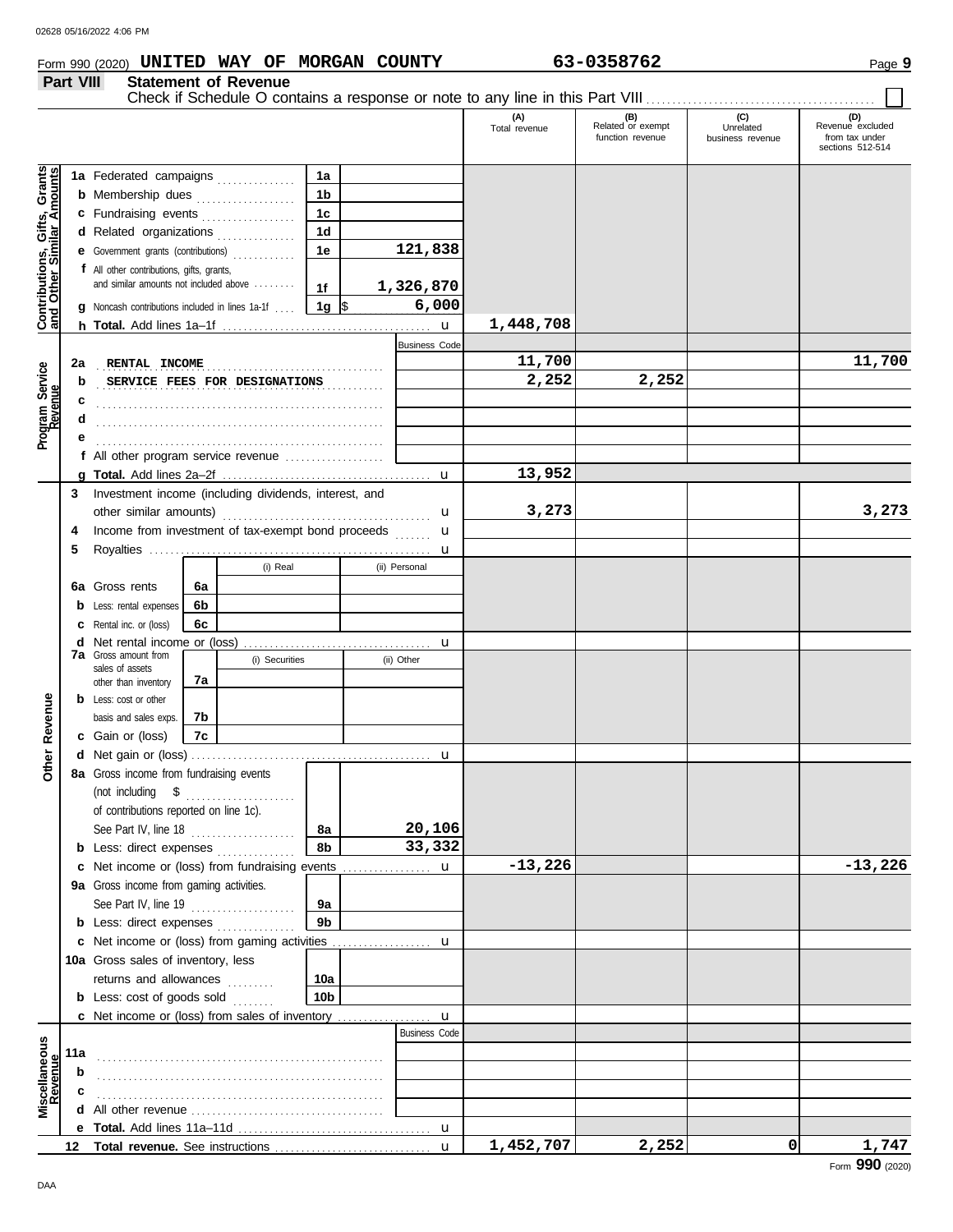### **Form 990 (2020) UNITED WAY OF MORGAN COUNTY 63-0358762** Page 9

### **Part VIII Statement of Revenue**

Check if Schedule O contains a response or note to any line in this Part VIII . . . . . . . . . . . . . . . . . . . . . . . . . . . . . . . . . . . . . . . . . . . .

|                                                           |     |                                                                                                                                                                                                                                     |                |                 |                      | (A)<br>Total revenue | (B)<br>Related or exempt<br>function revenue | (C)<br>Unrelated<br>business revenue | (D)<br>Revenue excluded<br>from tax under<br>sections 512-514 |
|-----------------------------------------------------------|-----|-------------------------------------------------------------------------------------------------------------------------------------------------------------------------------------------------------------------------------------|----------------|-----------------|----------------------|----------------------|----------------------------------------------|--------------------------------------|---------------------------------------------------------------|
|                                                           |     |                                                                                                                                                                                                                                     |                |                 |                      |                      |                                              |                                      |                                                               |
| Contributions, Gifts, Grants<br>and Other Similar Amounts |     | 1a Federated campaigns                                                                                                                                                                                                              |                | 1a              |                      |                      |                                              |                                      |                                                               |
|                                                           |     | <b>b</b> Membership dues                                                                                                                                                                                                            | .              | 1 <sub>b</sub>  |                      |                      |                                              |                                      |                                                               |
|                                                           |     | c Fundraising events                                                                                                                                                                                                                |                | 1 <sub>c</sub>  |                      |                      |                                              |                                      |                                                               |
|                                                           |     | d Related organizations                                                                                                                                                                                                             | .              | 1d              |                      |                      |                                              |                                      |                                                               |
|                                                           |     | e Government grants (contributions)                                                                                                                                                                                                 |                | 1e              | 121,838              |                      |                                              |                                      |                                                               |
|                                                           |     | <b>f</b> All other contributions, gifts, grants,                                                                                                                                                                                    |                |                 |                      |                      |                                              |                                      |                                                               |
|                                                           |     | and similar amounts not included above                                                                                                                                                                                              |                | 1f              | 1,326,870            |                      |                                              |                                      |                                                               |
|                                                           |     | <b>g</b> Noncash contributions included in lines 1a-1f                                                                                                                                                                              |                | 1g $\vert$ \$   | 6,000                |                      |                                              |                                      |                                                               |
|                                                           |     |                                                                                                                                                                                                                                     |                |                 |                      | 1,448,708            |                                              |                                      |                                                               |
|                                                           |     |                                                                                                                                                                                                                                     |                |                 | <b>Business Code</b> |                      |                                              |                                      |                                                               |
|                                                           | 2a  | RENTAL INCOME                                                                                                                                                                                                                       |                |                 |                      | 11,700               |                                              |                                      | 11,700                                                        |
|                                                           | b   | SERVICE FEES FOR DESIGNATIONS                                                                                                                                                                                                       |                |                 |                      | 2,252                | 2,252                                        |                                      |                                                               |
|                                                           |     |                                                                                                                                                                                                                                     |                |                 |                      |                      |                                              |                                      |                                                               |
| Program Service<br>Revenue                                |     |                                                                                                                                                                                                                                     |                |                 |                      |                      |                                              |                                      |                                                               |
|                                                           |     |                                                                                                                                                                                                                                     |                |                 |                      |                      |                                              |                                      |                                                               |
|                                                           |     | f All other program service revenue                                                                                                                                                                                                 |                |                 |                      |                      |                                              |                                      |                                                               |
|                                                           |     |                                                                                                                                                                                                                                     |                |                 |                      |                      |                                              |                                      |                                                               |
|                                                           |     |                                                                                                                                                                                                                                     |                |                 |                      | 13,952               |                                              |                                      |                                                               |
|                                                           | 3   | Investment income (including dividends, interest, and                                                                                                                                                                               |                |                 |                      |                      |                                              |                                      |                                                               |
|                                                           |     |                                                                                                                                                                                                                                     |                |                 |                      | 3,273                |                                              |                                      | 3,273                                                         |
|                                                           | 4   | Income from investment of tax-exempt bond proceeds                                                                                                                                                                                  |                |                 | $\mathbf u$          |                      |                                              |                                      |                                                               |
|                                                           | 5   |                                                                                                                                                                                                                                     |                |                 |                      |                      |                                              |                                      |                                                               |
|                                                           |     |                                                                                                                                                                                                                                     | (i) Real       |                 | (ii) Personal        |                      |                                              |                                      |                                                               |
|                                                           | 6а  | Gross rents<br>6a                                                                                                                                                                                                                   |                |                 |                      |                      |                                              |                                      |                                                               |
|                                                           | b   | 6b<br>Less: rental expenses                                                                                                                                                                                                         |                |                 |                      |                      |                                              |                                      |                                                               |
|                                                           | c   | 6с<br>Rental inc. or (loss)                                                                                                                                                                                                         |                |                 |                      |                      |                                              |                                      |                                                               |
|                                                           | d   | Net rental income or (loss)                                                                                                                                                                                                         |                |                 | u                    |                      |                                              |                                      |                                                               |
|                                                           |     | 7a Gross amount from                                                                                                                                                                                                                | (i) Securities |                 | (ii) Other           |                      |                                              |                                      |                                                               |
|                                                           |     | sales of assets<br>7а<br>other than inventory                                                                                                                                                                                       |                |                 |                      |                      |                                              |                                      |                                                               |
|                                                           | b   | Less: cost or other                                                                                                                                                                                                                 |                |                 |                      |                      |                                              |                                      |                                                               |
|                                                           |     | basis and sales exps.<br>7b                                                                                                                                                                                                         |                |                 |                      |                      |                                              |                                      |                                                               |
| Revenue                                                   |     | c Gain or (loss)<br>7с                                                                                                                                                                                                              |                |                 |                      |                      |                                              |                                      |                                                               |
|                                                           |     |                                                                                                                                                                                                                                     |                |                 |                      |                      |                                              |                                      |                                                               |
| Other                                                     | d   |                                                                                                                                                                                                                                     |                |                 | u                    |                      |                                              |                                      |                                                               |
|                                                           |     | 8a Gross income from fundraising events                                                                                                                                                                                             |                |                 |                      |                      |                                              |                                      |                                                               |
|                                                           |     | (not including<br>$\mathfrak{s}$                                                                                                                                                                                                    | .              |                 |                      |                      |                                              |                                      |                                                               |
|                                                           |     | of contributions reported on line 1c).                                                                                                                                                                                              |                |                 |                      |                      |                                              |                                      |                                                               |
|                                                           |     | See Part IV, line 18                                                                                                                                                                                                                | .              | 8a              | 20,106               |                      |                                              |                                      |                                                               |
|                                                           |     | <b>b</b> Less: direct expenses $\ldots$                                                                                                                                                                                             |                | 8b              | 33,332               |                      |                                              |                                      |                                                               |
|                                                           | c   |                                                                                                                                                                                                                                     |                |                 |                      | $-13,226$            |                                              |                                      | $-13,226$                                                     |
|                                                           |     | 9a Gross income from gaming activities.                                                                                                                                                                                             |                |                 |                      |                      |                                              |                                      |                                                               |
|                                                           |     | See Part IV, line 19                                                                                                                                                                                                                | .              | 9a              |                      |                      |                                              |                                      |                                                               |
|                                                           |     | <b>b</b> Less: direct expenses <i>minimum</i>                                                                                                                                                                                       |                | 9 <sub>b</sub>  |                      |                      |                                              |                                      |                                                               |
|                                                           | c   |                                                                                                                                                                                                                                     |                |                 |                      |                      |                                              |                                      |                                                               |
|                                                           |     | 10a Gross sales of inventory, less                                                                                                                                                                                                  |                |                 |                      |                      |                                              |                                      |                                                               |
|                                                           |     | returns and allowances                                                                                                                                                                                                              | .              | 10a             |                      |                      |                                              |                                      |                                                               |
|                                                           |     | <b>b</b> Less: cost of goods sold                                                                                                                                                                                                   |                | 10 <sub>b</sub> |                      |                      |                                              |                                      |                                                               |
|                                                           |     |                                                                                                                                                                                                                                     |                |                 |                      |                      |                                              |                                      |                                                               |
|                                                           |     |                                                                                                                                                                                                                                     |                |                 | <b>Business Code</b> |                      |                                              |                                      |                                                               |
| Miscellaneous<br>Revenue                                  | 11a |                                                                                                                                                                                                                                     |                |                 |                      |                      |                                              |                                      |                                                               |
|                                                           |     |                                                                                                                                                                                                                                     |                |                 |                      |                      |                                              |                                      |                                                               |
|                                                           | b   |                                                                                                                                                                                                                                     |                |                 |                      |                      |                                              |                                      |                                                               |
|                                                           |     |                                                                                                                                                                                                                                     |                |                 |                      |                      |                                              |                                      |                                                               |
|                                                           | d   | All other revenue <i>communication</i> and the communication of the contract of the contract of the contract of the contract of the contract of the contract of the contract of the contract of the contract of the contract of the |                |                 |                      |                      |                                              |                                      |                                                               |
|                                                           |     |                                                                                                                                                                                                                                     |                |                 |                      |                      |                                              |                                      |                                                               |
|                                                           | 12  |                                                                                                                                                                                                                                     |                |                 |                      | 1,452,707            | 2,252                                        | 0                                    | 1,747                                                         |
|                                                           |     |                                                                                                                                                                                                                                     |                |                 |                      |                      |                                              |                                      | Form 990 (2020)                                               |

 $\Box$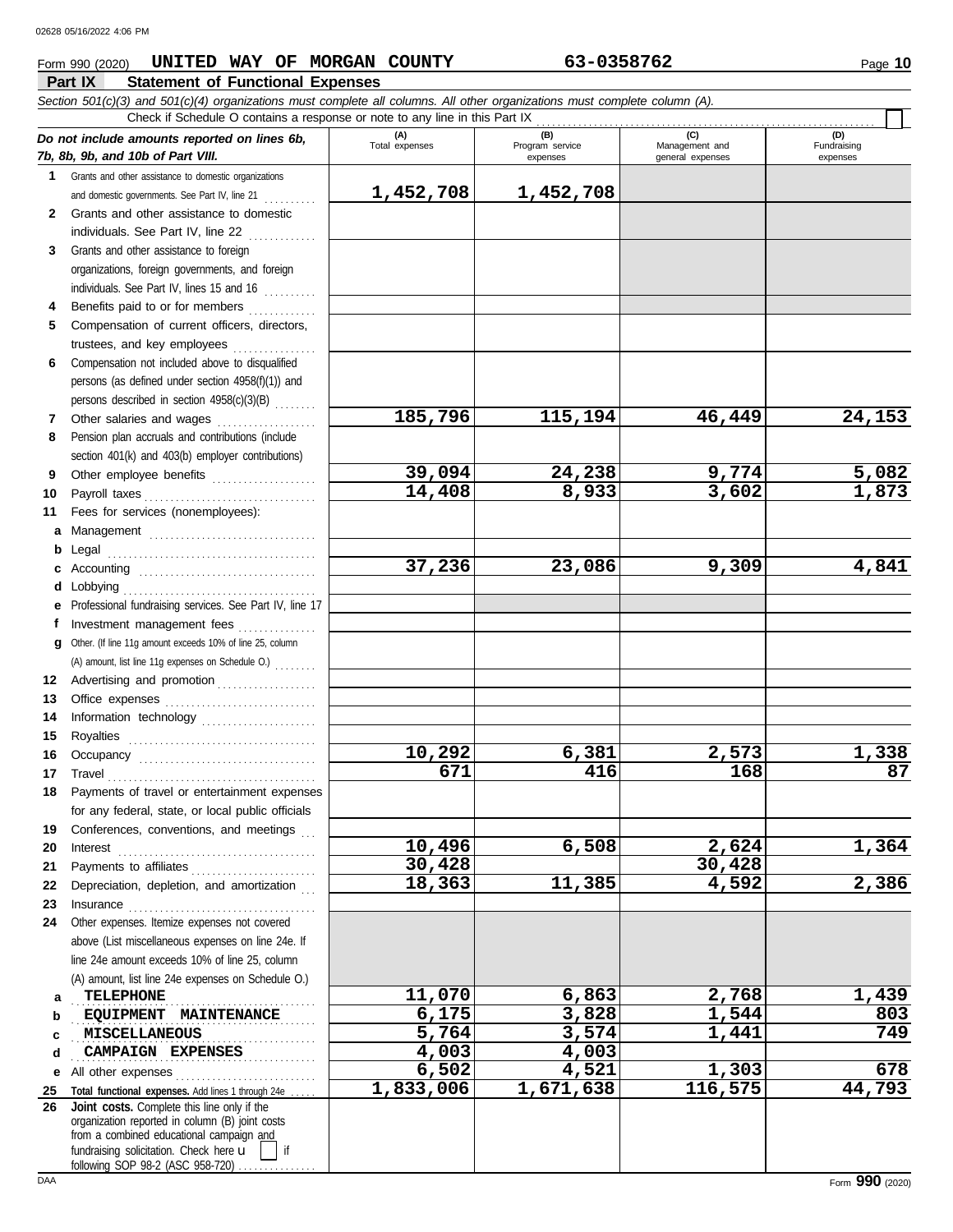## **Part IX Statement of Functional Expenses Form 990 (2020) UNITED WAY OF MORGAN COUNTY 63-0358762** Page 10

|          | Section 501(c)(3) and 501(c)(4) organizations must complete all columns. All other organizations must complete column (A).<br>Check if Schedule O contains a response or note to any line in this Part IX |                |                             |                                    |                         |
|----------|-----------------------------------------------------------------------------------------------------------------------------------------------------------------------------------------------------------|----------------|-----------------------------|------------------------------------|-------------------------|
|          | Do not include amounts reported on lines 6b,                                                                                                                                                              | (A)            | (B)                         | (C)                                | (D)                     |
|          | 7b, 8b, 9b, and 10b of Part VIII.                                                                                                                                                                         | Total expenses | Program service<br>expenses | Management and<br>general expenses | Fundraising<br>expenses |
| 1.       | Grants and other assistance to domestic organizations                                                                                                                                                     |                |                             |                                    |                         |
|          | and domestic governments. See Part IV, line 21                                                                                                                                                            | 1,452,708      | 1,452,708                   |                                    |                         |
| 2        | Grants and other assistance to domestic                                                                                                                                                                   |                |                             |                                    |                         |
|          | individuals. See Part IV, line 22                                                                                                                                                                         |                |                             |                                    |                         |
| 3.       | Grants and other assistance to foreign                                                                                                                                                                    |                |                             |                                    |                         |
|          | organizations, foreign governments, and foreign                                                                                                                                                           |                |                             |                                    |                         |
|          | individuals. See Part IV, lines 15 and 16                                                                                                                                                                 |                |                             |                                    |                         |
| 4        | Benefits paid to or for members<br>.                                                                                                                                                                      |                |                             |                                    |                         |
| 5        | Compensation of current officers, directors,                                                                                                                                                              |                |                             |                                    |                         |
|          | trustees, and key employees                                                                                                                                                                               |                |                             |                                    |                         |
| 6        | Compensation not included above to disqualified                                                                                                                                                           |                |                             |                                    |                         |
|          | persons (as defined under section 4958(f)(1)) and                                                                                                                                                         |                |                             |                                    |                         |
|          | persons described in section 4958(c)(3)(B)                                                                                                                                                                |                |                             |                                    |                         |
| 7        | Other salaries and wages                                                                                                                                                                                  | 185,796        | 115,194                     | 46,449                             | 24,153                  |
| 8        | Pension plan accruals and contributions (include                                                                                                                                                          |                |                             |                                    |                         |
|          | section 401(k) and 403(b) employer contributions)                                                                                                                                                         |                |                             |                                    |                         |
| 9        | Other employee benefits                                                                                                                                                                                   | 39,094         | 24,238                      | 9,774                              | 5,082                   |
| 10       | Payroll taxes                                                                                                                                                                                             | 14,408         | 8,933                       | 3,602                              | 1,873                   |
| 11       | Fees for services (nonemployees):                                                                                                                                                                         |                |                             |                                    |                         |
| a        |                                                                                                                                                                                                           |                |                             |                                    |                         |
| b        |                                                                                                                                                                                                           |                |                             |                                    |                         |
| c        |                                                                                                                                                                                                           | 37,236         | 23,086                      | 9,309                              | 4,841                   |
| d        |                                                                                                                                                                                                           |                |                             |                                    |                         |
| е        | Professional fundraising services. See Part IV, line 17                                                                                                                                                   |                |                             |                                    |                         |
| f        | Investment management fees                                                                                                                                                                                |                |                             |                                    |                         |
| q        | Other. (If line 11g amount exceeds 10% of line 25, column                                                                                                                                                 |                |                             |                                    |                         |
|          | (A) amount, list line 11g expenses on Schedule O.)                                                                                                                                                        |                |                             |                                    |                         |
| 12       | Advertising and promotion                                                                                                                                                                                 |                |                             |                                    |                         |
| 13       |                                                                                                                                                                                                           |                |                             |                                    |                         |
| 14       | Information technology                                                                                                                                                                                    |                |                             |                                    |                         |
| 15       |                                                                                                                                                                                                           |                |                             |                                    |                         |
| 16       |                                                                                                                                                                                                           | 10,292         | 6,381                       | 2,573                              | 1,338                   |
| 17       | $\begin{minipage}{0.5\textwidth} \centering \begin{tabular}{@{}c@{}} \textbf{True} & \textbf{True} \\ \textbf{True} & \textbf{True} \\ \textbf{True} & \textbf{True} \\ \end{tabular} \end{minipage}$     | 671            | 416                         | 168                                | 87                      |
|          | Payments of travel or entertainment expenses                                                                                                                                                              |                |                             |                                    |                         |
|          | for any federal, state, or local public officials                                                                                                                                                         |                |                             |                                    |                         |
| 19       | Conferences, conventions, and meetings                                                                                                                                                                    | 10,496         | 6,508                       |                                    |                         |
| 20       | Interest                                                                                                                                                                                                  | 30,428         |                             | 2,624<br>30,428                    | 1,364                   |
| 21       | Payments to affiliates                                                                                                                                                                                    | 18,363         | 11,385                      | 4,592                              | 2,386                   |
| 22<br>23 | Depreciation, depletion, and amortization                                                                                                                                                                 |                |                             |                                    |                         |
| 24       | Other expenses. Itemize expenses not covered                                                                                                                                                              |                |                             |                                    |                         |
|          | above (List miscellaneous expenses on line 24e. If                                                                                                                                                        |                |                             |                                    |                         |
|          | line 24e amount exceeds 10% of line 25, column                                                                                                                                                            |                |                             |                                    |                         |
|          | (A) amount, list line 24e expenses on Schedule O.)                                                                                                                                                        |                |                             |                                    |                         |
| a        | <b>TELEPHONE</b>                                                                                                                                                                                          | 11,070         | 6,863                       | 2,768                              | 1,439                   |
| b        | EQUIPMENT MAINTENANCE                                                                                                                                                                                     | 6,175          | 3,828                       | 1,544                              | 803                     |
| c        | MISCELLANEOUS                                                                                                                                                                                             | 5,764          | 3,574                       | 1,441                              | 749                     |
| d        | CAMPAIGN EXPENSES                                                                                                                                                                                         | 4,003          | 4,003                       |                                    |                         |
| е        | All other expenses                                                                                                                                                                                        | 6,502          | 4,521                       | 1,303                              | 678                     |
| 25       | Total functional expenses. Add lines 1 through 24e                                                                                                                                                        | 1,833,006      | 1,671,638                   | 116,575                            | 44,793                  |
| 26       | Joint costs. Complete this line only if the                                                                                                                                                               |                |                             |                                    |                         |
|          | organization reported in column (B) joint costs<br>from a combined educational campaign and                                                                                                               |                |                             |                                    |                         |
|          | fundraising solicitation. Check here u<br>if                                                                                                                                                              |                |                             |                                    |                         |
|          | following SOP 98-2 (ASC 958-720)                                                                                                                                                                          |                |                             |                                    |                         |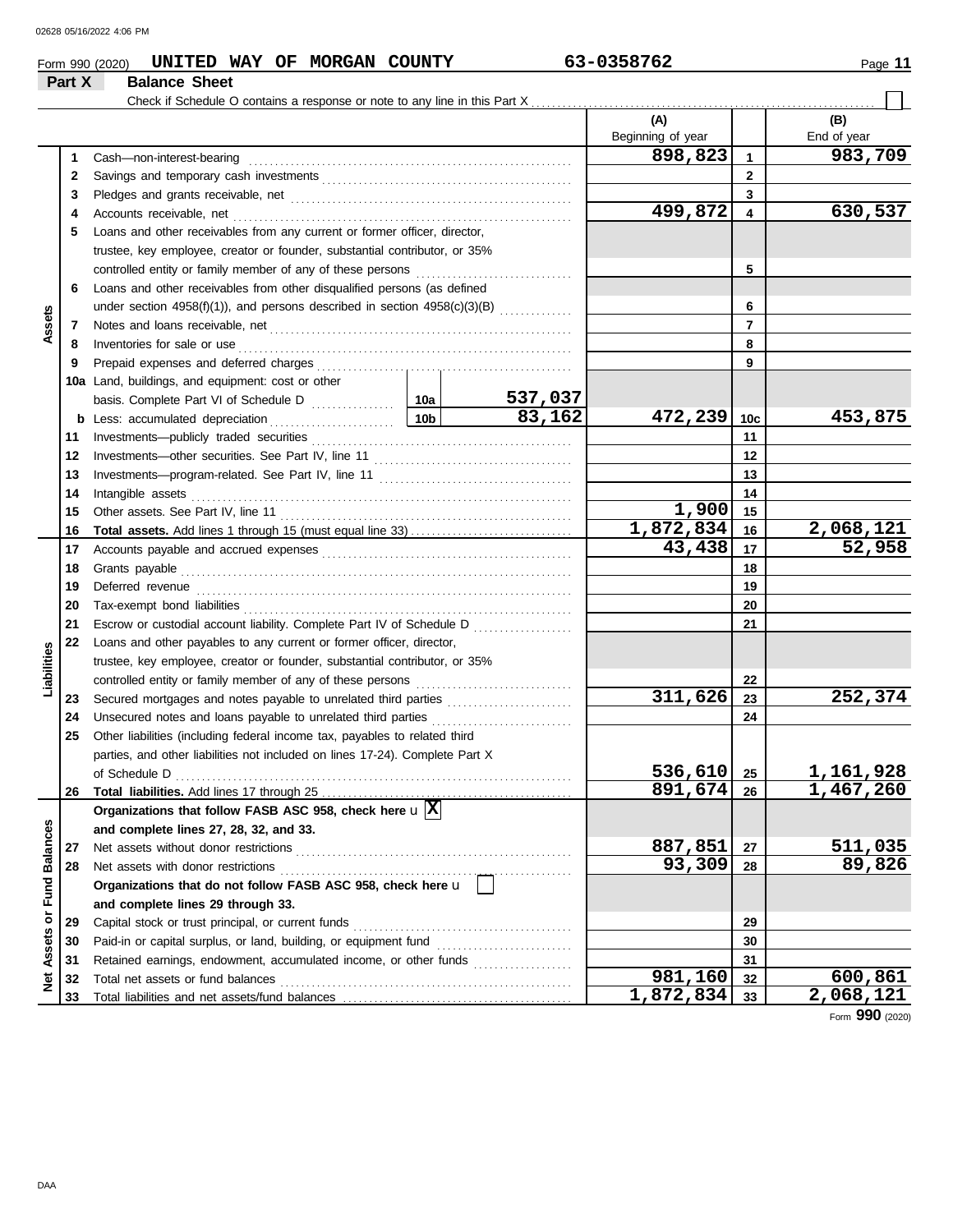### **Form 990 (2020) UNITED WAY OF MORGAN COUNTY 63-0358762** Page 11 **Part X Balance Sheet**

|                 |    | Check if Schedule O contains a response or note to any line in this Part X                                                                                                                                                     |                 |         |                          |                |                    |  |  |
|-----------------|----|--------------------------------------------------------------------------------------------------------------------------------------------------------------------------------------------------------------------------------|-----------------|---------|--------------------------|----------------|--------------------|--|--|
|                 |    |                                                                                                                                                                                                                                |                 |         | (A)<br>Beginning of year |                | (B)<br>End of year |  |  |
|                 | 1  | Cash-non-interest-bearing                                                                                                                                                                                                      |                 |         | 898,823                  | 1              | 983,709            |  |  |
|                 | 2  |                                                                                                                                                                                                                                |                 |         |                          | $\mathbf{2}$   |                    |  |  |
|                 | 3  |                                                                                                                                                                                                                                |                 |         |                          | 3              |                    |  |  |
|                 | 4  | Accounts receivable, net                                                                                                                                                                                                       |                 |         | 499,872                  | 4              | 630,537            |  |  |
|                 | 5  | Loans and other receivables from any current or former officer, director,                                                                                                                                                      |                 |         |                          |                |                    |  |  |
|                 |    | trustee, key employee, creator or founder, substantial contributor, or 35%                                                                                                                                                     |                 |         |                          |                |                    |  |  |
|                 |    | controlled entity or family member of any of these persons                                                                                                                                                                     |                 |         |                          | 5              |                    |  |  |
|                 | 6  | Loans and other receivables from other disqualified persons (as defined                                                                                                                                                        |                 |         |                          |                |                    |  |  |
|                 |    | under section 4958(f)(1)), and persons described in section 4958(c)(3)(B)                                                                                                                                                      |                 |         |                          | 6              |                    |  |  |
| Assets          | 7  |                                                                                                                                                                                                                                |                 |         |                          | $\overline{7}$ |                    |  |  |
|                 | 8  |                                                                                                                                                                                                                                |                 |         |                          | 8              |                    |  |  |
|                 | 9  | Prepaid expenses and deferred charges                                                                                                                                                                                          |                 |         |                          | 9              |                    |  |  |
|                 |    | 10a Land, buildings, and equipment: cost or other                                                                                                                                                                              |                 |         |                          |                |                    |  |  |
|                 |    |                                                                                                                                                                                                                                |                 | 537,037 |                          |                |                    |  |  |
|                 |    | <b>b</b> Less: accumulated depreciation                                                                                                                                                                                        | 10 <sub>b</sub> | 83,162  | 472,239                  | 10c            | 453,875            |  |  |
|                 | 11 |                                                                                                                                                                                                                                |                 |         |                          | 11             |                    |  |  |
|                 | 12 |                                                                                                                                                                                                                                |                 |         |                          | 12             |                    |  |  |
|                 | 13 |                                                                                                                                                                                                                                |                 |         |                          | 13             |                    |  |  |
|                 | 14 | Intangible assets                                                                                                                                                                                                              |                 |         |                          | 14             |                    |  |  |
|                 | 15 | Other assets. See Part IV, line 11 [2010] [2010] [2010] [2010] [2010] [2010] [2010] [2010] [2010] [2010] [2010] [2010] [2010] [2010] [2010] [2010] [2010] [2010] [2010] [2010] [2010] [2010] [2010] [2010] [2010] [2010] [2010 |                 |         | 1,900                    | 15             |                    |  |  |
|                 | 16 |                                                                                                                                                                                                                                |                 |         | 1,872,834                | 16             | 2,068,121          |  |  |
|                 | 17 |                                                                                                                                                                                                                                |                 |         | 43,438                   | 17             | 52,958             |  |  |
|                 | 18 | Grants payable                                                                                                                                                                                                                 |                 |         |                          | 18             |                    |  |  |
|                 | 19 |                                                                                                                                                                                                                                |                 |         | 19                       |                |                    |  |  |
|                 | 20 |                                                                                                                                                                                                                                |                 |         | 20                       |                |                    |  |  |
|                 | 21 | Escrow or custodial account liability. Complete Part IV of Schedule D                                                                                                                                                          |                 |         | 21                       |                |                    |  |  |
|                 | 22 | Loans and other payables to any current or former officer, director,                                                                                                                                                           |                 |         |                          |                |                    |  |  |
| Liabilities     |    | trustee, key employee, creator or founder, substantial contributor, or 35%                                                                                                                                                     |                 |         |                          |                |                    |  |  |
|                 |    |                                                                                                                                                                                                                                |                 |         |                          | 22             |                    |  |  |
|                 | 23 | Secured mortgages and notes payable to unrelated third parties [111] Secured mortgages and notes payable to unrelated third parties [11] Annumental mortgages and notes                                                        |                 |         | 311,626                  | 23             | 252,374            |  |  |
|                 | 24 | Unsecured notes and loans payable to unrelated third parties                                                                                                                                                                   |                 |         |                          | 24             |                    |  |  |
|                 | 25 | Other liabilities (including federal income tax, payables to related third                                                                                                                                                     |                 |         |                          |                |                    |  |  |
|                 |    | parties, and other liabilities not included on lines 17-24). Complete Part X                                                                                                                                                   |                 |         |                          |                |                    |  |  |
|                 |    |                                                                                                                                                                                                                                |                 |         | 536,610                  | 25             | 1,161,928          |  |  |
|                 |    | <b>26 Total liabilities.</b> Add lines 17 through 25                                                                                                                                                                           |                 |         | 891,674                  | 26             | 1,467,260          |  |  |
|                 |    | Organizations that follow FASB ASC 958, check here $\mathbf{u} \mathbf{X} $                                                                                                                                                    |                 |         |                          |                |                    |  |  |
|                 |    | and complete lines 27, 28, 32, and 33.                                                                                                                                                                                         |                 |         |                          |                |                    |  |  |
| <b>Balances</b> | 27 | Net assets without donor restrictions                                                                                                                                                                                          |                 |         | 887,851                  | 27             | 511,035            |  |  |
|                 | 28 | Net assets with donor restrictions                                                                                                                                                                                             |                 |         | 93,309                   | 28             | 89,826             |  |  |
| Fund            |    | Organizations that do not follow FASB ASC 958, check here u                                                                                                                                                                    |                 |         |                          |                |                    |  |  |
|                 |    | and complete lines 29 through 33.                                                                                                                                                                                              |                 |         |                          |                |                    |  |  |
|                 | 29 | Capital stock or trust principal, or current funds                                                                                                                                                                             |                 |         | 29                       |                |                    |  |  |
| Assets or       | 30 |                                                                                                                                                                                                                                |                 |         |                          |                |                    |  |  |
|                 | 31 | Retained earnings, endowment, accumulated income, or other funds                                                                                                                                                               |                 |         |                          | 31             |                    |  |  |
| ğ               | 32 | Total net assets or fund balances                                                                                                                                                                                              |                 |         | 981,160                  | 32             | 600,861            |  |  |
|                 | 33 |                                                                                                                                                                                                                                |                 |         | 1,872,834                | 33             | 2,068,121          |  |  |

Form **990** (2020)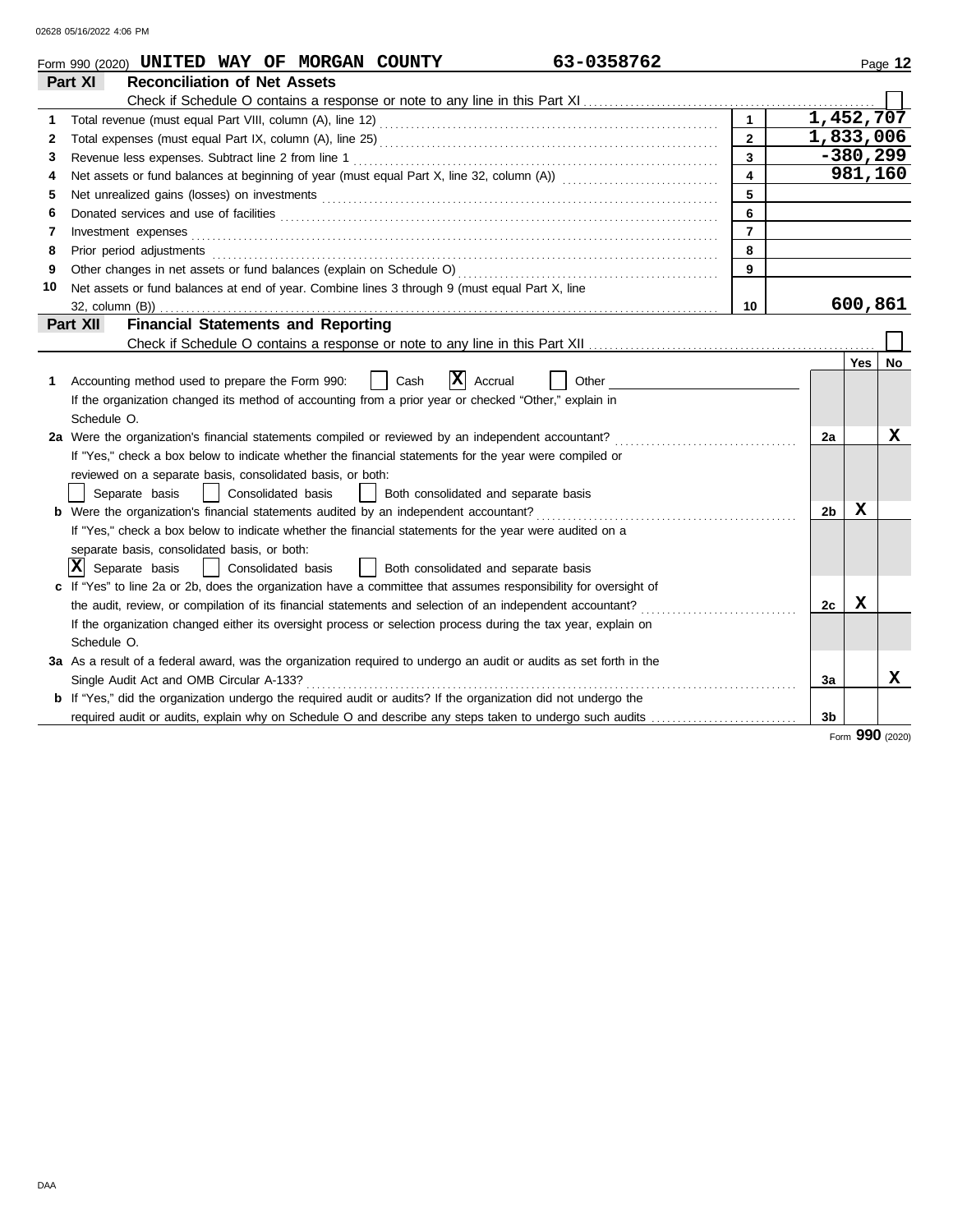02628 05/16/2022 4:06 PM

|    | 63-0358762<br>Form 990 (2020) UNITED WAY OF MORGAN COUNTY                                                                                                                                                                     |                         |                  |            | Page 12               |
|----|-------------------------------------------------------------------------------------------------------------------------------------------------------------------------------------------------------------------------------|-------------------------|------------------|------------|-----------------------|
|    | <b>Reconciliation of Net Assets</b><br>Part XI                                                                                                                                                                                |                         |                  |            |                       |
|    |                                                                                                                                                                                                                               |                         |                  |            |                       |
| 1  |                                                                                                                                                                                                                               | $\mathbf{1}$            | 1,452,707        |            |                       |
| 2  |                                                                                                                                                                                                                               | $\overline{2}$          | 1,833,006        |            |                       |
| 3  |                                                                                                                                                                                                                               | $\overline{\mathbf{3}}$ |                  | $-380,299$ |                       |
| 4  |                                                                                                                                                                                                                               | $\overline{4}$          |                  | 981,160    |                       |
| 5  |                                                                                                                                                                                                                               | 5                       |                  |            |                       |
| 6  |                                                                                                                                                                                                                               | 6                       |                  |            |                       |
| 7  | Investment expenses examples and the contract of the contract of the contract of the contract of the contract of the contract of the contract of the contract of the contract of the contract of the contract of the contract | $\overline{7}$          |                  |            |                       |
| 8  |                                                                                                                                                                                                                               | 8                       |                  |            |                       |
| 9  |                                                                                                                                                                                                                               | 9                       |                  |            |                       |
| 10 | Net assets or fund balances at end of year. Combine lines 3 through 9 (must equal Part X, line                                                                                                                                |                         |                  |            |                       |
|    | 32, column (B))                                                                                                                                                                                                               | 10                      |                  | 600,861    |                       |
|    | <b>Financial Statements and Reporting</b><br>Part XII                                                                                                                                                                         |                         |                  |            |                       |
|    |                                                                                                                                                                                                                               |                         |                  |            |                       |
|    |                                                                                                                                                                                                                               |                         |                  | Yes        | <b>No</b>             |
| 1. | x <br>Accrual<br>Accounting method used to prepare the Form 990:<br>Cash<br>Other                                                                                                                                             |                         |                  |            |                       |
|    | If the organization changed its method of accounting from a prior year or checked "Other," explain in                                                                                                                         |                         |                  |            |                       |
|    | Schedule O.                                                                                                                                                                                                                   |                         |                  |            |                       |
|    | 2a Were the organization's financial statements compiled or reviewed by an independent accountant?                                                                                                                            |                         | 2a               |            | x                     |
|    | If "Yes," check a box below to indicate whether the financial statements for the year were compiled or                                                                                                                        |                         |                  |            |                       |
|    | reviewed on a separate basis, consolidated basis, or both:                                                                                                                                                                    |                         |                  |            |                       |
|    | Consolidated basis<br>Separate basis<br>Both consolidated and separate basis                                                                                                                                                  |                         |                  |            |                       |
|    | <b>b</b> Were the organization's financial statements audited by an independent accountant?                                                                                                                                   |                         | 2 <sub>b</sub>   | x          |                       |
|    | If "Yes," check a box below to indicate whether the financial statements for the year were audited on a                                                                                                                       |                         |                  |            |                       |
|    | separate basis, consolidated basis, or both:                                                                                                                                                                                  |                         |                  |            |                       |
|    | IXI<br>Separate basis<br>Consolidated basis<br>  Both consolidated and separate basis                                                                                                                                         |                         |                  |            |                       |
|    | c If "Yes" to line 2a or 2b, does the organization have a committee that assumes responsibility for oversight of                                                                                                              |                         |                  |            |                       |
|    | the audit, review, or compilation of its financial statements and selection of an independent accountant?                                                                                                                     |                         | 2c               | x          |                       |
|    | If the organization changed either its oversight process or selection process during the tax year, explain on                                                                                                                 |                         |                  |            |                       |
|    | Schedule O.                                                                                                                                                                                                                   |                         |                  |            |                       |
|    | 3a As a result of a federal award, was the organization required to undergo an audit or audits as set forth in the                                                                                                            |                         |                  |            |                       |
|    | Single Audit Act and OMB Circular A-133?                                                                                                                                                                                      |                         | 3a               |            | x                     |
|    | <b>b</b> If "Yes," did the organization undergo the required audit or audits? If the organization did not undergo the                                                                                                         |                         |                  |            |                       |
|    | required audit or audits, explain why on Schedule O and describe any steps taken to undergo such audits                                                                                                                       |                         | 3b               |            |                       |
|    |                                                                                                                                                                                                                               |                         | $E_{\text{arm}}$ |            | $QQ \cap \mathcal{L}$ |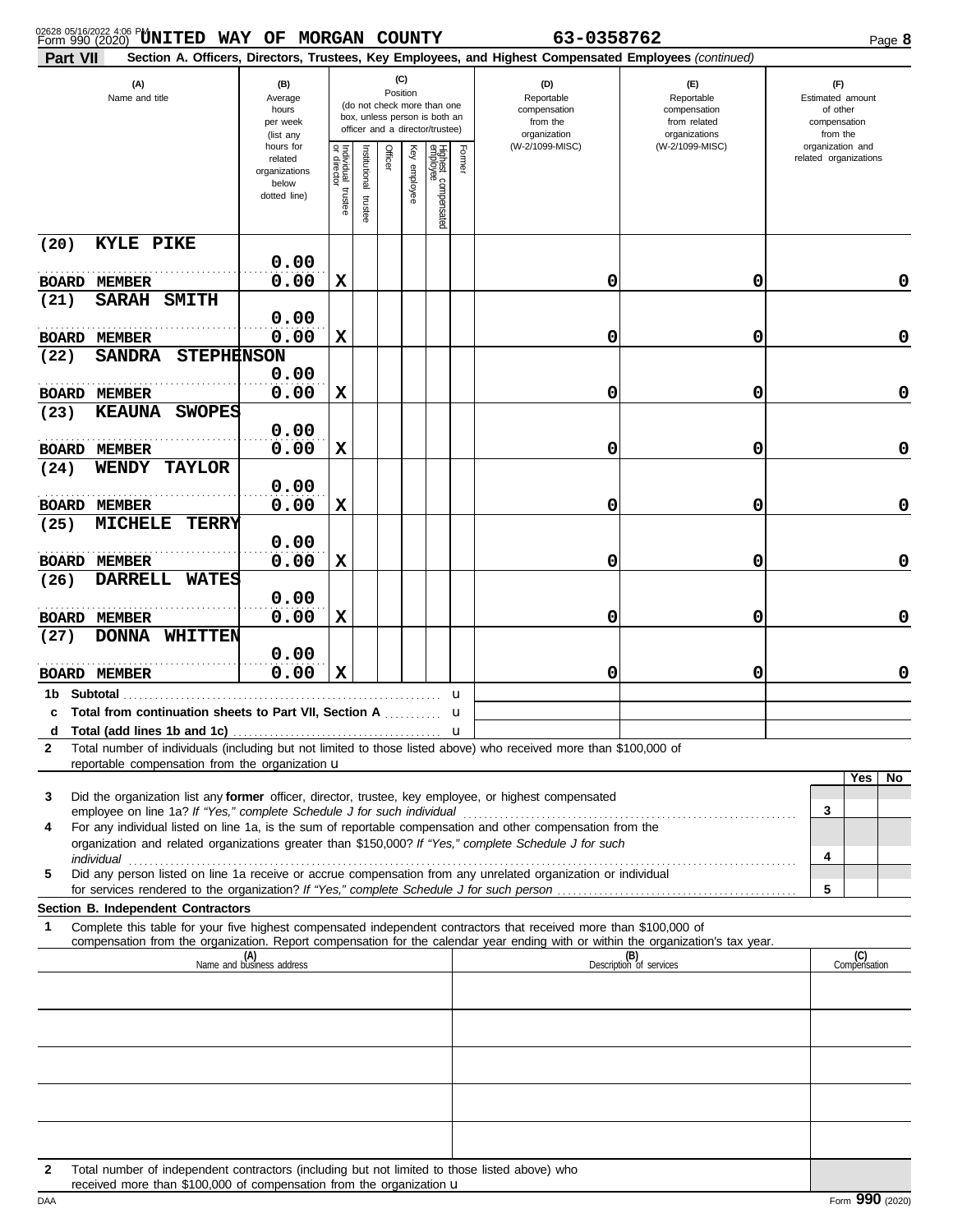## 02628 05/16/2022 4:06 P**M<br><u>Form 990 (2020)</u> UNITED WAY OF MORGAN COUNTY 63-0358762** Page 8

| Part VII                                                                                                                                                                                                                                                                                                                                              |                                                                |                                   |                          |                                                                                                                    |              |                                 |        | Section A. Officers, Directors, Trustees, Key Employees, and Highest Compensated Employees (continued)                              |                                |                                                                 |
|-------------------------------------------------------------------------------------------------------------------------------------------------------------------------------------------------------------------------------------------------------------------------------------------------------------------------------------------------------|----------------------------------------------------------------|-----------------------------------|--------------------------|--------------------------------------------------------------------------------------------------------------------|--------------|---------------------------------|--------|-------------------------------------------------------------------------------------------------------------------------------------|--------------------------------|-----------------------------------------------------------------|
| (A)<br>Name and title                                                                                                                                                                                                                                                                                                                                 | (B)<br>Average<br>hours<br>per week<br>(list any               |                                   |                          | (C)<br>Position<br>(do not check more than one<br>box, unless person is both an<br>officer and a director/trustee) |              |                                 |        | (D)<br>(E)<br>Reportable<br>Reportable<br>compensation<br>compensation<br>from the<br>from related<br>organizations<br>organization |                                | (F)<br>Estimated amount<br>of other<br>compensation<br>from the |
|                                                                                                                                                                                                                                                                                                                                                       | hours for<br>related<br>organizations<br>below<br>dotted line) | Individual trustee<br>or director | Institutional<br>trustee | Officer                                                                                                            | Key employee | Highest compensated<br>employee | Former | (W-2/1099-MISC)                                                                                                                     | (W-2/1099-MISC)                | organization and<br>related organizations                       |
| <b>KYLE PIKE</b><br>(20)<br><b>BOARD MEMBER</b>                                                                                                                                                                                                                                                                                                       | 0.00<br>0.00                                                   | $\mathbf x$                       |                          |                                                                                                                    |              |                                 |        | 0                                                                                                                                   | 0                              | 0                                                               |
| <b>SARAH</b><br><b>SMITH</b><br>(21)<br><b>BOARD MEMBER</b>                                                                                                                                                                                                                                                                                           | 0.00<br>0.00                                                   | X                                 |                          |                                                                                                                    |              |                                 |        | 0                                                                                                                                   | 0                              | 0                                                               |
| <b>STEPHENSON</b><br>(22)<br>SANDRA<br><b>BOARD MEMBER</b>                                                                                                                                                                                                                                                                                            | 0.00<br>0.00                                                   | X                                 |                          |                                                                                                                    |              |                                 |        | 0                                                                                                                                   | 0                              | 0                                                               |
| <b>SWOPES</b><br>(23)<br><b>KEAUNA</b><br><b>BOARD MEMBER</b>                                                                                                                                                                                                                                                                                         | 0.00<br>0.00                                                   | $\mathbf x$                       |                          |                                                                                                                    |              |                                 |        | 0                                                                                                                                   | 0                              | 0                                                               |
| <b>TAYLOR</b><br>(24)<br><b>WENDY</b><br><b>BOARD MEMBER</b>                                                                                                                                                                                                                                                                                          | 0.00<br>0.00                                                   | $\mathbf x$                       |                          |                                                                                                                    |              |                                 |        | 0                                                                                                                                   | 0                              | 0                                                               |
| (25)<br><b>MICHELE</b><br>TERRY<br><b>BOARD MEMBER</b>                                                                                                                                                                                                                                                                                                | 0.00<br>0.00                                                   | $\mathbf x$                       |                          |                                                                                                                    |              |                                 |        | 0                                                                                                                                   | 0                              | 0                                                               |
| <b>DARRELL</b><br>(26)<br><b>WATES</b><br><b>BOARD MEMBER</b>                                                                                                                                                                                                                                                                                         | 0.00<br>0.00                                                   | $\mathbf x$                       |                          |                                                                                                                    |              |                                 |        | 0                                                                                                                                   | 0                              | 0                                                               |
| WHITTEN<br>(27)<br><b>DONNA</b><br><b>BOARD MEMBER</b>                                                                                                                                                                                                                                                                                                | 0.00<br>0.00                                                   | $\mathbf x$                       |                          |                                                                                                                    |              |                                 |        | 0                                                                                                                                   | 0                              | 0                                                               |
| 1b Subtotal<br>Total from continuation sheets to Part VII, Section A  u<br>c                                                                                                                                                                                                                                                                          |                                                                |                                   |                          |                                                                                                                    |              |                                 | u      |                                                                                                                                     |                                |                                                                 |
| d<br>2<br>Total number of individuals (including but not limited to those listed above) who received more than \$100,000 of<br>reportable compensation from the organization u                                                                                                                                                                        |                                                                |                                   |                          |                                                                                                                    |              |                                 | u      |                                                                                                                                     |                                | Yes<br>No.                                                      |
| Did the organization list any former officer, director, trustee, key employee, or highest compensated<br>3<br>For any individual listed on line 1a, is the sum of reportable compensation and other compensation from the<br>4<br>organization and related organizations greater than \$150,000? If "Yes," complete Schedule J for such<br>individual |                                                                |                                   |                          |                                                                                                                    |              |                                 |        |                                                                                                                                     |                                | 3<br>4                                                          |
| Did any person listed on line 1a receive or accrue compensation from any unrelated organization or individual<br>5                                                                                                                                                                                                                                    |                                                                |                                   |                          |                                                                                                                    |              |                                 |        |                                                                                                                                     |                                | 5                                                               |
| Section B. Independent Contractors<br>Complete this table for your five highest compensated independent contractors that received more than \$100,000 of<br>1<br>compensation from the organization. Report compensation for the calendar year ending with or within the organization's tax year.                                                     |                                                                |                                   |                          |                                                                                                                    |              |                                 |        |                                                                                                                                     |                                | (C)                                                             |
|                                                                                                                                                                                                                                                                                                                                                       | (A)<br>Name and business address                               |                                   |                          |                                                                                                                    |              |                                 |        |                                                                                                                                     | (B)<br>Description of services | Compensation                                                    |
|                                                                                                                                                                                                                                                                                                                                                       |                                                                |                                   |                          |                                                                                                                    |              |                                 |        |                                                                                                                                     |                                |                                                                 |
|                                                                                                                                                                                                                                                                                                                                                       |                                                                |                                   |                          |                                                                                                                    |              |                                 |        |                                                                                                                                     |                                |                                                                 |
| Total number of independent contractors (including but not limited to those listed above) who<br>$\mathbf{2}$                                                                                                                                                                                                                                         |                                                                |                                   |                          |                                                                                                                    |              |                                 |        |                                                                                                                                     |                                |                                                                 |

received more than \$100,000 of compensation from the organization u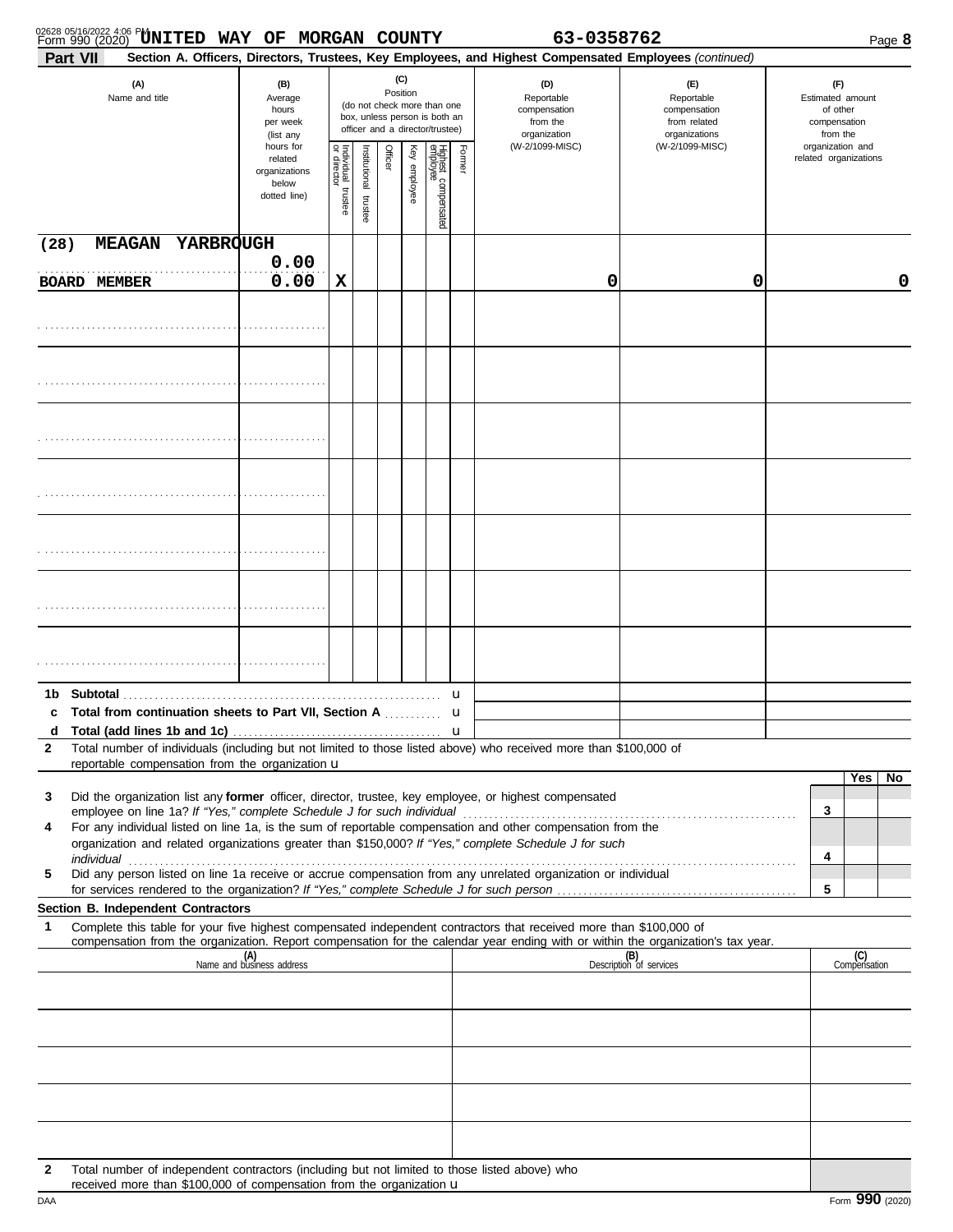|                   | 02628 05/16/2022 4:06 PM<br>Form 990 (2020) UNITED WAY OF MORGAN COUNTY                                                                                                                                                                                                                                                                                                                                                                                |                                                                |                                   |                         |          |              |                                                                                                 |                                                                                                        | 63-0358762                                                                                                                          |                                | Page 8                                                                              |
|-------------------|--------------------------------------------------------------------------------------------------------------------------------------------------------------------------------------------------------------------------------------------------------------------------------------------------------------------------------------------------------------------------------------------------------------------------------------------------------|----------------------------------------------------------------|-----------------------------------|-------------------------|----------|--------------|-------------------------------------------------------------------------------------------------|--------------------------------------------------------------------------------------------------------|-------------------------------------------------------------------------------------------------------------------------------------|--------------------------------|-------------------------------------------------------------------------------------|
|                   | <b>Part VII</b>                                                                                                                                                                                                                                                                                                                                                                                                                                        |                                                                |                                   |                         |          |              |                                                                                                 | Section A. Officers, Directors, Trustees, Key Employees, and Highest Compensated Employees (continued) |                                                                                                                                     |                                |                                                                                     |
|                   | (A)<br>Name and title                                                                                                                                                                                                                                                                                                                                                                                                                                  | (B)<br>Average<br>hours<br>per week<br>(list any               |                                   |                         | Position | (C)          | (do not check more than one<br>box, unless person is both an<br>officer and a director/trustee) |                                                                                                        | (D)<br>(E)<br>Reportable<br>Reportable<br>compensation<br>compensation<br>from the<br>from related<br>organizations<br>organization |                                | (F)<br>Estimated amount<br>of other<br>compensation<br>from the<br>organization and |
|                   |                                                                                                                                                                                                                                                                                                                                                                                                                                                        | hours for<br>related<br>organizations<br>below<br>dotted line) | Individual trustee<br>or director | nstitutional<br>trustee | Officer  | Key employee | Highest compensated<br>employee                                                                 | Former                                                                                                 | (W-2/1099-MISC)                                                                                                                     | (W-2/1099-MISC)                | related organizations                                                               |
| (28)              | <b>MEAGAN</b><br><b>YARBROUGH</b>                                                                                                                                                                                                                                                                                                                                                                                                                      | 0.00                                                           |                                   |                         |          |              |                                                                                                 |                                                                                                        |                                                                                                                                     |                                |                                                                                     |
|                   | .<br><b>BOARD MEMBER</b>                                                                                                                                                                                                                                                                                                                                                                                                                               | 0.00                                                           | X                                 |                         |          |              |                                                                                                 |                                                                                                        | 0                                                                                                                                   | 0                              | 0                                                                                   |
|                   |                                                                                                                                                                                                                                                                                                                                                                                                                                                        |                                                                |                                   |                         |          |              |                                                                                                 |                                                                                                        |                                                                                                                                     |                                |                                                                                     |
|                   |                                                                                                                                                                                                                                                                                                                                                                                                                                                        |                                                                |                                   |                         |          |              |                                                                                                 |                                                                                                        |                                                                                                                                     |                                |                                                                                     |
|                   |                                                                                                                                                                                                                                                                                                                                                                                                                                                        |                                                                |                                   |                         |          |              |                                                                                                 |                                                                                                        |                                                                                                                                     |                                |                                                                                     |
|                   |                                                                                                                                                                                                                                                                                                                                                                                                                                                        |                                                                |                                   |                         |          |              |                                                                                                 |                                                                                                        |                                                                                                                                     |                                |                                                                                     |
|                   |                                                                                                                                                                                                                                                                                                                                                                                                                                                        |                                                                |                                   |                         |          |              |                                                                                                 |                                                                                                        |                                                                                                                                     |                                |                                                                                     |
|                   |                                                                                                                                                                                                                                                                                                                                                                                                                                                        |                                                                |                                   |                         |          |              |                                                                                                 |                                                                                                        |                                                                                                                                     |                                |                                                                                     |
|                   |                                                                                                                                                                                                                                                                                                                                                                                                                                                        |                                                                |                                   |                         |          |              |                                                                                                 |                                                                                                        |                                                                                                                                     |                                |                                                                                     |
| 1b                | <b>Subtotal</b>                                                                                                                                                                                                                                                                                                                                                                                                                                        |                                                                |                                   |                         |          |              |                                                                                                 | u                                                                                                      |                                                                                                                                     |                                |                                                                                     |
| c                 | Total from continuation sheets to Part VII, Section A                                                                                                                                                                                                                                                                                                                                                                                                  |                                                                |                                   |                         |          |              |                                                                                                 | u                                                                                                      |                                                                                                                                     |                                |                                                                                     |
| d<br>$\mathbf{2}$ | Total number of individuals (including but not limited to those listed above) who received more than \$100,000 of                                                                                                                                                                                                                                                                                                                                      |                                                                |                                   |                         |          |              |                                                                                                 | $\mathbf{u}$                                                                                           |                                                                                                                                     |                                |                                                                                     |
|                   | reportable compensation from the organization u                                                                                                                                                                                                                                                                                                                                                                                                        |                                                                |                                   |                         |          |              |                                                                                                 |                                                                                                        |                                                                                                                                     |                                |                                                                                     |
| 3                 | Did the organization list any former officer, director, trustee, key employee, or highest compensated<br>employee on line 1a? If "Yes," complete Schedule J for such individual                                                                                                                                                                                                                                                                        |                                                                |                                   |                         |          |              |                                                                                                 |                                                                                                        |                                                                                                                                     |                                | Yes<br>No<br>3                                                                      |
| 4                 | For any individual listed on line 1a, is the sum of reportable compensation and other compensation from the<br>organization and related organizations greater than \$150,000? If "Yes," complete Schedule J for such<br>individual with a construction of the construction of the construction of the construction of the construction of the construction of the construction of the construction of the construction of the construction of the cons |                                                                |                                   |                         |          |              |                                                                                                 |                                                                                                        |                                                                                                                                     |                                | 4                                                                                   |
| 5                 | Did any person listed on line 1a receive or accrue compensation from any unrelated organization or individual                                                                                                                                                                                                                                                                                                                                          |                                                                |                                   |                         |          |              |                                                                                                 |                                                                                                        |                                                                                                                                     |                                | 5                                                                                   |
|                   | Section B. Independent Contractors                                                                                                                                                                                                                                                                                                                                                                                                                     |                                                                |                                   |                         |          |              |                                                                                                 |                                                                                                        |                                                                                                                                     |                                |                                                                                     |
| 1                 | Complete this table for your five highest compensated independent contractors that received more than \$100,000 of<br>compensation from the organization. Report compensation for the calendar year ending with or within the organization's tax year.                                                                                                                                                                                                 |                                                                |                                   |                         |          |              |                                                                                                 |                                                                                                        |                                                                                                                                     |                                |                                                                                     |
|                   |                                                                                                                                                                                                                                                                                                                                                                                                                                                        | (A)<br>Name and business address                               |                                   |                         |          |              |                                                                                                 |                                                                                                        |                                                                                                                                     | (B)<br>Description of services | (C)<br>Compensation                                                                 |
|                   |                                                                                                                                                                                                                                                                                                                                                                                                                                                        |                                                                |                                   |                         |          |              |                                                                                                 |                                                                                                        |                                                                                                                                     |                                |                                                                                     |
|                   |                                                                                                                                                                                                                                                                                                                                                                                                                                                        |                                                                |                                   |                         |          |              |                                                                                                 |                                                                                                        |                                                                                                                                     |                                |                                                                                     |
|                   |                                                                                                                                                                                                                                                                                                                                                                                                                                                        |                                                                |                                   |                         |          |              |                                                                                                 |                                                                                                        |                                                                                                                                     |                                |                                                                                     |
|                   |                                                                                                                                                                                                                                                                                                                                                                                                                                                        |                                                                |                                   |                         |          |              |                                                                                                 |                                                                                                        |                                                                                                                                     |                                |                                                                                     |
| 2                 | Total number of independent contractors (including but not limited to those listed above) who                                                                                                                                                                                                                                                                                                                                                          |                                                                |                                   |                         |          |              |                                                                                                 |                                                                                                        |                                                                                                                                     |                                |                                                                                     |

received more than \$100,000 of compensation from the organization u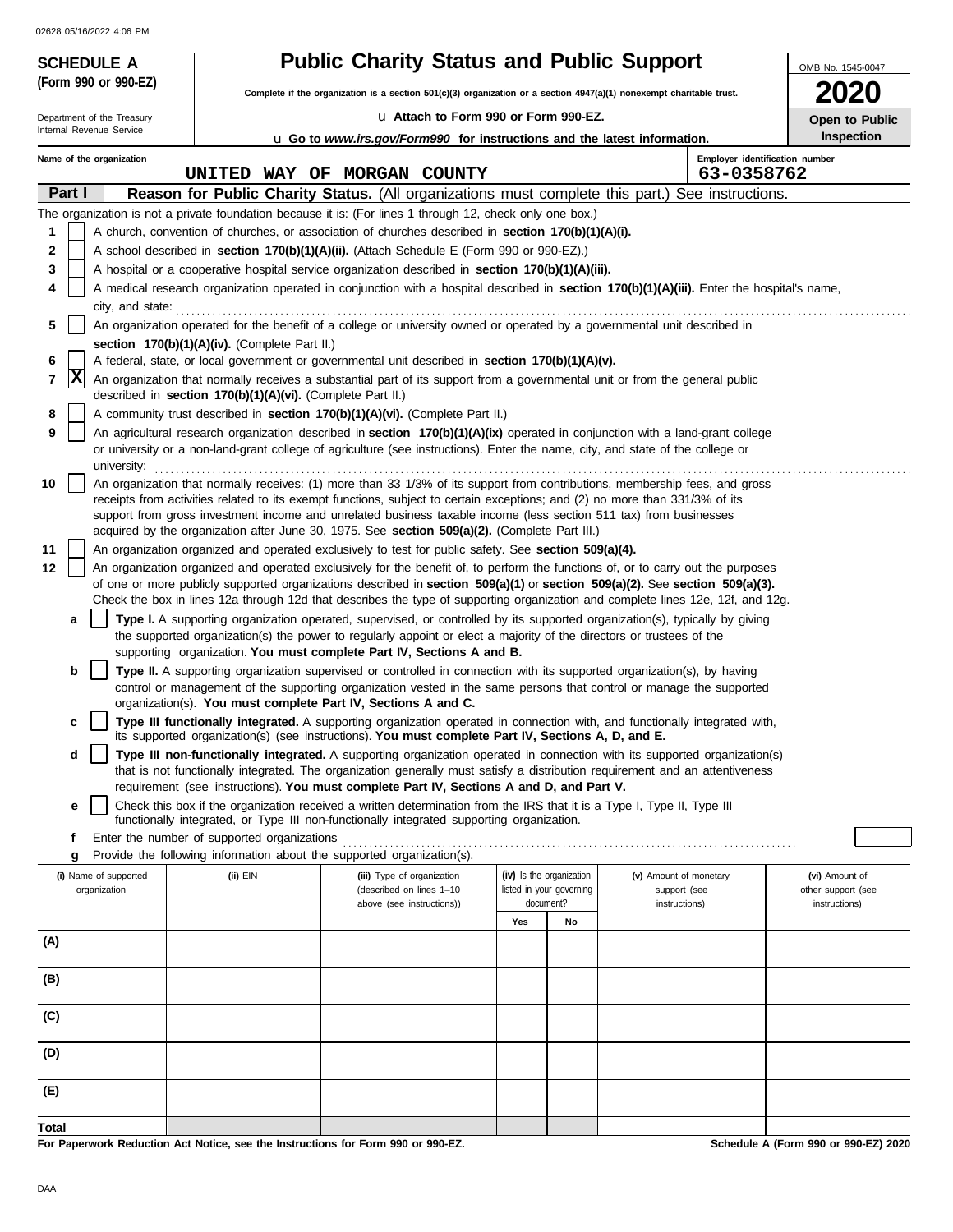| 02628 05/16/2022 4:06 PM   |                                                            |                                                                                                                                                                                                                                                                 |                                       |                                |                                     |
|----------------------------|------------------------------------------------------------|-----------------------------------------------------------------------------------------------------------------------------------------------------------------------------------------------------------------------------------------------------------------|---------------------------------------|--------------------------------|-------------------------------------|
| <b>SCHEDULE A</b>          |                                                            | <b>Public Charity Status and Public Support</b>                                                                                                                                                                                                                 |                                       |                                | OMB No. 1545-0047                   |
| (Form 990 or 990-EZ)       |                                                            | Complete if the organization is a section 501(c)(3) organization or a section 4947(a)(1) nonexempt charitable trust.                                                                                                                                            |                                       |                                | <b>2020</b>                         |
| Department of the Treasury |                                                            | La Attach to Form 990 or Form 990-EZ.                                                                                                                                                                                                                           |                                       |                                | Open to Public                      |
| Internal Revenue Service   |                                                            | <b>u</b> Go to www.irs.gov/Form990 for instructions and the latest information.                                                                                                                                                                                 |                                       |                                | Inspection                          |
| Name of the organization   |                                                            | UNITED WAY OF MORGAN COUNTY                                                                                                                                                                                                                                     |                                       | Employer identification number |                                     |
| Part I                     |                                                            | Reason for Public Charity Status. (All organizations must complete this part.) See instructions.                                                                                                                                                                |                                       | 63-0358762                     |                                     |
|                            |                                                            | The organization is not a private foundation because it is: (For lines 1 through 12, check only one box.)                                                                                                                                                       |                                       |                                |                                     |
| 1                          |                                                            | A church, convention of churches, or association of churches described in section 170(b)(1)(A)(i).                                                                                                                                                              |                                       |                                |                                     |
| 2                          |                                                            | A school described in section 170(b)(1)(A)(ii). (Attach Schedule E (Form 990 or 990-EZ).)                                                                                                                                                                       |                                       |                                |                                     |
| 3<br>4                     |                                                            | A hospital or a cooperative hospital service organization described in section 170(b)(1)(A)(iii).                                                                                                                                                               |                                       |                                |                                     |
| city, and state:           |                                                            | A medical research organization operated in conjunction with a hospital described in section 170(b)(1)(A)(iii). Enter the hospital's name,                                                                                                                      |                                       |                                |                                     |
| 5                          |                                                            | An organization operated for the benefit of a college or university owned or operated by a governmental unit described in                                                                                                                                       |                                       |                                |                                     |
|                            | section 170(b)(1)(A)(iv). (Complete Part II.)              |                                                                                                                                                                                                                                                                 |                                       |                                |                                     |
| 6<br>$ \mathbf{x} $<br>7   |                                                            | A federal, state, or local government or governmental unit described in section 170(b)(1)(A)(v).<br>An organization that normally receives a substantial part of its support from a governmental unit or from the general public                                |                                       |                                |                                     |
|                            | described in section 170(b)(1)(A)(vi). (Complete Part II.) |                                                                                                                                                                                                                                                                 |                                       |                                |                                     |
| 8                          |                                                            | A community trust described in section 170(b)(1)(A)(vi). (Complete Part II.)                                                                                                                                                                                    |                                       |                                |                                     |
| 9                          |                                                            | An agricultural research organization described in section 170(b)(1)(A)(ix) operated in conjunction with a land-grant college                                                                                                                                   |                                       |                                |                                     |
| university:                |                                                            | or university or a non-land-grant college of agriculture (see instructions). Enter the name, city, and state of the college or                                                                                                                                  |                                       |                                |                                     |
| 10                         |                                                            | An organization that normally receives: (1) more than 33 1/3% of its support from contributions, membership fees, and gross                                                                                                                                     |                                       |                                |                                     |
|                            |                                                            | receipts from activities related to its exempt functions, subject to certain exceptions; and (2) no more than 331/3% of its<br>support from gross investment income and unrelated business taxable income (less section 511 tax) from businesses                |                                       |                                |                                     |
|                            |                                                            | acquired by the organization after June 30, 1975. See section 509(a)(2). (Complete Part III.)                                                                                                                                                                   |                                       |                                |                                     |
| 11                         |                                                            | An organization organized and operated exclusively to test for public safety. See section 509(a)(4).                                                                                                                                                            |                                       |                                |                                     |
| 12                         |                                                            | An organization organized and operated exclusively for the benefit of, to perform the functions of, or to carry out the purposes<br>of one or more publicly supported organizations described in section 509(a)(1) or section 509(a)(2). See section 509(a)(3). |                                       |                                |                                     |
|                            |                                                            | Check the box in lines 12a through 12d that describes the type of supporting organization and complete lines 12e, 12f, and 12g.                                                                                                                                 |                                       |                                |                                     |
| a                          |                                                            | Type I. A supporting organization operated, supervised, or controlled by its supported organization(s), typically by giving                                                                                                                                     |                                       |                                |                                     |
|                            |                                                            | the supported organization(s) the power to regularly appoint or elect a majority of the directors or trustees of the<br>supporting organization. You must complete Part IV, Sections A and B.                                                                   |                                       |                                |                                     |
| b                          |                                                            | Type II. A supporting organization supervised or controlled in connection with its supported organization(s), by having                                                                                                                                         |                                       |                                |                                     |
|                            |                                                            | control or management of the supporting organization vested in the same persons that control or manage the supported                                                                                                                                            |                                       |                                |                                     |
| c                          |                                                            | organization(s). You must complete Part IV, Sections A and C.<br>Type III functionally integrated. A supporting organization operated in connection with, and functionally integrated with,                                                                     |                                       |                                |                                     |
|                            |                                                            | its supported organization(s) (see instructions). You must complete Part IV, Sections A, D, and E.                                                                                                                                                              |                                       |                                |                                     |
| d                          |                                                            | Type III non-functionally integrated. A supporting organization operated in connection with its supported organization(s)                                                                                                                                       |                                       |                                |                                     |
|                            |                                                            | that is not functionally integrated. The organization generally must satisfy a distribution requirement and an attentiveness<br>requirement (see instructions). You must complete Part IV, Sections A and D, and Part V.                                        |                                       |                                |                                     |
| е                          |                                                            | Check this box if the organization received a written determination from the IRS that it is a Type I, Type II, Type III                                                                                                                                         |                                       |                                |                                     |
| f                          | Enter the number of supported organizations                | functionally integrated, or Type III non-functionally integrated supporting organization.                                                                                                                                                                       |                                       |                                |                                     |
| g                          |                                                            | Provide the following information about the supported organization(s).                                                                                                                                                                                          |                                       |                                |                                     |
| (i) Name of supported      | $(ii)$ $EIN$                                               | (iii) Type of organization                                                                                                                                                                                                                                      | (iv) Is the organization              | (v) Amount of monetary         | (vi) Amount of                      |
| organization               |                                                            | (described on lines 1-10<br>above (see instructions))                                                                                                                                                                                                           | listed in your governing<br>document? | support (see<br>instructions)  | other support (see<br>instructions) |
|                            |                                                            |                                                                                                                                                                                                                                                                 | No<br>Yes                             |                                |                                     |
| (A)                        |                                                            |                                                                                                                                                                                                                                                                 |                                       |                                |                                     |
|                            |                                                            |                                                                                                                                                                                                                                                                 |                                       |                                |                                     |
| (B)                        |                                                            |                                                                                                                                                                                                                                                                 |                                       |                                |                                     |
| (C)                        |                                                            |                                                                                                                                                                                                                                                                 |                                       |                                |                                     |
|                            |                                                            |                                                                                                                                                                                                                                                                 |                                       |                                |                                     |
| (D)                        |                                                            |                                                                                                                                                                                                                                                                 |                                       |                                |                                     |
| (E)                        |                                                            |                                                                                                                                                                                                                                                                 |                                       |                                |                                     |
| Total                      |                                                            |                                                                                                                                                                                                                                                                 |                                       |                                |                                     |

**For Paperwork Reduction Act Notice, see the Instructions for Form 990 or 990-EZ.**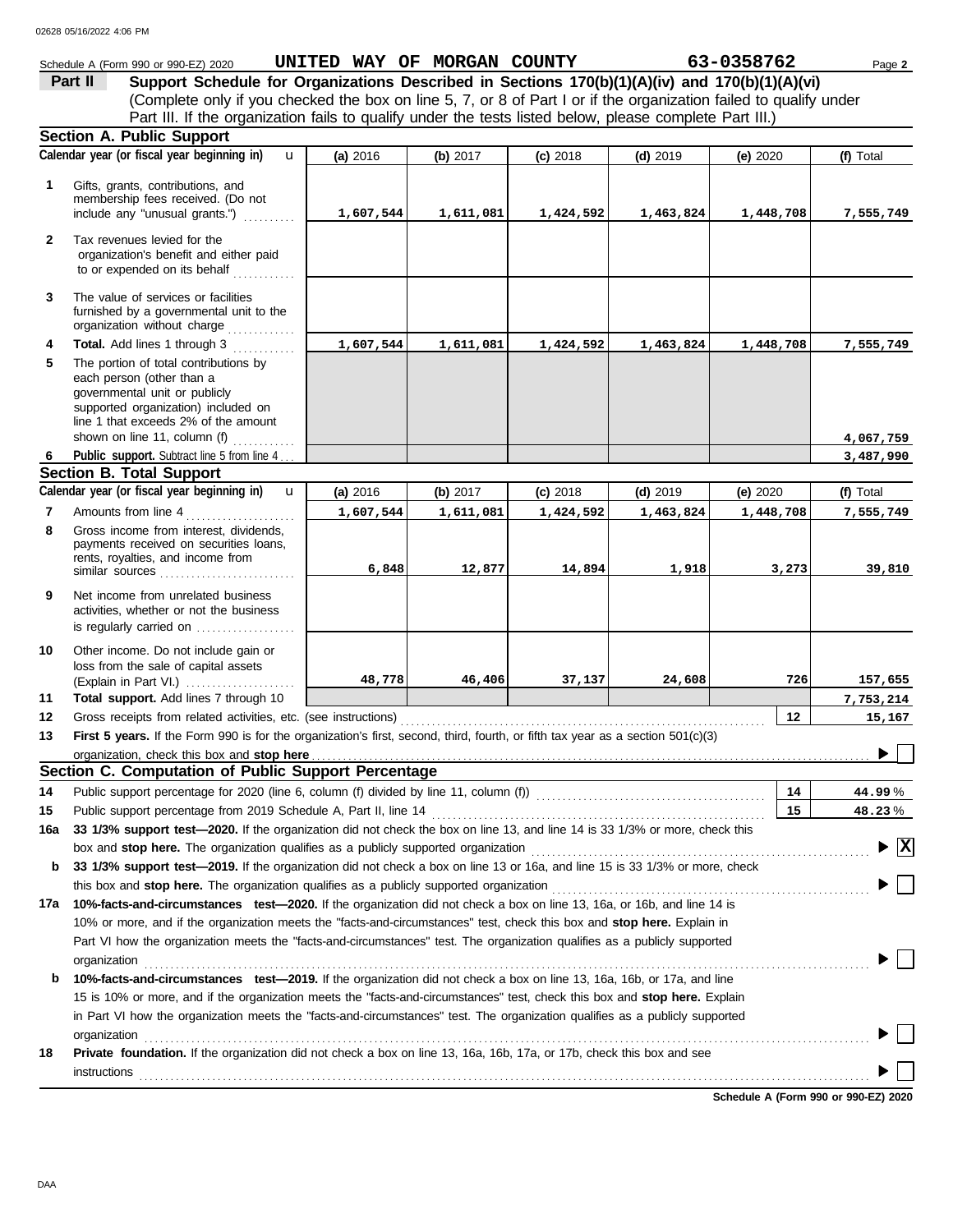#### governmental unit or publicly **Section A. Public Support** line 1 that exceeds 2% of the amount supported organization) included on each person (other than a The portion of total contributions by **Total.** Add lines 1 through 3 ............ The value of services or facilities to or expended on its behalf ............ organization's benefit and either paid Tax revenues levied for the Public support. Subtract line 5 from line 4... include any "unusual grants.") .......... membership fees received. (Do not Gifts, grants, contributions, and Schedule A (Form 990 or 990-EZ) 2020 **UNITED WAY OF MORGAN COUNTY** 63-0358762 Page 2 **6 4 3 2 1 (a)** 2016 **(b)** 2017 **(c)** 2018 **(d)** 2019 **(e)** 2020 (Complete only if you checked the box on line 5, 7, or 8 of Part I or if the organization failed to qualify under **Part II Support Schedule for Organizations Described in Sections 170(b)(1)(A)(iv) and 170(b)(1)(A)(vi) Calendar year (or fiscal year beginning in) (f)** Total furnished by a governmental unit to the organization without charge ............. **5 Section B. Total Support** Calendar year (or fiscal year beginning in)  $\bf{u}$  (a) 2016 (b) 2017 (c) 2018 (d) 2019 (e) 2020 (f) Total Part III. If the organization fails to qualify under the tests listed below, please complete Part III.) **(a)** 2016 shown on line 11, column (f)  $\ldots$ u **(b)** 2017 **(c)** 2018 **(d)** 2019 **(e)** 2020 u **1,607,544 1,611,081 1,424,592 1,463,824 1,448,708 7,555,749 1,607,544 1,611,081 1,424,592 1,463,824 1,448,708 7,555,749 4,067,759 3,487,990** 02628 05/16/2022 4:06 PM

|    |                                                                                                                                          |           | . .       |           | . .       | . .       | . .       |
|----|------------------------------------------------------------------------------------------------------------------------------------------|-----------|-----------|-----------|-----------|-----------|-----------|
|    | Amounts from line 4                                                                                                                      | 1,607,544 | 1,611,081 | 1,424,592 | 1,463,824 | 1,448,708 | 7,555,749 |
| 8  | Gross income from interest, dividends,<br>payments received on securities loans,<br>rents, royalties, and income from<br>similar sources | 6,848     | 12,877    | 14,894    | 1,918     | 3,273     | 39,810    |
| 9  | Net income from unrelated business<br>activities, whether or not the business<br>is regularly carried on                                 |           |           |           |           |           |           |
| 10 | Other income. Do not include gain or                                                                                                     |           |           |           |           |           |           |

|    | loss from the sale of capital assets                                                                                            |        |        |        |        |     |           |
|----|---------------------------------------------------------------------------------------------------------------------------------|--------|--------|--------|--------|-----|-----------|
|    | (Explain in Part VI.)                                                                                                           | 48,778 | 46,406 | 37,137 | 24,608 | 726 | 157,655   |
| 11 | <b>Total support.</b> Add lines 7 through 10                                                                                    |        |        |        |        |     | 7,753,214 |
| 12 | Gross receipts from related activities, etc. (see instructions)                                                                 | 12     | 15,167 |        |        |     |           |
| 13 | First 5 years. If the Form 990 is for the organization's first, second, third, fourth, or fifth tax year as a section 501(c)(3) |        |        |        |        |     |           |

|     | Section C. Computation of Public Support Percentage                                                                            |    |                                    |
|-----|--------------------------------------------------------------------------------------------------------------------------------|----|------------------------------------|
| 14  | Public support percentage for 2020 (line 6, column (f) divided by line 11, column (f)) [[[[[[[[[[[[[[[[[[[[[[                  | 14 | 44.99%                             |
| 15  |                                                                                                                                | 15 | 48.23%                             |
| 16a | 33 1/3% support test-2020. If the organization did not check the box on line 13, and line 14 is 33 1/3% or more, check this    |    |                                    |
|     | box and stop here. The organization qualifies as a publicly supported organization                                             |    | $\blacktriangleright \overline{X}$ |
| b   | 33 1/3% support test—2019. If the organization did not check a box on line 13 or 16a, and line 15 is 33 1/3% or more, check    |    |                                    |
|     | this box and <b>stop here.</b> The organization qualifies as a publicly supported organization                                 |    |                                    |
| 17a | 10%-facts-and-circumstances test-2020. If the organization did not check a box on line 13, 16a, or 16b, and line 14 is         |    |                                    |
|     | 10% or more, and if the organization meets the "facts-and-circumstances" test, check this box and <b>stop here.</b> Explain in |    |                                    |
|     | Part VI how the organization meets the "facts-and-circumstances" test. The organization qualifies as a publicly supported      |    |                                    |
|     | organization                                                                                                                   |    |                                    |
| b   | 10% facts-and-circumstances test—2019. If the organization did not check a box on line 13, 16a, 16b, or 17a, and line          |    |                                    |
|     | 15 is 10% or more, and if the organization meets the "facts-and-circumstances" test, check this box and stop here. Explain     |    |                                    |
|     | in Part VI how the organization meets the "facts-and-circumstances" test. The organization qualifies as a publicly supported   |    |                                    |
|     | organization                                                                                                                   |    | ▸ │ │                              |
| 18  | <b>Private foundation.</b> If the organization did not check a box on line 13, 16a, 16b, 17a, or 17b, check this box and see   |    |                                    |
|     | instructions                                                                                                                   |    |                                    |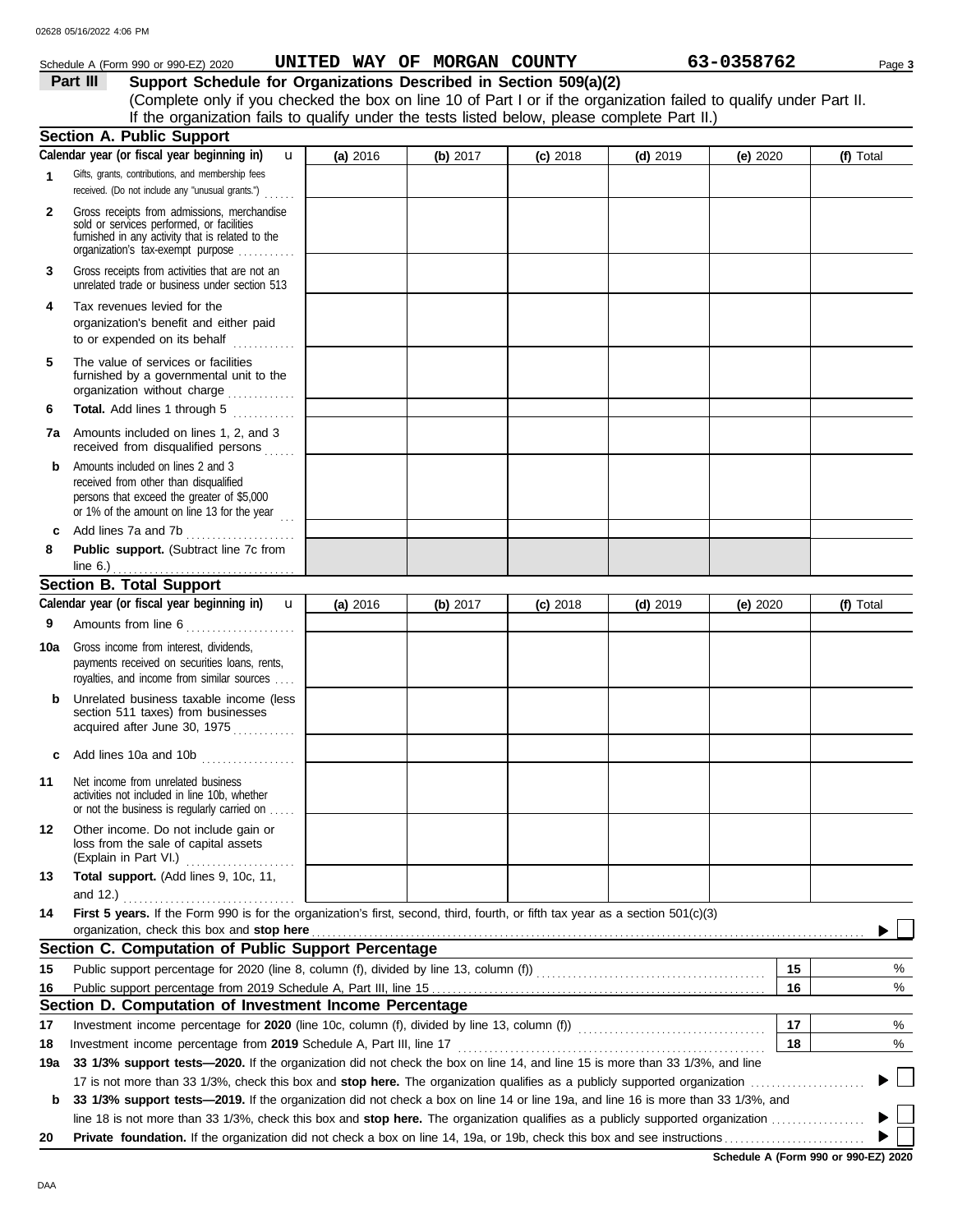### **Schedule A (Form 990 or 990-EZ) 2020 UNITED WAY OF MORGAN COUNTY** 63-0358762 Page 3

**Part III Support Schedule for Organizations Described in Section 509(a)(2)** (Complete only if you checked the box on line 10 of Part I or if the organization failed to qualify under Part II. If the organization fails to qualify under the tests listed below, please complete Part II.)

|              | <b>Section A. Public Support</b>                                                                                                      |            |          |            |            |            |    |           |
|--------------|---------------------------------------------------------------------------------------------------------------------------------------|------------|----------|------------|------------|------------|----|-----------|
|              | Calendar year (or fiscal year beginning in)<br>u                                                                                      | (a) $2016$ | (b) 2017 | $(c)$ 2018 | $(d)$ 2019 | (e) $2020$ |    | (f) Total |
| $\mathbf{1}$ | Gifts, grants, contributions, and membership fees                                                                                     |            |          |            |            |            |    |           |
|              | received. (Do not include any "unusual grants.")<br>.                                                                                 |            |          |            |            |            |    |           |
| $\mathbf{2}$ | Gross receipts from admissions, merchandise                                                                                           |            |          |            |            |            |    |           |
|              | sold or services performed, or facilities<br>furnished in any activity that is related to the                                         |            |          |            |            |            |    |           |
|              | organization's tax-exempt purpose                                                                                                     |            |          |            |            |            |    |           |
| 3            | Gross receipts from activities that are not an<br>unrelated trade or business under section 513                                       |            |          |            |            |            |    |           |
| 4            | Tax revenues levied for the                                                                                                           |            |          |            |            |            |    |           |
|              | organization's benefit and either paid<br>to or expended on its behalf                                                                |            |          |            |            |            |    |           |
| 5            | The value of services or facilities<br>furnished by a governmental unit to the<br>organization without charge                         |            |          |            |            |            |    |           |
| 6            | Total. Add lines 1 through 5<br>.                                                                                                     |            |          |            |            |            |    |           |
| 7а           | Amounts included on lines 1, 2, and 3<br>received from disqualified persons                                                           |            |          |            |            |            |    |           |
| b            | Amounts included on lines 2 and 3                                                                                                     |            |          |            |            |            |    |           |
|              | received from other than disqualified                                                                                                 |            |          |            |            |            |    |           |
|              | persons that exceed the greater of \$5,000<br>or 1% of the amount on line 13 for the year $\ldots$                                    |            |          |            |            |            |    |           |
| c            | Add lines 7a and 7b<br>.                                                                                                              |            |          |            |            |            |    |           |
| 8            | Public support. (Subtract line 7c from                                                                                                |            |          |            |            |            |    |           |
|              | line $6.$ )                                                                                                                           |            |          |            |            |            |    |           |
|              | <b>Section B. Total Support</b>                                                                                                       |            |          |            |            |            |    |           |
|              | Calendar year (or fiscal year beginning in)<br>$\mathbf{u}$                                                                           | (a) $2016$ | (b) 2017 | $(c)$ 2018 | $(d)$ 2019 | (e) $2020$ |    | (f) Total |
| 9            | Amounts from line 6                                                                                                                   |            |          |            |            |            |    |           |
| 10a          | Gross income from interest, dividends,<br>payments received on securities loans, rents,<br>royalties, and income from similar sources |            |          |            |            |            |    |           |
| b            | Unrelated business taxable income (less                                                                                               |            |          |            |            |            |    |           |
|              | section 511 taxes) from businesses<br>acquired after June 30, 1975                                                                    |            |          |            |            |            |    |           |
| c            | Add lines 10a and 10b                                                                                                                 |            |          |            |            |            |    |           |
| 11           | Net income from unrelated business<br>activities not included in line 10b, whether<br>or not the business is regularly carried on     |            |          |            |            |            |    |           |
| 12           | Other income. Do not include gain or<br>loss from the sale of capital assets<br>(Explain in Part VI.)                                 |            |          |            |            |            |    |           |
| 13           | Total support. (Add lines 9, 10c, 11,                                                                                                 |            |          |            |            |            |    |           |
|              | and 12.)                                                                                                                              |            |          |            |            |            |    |           |
| 14           | First 5 years. If the Form 990 is for the organization's first, second, third, fourth, or fifth tax year as a section 501(c)(3)       |            |          |            |            |            |    |           |
|              | organization, check this box and stop here                                                                                            |            |          |            |            |            |    |           |
|              | Section C. Computation of Public Support Percentage                                                                                   |            |          |            |            |            |    |           |
| 15           | Public support percentage for 2020 (line 8, column (f), divided by line 13, column (f)) [[[[[[[[[[[[[[[[[[[[[                         |            |          |            |            |            | 15 | %         |
| 16           |                                                                                                                                       |            |          |            |            |            | 16 | %         |
|              | Section D. Computation of Investment Income Percentage                                                                                |            |          |            |            |            |    |           |
| 17           |                                                                                                                                       |            |          |            |            |            | 17 | %         |
| 18           | Investment income percentage from 2019 Schedule A, Part III, line 17                                                                  |            |          |            |            |            | 18 | %         |
| 19a          | 33 1/3% support tests-2020. If the organization did not check the box on line 14, and line 15 is more than 33 1/3%, and line          |            |          |            |            |            |    |           |
|              | 17 is not more than 33 1/3%, check this box and <b>stop here.</b> The organization qualifies as a publicly supported organization     |            |          |            |            |            |    |           |
| b            | 33 1/3% support tests-2019. If the organization did not check a box on line 14 or line 19a, and line 16 is more than 33 1/3%, and     |            |          |            |            |            |    |           |
|              |                                                                                                                                       |            |          |            |            |            |    |           |
| 20           |                                                                                                                                       |            |          |            |            |            |    |           |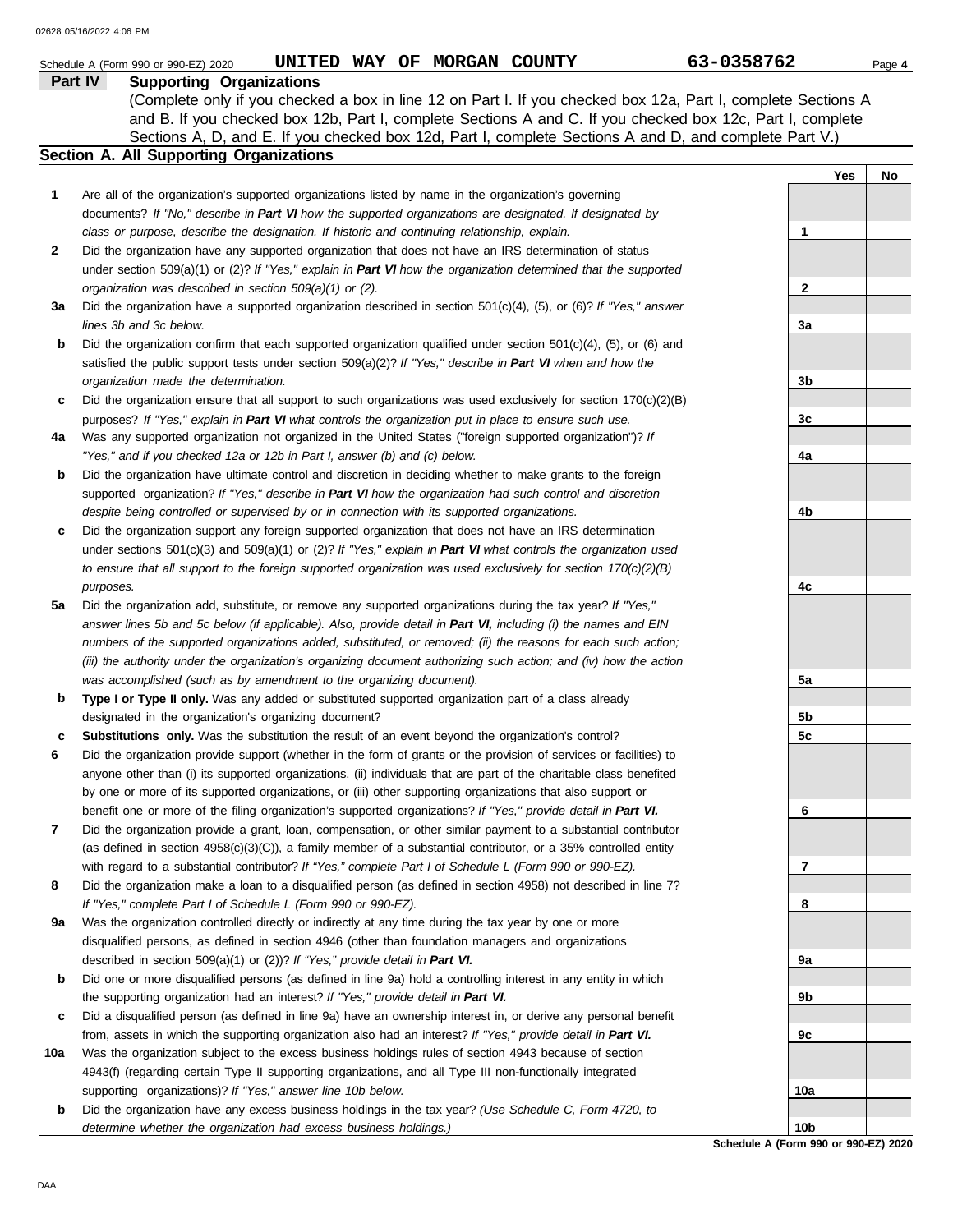| Part IV<br><b>Supporting Organizations</b><br>(Complete only if you checked a box in line 12 on Part I. If you checked box 12a, Part I, complete Sections A<br>and B. If you checked box 12b, Part I, complete Sections A and C. If you checked box 12c, Part I, complete<br>Sections A, D, and E. If you checked box 12d, Part I, complete Sections A and D, and complete Part V.)<br>Section A. All Supporting Organizations<br>Yes<br>No<br>1<br>Are all of the organization's supported organizations listed by name in the organization's governing<br>documents? If "No," describe in Part VI how the supported organizations are designated. If designated by<br>class or purpose, describe the designation. If historic and continuing relationship, explain.<br>1<br>2<br>Did the organization have any supported organization that does not have an IRS determination of status<br>under section 509(a)(1) or (2)? If "Yes," explain in Part VI how the organization determined that the supported<br>organization was described in section 509(a)(1) or (2).<br>2<br>Did the organization have a supported organization described in section $501(c)(4)$ , (5), or (6)? If "Yes," answer<br>За<br>lines 3b and 3c below.<br>3a<br>Did the organization confirm that each supported organization qualified under section 501(c)(4), (5), or (6) and<br>b<br>satisfied the public support tests under section 509(a)(2)? If "Yes," describe in Part VI when and how the<br>organization made the determination.<br>3b<br>Did the organization ensure that all support to such organizations was used exclusively for section $170(c)(2)(B)$<br>c<br>purposes? If "Yes," explain in Part VI what controls the organization put in place to ensure such use.<br>3c<br>Was any supported organization not organized in the United States ("foreign supported organization")? If<br>4а<br>"Yes," and if you checked 12a or 12b in Part I, answer (b) and (c) below.<br>4a<br>Did the organization have ultimate control and discretion in deciding whether to make grants to the foreign<br>b<br>supported organization? If "Yes," describe in Part VI how the organization had such control and discretion<br>despite being controlled or supervised by or in connection with its supported organizations.<br>4b<br>Did the organization support any foreign supported organization that does not have an IRS determination<br>С<br>under sections $501(c)(3)$ and $509(a)(1)$ or (2)? If "Yes," explain in Part VI what controls the organization used<br>to ensure that all support to the foreign supported organization was used exclusively for section $170(c)(2)(B)$<br>4c<br>purposes.<br>Did the organization add, substitute, or remove any supported organizations during the tax year? If "Yes,"<br>5a<br>answer lines 5b and 5c below (if applicable). Also, provide detail in Part VI, including (i) the names and EIN<br>numbers of the supported organizations added, substituted, or removed; (ii) the reasons for each such action;<br>(iii) the authority under the organization's organizing document authorizing such action; and (iv) how the action<br>was accomplished (such as by amendment to the organizing document).<br>5a<br>Type I or Type II only. Was any added or substituted supported organization part of a class already<br>b<br>designated in the organization's organizing document?<br>5b<br>5 <sub>c</sub><br><b>Substitutions only.</b> Was the substitution the result of an event beyond the organization's control?<br>с<br>6<br>Did the organization provide support (whether in the form of grants or the provision of services or facilities) to<br>anyone other than (i) its supported organizations, (ii) individuals that are part of the charitable class benefited<br>by one or more of its supported organizations, or (iii) other supporting organizations that also support or<br>benefit one or more of the filing organization's supported organizations? If "Yes," provide detail in Part VI.<br>6<br>7<br>Did the organization provide a grant, loan, compensation, or other similar payment to a substantial contributor<br>(as defined in section $4958(c)(3)(C)$ ), a family member of a substantial contributor, or a 35% controlled entity<br>with regard to a substantial contributor? If "Yes," complete Part I of Schedule L (Form 990 or 990-EZ).<br>7<br>8<br>Did the organization make a loan to a disqualified person (as defined in section 4958) not described in line 7?<br>If "Yes," complete Part I of Schedule L (Form 990 or 990-EZ).<br>8<br>Was the organization controlled directly or indirectly at any time during the tax year by one or more<br>9a<br>disqualified persons, as defined in section 4946 (other than foundation managers and organizations<br>described in section 509(a)(1) or (2))? If "Yes," provide detail in Part VI.<br>9а<br>Did one or more disqualified persons (as defined in line 9a) hold a controlling interest in any entity in which<br>b<br>the supporting organization had an interest? If "Yes," provide detail in Part VI.<br>9b<br>Did a disqualified person (as defined in line 9a) have an ownership interest in, or derive any personal benefit<br>С<br>from, assets in which the supporting organization also had an interest? If "Yes," provide detail in Part VI.<br>9c<br>Was the organization subject to the excess business holdings rules of section 4943 because of section<br>10a<br>4943(f) (regarding certain Type II supporting organizations, and all Type III non-functionally integrated<br>supporting organizations)? If "Yes," answer line 10b below.<br>10a<br>Did the organization have any excess business holdings in the tax year? (Use Schedule C, Form 4720, to<br>b | UNITED WAY OF MORGAN COUNTY<br>Schedule A (Form 990 or 990-EZ) 2020 | 63-0358762      | Page 4 |
|--------------------------------------------------------------------------------------------------------------------------------------------------------------------------------------------------------------------------------------------------------------------------------------------------------------------------------------------------------------------------------------------------------------------------------------------------------------------------------------------------------------------------------------------------------------------------------------------------------------------------------------------------------------------------------------------------------------------------------------------------------------------------------------------------------------------------------------------------------------------------------------------------------------------------------------------------------------------------------------------------------------------------------------------------------------------------------------------------------------------------------------------------------------------------------------------------------------------------------------------------------------------------------------------------------------------------------------------------------------------------------------------------------------------------------------------------------------------------------------------------------------------------------------------------------------------------------------------------------------------------------------------------------------------------------------------------------------------------------------------------------------------------------------------------------------------------------------------------------------------------------------------------------------------------------------------------------------------------------------------------------------------------------------------------------------------------------------------------------------------------------------------------------------------------------------------------------------------------------------------------------------------------------------------------------------------------------------------------------------------------------------------------------------------------------------------------------------------------------------------------------------------------------------------------------------------------------------------------------------------------------------------------------------------------------------------------------------------------------------------------------------------------------------------------------------------------------------------------------------------------------------------------------------------------------------------------------------------------------------------------------------------------------------------------------------------------------------------------------------------------------------------------------------------------------------------------------------------------------------------------------------------------------------------------------------------------------------------------------------------------------------------------------------------------------------------------------------------------------------------------------------------------------------------------------------------------------------------------------------------------------------------------------------------------------------------------------------------------------------------------------------------------------------------------------------------------------------------------------------------------------------------------------------------------------------------------------------------------------------------------------------------------------------------------------------------------------------------------------------------------------------------------------------------------------------------------------------------------------------------------------------------------------------------------------------------------------------------------------------------------------------------------------------------------------------------------------------------------------------------------------------------------------------------------------------------------------------------------------------------------------------------------------------------------------------------------------------------------------------------------------------------------------------------------------------------------------------------------------------------------------------------------------------------------------------------------------------------------------------------------------------------------------------------------------------------------------------------------------------------------------------------------------------------------------------------------------------------------------------------------------------------------------------------------------------------------------------------------------------------------------------------------------------------------------------------------------------------------------------------------------------------------------------------------------------------------------------------------------------------------------------------------------------------------------------------------------------------------------------------------------------------------------------------------------------------------------|---------------------------------------------------------------------|-----------------|--------|
|                                                                                                                                                                                                                                                                                                                                                                                                                                                                                                                                                                                                                                                                                                                                                                                                                                                                                                                                                                                                                                                                                                                                                                                                                                                                                                                                                                                                                                                                                                                                                                                                                                                                                                                                                                                                                                                                                                                                                                                                                                                                                                                                                                                                                                                                                                                                                                                                                                                                                                                                                                                                                                                                                                                                                                                                                                                                                                                                                                                                                                                                                                                                                                                                                                                                                                                                                                                                                                                                                                                                                                                                                                                                                                                                                                                                                                                                                                                                                                                                                                                                                                                                                                                                                                                                                                                                                                                                                                                                                                                                                                                                                                                                                                                                                                                                                                                                                                                                                                                                                                                                                                                                                                                                                                                                                                                                                                                                                                                                                                                                                                                                                                                                                                                                                                                                                                |                                                                     |                 |        |
|                                                                                                                                                                                                                                                                                                                                                                                                                                                                                                                                                                                                                                                                                                                                                                                                                                                                                                                                                                                                                                                                                                                                                                                                                                                                                                                                                                                                                                                                                                                                                                                                                                                                                                                                                                                                                                                                                                                                                                                                                                                                                                                                                                                                                                                                                                                                                                                                                                                                                                                                                                                                                                                                                                                                                                                                                                                                                                                                                                                                                                                                                                                                                                                                                                                                                                                                                                                                                                                                                                                                                                                                                                                                                                                                                                                                                                                                                                                                                                                                                                                                                                                                                                                                                                                                                                                                                                                                                                                                                                                                                                                                                                                                                                                                                                                                                                                                                                                                                                                                                                                                                                                                                                                                                                                                                                                                                                                                                                                                                                                                                                                                                                                                                                                                                                                                                                |                                                                     |                 |        |
|                                                                                                                                                                                                                                                                                                                                                                                                                                                                                                                                                                                                                                                                                                                                                                                                                                                                                                                                                                                                                                                                                                                                                                                                                                                                                                                                                                                                                                                                                                                                                                                                                                                                                                                                                                                                                                                                                                                                                                                                                                                                                                                                                                                                                                                                                                                                                                                                                                                                                                                                                                                                                                                                                                                                                                                                                                                                                                                                                                                                                                                                                                                                                                                                                                                                                                                                                                                                                                                                                                                                                                                                                                                                                                                                                                                                                                                                                                                                                                                                                                                                                                                                                                                                                                                                                                                                                                                                                                                                                                                                                                                                                                                                                                                                                                                                                                                                                                                                                                                                                                                                                                                                                                                                                                                                                                                                                                                                                                                                                                                                                                                                                                                                                                                                                                                                                                |                                                                     |                 |        |
|                                                                                                                                                                                                                                                                                                                                                                                                                                                                                                                                                                                                                                                                                                                                                                                                                                                                                                                                                                                                                                                                                                                                                                                                                                                                                                                                                                                                                                                                                                                                                                                                                                                                                                                                                                                                                                                                                                                                                                                                                                                                                                                                                                                                                                                                                                                                                                                                                                                                                                                                                                                                                                                                                                                                                                                                                                                                                                                                                                                                                                                                                                                                                                                                                                                                                                                                                                                                                                                                                                                                                                                                                                                                                                                                                                                                                                                                                                                                                                                                                                                                                                                                                                                                                                                                                                                                                                                                                                                                                                                                                                                                                                                                                                                                                                                                                                                                                                                                                                                                                                                                                                                                                                                                                                                                                                                                                                                                                                                                                                                                                                                                                                                                                                                                                                                                                                |                                                                     |                 |        |
|                                                                                                                                                                                                                                                                                                                                                                                                                                                                                                                                                                                                                                                                                                                                                                                                                                                                                                                                                                                                                                                                                                                                                                                                                                                                                                                                                                                                                                                                                                                                                                                                                                                                                                                                                                                                                                                                                                                                                                                                                                                                                                                                                                                                                                                                                                                                                                                                                                                                                                                                                                                                                                                                                                                                                                                                                                                                                                                                                                                                                                                                                                                                                                                                                                                                                                                                                                                                                                                                                                                                                                                                                                                                                                                                                                                                                                                                                                                                                                                                                                                                                                                                                                                                                                                                                                                                                                                                                                                                                                                                                                                                                                                                                                                                                                                                                                                                                                                                                                                                                                                                                                                                                                                                                                                                                                                                                                                                                                                                                                                                                                                                                                                                                                                                                                                                                                |                                                                     |                 |        |
|                                                                                                                                                                                                                                                                                                                                                                                                                                                                                                                                                                                                                                                                                                                                                                                                                                                                                                                                                                                                                                                                                                                                                                                                                                                                                                                                                                                                                                                                                                                                                                                                                                                                                                                                                                                                                                                                                                                                                                                                                                                                                                                                                                                                                                                                                                                                                                                                                                                                                                                                                                                                                                                                                                                                                                                                                                                                                                                                                                                                                                                                                                                                                                                                                                                                                                                                                                                                                                                                                                                                                                                                                                                                                                                                                                                                                                                                                                                                                                                                                                                                                                                                                                                                                                                                                                                                                                                                                                                                                                                                                                                                                                                                                                                                                                                                                                                                                                                                                                                                                                                                                                                                                                                                                                                                                                                                                                                                                                                                                                                                                                                                                                                                                                                                                                                                                                |                                                                     |                 |        |
|                                                                                                                                                                                                                                                                                                                                                                                                                                                                                                                                                                                                                                                                                                                                                                                                                                                                                                                                                                                                                                                                                                                                                                                                                                                                                                                                                                                                                                                                                                                                                                                                                                                                                                                                                                                                                                                                                                                                                                                                                                                                                                                                                                                                                                                                                                                                                                                                                                                                                                                                                                                                                                                                                                                                                                                                                                                                                                                                                                                                                                                                                                                                                                                                                                                                                                                                                                                                                                                                                                                                                                                                                                                                                                                                                                                                                                                                                                                                                                                                                                                                                                                                                                                                                                                                                                                                                                                                                                                                                                                                                                                                                                                                                                                                                                                                                                                                                                                                                                                                                                                                                                                                                                                                                                                                                                                                                                                                                                                                                                                                                                                                                                                                                                                                                                                                                                |                                                                     |                 |        |
|                                                                                                                                                                                                                                                                                                                                                                                                                                                                                                                                                                                                                                                                                                                                                                                                                                                                                                                                                                                                                                                                                                                                                                                                                                                                                                                                                                                                                                                                                                                                                                                                                                                                                                                                                                                                                                                                                                                                                                                                                                                                                                                                                                                                                                                                                                                                                                                                                                                                                                                                                                                                                                                                                                                                                                                                                                                                                                                                                                                                                                                                                                                                                                                                                                                                                                                                                                                                                                                                                                                                                                                                                                                                                                                                                                                                                                                                                                                                                                                                                                                                                                                                                                                                                                                                                                                                                                                                                                                                                                                                                                                                                                                                                                                                                                                                                                                                                                                                                                                                                                                                                                                                                                                                                                                                                                                                                                                                                                                                                                                                                                                                                                                                                                                                                                                                                                |                                                                     |                 |        |
|                                                                                                                                                                                                                                                                                                                                                                                                                                                                                                                                                                                                                                                                                                                                                                                                                                                                                                                                                                                                                                                                                                                                                                                                                                                                                                                                                                                                                                                                                                                                                                                                                                                                                                                                                                                                                                                                                                                                                                                                                                                                                                                                                                                                                                                                                                                                                                                                                                                                                                                                                                                                                                                                                                                                                                                                                                                                                                                                                                                                                                                                                                                                                                                                                                                                                                                                                                                                                                                                                                                                                                                                                                                                                                                                                                                                                                                                                                                                                                                                                                                                                                                                                                                                                                                                                                                                                                                                                                                                                                                                                                                                                                                                                                                                                                                                                                                                                                                                                                                                                                                                                                                                                                                                                                                                                                                                                                                                                                                                                                                                                                                                                                                                                                                                                                                                                                |                                                                     |                 |        |
|                                                                                                                                                                                                                                                                                                                                                                                                                                                                                                                                                                                                                                                                                                                                                                                                                                                                                                                                                                                                                                                                                                                                                                                                                                                                                                                                                                                                                                                                                                                                                                                                                                                                                                                                                                                                                                                                                                                                                                                                                                                                                                                                                                                                                                                                                                                                                                                                                                                                                                                                                                                                                                                                                                                                                                                                                                                                                                                                                                                                                                                                                                                                                                                                                                                                                                                                                                                                                                                                                                                                                                                                                                                                                                                                                                                                                                                                                                                                                                                                                                                                                                                                                                                                                                                                                                                                                                                                                                                                                                                                                                                                                                                                                                                                                                                                                                                                                                                                                                                                                                                                                                                                                                                                                                                                                                                                                                                                                                                                                                                                                                                                                                                                                                                                                                                                                                |                                                                     |                 |        |
|                                                                                                                                                                                                                                                                                                                                                                                                                                                                                                                                                                                                                                                                                                                                                                                                                                                                                                                                                                                                                                                                                                                                                                                                                                                                                                                                                                                                                                                                                                                                                                                                                                                                                                                                                                                                                                                                                                                                                                                                                                                                                                                                                                                                                                                                                                                                                                                                                                                                                                                                                                                                                                                                                                                                                                                                                                                                                                                                                                                                                                                                                                                                                                                                                                                                                                                                                                                                                                                                                                                                                                                                                                                                                                                                                                                                                                                                                                                                                                                                                                                                                                                                                                                                                                                                                                                                                                                                                                                                                                                                                                                                                                                                                                                                                                                                                                                                                                                                                                                                                                                                                                                                                                                                                                                                                                                                                                                                                                                                                                                                                                                                                                                                                                                                                                                                                                |                                                                     |                 |        |
|                                                                                                                                                                                                                                                                                                                                                                                                                                                                                                                                                                                                                                                                                                                                                                                                                                                                                                                                                                                                                                                                                                                                                                                                                                                                                                                                                                                                                                                                                                                                                                                                                                                                                                                                                                                                                                                                                                                                                                                                                                                                                                                                                                                                                                                                                                                                                                                                                                                                                                                                                                                                                                                                                                                                                                                                                                                                                                                                                                                                                                                                                                                                                                                                                                                                                                                                                                                                                                                                                                                                                                                                                                                                                                                                                                                                                                                                                                                                                                                                                                                                                                                                                                                                                                                                                                                                                                                                                                                                                                                                                                                                                                                                                                                                                                                                                                                                                                                                                                                                                                                                                                                                                                                                                                                                                                                                                                                                                                                                                                                                                                                                                                                                                                                                                                                                                                |                                                                     |                 |        |
|                                                                                                                                                                                                                                                                                                                                                                                                                                                                                                                                                                                                                                                                                                                                                                                                                                                                                                                                                                                                                                                                                                                                                                                                                                                                                                                                                                                                                                                                                                                                                                                                                                                                                                                                                                                                                                                                                                                                                                                                                                                                                                                                                                                                                                                                                                                                                                                                                                                                                                                                                                                                                                                                                                                                                                                                                                                                                                                                                                                                                                                                                                                                                                                                                                                                                                                                                                                                                                                                                                                                                                                                                                                                                                                                                                                                                                                                                                                                                                                                                                                                                                                                                                                                                                                                                                                                                                                                                                                                                                                                                                                                                                                                                                                                                                                                                                                                                                                                                                                                                                                                                                                                                                                                                                                                                                                                                                                                                                                                                                                                                                                                                                                                                                                                                                                                                                |                                                                     |                 |        |
|                                                                                                                                                                                                                                                                                                                                                                                                                                                                                                                                                                                                                                                                                                                                                                                                                                                                                                                                                                                                                                                                                                                                                                                                                                                                                                                                                                                                                                                                                                                                                                                                                                                                                                                                                                                                                                                                                                                                                                                                                                                                                                                                                                                                                                                                                                                                                                                                                                                                                                                                                                                                                                                                                                                                                                                                                                                                                                                                                                                                                                                                                                                                                                                                                                                                                                                                                                                                                                                                                                                                                                                                                                                                                                                                                                                                                                                                                                                                                                                                                                                                                                                                                                                                                                                                                                                                                                                                                                                                                                                                                                                                                                                                                                                                                                                                                                                                                                                                                                                                                                                                                                                                                                                                                                                                                                                                                                                                                                                                                                                                                                                                                                                                                                                                                                                                                                |                                                                     |                 |        |
|                                                                                                                                                                                                                                                                                                                                                                                                                                                                                                                                                                                                                                                                                                                                                                                                                                                                                                                                                                                                                                                                                                                                                                                                                                                                                                                                                                                                                                                                                                                                                                                                                                                                                                                                                                                                                                                                                                                                                                                                                                                                                                                                                                                                                                                                                                                                                                                                                                                                                                                                                                                                                                                                                                                                                                                                                                                                                                                                                                                                                                                                                                                                                                                                                                                                                                                                                                                                                                                                                                                                                                                                                                                                                                                                                                                                                                                                                                                                                                                                                                                                                                                                                                                                                                                                                                                                                                                                                                                                                                                                                                                                                                                                                                                                                                                                                                                                                                                                                                                                                                                                                                                                                                                                                                                                                                                                                                                                                                                                                                                                                                                                                                                                                                                                                                                                                                |                                                                     |                 |        |
|                                                                                                                                                                                                                                                                                                                                                                                                                                                                                                                                                                                                                                                                                                                                                                                                                                                                                                                                                                                                                                                                                                                                                                                                                                                                                                                                                                                                                                                                                                                                                                                                                                                                                                                                                                                                                                                                                                                                                                                                                                                                                                                                                                                                                                                                                                                                                                                                                                                                                                                                                                                                                                                                                                                                                                                                                                                                                                                                                                                                                                                                                                                                                                                                                                                                                                                                                                                                                                                                                                                                                                                                                                                                                                                                                                                                                                                                                                                                                                                                                                                                                                                                                                                                                                                                                                                                                                                                                                                                                                                                                                                                                                                                                                                                                                                                                                                                                                                                                                                                                                                                                                                                                                                                                                                                                                                                                                                                                                                                                                                                                                                                                                                                                                                                                                                                                                |                                                                     |                 |        |
|                                                                                                                                                                                                                                                                                                                                                                                                                                                                                                                                                                                                                                                                                                                                                                                                                                                                                                                                                                                                                                                                                                                                                                                                                                                                                                                                                                                                                                                                                                                                                                                                                                                                                                                                                                                                                                                                                                                                                                                                                                                                                                                                                                                                                                                                                                                                                                                                                                                                                                                                                                                                                                                                                                                                                                                                                                                                                                                                                                                                                                                                                                                                                                                                                                                                                                                                                                                                                                                                                                                                                                                                                                                                                                                                                                                                                                                                                                                                                                                                                                                                                                                                                                                                                                                                                                                                                                                                                                                                                                                                                                                                                                                                                                                                                                                                                                                                                                                                                                                                                                                                                                                                                                                                                                                                                                                                                                                                                                                                                                                                                                                                                                                                                                                                                                                                                                |                                                                     |                 |        |
|                                                                                                                                                                                                                                                                                                                                                                                                                                                                                                                                                                                                                                                                                                                                                                                                                                                                                                                                                                                                                                                                                                                                                                                                                                                                                                                                                                                                                                                                                                                                                                                                                                                                                                                                                                                                                                                                                                                                                                                                                                                                                                                                                                                                                                                                                                                                                                                                                                                                                                                                                                                                                                                                                                                                                                                                                                                                                                                                                                                                                                                                                                                                                                                                                                                                                                                                                                                                                                                                                                                                                                                                                                                                                                                                                                                                                                                                                                                                                                                                                                                                                                                                                                                                                                                                                                                                                                                                                                                                                                                                                                                                                                                                                                                                                                                                                                                                                                                                                                                                                                                                                                                                                                                                                                                                                                                                                                                                                                                                                                                                                                                                                                                                                                                                                                                                                                |                                                                     |                 |        |
|                                                                                                                                                                                                                                                                                                                                                                                                                                                                                                                                                                                                                                                                                                                                                                                                                                                                                                                                                                                                                                                                                                                                                                                                                                                                                                                                                                                                                                                                                                                                                                                                                                                                                                                                                                                                                                                                                                                                                                                                                                                                                                                                                                                                                                                                                                                                                                                                                                                                                                                                                                                                                                                                                                                                                                                                                                                                                                                                                                                                                                                                                                                                                                                                                                                                                                                                                                                                                                                                                                                                                                                                                                                                                                                                                                                                                                                                                                                                                                                                                                                                                                                                                                                                                                                                                                                                                                                                                                                                                                                                                                                                                                                                                                                                                                                                                                                                                                                                                                                                                                                                                                                                                                                                                                                                                                                                                                                                                                                                                                                                                                                                                                                                                                                                                                                                                                |                                                                     |                 |        |
|                                                                                                                                                                                                                                                                                                                                                                                                                                                                                                                                                                                                                                                                                                                                                                                                                                                                                                                                                                                                                                                                                                                                                                                                                                                                                                                                                                                                                                                                                                                                                                                                                                                                                                                                                                                                                                                                                                                                                                                                                                                                                                                                                                                                                                                                                                                                                                                                                                                                                                                                                                                                                                                                                                                                                                                                                                                                                                                                                                                                                                                                                                                                                                                                                                                                                                                                                                                                                                                                                                                                                                                                                                                                                                                                                                                                                                                                                                                                                                                                                                                                                                                                                                                                                                                                                                                                                                                                                                                                                                                                                                                                                                                                                                                                                                                                                                                                                                                                                                                                                                                                                                                                                                                                                                                                                                                                                                                                                                                                                                                                                                                                                                                                                                                                                                                                                                |                                                                     |                 |        |
|                                                                                                                                                                                                                                                                                                                                                                                                                                                                                                                                                                                                                                                                                                                                                                                                                                                                                                                                                                                                                                                                                                                                                                                                                                                                                                                                                                                                                                                                                                                                                                                                                                                                                                                                                                                                                                                                                                                                                                                                                                                                                                                                                                                                                                                                                                                                                                                                                                                                                                                                                                                                                                                                                                                                                                                                                                                                                                                                                                                                                                                                                                                                                                                                                                                                                                                                                                                                                                                                                                                                                                                                                                                                                                                                                                                                                                                                                                                                                                                                                                                                                                                                                                                                                                                                                                                                                                                                                                                                                                                                                                                                                                                                                                                                                                                                                                                                                                                                                                                                                                                                                                                                                                                                                                                                                                                                                                                                                                                                                                                                                                                                                                                                                                                                                                                                                                |                                                                     |                 |        |
|                                                                                                                                                                                                                                                                                                                                                                                                                                                                                                                                                                                                                                                                                                                                                                                                                                                                                                                                                                                                                                                                                                                                                                                                                                                                                                                                                                                                                                                                                                                                                                                                                                                                                                                                                                                                                                                                                                                                                                                                                                                                                                                                                                                                                                                                                                                                                                                                                                                                                                                                                                                                                                                                                                                                                                                                                                                                                                                                                                                                                                                                                                                                                                                                                                                                                                                                                                                                                                                                                                                                                                                                                                                                                                                                                                                                                                                                                                                                                                                                                                                                                                                                                                                                                                                                                                                                                                                                                                                                                                                                                                                                                                                                                                                                                                                                                                                                                                                                                                                                                                                                                                                                                                                                                                                                                                                                                                                                                                                                                                                                                                                                                                                                                                                                                                                                                                |                                                                     |                 |        |
|                                                                                                                                                                                                                                                                                                                                                                                                                                                                                                                                                                                                                                                                                                                                                                                                                                                                                                                                                                                                                                                                                                                                                                                                                                                                                                                                                                                                                                                                                                                                                                                                                                                                                                                                                                                                                                                                                                                                                                                                                                                                                                                                                                                                                                                                                                                                                                                                                                                                                                                                                                                                                                                                                                                                                                                                                                                                                                                                                                                                                                                                                                                                                                                                                                                                                                                                                                                                                                                                                                                                                                                                                                                                                                                                                                                                                                                                                                                                                                                                                                                                                                                                                                                                                                                                                                                                                                                                                                                                                                                                                                                                                                                                                                                                                                                                                                                                                                                                                                                                                                                                                                                                                                                                                                                                                                                                                                                                                                                                                                                                                                                                                                                                                                                                                                                                                                |                                                                     |                 |        |
|                                                                                                                                                                                                                                                                                                                                                                                                                                                                                                                                                                                                                                                                                                                                                                                                                                                                                                                                                                                                                                                                                                                                                                                                                                                                                                                                                                                                                                                                                                                                                                                                                                                                                                                                                                                                                                                                                                                                                                                                                                                                                                                                                                                                                                                                                                                                                                                                                                                                                                                                                                                                                                                                                                                                                                                                                                                                                                                                                                                                                                                                                                                                                                                                                                                                                                                                                                                                                                                                                                                                                                                                                                                                                                                                                                                                                                                                                                                                                                                                                                                                                                                                                                                                                                                                                                                                                                                                                                                                                                                                                                                                                                                                                                                                                                                                                                                                                                                                                                                                                                                                                                                                                                                                                                                                                                                                                                                                                                                                                                                                                                                                                                                                                                                                                                                                                                |                                                                     |                 |        |
|                                                                                                                                                                                                                                                                                                                                                                                                                                                                                                                                                                                                                                                                                                                                                                                                                                                                                                                                                                                                                                                                                                                                                                                                                                                                                                                                                                                                                                                                                                                                                                                                                                                                                                                                                                                                                                                                                                                                                                                                                                                                                                                                                                                                                                                                                                                                                                                                                                                                                                                                                                                                                                                                                                                                                                                                                                                                                                                                                                                                                                                                                                                                                                                                                                                                                                                                                                                                                                                                                                                                                                                                                                                                                                                                                                                                                                                                                                                                                                                                                                                                                                                                                                                                                                                                                                                                                                                                                                                                                                                                                                                                                                                                                                                                                                                                                                                                                                                                                                                                                                                                                                                                                                                                                                                                                                                                                                                                                                                                                                                                                                                                                                                                                                                                                                                                                                |                                                                     |                 |        |
|                                                                                                                                                                                                                                                                                                                                                                                                                                                                                                                                                                                                                                                                                                                                                                                                                                                                                                                                                                                                                                                                                                                                                                                                                                                                                                                                                                                                                                                                                                                                                                                                                                                                                                                                                                                                                                                                                                                                                                                                                                                                                                                                                                                                                                                                                                                                                                                                                                                                                                                                                                                                                                                                                                                                                                                                                                                                                                                                                                                                                                                                                                                                                                                                                                                                                                                                                                                                                                                                                                                                                                                                                                                                                                                                                                                                                                                                                                                                                                                                                                                                                                                                                                                                                                                                                                                                                                                                                                                                                                                                                                                                                                                                                                                                                                                                                                                                                                                                                                                                                                                                                                                                                                                                                                                                                                                                                                                                                                                                                                                                                                                                                                                                                                                                                                                                                                |                                                                     |                 |        |
|                                                                                                                                                                                                                                                                                                                                                                                                                                                                                                                                                                                                                                                                                                                                                                                                                                                                                                                                                                                                                                                                                                                                                                                                                                                                                                                                                                                                                                                                                                                                                                                                                                                                                                                                                                                                                                                                                                                                                                                                                                                                                                                                                                                                                                                                                                                                                                                                                                                                                                                                                                                                                                                                                                                                                                                                                                                                                                                                                                                                                                                                                                                                                                                                                                                                                                                                                                                                                                                                                                                                                                                                                                                                                                                                                                                                                                                                                                                                                                                                                                                                                                                                                                                                                                                                                                                                                                                                                                                                                                                                                                                                                                                                                                                                                                                                                                                                                                                                                                                                                                                                                                                                                                                                                                                                                                                                                                                                                                                                                                                                                                                                                                                                                                                                                                                                                                |                                                                     |                 |        |
|                                                                                                                                                                                                                                                                                                                                                                                                                                                                                                                                                                                                                                                                                                                                                                                                                                                                                                                                                                                                                                                                                                                                                                                                                                                                                                                                                                                                                                                                                                                                                                                                                                                                                                                                                                                                                                                                                                                                                                                                                                                                                                                                                                                                                                                                                                                                                                                                                                                                                                                                                                                                                                                                                                                                                                                                                                                                                                                                                                                                                                                                                                                                                                                                                                                                                                                                                                                                                                                                                                                                                                                                                                                                                                                                                                                                                                                                                                                                                                                                                                                                                                                                                                                                                                                                                                                                                                                                                                                                                                                                                                                                                                                                                                                                                                                                                                                                                                                                                                                                                                                                                                                                                                                                                                                                                                                                                                                                                                                                                                                                                                                                                                                                                                                                                                                                                                |                                                                     |                 |        |
|                                                                                                                                                                                                                                                                                                                                                                                                                                                                                                                                                                                                                                                                                                                                                                                                                                                                                                                                                                                                                                                                                                                                                                                                                                                                                                                                                                                                                                                                                                                                                                                                                                                                                                                                                                                                                                                                                                                                                                                                                                                                                                                                                                                                                                                                                                                                                                                                                                                                                                                                                                                                                                                                                                                                                                                                                                                                                                                                                                                                                                                                                                                                                                                                                                                                                                                                                                                                                                                                                                                                                                                                                                                                                                                                                                                                                                                                                                                                                                                                                                                                                                                                                                                                                                                                                                                                                                                                                                                                                                                                                                                                                                                                                                                                                                                                                                                                                                                                                                                                                                                                                                                                                                                                                                                                                                                                                                                                                                                                                                                                                                                                                                                                                                                                                                                                                                |                                                                     |                 |        |
|                                                                                                                                                                                                                                                                                                                                                                                                                                                                                                                                                                                                                                                                                                                                                                                                                                                                                                                                                                                                                                                                                                                                                                                                                                                                                                                                                                                                                                                                                                                                                                                                                                                                                                                                                                                                                                                                                                                                                                                                                                                                                                                                                                                                                                                                                                                                                                                                                                                                                                                                                                                                                                                                                                                                                                                                                                                                                                                                                                                                                                                                                                                                                                                                                                                                                                                                                                                                                                                                                                                                                                                                                                                                                                                                                                                                                                                                                                                                                                                                                                                                                                                                                                                                                                                                                                                                                                                                                                                                                                                                                                                                                                                                                                                                                                                                                                                                                                                                                                                                                                                                                                                                                                                                                                                                                                                                                                                                                                                                                                                                                                                                                                                                                                                                                                                                                                |                                                                     |                 |        |
|                                                                                                                                                                                                                                                                                                                                                                                                                                                                                                                                                                                                                                                                                                                                                                                                                                                                                                                                                                                                                                                                                                                                                                                                                                                                                                                                                                                                                                                                                                                                                                                                                                                                                                                                                                                                                                                                                                                                                                                                                                                                                                                                                                                                                                                                                                                                                                                                                                                                                                                                                                                                                                                                                                                                                                                                                                                                                                                                                                                                                                                                                                                                                                                                                                                                                                                                                                                                                                                                                                                                                                                                                                                                                                                                                                                                                                                                                                                                                                                                                                                                                                                                                                                                                                                                                                                                                                                                                                                                                                                                                                                                                                                                                                                                                                                                                                                                                                                                                                                                                                                                                                                                                                                                                                                                                                                                                                                                                                                                                                                                                                                                                                                                                                                                                                                                                                |                                                                     |                 |        |
|                                                                                                                                                                                                                                                                                                                                                                                                                                                                                                                                                                                                                                                                                                                                                                                                                                                                                                                                                                                                                                                                                                                                                                                                                                                                                                                                                                                                                                                                                                                                                                                                                                                                                                                                                                                                                                                                                                                                                                                                                                                                                                                                                                                                                                                                                                                                                                                                                                                                                                                                                                                                                                                                                                                                                                                                                                                                                                                                                                                                                                                                                                                                                                                                                                                                                                                                                                                                                                                                                                                                                                                                                                                                                                                                                                                                                                                                                                                                                                                                                                                                                                                                                                                                                                                                                                                                                                                                                                                                                                                                                                                                                                                                                                                                                                                                                                                                                                                                                                                                                                                                                                                                                                                                                                                                                                                                                                                                                                                                                                                                                                                                                                                                                                                                                                                                                                |                                                                     |                 |        |
|                                                                                                                                                                                                                                                                                                                                                                                                                                                                                                                                                                                                                                                                                                                                                                                                                                                                                                                                                                                                                                                                                                                                                                                                                                                                                                                                                                                                                                                                                                                                                                                                                                                                                                                                                                                                                                                                                                                                                                                                                                                                                                                                                                                                                                                                                                                                                                                                                                                                                                                                                                                                                                                                                                                                                                                                                                                                                                                                                                                                                                                                                                                                                                                                                                                                                                                                                                                                                                                                                                                                                                                                                                                                                                                                                                                                                                                                                                                                                                                                                                                                                                                                                                                                                                                                                                                                                                                                                                                                                                                                                                                                                                                                                                                                                                                                                                                                                                                                                                                                                                                                                                                                                                                                                                                                                                                                                                                                                                                                                                                                                                                                                                                                                                                                                                                                                                |                                                                     |                 |        |
|                                                                                                                                                                                                                                                                                                                                                                                                                                                                                                                                                                                                                                                                                                                                                                                                                                                                                                                                                                                                                                                                                                                                                                                                                                                                                                                                                                                                                                                                                                                                                                                                                                                                                                                                                                                                                                                                                                                                                                                                                                                                                                                                                                                                                                                                                                                                                                                                                                                                                                                                                                                                                                                                                                                                                                                                                                                                                                                                                                                                                                                                                                                                                                                                                                                                                                                                                                                                                                                                                                                                                                                                                                                                                                                                                                                                                                                                                                                                                                                                                                                                                                                                                                                                                                                                                                                                                                                                                                                                                                                                                                                                                                                                                                                                                                                                                                                                                                                                                                                                                                                                                                                                                                                                                                                                                                                                                                                                                                                                                                                                                                                                                                                                                                                                                                                                                                |                                                                     |                 |        |
|                                                                                                                                                                                                                                                                                                                                                                                                                                                                                                                                                                                                                                                                                                                                                                                                                                                                                                                                                                                                                                                                                                                                                                                                                                                                                                                                                                                                                                                                                                                                                                                                                                                                                                                                                                                                                                                                                                                                                                                                                                                                                                                                                                                                                                                                                                                                                                                                                                                                                                                                                                                                                                                                                                                                                                                                                                                                                                                                                                                                                                                                                                                                                                                                                                                                                                                                                                                                                                                                                                                                                                                                                                                                                                                                                                                                                                                                                                                                                                                                                                                                                                                                                                                                                                                                                                                                                                                                                                                                                                                                                                                                                                                                                                                                                                                                                                                                                                                                                                                                                                                                                                                                                                                                                                                                                                                                                                                                                                                                                                                                                                                                                                                                                                                                                                                                                                |                                                                     |                 |        |
|                                                                                                                                                                                                                                                                                                                                                                                                                                                                                                                                                                                                                                                                                                                                                                                                                                                                                                                                                                                                                                                                                                                                                                                                                                                                                                                                                                                                                                                                                                                                                                                                                                                                                                                                                                                                                                                                                                                                                                                                                                                                                                                                                                                                                                                                                                                                                                                                                                                                                                                                                                                                                                                                                                                                                                                                                                                                                                                                                                                                                                                                                                                                                                                                                                                                                                                                                                                                                                                                                                                                                                                                                                                                                                                                                                                                                                                                                                                                                                                                                                                                                                                                                                                                                                                                                                                                                                                                                                                                                                                                                                                                                                                                                                                                                                                                                                                                                                                                                                                                                                                                                                                                                                                                                                                                                                                                                                                                                                                                                                                                                                                                                                                                                                                                                                                                                                |                                                                     |                 |        |
|                                                                                                                                                                                                                                                                                                                                                                                                                                                                                                                                                                                                                                                                                                                                                                                                                                                                                                                                                                                                                                                                                                                                                                                                                                                                                                                                                                                                                                                                                                                                                                                                                                                                                                                                                                                                                                                                                                                                                                                                                                                                                                                                                                                                                                                                                                                                                                                                                                                                                                                                                                                                                                                                                                                                                                                                                                                                                                                                                                                                                                                                                                                                                                                                                                                                                                                                                                                                                                                                                                                                                                                                                                                                                                                                                                                                                                                                                                                                                                                                                                                                                                                                                                                                                                                                                                                                                                                                                                                                                                                                                                                                                                                                                                                                                                                                                                                                                                                                                                                                                                                                                                                                                                                                                                                                                                                                                                                                                                                                                                                                                                                                                                                                                                                                                                                                                                |                                                                     |                 |        |
|                                                                                                                                                                                                                                                                                                                                                                                                                                                                                                                                                                                                                                                                                                                                                                                                                                                                                                                                                                                                                                                                                                                                                                                                                                                                                                                                                                                                                                                                                                                                                                                                                                                                                                                                                                                                                                                                                                                                                                                                                                                                                                                                                                                                                                                                                                                                                                                                                                                                                                                                                                                                                                                                                                                                                                                                                                                                                                                                                                                                                                                                                                                                                                                                                                                                                                                                                                                                                                                                                                                                                                                                                                                                                                                                                                                                                                                                                                                                                                                                                                                                                                                                                                                                                                                                                                                                                                                                                                                                                                                                                                                                                                                                                                                                                                                                                                                                                                                                                                                                                                                                                                                                                                                                                                                                                                                                                                                                                                                                                                                                                                                                                                                                                                                                                                                                                                |                                                                     |                 |        |
|                                                                                                                                                                                                                                                                                                                                                                                                                                                                                                                                                                                                                                                                                                                                                                                                                                                                                                                                                                                                                                                                                                                                                                                                                                                                                                                                                                                                                                                                                                                                                                                                                                                                                                                                                                                                                                                                                                                                                                                                                                                                                                                                                                                                                                                                                                                                                                                                                                                                                                                                                                                                                                                                                                                                                                                                                                                                                                                                                                                                                                                                                                                                                                                                                                                                                                                                                                                                                                                                                                                                                                                                                                                                                                                                                                                                                                                                                                                                                                                                                                                                                                                                                                                                                                                                                                                                                                                                                                                                                                                                                                                                                                                                                                                                                                                                                                                                                                                                                                                                                                                                                                                                                                                                                                                                                                                                                                                                                                                                                                                                                                                                                                                                                                                                                                                                                                |                                                                     |                 |        |
|                                                                                                                                                                                                                                                                                                                                                                                                                                                                                                                                                                                                                                                                                                                                                                                                                                                                                                                                                                                                                                                                                                                                                                                                                                                                                                                                                                                                                                                                                                                                                                                                                                                                                                                                                                                                                                                                                                                                                                                                                                                                                                                                                                                                                                                                                                                                                                                                                                                                                                                                                                                                                                                                                                                                                                                                                                                                                                                                                                                                                                                                                                                                                                                                                                                                                                                                                                                                                                                                                                                                                                                                                                                                                                                                                                                                                                                                                                                                                                                                                                                                                                                                                                                                                                                                                                                                                                                                                                                                                                                                                                                                                                                                                                                                                                                                                                                                                                                                                                                                                                                                                                                                                                                                                                                                                                                                                                                                                                                                                                                                                                                                                                                                                                                                                                                                                                |                                                                     |                 |        |
|                                                                                                                                                                                                                                                                                                                                                                                                                                                                                                                                                                                                                                                                                                                                                                                                                                                                                                                                                                                                                                                                                                                                                                                                                                                                                                                                                                                                                                                                                                                                                                                                                                                                                                                                                                                                                                                                                                                                                                                                                                                                                                                                                                                                                                                                                                                                                                                                                                                                                                                                                                                                                                                                                                                                                                                                                                                                                                                                                                                                                                                                                                                                                                                                                                                                                                                                                                                                                                                                                                                                                                                                                                                                                                                                                                                                                                                                                                                                                                                                                                                                                                                                                                                                                                                                                                                                                                                                                                                                                                                                                                                                                                                                                                                                                                                                                                                                                                                                                                                                                                                                                                                                                                                                                                                                                                                                                                                                                                                                                                                                                                                                                                                                                                                                                                                                                                |                                                                     |                 |        |
|                                                                                                                                                                                                                                                                                                                                                                                                                                                                                                                                                                                                                                                                                                                                                                                                                                                                                                                                                                                                                                                                                                                                                                                                                                                                                                                                                                                                                                                                                                                                                                                                                                                                                                                                                                                                                                                                                                                                                                                                                                                                                                                                                                                                                                                                                                                                                                                                                                                                                                                                                                                                                                                                                                                                                                                                                                                                                                                                                                                                                                                                                                                                                                                                                                                                                                                                                                                                                                                                                                                                                                                                                                                                                                                                                                                                                                                                                                                                                                                                                                                                                                                                                                                                                                                                                                                                                                                                                                                                                                                                                                                                                                                                                                                                                                                                                                                                                                                                                                                                                                                                                                                                                                                                                                                                                                                                                                                                                                                                                                                                                                                                                                                                                                                                                                                                                                |                                                                     |                 |        |
|                                                                                                                                                                                                                                                                                                                                                                                                                                                                                                                                                                                                                                                                                                                                                                                                                                                                                                                                                                                                                                                                                                                                                                                                                                                                                                                                                                                                                                                                                                                                                                                                                                                                                                                                                                                                                                                                                                                                                                                                                                                                                                                                                                                                                                                                                                                                                                                                                                                                                                                                                                                                                                                                                                                                                                                                                                                                                                                                                                                                                                                                                                                                                                                                                                                                                                                                                                                                                                                                                                                                                                                                                                                                                                                                                                                                                                                                                                                                                                                                                                                                                                                                                                                                                                                                                                                                                                                                                                                                                                                                                                                                                                                                                                                                                                                                                                                                                                                                                                                                                                                                                                                                                                                                                                                                                                                                                                                                                                                                                                                                                                                                                                                                                                                                                                                                                                |                                                                     |                 |        |
|                                                                                                                                                                                                                                                                                                                                                                                                                                                                                                                                                                                                                                                                                                                                                                                                                                                                                                                                                                                                                                                                                                                                                                                                                                                                                                                                                                                                                                                                                                                                                                                                                                                                                                                                                                                                                                                                                                                                                                                                                                                                                                                                                                                                                                                                                                                                                                                                                                                                                                                                                                                                                                                                                                                                                                                                                                                                                                                                                                                                                                                                                                                                                                                                                                                                                                                                                                                                                                                                                                                                                                                                                                                                                                                                                                                                                                                                                                                                                                                                                                                                                                                                                                                                                                                                                                                                                                                                                                                                                                                                                                                                                                                                                                                                                                                                                                                                                                                                                                                                                                                                                                                                                                                                                                                                                                                                                                                                                                                                                                                                                                                                                                                                                                                                                                                                                                |                                                                     |                 |        |
|                                                                                                                                                                                                                                                                                                                                                                                                                                                                                                                                                                                                                                                                                                                                                                                                                                                                                                                                                                                                                                                                                                                                                                                                                                                                                                                                                                                                                                                                                                                                                                                                                                                                                                                                                                                                                                                                                                                                                                                                                                                                                                                                                                                                                                                                                                                                                                                                                                                                                                                                                                                                                                                                                                                                                                                                                                                                                                                                                                                                                                                                                                                                                                                                                                                                                                                                                                                                                                                                                                                                                                                                                                                                                                                                                                                                                                                                                                                                                                                                                                                                                                                                                                                                                                                                                                                                                                                                                                                                                                                                                                                                                                                                                                                                                                                                                                                                                                                                                                                                                                                                                                                                                                                                                                                                                                                                                                                                                                                                                                                                                                                                                                                                                                                                                                                                                                |                                                                     |                 |        |
|                                                                                                                                                                                                                                                                                                                                                                                                                                                                                                                                                                                                                                                                                                                                                                                                                                                                                                                                                                                                                                                                                                                                                                                                                                                                                                                                                                                                                                                                                                                                                                                                                                                                                                                                                                                                                                                                                                                                                                                                                                                                                                                                                                                                                                                                                                                                                                                                                                                                                                                                                                                                                                                                                                                                                                                                                                                                                                                                                                                                                                                                                                                                                                                                                                                                                                                                                                                                                                                                                                                                                                                                                                                                                                                                                                                                                                                                                                                                                                                                                                                                                                                                                                                                                                                                                                                                                                                                                                                                                                                                                                                                                                                                                                                                                                                                                                                                                                                                                                                                                                                                                                                                                                                                                                                                                                                                                                                                                                                                                                                                                                                                                                                                                                                                                                                                                                |                                                                     |                 |        |
|                                                                                                                                                                                                                                                                                                                                                                                                                                                                                                                                                                                                                                                                                                                                                                                                                                                                                                                                                                                                                                                                                                                                                                                                                                                                                                                                                                                                                                                                                                                                                                                                                                                                                                                                                                                                                                                                                                                                                                                                                                                                                                                                                                                                                                                                                                                                                                                                                                                                                                                                                                                                                                                                                                                                                                                                                                                                                                                                                                                                                                                                                                                                                                                                                                                                                                                                                                                                                                                                                                                                                                                                                                                                                                                                                                                                                                                                                                                                                                                                                                                                                                                                                                                                                                                                                                                                                                                                                                                                                                                                                                                                                                                                                                                                                                                                                                                                                                                                                                                                                                                                                                                                                                                                                                                                                                                                                                                                                                                                                                                                                                                                                                                                                                                                                                                                                                |                                                                     |                 |        |
|                                                                                                                                                                                                                                                                                                                                                                                                                                                                                                                                                                                                                                                                                                                                                                                                                                                                                                                                                                                                                                                                                                                                                                                                                                                                                                                                                                                                                                                                                                                                                                                                                                                                                                                                                                                                                                                                                                                                                                                                                                                                                                                                                                                                                                                                                                                                                                                                                                                                                                                                                                                                                                                                                                                                                                                                                                                                                                                                                                                                                                                                                                                                                                                                                                                                                                                                                                                                                                                                                                                                                                                                                                                                                                                                                                                                                                                                                                                                                                                                                                                                                                                                                                                                                                                                                                                                                                                                                                                                                                                                                                                                                                                                                                                                                                                                                                                                                                                                                                                                                                                                                                                                                                                                                                                                                                                                                                                                                                                                                                                                                                                                                                                                                                                                                                                                                                |                                                                     |                 |        |
|                                                                                                                                                                                                                                                                                                                                                                                                                                                                                                                                                                                                                                                                                                                                                                                                                                                                                                                                                                                                                                                                                                                                                                                                                                                                                                                                                                                                                                                                                                                                                                                                                                                                                                                                                                                                                                                                                                                                                                                                                                                                                                                                                                                                                                                                                                                                                                                                                                                                                                                                                                                                                                                                                                                                                                                                                                                                                                                                                                                                                                                                                                                                                                                                                                                                                                                                                                                                                                                                                                                                                                                                                                                                                                                                                                                                                                                                                                                                                                                                                                                                                                                                                                                                                                                                                                                                                                                                                                                                                                                                                                                                                                                                                                                                                                                                                                                                                                                                                                                                                                                                                                                                                                                                                                                                                                                                                                                                                                                                                                                                                                                                                                                                                                                                                                                                                                |                                                                     |                 |        |
|                                                                                                                                                                                                                                                                                                                                                                                                                                                                                                                                                                                                                                                                                                                                                                                                                                                                                                                                                                                                                                                                                                                                                                                                                                                                                                                                                                                                                                                                                                                                                                                                                                                                                                                                                                                                                                                                                                                                                                                                                                                                                                                                                                                                                                                                                                                                                                                                                                                                                                                                                                                                                                                                                                                                                                                                                                                                                                                                                                                                                                                                                                                                                                                                                                                                                                                                                                                                                                                                                                                                                                                                                                                                                                                                                                                                                                                                                                                                                                                                                                                                                                                                                                                                                                                                                                                                                                                                                                                                                                                                                                                                                                                                                                                                                                                                                                                                                                                                                                                                                                                                                                                                                                                                                                                                                                                                                                                                                                                                                                                                                                                                                                                                                                                                                                                                                                |                                                                     |                 |        |
|                                                                                                                                                                                                                                                                                                                                                                                                                                                                                                                                                                                                                                                                                                                                                                                                                                                                                                                                                                                                                                                                                                                                                                                                                                                                                                                                                                                                                                                                                                                                                                                                                                                                                                                                                                                                                                                                                                                                                                                                                                                                                                                                                                                                                                                                                                                                                                                                                                                                                                                                                                                                                                                                                                                                                                                                                                                                                                                                                                                                                                                                                                                                                                                                                                                                                                                                                                                                                                                                                                                                                                                                                                                                                                                                                                                                                                                                                                                                                                                                                                                                                                                                                                                                                                                                                                                                                                                                                                                                                                                                                                                                                                                                                                                                                                                                                                                                                                                                                                                                                                                                                                                                                                                                                                                                                                                                                                                                                                                                                                                                                                                                                                                                                                                                                                                                                                |                                                                     |                 |        |
|                                                                                                                                                                                                                                                                                                                                                                                                                                                                                                                                                                                                                                                                                                                                                                                                                                                                                                                                                                                                                                                                                                                                                                                                                                                                                                                                                                                                                                                                                                                                                                                                                                                                                                                                                                                                                                                                                                                                                                                                                                                                                                                                                                                                                                                                                                                                                                                                                                                                                                                                                                                                                                                                                                                                                                                                                                                                                                                                                                                                                                                                                                                                                                                                                                                                                                                                                                                                                                                                                                                                                                                                                                                                                                                                                                                                                                                                                                                                                                                                                                                                                                                                                                                                                                                                                                                                                                                                                                                                                                                                                                                                                                                                                                                                                                                                                                                                                                                                                                                                                                                                                                                                                                                                                                                                                                                                                                                                                                                                                                                                                                                                                                                                                                                                                                                                                                |                                                                     |                 |        |
|                                                                                                                                                                                                                                                                                                                                                                                                                                                                                                                                                                                                                                                                                                                                                                                                                                                                                                                                                                                                                                                                                                                                                                                                                                                                                                                                                                                                                                                                                                                                                                                                                                                                                                                                                                                                                                                                                                                                                                                                                                                                                                                                                                                                                                                                                                                                                                                                                                                                                                                                                                                                                                                                                                                                                                                                                                                                                                                                                                                                                                                                                                                                                                                                                                                                                                                                                                                                                                                                                                                                                                                                                                                                                                                                                                                                                                                                                                                                                                                                                                                                                                                                                                                                                                                                                                                                                                                                                                                                                                                                                                                                                                                                                                                                                                                                                                                                                                                                                                                                                                                                                                                                                                                                                                                                                                                                                                                                                                                                                                                                                                                                                                                                                                                                                                                                                                |                                                                     |                 |        |
|                                                                                                                                                                                                                                                                                                                                                                                                                                                                                                                                                                                                                                                                                                                                                                                                                                                                                                                                                                                                                                                                                                                                                                                                                                                                                                                                                                                                                                                                                                                                                                                                                                                                                                                                                                                                                                                                                                                                                                                                                                                                                                                                                                                                                                                                                                                                                                                                                                                                                                                                                                                                                                                                                                                                                                                                                                                                                                                                                                                                                                                                                                                                                                                                                                                                                                                                                                                                                                                                                                                                                                                                                                                                                                                                                                                                                                                                                                                                                                                                                                                                                                                                                                                                                                                                                                                                                                                                                                                                                                                                                                                                                                                                                                                                                                                                                                                                                                                                                                                                                                                                                                                                                                                                                                                                                                                                                                                                                                                                                                                                                                                                                                                                                                                                                                                                                                |                                                                     |                 |        |
|                                                                                                                                                                                                                                                                                                                                                                                                                                                                                                                                                                                                                                                                                                                                                                                                                                                                                                                                                                                                                                                                                                                                                                                                                                                                                                                                                                                                                                                                                                                                                                                                                                                                                                                                                                                                                                                                                                                                                                                                                                                                                                                                                                                                                                                                                                                                                                                                                                                                                                                                                                                                                                                                                                                                                                                                                                                                                                                                                                                                                                                                                                                                                                                                                                                                                                                                                                                                                                                                                                                                                                                                                                                                                                                                                                                                                                                                                                                                                                                                                                                                                                                                                                                                                                                                                                                                                                                                                                                                                                                                                                                                                                                                                                                                                                                                                                                                                                                                                                                                                                                                                                                                                                                                                                                                                                                                                                                                                                                                                                                                                                                                                                                                                                                                                                                                                                |                                                                     |                 |        |
|                                                                                                                                                                                                                                                                                                                                                                                                                                                                                                                                                                                                                                                                                                                                                                                                                                                                                                                                                                                                                                                                                                                                                                                                                                                                                                                                                                                                                                                                                                                                                                                                                                                                                                                                                                                                                                                                                                                                                                                                                                                                                                                                                                                                                                                                                                                                                                                                                                                                                                                                                                                                                                                                                                                                                                                                                                                                                                                                                                                                                                                                                                                                                                                                                                                                                                                                                                                                                                                                                                                                                                                                                                                                                                                                                                                                                                                                                                                                                                                                                                                                                                                                                                                                                                                                                                                                                                                                                                                                                                                                                                                                                                                                                                                                                                                                                                                                                                                                                                                                                                                                                                                                                                                                                                                                                                                                                                                                                                                                                                                                                                                                                                                                                                                                                                                                                                | determine whether the organization had excess business holdings.)   | 10 <sub>b</sub> |        |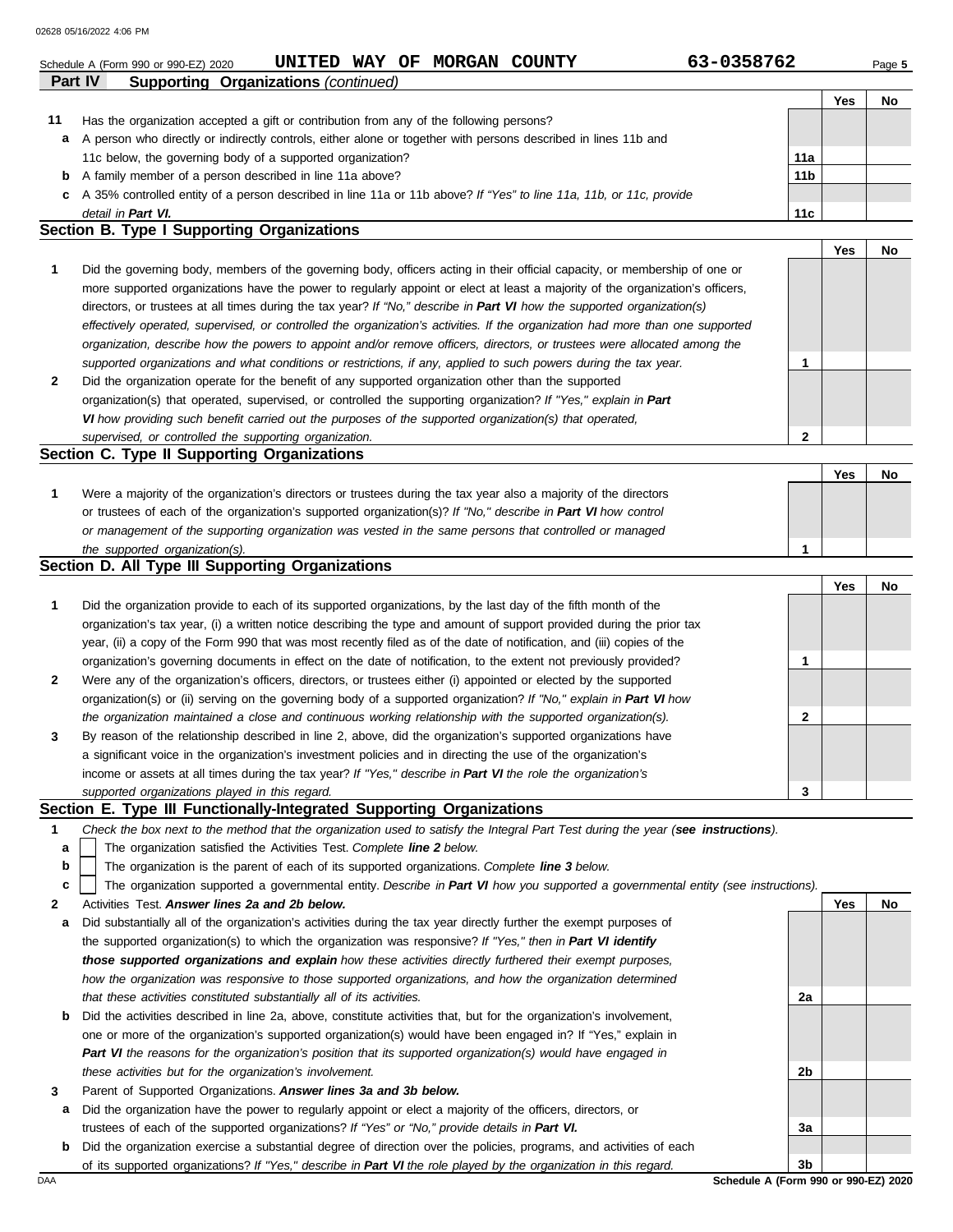|              | 63-0358762<br>WAY<br>MORGAN<br>UNITED<br>OF<br>COUNTY<br>Schedule A (Form 990 or 990-EZ) 2020                                  |                 |            | Page 5 |
|--------------|--------------------------------------------------------------------------------------------------------------------------------|-----------------|------------|--------|
|              | <b>Supporting Organizations (continued)</b><br><b>Part IV</b>                                                                  |                 |            |        |
|              |                                                                                                                                |                 | <b>Yes</b> | No     |
| 11           | Has the organization accepted a gift or contribution from any of the following persons?                                        |                 |            |        |
| a            | A person who directly or indirectly controls, either alone or together with persons described in lines 11b and                 |                 |            |        |
|              | 11c below, the governing body of a supported organization?                                                                     | 11a             |            |        |
| b            | A family member of a person described in line 11a above?                                                                       | 11 <sub>b</sub> |            |        |
| с            | A 35% controlled entity of a person described in line 11a or 11b above? If "Yes" to line 11a, 11b, or 11c, provide             |                 |            |        |
|              | detail in Part VI.                                                                                                             | 11c             |            |        |
|              | Section B. Type I Supporting Organizations                                                                                     |                 |            |        |
|              |                                                                                                                                |                 | <b>Yes</b> | No     |
| 1            | Did the governing body, members of the governing body, officers acting in their official capacity, or membership of one or     |                 |            |        |
|              | more supported organizations have the power to regularly appoint or elect at least a majority of the organization's officers,  |                 |            |        |
|              | directors, or trustees at all times during the tax year? If "No," describe in Part VI how the supported organization(s)        |                 |            |        |
|              | effectively operated, supervised, or controlled the organization's activities. If the organization had more than one supported |                 |            |        |
|              | organization, describe how the powers to appoint and/or remove officers, directors, or trustees were allocated among the       |                 |            |        |
|              | supported organizations and what conditions or restrictions, if any, applied to such powers during the tax year.               | 1               |            |        |
| $\mathbf{2}$ | Did the organization operate for the benefit of any supported organization other than the supported                            |                 |            |        |
|              | organization(s) that operated, supervised, or controlled the supporting organization? If "Yes," explain in Part                |                 |            |        |
|              | VI how providing such benefit carried out the purposes of the supported organization(s) that operated,                         |                 |            |        |
|              | supervised, or controlled the supporting organization.                                                                         | $\mathbf{2}$    |            |        |
|              | Section C. Type II Supporting Organizations                                                                                    |                 |            |        |

| Were a majority of the organization's directors or trustees during the tax year also a majority of the directors |  |  |
|------------------------------------------------------------------------------------------------------------------|--|--|
| or trustees of each of the organization's supported organization(s)? If "No," describe in Part VI how control    |  |  |
| or management of the supporting organization was vested in the same persons that controlled or managed           |  |  |
| the supported organization(s).                                                                                   |  |  |

### **Section D. All Type III Supporting Organizations**

|              |                                                                                                                        |              | Yes | No |
|--------------|------------------------------------------------------------------------------------------------------------------------|--------------|-----|----|
| $\mathbf 1$  | Did the organization provide to each of its supported organizations, by the last day of the fifth month of the         |              |     |    |
|              | organization's tax year, (i) a written notice describing the type and amount of support provided during the prior tax  |              |     |    |
|              | year, (ii) a copy of the Form 990 that was most recently filed as of the date of notification, and (iii) copies of the |              |     |    |
|              | organization's governing documents in effect on the date of notification, to the extent not previously provided?       |              |     |    |
| $\mathbf{2}$ | Were any of the organization's officers, directors, or trustees either (i) appointed or elected by the supported       |              |     |    |
|              | organization(s) or (ii) serving on the governing body of a supported organization? If "No," explain in Part VI how     |              |     |    |
|              | the organization maintained a close and continuous working relationship with the supported organization(s).            | $\mathbf{2}$ |     |    |
| $\mathbf{3}$ | By reason of the relationship described in line 2, above, did the organization's supported organizations have          |              |     |    |
|              | a significant voice in the organization's investment policies and in directing the use of the organization's           |              |     |    |
|              | income or assets at all times during the tax year? If "Yes," describe in Part VI the role the organization's           |              |     |    |
|              | supported organizations played in this regard.                                                                         | 3            |     |    |

#### **Section E. Type III Functionally-Integrated Supporting Organizations**

|  |  |  |  |  |  | Check the box next to the method that the organization used to satisfy the Integral Part Test during the year (see instructions). |  |  |
|--|--|--|--|--|--|-----------------------------------------------------------------------------------------------------------------------------------|--|--|
|--|--|--|--|--|--|-----------------------------------------------------------------------------------------------------------------------------------|--|--|

- The organization satisfied the Activities Test. *Complete line 2 below.* **a**
- The organization is the parent of each of its supported organizations. *Complete line 3 below.* **b**

|  |  |  |  | c   The organization supported a governmental entity. Describe in Part VI how you supported a governmental entity (see instructions). |  |  |  |  |  |  |  |  |  |  |  |  |
|--|--|--|--|---------------------------------------------------------------------------------------------------------------------------------------|--|--|--|--|--|--|--|--|--|--|--|--|
|--|--|--|--|---------------------------------------------------------------------------------------------------------------------------------------|--|--|--|--|--|--|--|--|--|--|--|--|

- **2** Activities Test. *Answer lines 2a and 2b below.*
- **a** Did substantially all of the organization's activities during the tax year directly further the exempt purposes of the supported organization(s) to which the organization was responsive? *If "Yes," then in Part VI identify those supported organizations and explain how these activities directly furthered their exempt purposes,*  how the organization was responsive to those supported organizations, and how the organization determined *that these activities constituted substantially all of its activities.*
- **b** Did the activities described in line 2a, above, constitute activities that, but for the organization's involvement, one or more of the organization's supported organization(s) would have been engaged in? If "Yes," explain in *Part VI the reasons for the organization's position that its supported organization(s) would have engaged in these activities but for the organization's involvement.*
- **3** Parent of Supported Organizations. *Answer lines 3a and 3b below.*
- **a** Did the organization have the power to regularly appoint or elect a majority of the officers, directors, or trustees of each of the supported organizations? *If "Yes" or "No," provide details in Part VI.*
- **b** Did the organization exercise a substantial degree of direction over the policies, programs, and activities of each of its supported organizations? *If "Yes," describe in Part VI the role played by the organization in this regard.*

DAA **Schedule A (Form 990 or 990-EZ) 2020 3b**

**2a**

**2b**

**3a**

**Yes No**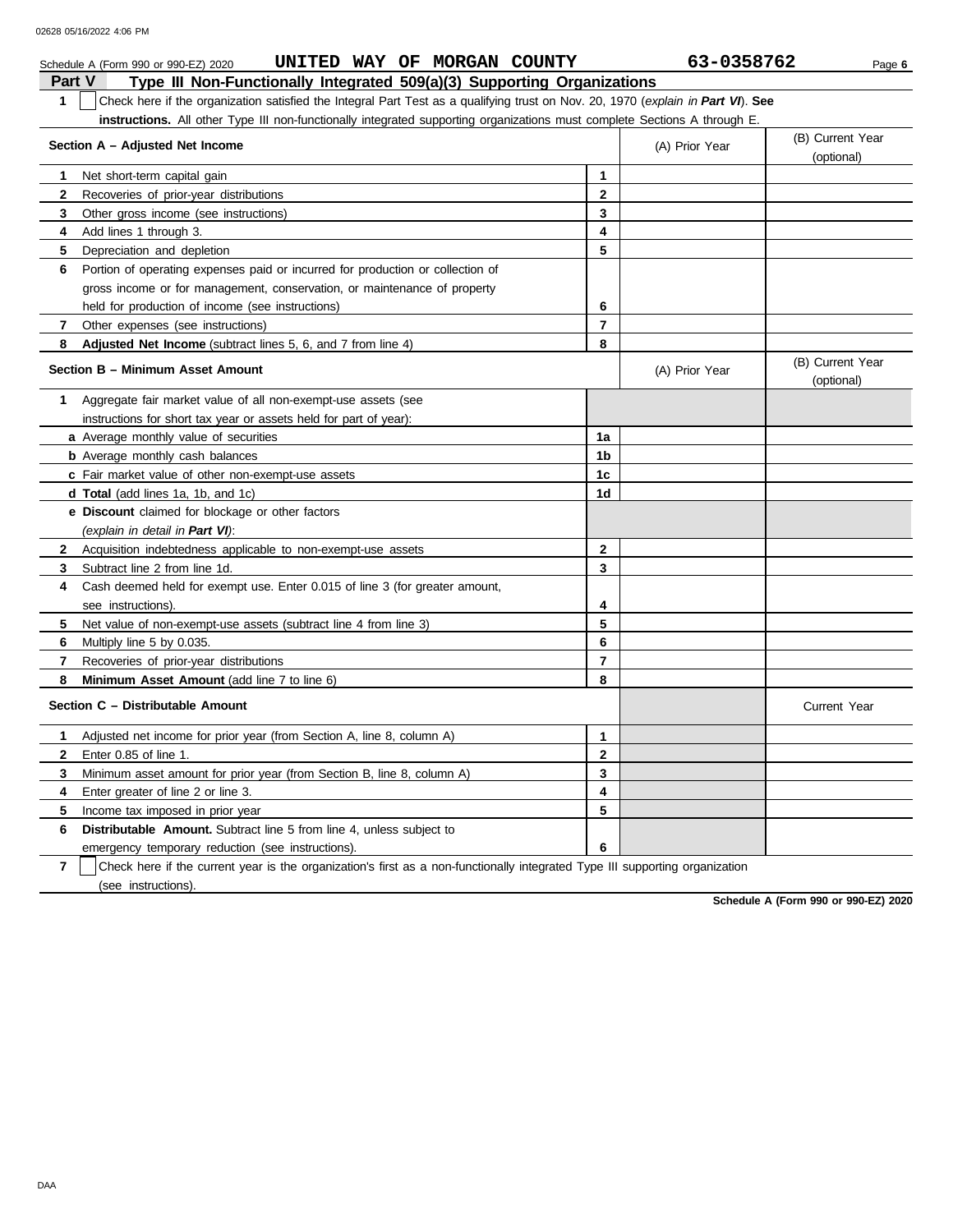|              | 63-0358762<br>UNITED WAY OF MORGAN COUNTY<br>Schedule A (Form 990 or 990-EZ) 2020<br>Page 6                                      |                |                |                                |  |  |  |  |  |  |
|--------------|----------------------------------------------------------------------------------------------------------------------------------|----------------|----------------|--------------------------------|--|--|--|--|--|--|
|              | Type III Non-Functionally Integrated 509(a)(3) Supporting Organizations<br><b>Part V</b>                                         |                |                |                                |  |  |  |  |  |  |
| $\mathbf 1$  | Check here if the organization satisfied the Integral Part Test as a qualifying trust on Nov. 20, 1970 (explain in Part VI). See |                |                |                                |  |  |  |  |  |  |
|              | instructions. All other Type III non-functionally integrated supporting organizations must complete Sections A through E.        |                |                |                                |  |  |  |  |  |  |
|              | Section A - Adjusted Net Income                                                                                                  |                | (A) Prior Year | (B) Current Year<br>(optional) |  |  |  |  |  |  |
| $\mathbf{1}$ | Net short-term capital gain                                                                                                      | $\mathbf{1}$   |                |                                |  |  |  |  |  |  |
| $\mathbf{2}$ | Recoveries of prior-year distributions                                                                                           | $\mathbf 2$    |                |                                |  |  |  |  |  |  |
| 3            | Other gross income (see instructions)                                                                                            | 3              |                |                                |  |  |  |  |  |  |
| 4            | Add lines 1 through 3.                                                                                                           | 4              |                |                                |  |  |  |  |  |  |
| 5            | Depreciation and depletion                                                                                                       | 5              |                |                                |  |  |  |  |  |  |
| 6            | Portion of operating expenses paid or incurred for production or collection of                                                   |                |                |                                |  |  |  |  |  |  |
|              | gross income or for management, conservation, or maintenance of property                                                         |                |                |                                |  |  |  |  |  |  |
|              | held for production of income (see instructions)                                                                                 | 6              |                |                                |  |  |  |  |  |  |
| 7            | Other expenses (see instructions)                                                                                                | $\overline{7}$ |                |                                |  |  |  |  |  |  |
| 8            | <b>Adjusted Net Income</b> (subtract lines 5, 6, and 7 from line 4)                                                              | 8              |                |                                |  |  |  |  |  |  |
|              | Section B - Minimum Asset Amount                                                                                                 |                | (A) Prior Year | (B) Current Year<br>(optional) |  |  |  |  |  |  |
| $\mathbf{1}$ | Aggregate fair market value of all non-exempt-use assets (see                                                                    |                |                |                                |  |  |  |  |  |  |
|              | instructions for short tax year or assets held for part of year):                                                                |                |                |                                |  |  |  |  |  |  |
|              | a Average monthly value of securities                                                                                            | 1a             |                |                                |  |  |  |  |  |  |
|              | <b>b</b> Average monthly cash balances                                                                                           | 1 <sub>b</sub> |                |                                |  |  |  |  |  |  |
|              | c Fair market value of other non-exempt-use assets                                                                               | 1 <sub>c</sub> |                |                                |  |  |  |  |  |  |
|              | <b>d Total</b> (add lines 1a, 1b, and 1c)                                                                                        | 1d             |                |                                |  |  |  |  |  |  |
|              | <b>e</b> Discount claimed for blockage or other factors                                                                          |                |                |                                |  |  |  |  |  |  |
|              | (explain in detail in Part VI):                                                                                                  |                |                |                                |  |  |  |  |  |  |
| $\mathbf{2}$ | Acquisition indebtedness applicable to non-exempt-use assets                                                                     | $\mathbf{2}$   |                |                                |  |  |  |  |  |  |
| 3            | Subtract line 2 from line 1d.                                                                                                    | 3              |                |                                |  |  |  |  |  |  |
| 4            | Cash deemed held for exempt use. Enter 0.015 of line 3 (for greater amount,                                                      |                |                |                                |  |  |  |  |  |  |
|              | see instructions).                                                                                                               | 4              |                |                                |  |  |  |  |  |  |
| 5            | Net value of non-exempt-use assets (subtract line 4 from line 3)                                                                 | 5              |                |                                |  |  |  |  |  |  |
| 6            | Multiply line 5 by 0.035.                                                                                                        | 6              |                |                                |  |  |  |  |  |  |
| 7            | Recoveries of prior-year distributions                                                                                           | 7              |                |                                |  |  |  |  |  |  |
| 8            | <b>Minimum Asset Amount</b> (add line 7 to line 6)                                                                               | 8              |                |                                |  |  |  |  |  |  |
|              | Section C - Distributable Amount                                                                                                 |                |                | Current Year                   |  |  |  |  |  |  |
| 1            | Adjusted net income for prior year (from Section A, line 8, column A)                                                            | 1              |                |                                |  |  |  |  |  |  |
| $\mathbf{2}$ | Enter 0.85 of line 1.                                                                                                            | $\mathbf{2}$   |                |                                |  |  |  |  |  |  |
| 3            | Minimum asset amount for prior year (from Section B, line 8, column A)                                                           | 3              |                |                                |  |  |  |  |  |  |
| 4            | Enter greater of line 2 or line 3.                                                                                               | 4              |                |                                |  |  |  |  |  |  |
| 5            | Income tax imposed in prior year                                                                                                 | 5              |                |                                |  |  |  |  |  |  |
| 6            | <b>Distributable Amount.</b> Subtract line 5 from line 4, unless subject to                                                      |                |                |                                |  |  |  |  |  |  |
|              | emergency temporary reduction (see instructions).                                                                                | 6              |                |                                |  |  |  |  |  |  |

**7** (see instructions). Check here if the current year is the organization's first as a non-functionally integrated Type III supporting organization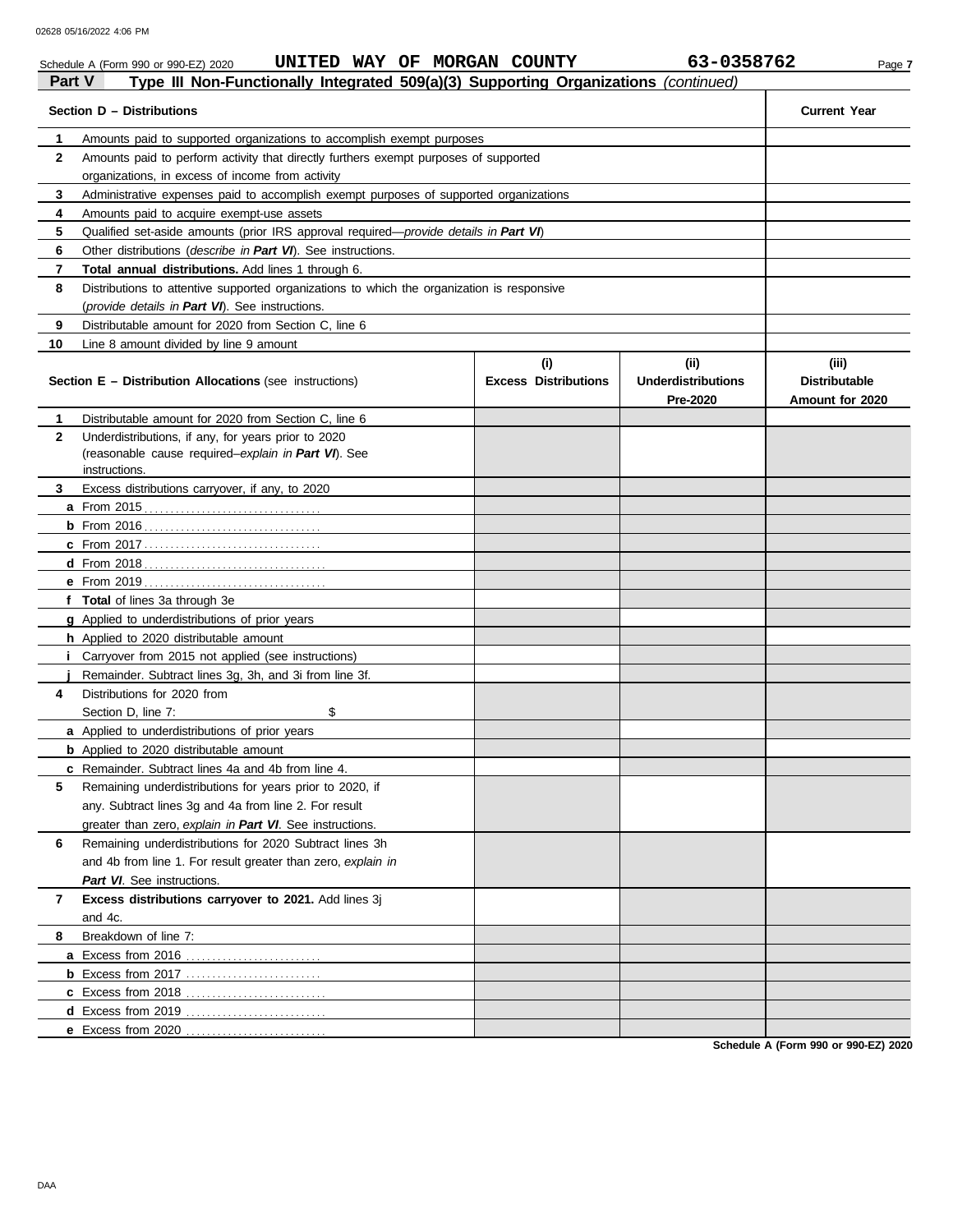|              | UNITED WAY OF MORGAN COUNTY<br>Schedule A (Form 990 or 990-EZ) 2020                           |                                    | 63-0358762                                           | Page 7                                           |
|--------------|-----------------------------------------------------------------------------------------------|------------------------------------|------------------------------------------------------|--------------------------------------------------|
| Part V       | Type III Non-Functionally Integrated 509(a)(3) Supporting Organizations (continued)           |                                    |                                                      |                                                  |
|              | Section D - Distributions                                                                     |                                    |                                                      | <b>Current Year</b>                              |
| 1            | Amounts paid to supported organizations to accomplish exempt purposes                         |                                    |                                                      |                                                  |
| $\mathbf{2}$ | Amounts paid to perform activity that directly furthers exempt purposes of supported          |                                    |                                                      |                                                  |
|              | organizations, in excess of income from activity                                              |                                    |                                                      |                                                  |
| 3            | Administrative expenses paid to accomplish exempt purposes of supported organizations         |                                    |                                                      |                                                  |
| 4            | Amounts paid to acquire exempt-use assets                                                     |                                    |                                                      |                                                  |
| 5            | Qualified set-aside amounts (prior IRS approval required— <i>provide details in Part VI</i> ) |                                    |                                                      |                                                  |
| 6            | Other distributions ( <i>describe in Part VI</i> ). See instructions.                         |                                    |                                                      |                                                  |
| 7            | Total annual distributions. Add lines 1 through 6.                                            |                                    |                                                      |                                                  |
| 8            | Distributions to attentive supported organizations to which the organization is responsive    |                                    |                                                      |                                                  |
|              | (provide details in Part VI). See instructions.                                               |                                    |                                                      |                                                  |
| 9            | Distributable amount for 2020 from Section C, line 6                                          |                                    |                                                      |                                                  |
| 10           | Line 8 amount divided by line 9 amount                                                        |                                    |                                                      |                                                  |
|              | <b>Section E - Distribution Allocations (see instructions)</b>                                | (i)<br><b>Excess Distributions</b> | (ii)<br><b>Underdistributions</b><br><b>Pre-2020</b> | (iii)<br><b>Distributable</b><br>Amount for 2020 |
| 1            | Distributable amount for 2020 from Section C, line 6                                          |                                    |                                                      |                                                  |
| 2            | Underdistributions, if any, for years prior to 2020                                           |                                    |                                                      |                                                  |
|              | (reasonable cause required-explain in Part VI). See                                           |                                    |                                                      |                                                  |
|              | instructions.                                                                                 |                                    |                                                      |                                                  |
| 3            | Excess distributions carryover, if any, to 2020                                               |                                    |                                                      |                                                  |
|              |                                                                                               |                                    |                                                      |                                                  |
|              |                                                                                               |                                    |                                                      |                                                  |
|              |                                                                                               |                                    |                                                      |                                                  |
|              |                                                                                               |                                    |                                                      |                                                  |
|              |                                                                                               |                                    |                                                      |                                                  |
|              | f Total of lines 3a through 3e                                                                |                                    |                                                      |                                                  |
|              | <b>g</b> Applied to underdistributions of prior years                                         |                                    |                                                      |                                                  |
|              | h Applied to 2020 distributable amount                                                        |                                    |                                                      |                                                  |
| Ť.           | Carryover from 2015 not applied (see instructions)                                            |                                    |                                                      |                                                  |
|              | Remainder. Subtract lines 3q, 3h, and 3i from line 3f.                                        |                                    |                                                      |                                                  |
| 4            | Distributions for 2020 from                                                                   |                                    |                                                      |                                                  |
|              | \$<br>Section D, line 7:                                                                      |                                    |                                                      |                                                  |
|              | a Applied to underdistributions of prior years                                                |                                    |                                                      |                                                  |
|              | <b>b</b> Applied to 2020 distributable amount                                                 |                                    |                                                      |                                                  |
|              | c Remainder. Subtract lines 4a and 4b from line 4.                                            |                                    |                                                      |                                                  |
| 5            | Remaining underdistributions for years prior to 2020, if                                      |                                    |                                                      |                                                  |
|              | any. Subtract lines 3g and 4a from line 2. For result                                         |                                    |                                                      |                                                  |
|              | greater than zero, explain in Part VI. See instructions.                                      |                                    |                                                      |                                                  |
| 6            | Remaining underdistributions for 2020 Subtract lines 3h                                       |                                    |                                                      |                                                  |
|              | and 4b from line 1. For result greater than zero, explain in                                  |                                    |                                                      |                                                  |
|              | Part VI. See instructions.                                                                    |                                    |                                                      |                                                  |
| $\mathbf{7}$ | Excess distributions carryover to 2021. Add lines 3j                                          |                                    |                                                      |                                                  |
|              | and 4c.                                                                                       |                                    |                                                      |                                                  |
| 8            | Breakdown of line 7:                                                                          |                                    |                                                      |                                                  |
|              |                                                                                               |                                    |                                                      |                                                  |
|              |                                                                                               |                                    |                                                      |                                                  |
|              |                                                                                               |                                    |                                                      |                                                  |
|              |                                                                                               |                                    |                                                      |                                                  |

**Schedule A (Form 990 or 990-EZ) 2020**

**e** Excess from 2020 . . . . . . . . . . . . . . . . . . . . . . . . . . .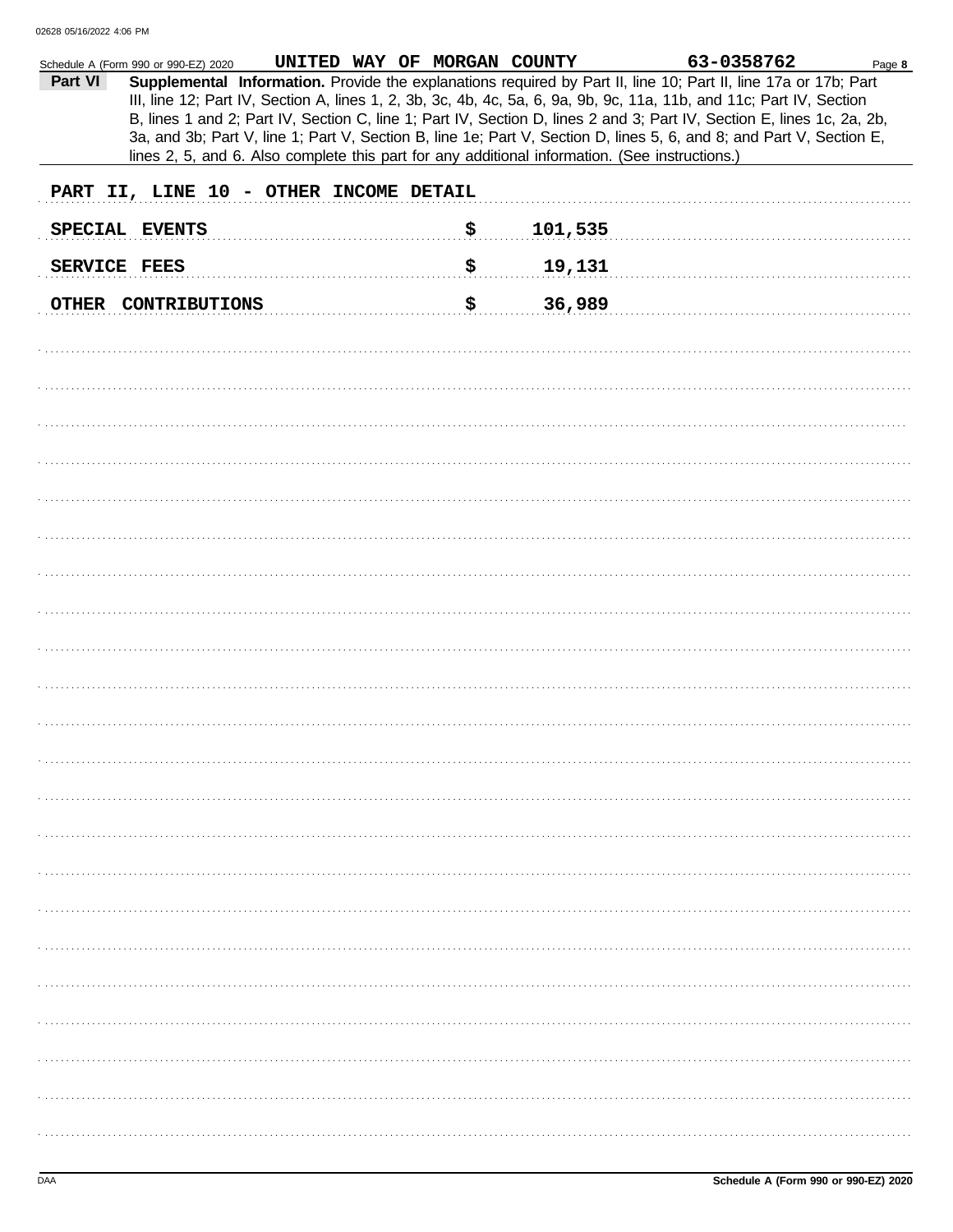|              | Schedule A (Form 990 or 990-EZ) 2020   |  | UNITED WAY OF MORGAN COUNTY |         | 63-0358762                                                                                                                                                                                                                                                                                                                                                        | Page 8 |
|--------------|----------------------------------------|--|-----------------------------|---------|-------------------------------------------------------------------------------------------------------------------------------------------------------------------------------------------------------------------------------------------------------------------------------------------------------------------------------------------------------------------|--------|
| Part VI      |                                        |  |                             |         | Supplemental Information. Provide the explanations required by Part II, line 10; Part II, line 17a or 17b; Part<br>III, line 12; Part IV, Section A, lines 1, 2, 3b, 3c, 4b, 4c, 5a, 6, 9a, 9b, 9c, 11a, 11b, and 11c; Part IV, Section<br>B, lines 1 and 2; Part IV, Section C, line 1; Part IV, Section D, lines 2 and 3; Part IV, Section E, lines 1c, 2a, 2b, |        |
|              |                                        |  |                             |         | 3a, and 3b; Part V, line 1; Part V, Section B, line 1e; Part V, Section D, lines 5, 6, and 8; and Part V, Section E,<br>lines 2, 5, and 6. Also complete this part for any additional information. (See instructions.)                                                                                                                                            |        |
|              | PART II, LINE 10 - OTHER INCOME DETAIL |  |                             |         |                                                                                                                                                                                                                                                                                                                                                                   |        |
|              | SPECIAL EVENTS                         |  | \$                          | 101,535 |                                                                                                                                                                                                                                                                                                                                                                   |        |
| SERVICE FEES |                                        |  | $\boldsymbol{\mathsf{S}}$   | 19,131  |                                                                                                                                                                                                                                                                                                                                                                   |        |
|              | OTHER CONTRIBUTIONS                    |  | $\mathbf{S}$ .              | 36,989  |                                                                                                                                                                                                                                                                                                                                                                   |        |
|              |                                        |  |                             |         |                                                                                                                                                                                                                                                                                                                                                                   |        |
|              |                                        |  |                             |         |                                                                                                                                                                                                                                                                                                                                                                   |        |
|              |                                        |  |                             |         |                                                                                                                                                                                                                                                                                                                                                                   |        |
|              |                                        |  |                             |         |                                                                                                                                                                                                                                                                                                                                                                   |        |
|              |                                        |  |                             |         |                                                                                                                                                                                                                                                                                                                                                                   |        |
|              |                                        |  |                             |         |                                                                                                                                                                                                                                                                                                                                                                   |        |
|              |                                        |  |                             |         |                                                                                                                                                                                                                                                                                                                                                                   |        |
|              |                                        |  |                             |         |                                                                                                                                                                                                                                                                                                                                                                   |        |
|              |                                        |  |                             |         |                                                                                                                                                                                                                                                                                                                                                                   |        |
|              |                                        |  |                             |         |                                                                                                                                                                                                                                                                                                                                                                   |        |
|              |                                        |  |                             |         |                                                                                                                                                                                                                                                                                                                                                                   |        |
|              |                                        |  |                             |         |                                                                                                                                                                                                                                                                                                                                                                   |        |
|              |                                        |  |                             |         |                                                                                                                                                                                                                                                                                                                                                                   |        |
|              |                                        |  |                             |         |                                                                                                                                                                                                                                                                                                                                                                   |        |
|              |                                        |  |                             |         |                                                                                                                                                                                                                                                                                                                                                                   |        |
|              |                                        |  |                             |         |                                                                                                                                                                                                                                                                                                                                                                   |        |
|              |                                        |  |                             |         |                                                                                                                                                                                                                                                                                                                                                                   |        |
|              |                                        |  |                             |         |                                                                                                                                                                                                                                                                                                                                                                   |        |
|              |                                        |  |                             |         |                                                                                                                                                                                                                                                                                                                                                                   |        |
|              |                                        |  |                             |         |                                                                                                                                                                                                                                                                                                                                                                   |        |
|              |                                        |  |                             |         |                                                                                                                                                                                                                                                                                                                                                                   |        |
|              |                                        |  |                             |         |                                                                                                                                                                                                                                                                                                                                                                   |        |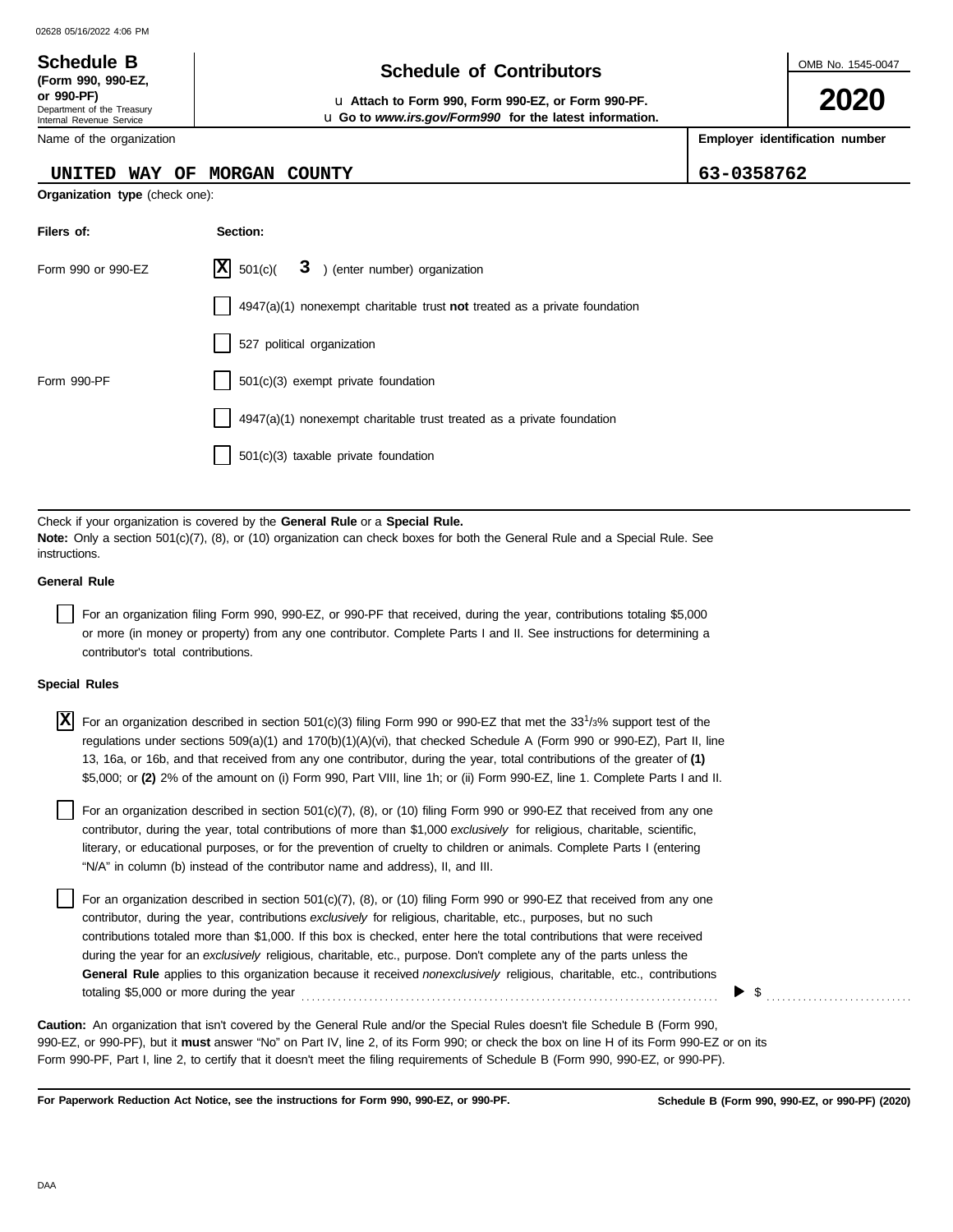**(Form 990, 990-EZ,**

# **Schedule of Contributors Schedule B**

**or 990-PF)** u **Attach to Form 990, Form 990-EZ, or Form 990-PF.** u **Go to** *www.irs.gov/Form990* **for the latest information.** OMB No. 1545-0047

**2020**

**Employer identification number**

|                          |  | Department of the Treasury                  |  |
|--------------------------|--|---------------------------------------------|--|
| Internal Revenue Service |  |                                             |  |
|                          |  | <b>Allens of the community of the state</b> |  |

Name of the organization

#### **UNITED WAY OF MORGAN COUNTY 63-0358762**

**Organization type** (check one):

| Filers of:         | Section:                                                                    |
|--------------------|-----------------------------------------------------------------------------|
| Form 990 or 990-EZ | $ \mathbf{X} $ 501(c)( 3) (enter number) organization                       |
|                    | $4947(a)(1)$ nonexempt charitable trust not treated as a private foundation |
|                    | 527 political organization                                                  |
| Form 990-PF        | 501(c)(3) exempt private foundation                                         |
|                    | 4947(a)(1) nonexempt charitable trust treated as a private foundation       |
|                    | 501(c)(3) taxable private foundation                                        |

Check if your organization is covered by the **General Rule** or a **Special Rule. Note:** Only a section 501(c)(7), (8), or (10) organization can check boxes for both the General Rule and a Special Rule. See instructions.

#### **General Rule**

For an organization filing Form 990, 990-EZ, or 990-PF that received, during the year, contributions totaling \$5,000 or more (in money or property) from any one contributor. Complete Parts I and II. See instructions for determining a contributor's total contributions.

#### **Special Rules**

For an organization described in section 501(c)(3) filing Form 990 or 990-EZ that met the 33<sup>1</sup> /3% support test of the **X** regulations under sections 509(a)(1) and 170(b)(1)(A)(vi), that checked Schedule A (Form 990 or 990-EZ), Part II, line 13, 16a, or 16b, and that received from any one contributor, during the year, total contributions of the greater of **(1)** \$5,000; or **(2)** 2% of the amount on (i) Form 990, Part VIII, line 1h; or (ii) Form 990-EZ, line 1. Complete Parts I and II.

literary, or educational purposes, or for the prevention of cruelty to children or animals. Complete Parts I (entering For an organization described in section 501(c)(7), (8), or (10) filing Form 990 or 990-EZ that received from any one contributor, during the year, total contributions of more than \$1,000 *exclusively* for religious, charitable, scientific, "N/A" in column (b) instead of the contributor name and address), II, and III.

For an organization described in section 501(c)(7), (8), or (10) filing Form 990 or 990-EZ that received from any one contributor, during the year, contributions *exclusively* for religious, charitable, etc., purposes, but no such contributions totaled more than \$1,000. If this box is checked, enter here the total contributions that were received during the year for an *exclusively* religious, charitable, etc., purpose. Don't complete any of the parts unless the **General Rule** applies to this organization because it received *nonexclusively* religious, charitable, etc., contributions totaling \$5,000 or more during the year . . . . . . . . . . . . . . . . . . . . . . . . . . . . . . . . . . . . . . . . . . . . . . . . . . . . . . . . . . . . . . . . . . . . . . . . . . . . . . . .

990-EZ, or 990-PF), but it **must** answer "No" on Part IV, line 2, of its Form 990; or check the box on line H of its Form 990-EZ or on its Form 990-PF, Part I, line 2, to certify that it doesn't meet the filing requirements of Schedule B (Form 990, 990-EZ, or 990-PF). **Caution:** An organization that isn't covered by the General Rule and/or the Special Rules doesn't file Schedule B (Form 990,

**For Paperwork Reduction Act Notice, see the instructions for Form 990, 990-EZ, or 990-PF.**

 $\triangleright$  \$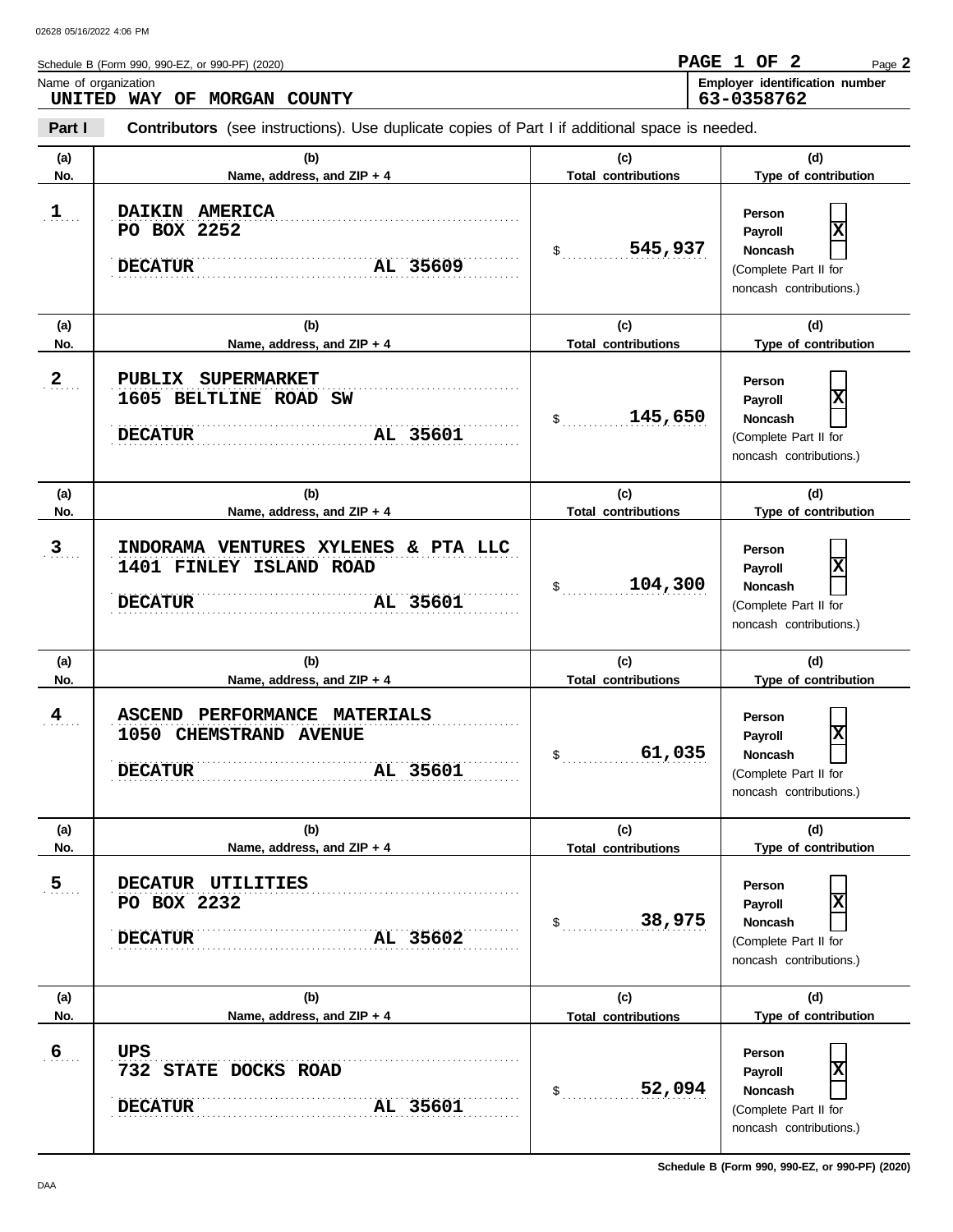|                       | Schedule B (Form 990, 990-EZ, or 990-PF) (2020)                                                       |                                                       | PAGE 1 OF 2<br>Page 2                                                                                                 |
|-----------------------|-------------------------------------------------------------------------------------------------------|-------------------------------------------------------|-----------------------------------------------------------------------------------------------------------------------|
| Name of organization  | UNITED WAY OF<br>MORGAN COUNTY                                                                        |                                                       | Employer identification number<br>63-0358762                                                                          |
| Part I                | <b>Contributors</b> (see instructions). Use duplicate copies of Part I if additional space is needed. |                                                       |                                                                                                                       |
| (a)<br>No.            | (b)<br>Name, address, and ZIP + 4                                                                     | (c)<br><b>Total contributions</b>                     | (d)<br>Type of contribution                                                                                           |
| $\mathbf{1}$          | DAIKIN AMERICA<br>PO BOX 2252<br>AL 35609<br><b>DECATUR</b>                                           | 545,937<br>\$                                         | Person<br>X<br>Payroll<br><b>Noncash</b><br>(Complete Part II for<br>noncash contributions.)                          |
| (a)<br>No.            | (b)<br>Name, address, and ZIP + 4                                                                     | (c)<br><b>Total contributions</b>                     | (d)<br>Type of contribution                                                                                           |
| $\mathbf{2}$          | PUBLIX SUPERMARKET<br>1605 BELTLINE ROAD SW<br>AL 35601<br><b>DECATUR</b>                             | 145,650<br>\$                                         | Person<br>$\overline{\mathbf{x}}$<br>Payroll<br><b>Noncash</b><br>(Complete Part II for<br>noncash contributions.)    |
| (a)<br>No.            | (b)<br>Name, address, and ZIP + 4                                                                     | (c)<br><b>Total contributions</b>                     | (d)<br>Type of contribution                                                                                           |
| 3                     | INDORAMA VENTURES XYLENES & PTA LLC<br>1401 FINLEY ISLAND ROAD<br>AL 35601<br><b>DECATUR</b>          | 104,300<br>\$                                         | Person<br>x<br>Payroll<br><b>Noncash</b><br>(Complete Part II for<br>noncash contributions.)                          |
| (a)<br>No.            | (b)<br>Name, address, and ZIP + 4                                                                     | (c)<br><b>Total contributions</b>                     | (d)<br>Type of contribution                                                                                           |
| 4                     | PERFORMANCE MATERIALS<br><b>ASCEND</b><br>1050 CHEMSTRAND AVENUE<br>AL 35601<br><b>DECATUR</b>        | 61,035<br>\$                                          | Person<br>x<br>Payroll<br>Noncash<br>(Complete Part II for<br>noncash contributions.)                                 |
| (a)<br>No.            | (b)<br>Name, address, and ZIP + 4                                                                     | (c)<br><b>Total contributions</b>                     | (d)<br>Type of contribution                                                                                           |
| $\overline{5}$        | DECATUR UTILITIES<br>PO BOX 2232<br>AL 35602<br><b>DECATUR</b>                                        | 38,975<br>$\mathsf{\$}$                               | Person<br>X<br>Payroll<br><b>Noncash</b><br>(Complete Part II for<br>noncash contributions.)                          |
| (a)                   | (b)                                                                                                   | (c)                                                   | (d)                                                                                                                   |
| No.<br>$\overline{6}$ | Name, address, and ZIP + 4<br>UPS<br>732 STATE DOCKS ROAD<br>AL 35601<br><b>DECATUR</b>               | <b>Total contributions</b><br>52,094<br>$\mathsf{\$}$ | Type of contribution<br>Person<br> x<br>Payroll<br><b>Noncash</b><br>(Complete Part II for<br>noncash contributions.) |

**Schedule B (Form 990, 990-EZ, or 990-PF) (2020)**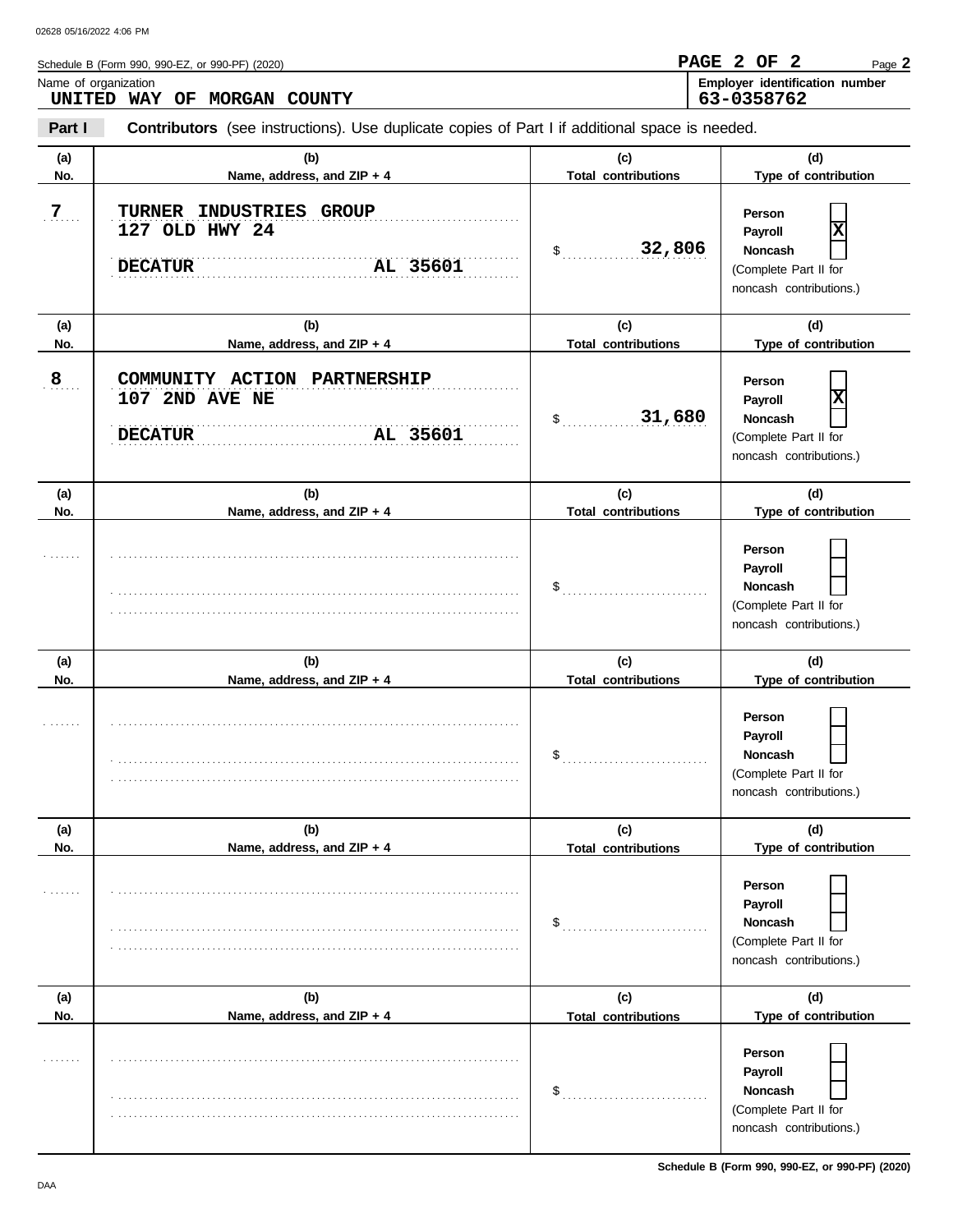|                                | Schedule B (Form 990, 990-EZ, or 990-PF) (2020)                                                    |                                   | PAGE 2 OF 2<br>Page 2                                                                                    |
|--------------------------------|----------------------------------------------------------------------------------------------------|-----------------------------------|----------------------------------------------------------------------------------------------------------|
| Name of organization<br>UNITED | WAY OF<br>MORGAN COUNTY                                                                            |                                   | Employer identification number<br>63-0358762                                                             |
| Part I                         | Contributors (see instructions). Use duplicate copies of Part I if additional space is needed.     |                                   |                                                                                                          |
| (a)<br>No.                     | (b)<br>Name, address, and ZIP + 4                                                                  | (c)<br><b>Total contributions</b> | (d)<br>Type of contribution                                                                              |
| 7                              | <b>INDUSTRIES</b><br><b>TURNER</b><br><b>GROUP</b><br>127 OLD HWY 24<br>AL 35601<br><b>DECATUR</b> | 32,806<br>\$                      | Person<br>х<br>Payroll<br>Noncash<br>(Complete Part II for<br>noncash contributions.)                    |
| (a)<br>No.                     | (b)<br>Name, address, and ZIP + 4                                                                  | (c)<br><b>Total contributions</b> | (d)<br>Type of contribution                                                                              |
| 8                              | COMMUNITY ACTION PARTNERSHIP<br>107 2ND AVE NE<br>AL 35601<br><b>DECATUR</b>                       | 31,680<br>\$                      | Person<br>х<br>Payroll<br>Noncash<br>(Complete Part II for<br>noncash contributions.)                    |
| (a)<br>No.                     | (b)<br>Name, address, and ZIP + 4                                                                  | (c)<br><b>Total contributions</b> | (d)<br>Type of contribution                                                                              |
|                                |                                                                                                    | \$                                | Person<br>Payroll<br>Noncash<br>(Complete Part II for<br>noncash contributions.)                         |
| (a)<br>No.                     | (b)<br>Name, address, and ZIP + 4                                                                  | (c)<br><b>Total contributions</b> | (d)<br>Type of contribution                                                                              |
|                                |                                                                                                    | \$                                | Person<br>Payroll<br>Noncash<br>(Complete Part II for<br>noncash contributions.)                         |
| (a)<br>No.                     | (b)<br>Name, address, and ZIP + 4                                                                  | (c)<br><b>Total contributions</b> | (d)<br>Type of contribution                                                                              |
| .                              |                                                                                                    | \$                                | Person<br>Payroll<br>Noncash<br>(Complete Part II for<br>noncash contributions.)                         |
| (a)                            | (b)                                                                                                | (c)                               | (d)                                                                                                      |
| No.<br>.                       | Name, address, and ZIP + 4                                                                         | <b>Total contributions</b><br>\$  | Type of contribution<br>Person<br>Payroll<br>Noncash<br>(Complete Part II for<br>noncash contributions.) |

**Schedule B (Form 990, 990-EZ, or 990-PF) (2020)**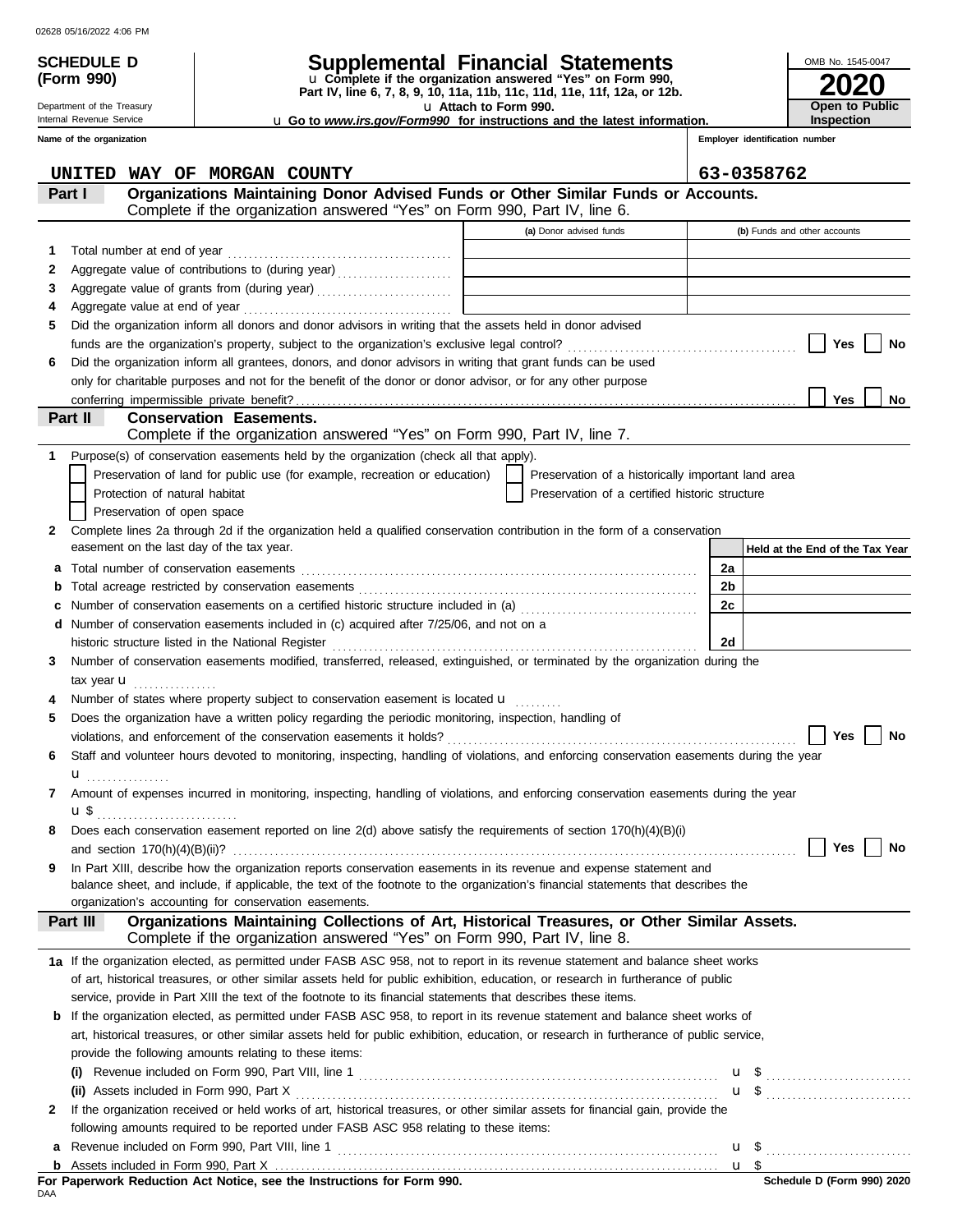02628 05/16/2022 4:06 PM

Department of the Treasury Internal Revenue Service **Name of the organization**

**(Form 990)**

## **SCHEDULE D Supplemental Financial Statements**

u **Attach to Form 990. Part IV, line 6, 7, 8, 9, 10, 11a, 11b, 11c, 11d, 11e, 11f, 12a, or 12b.** u **Complete if the organization answered "Yes" on Form 990,**

u **Go to** *www.irs.gov/Form990* **for instructions and the latest information.**

**2020** OMB No. 1545-0047 **Open to Public Inspection**

**Employer identification number**

|   | WAY OF MORGAN COUNTY<br><b>UNITED</b>                                                                                                                                      |                                                                                           | 63-0358762                      |
|---|----------------------------------------------------------------------------------------------------------------------------------------------------------------------------|-------------------------------------------------------------------------------------------|---------------------------------|
|   | Organizations Maintaining Donor Advised Funds or Other Similar Funds or Accounts.<br>Part I                                                                                |                                                                                           |                                 |
|   | Complete if the organization answered "Yes" on Form 990, Part IV, line 6.                                                                                                  |                                                                                           |                                 |
|   |                                                                                                                                                                            | (a) Donor advised funds                                                                   | (b) Funds and other accounts    |
| 1 | Total number at end of year                                                                                                                                                | the control of the control of the control of                                              |                                 |
| 2 | Aggregate value of contributions to (during year)                                                                                                                          | the control of the control of the control of the control of the control of the control of |                                 |
| З |                                                                                                                                                                            |                                                                                           |                                 |
| 4 |                                                                                                                                                                            |                                                                                           |                                 |
| 5 | Did the organization inform all donors and donor advisors in writing that the assets held in donor advised                                                                 |                                                                                           |                                 |
|   |                                                                                                                                                                            |                                                                                           | Yes<br>No                       |
| 6 | Did the organization inform all grantees, donors, and donor advisors in writing that grant funds can be used                                                               |                                                                                           |                                 |
|   | only for charitable purposes and not for the benefit of the donor or donor advisor, or for any other purpose                                                               |                                                                                           |                                 |
|   |                                                                                                                                                                            |                                                                                           | <b>Yes</b><br>No                |
|   | Part II<br><b>Conservation Easements.</b>                                                                                                                                  |                                                                                           |                                 |
|   | Complete if the organization answered "Yes" on Form 990, Part IV, line 7.                                                                                                  |                                                                                           |                                 |
| 1 | Purpose(s) of conservation easements held by the organization (check all that apply).                                                                                      |                                                                                           |                                 |
|   | Preservation of land for public use (for example, recreation or education)                                                                                                 | Preservation of a historically important land area                                        |                                 |
|   | Protection of natural habitat                                                                                                                                              | Preservation of a certified historic structure                                            |                                 |
|   | Preservation of open space                                                                                                                                                 |                                                                                           |                                 |
| 2 | Complete lines 2a through 2d if the organization held a qualified conservation contribution in the form of a conservation                                                  |                                                                                           |                                 |
|   | easement on the last day of the tax year.                                                                                                                                  |                                                                                           | Held at the End of the Tax Year |
| a | Total number of conservation easements                                                                                                                                     |                                                                                           | 2a                              |
| b |                                                                                                                                                                            |                                                                                           | 2b                              |
| c | Number of conservation easements on a certified historic structure included in (a) [11] Number of conservation easements on a certified historic structure included in (a) |                                                                                           | 2c                              |
| d | Number of conservation easements included in (c) acquired after 7/25/06, and not on a                                                                                      |                                                                                           |                                 |
|   | historic structure listed in the National Register                                                                                                                         |                                                                                           | 2d                              |
| 3 | Number of conservation easements modified, transferred, released, extinguished, or terminated by the organization during the                                               |                                                                                           |                                 |
|   | tax year $\mathbf{u}$                                                                                                                                                      |                                                                                           |                                 |
|   | Number of states where property subject to conservation easement is located <b>u</b>                                                                                       |                                                                                           |                                 |
| 5 | Does the organization have a written policy regarding the periodic monitoring, inspection, handling of                                                                     |                                                                                           |                                 |
|   |                                                                                                                                                                            |                                                                                           | <b>Yes</b><br>No                |
| 6 | Staff and volunteer hours devoted to monitoring, inspecting, handling of violations, and enforcing conservation easements during the year                                  |                                                                                           |                                 |
|   | $\mathbf{u}$                                                                                                                                                               |                                                                                           |                                 |
| 7 | Amount of expenses incurred in monitoring, inspecting, handling of violations, and enforcing conservation easements during the year                                        |                                                                                           |                                 |
|   | $\mathbf{u} \, \mathbf{\$}$                                                                                                                                                |                                                                                           |                                 |
|   | Does each conservation easement reported on line 2(d) above satisfy the requirements of section 170(h)(4)(B)(i)                                                            |                                                                                           |                                 |
|   |                                                                                                                                                                            |                                                                                           |                                 |
| 9 | In Part XIII, describe how the organization reports conservation easements in its revenue and expense statement and                                                        |                                                                                           |                                 |
|   | balance sheet, and include, if applicable, the text of the footnote to the organization's financial statements that describes the                                          |                                                                                           |                                 |
|   | organization's accounting for conservation easements.                                                                                                                      |                                                                                           |                                 |
|   | Organizations Maintaining Collections of Art, Historical Treasures, or Other Similar Assets.<br>Part III                                                                   |                                                                                           |                                 |
|   | Complete if the organization answered "Yes" on Form 990, Part IV, line 8.                                                                                                  |                                                                                           |                                 |
|   | 1a If the organization elected, as permitted under FASB ASC 958, not to report in its revenue statement and balance sheet works                                            |                                                                                           |                                 |
|   | of art, historical treasures, or other similar assets held for public exhibition, education, or research in furtherance of public                                          |                                                                                           |                                 |
|   | service, provide in Part XIII the text of the footnote to its financial statements that describes these items.                                                             |                                                                                           |                                 |
| b | If the organization elected, as permitted under FASB ASC 958, to report in its revenue statement and balance sheet works of                                                |                                                                                           |                                 |
|   | art, historical treasures, or other similar assets held for public exhibition, education, or research in furtherance of public service,                                    |                                                                                           |                                 |
|   | provide the following amounts relating to these items:                                                                                                                     |                                                                                           |                                 |
|   |                                                                                                                                                                            |                                                                                           | u \$                            |
|   |                                                                                                                                                                            |                                                                                           |                                 |
| 2 | If the organization received or held works of art, historical treasures, or other similar assets for financial gain, provide the                                           |                                                                                           |                                 |
|   | following amounts required to be reported under FASB ASC 958 relating to these items:                                                                                      |                                                                                           |                                 |
| а |                                                                                                                                                                            |                                                                                           |                                 |
|   |                                                                                                                                                                            |                                                                                           | $u \$                           |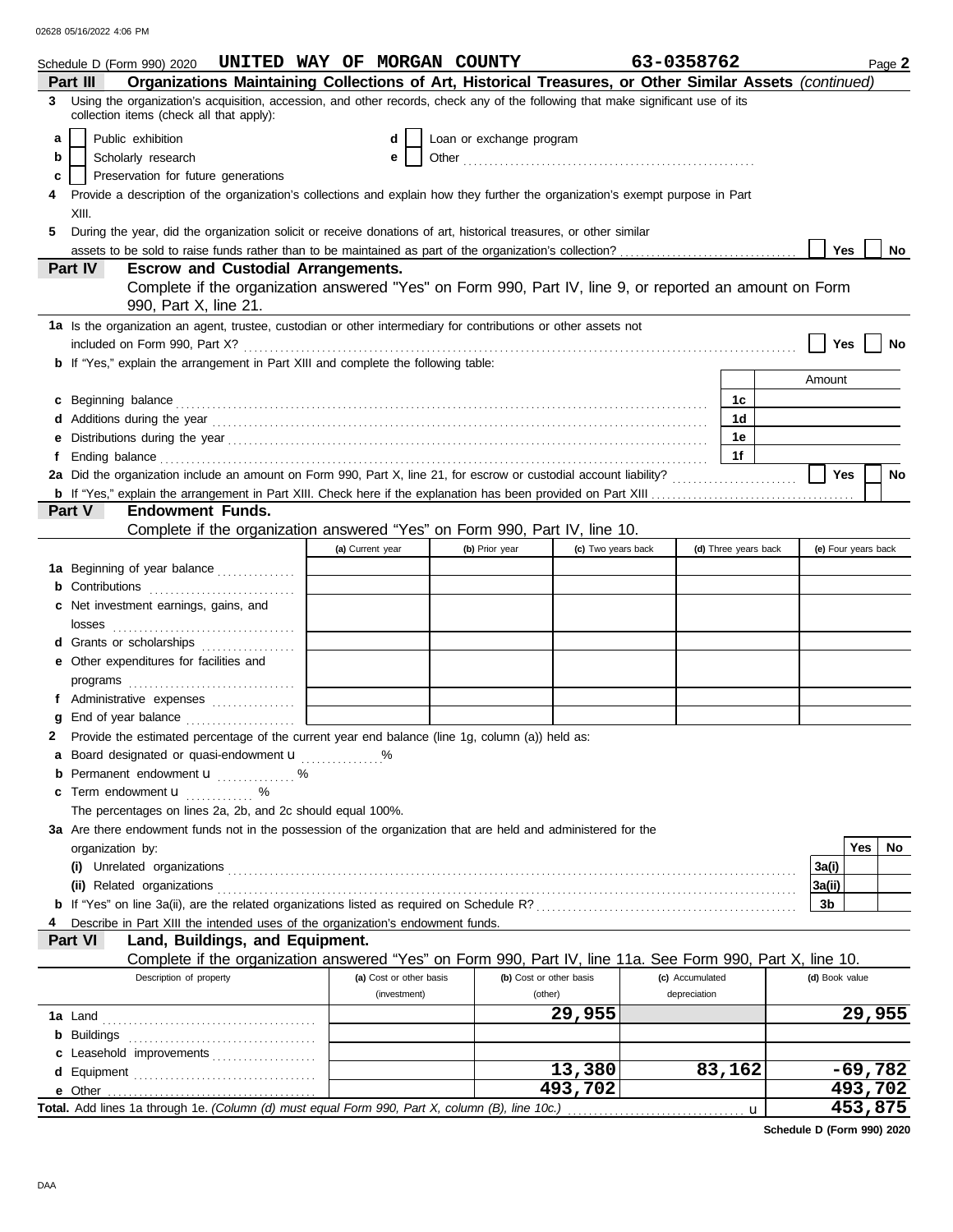02628 05/16/2022 4:06 PM

|   | Schedule D (Form 990) 2020 UNITED WAY OF MORGAN COUNTY                                                                                                                                                                               |                         |                          |                    | 63-0358762      |                      |                     |     | Page 2    |
|---|--------------------------------------------------------------------------------------------------------------------------------------------------------------------------------------------------------------------------------------|-------------------------|--------------------------|--------------------|-----------------|----------------------|---------------------|-----|-----------|
|   | Organizations Maintaining Collections of Art, Historical Treasures, or Other Similar Assets (continued)<br>Part III                                                                                                                  |                         |                          |                    |                 |                      |                     |     |           |
|   | 3 Using the organization's acquisition, accession, and other records, check any of the following that make significant use of its<br>collection items (check all that apply):                                                        |                         |                          |                    |                 |                      |                     |     |           |
| a | Public exhibition                                                                                                                                                                                                                    | d                       | Loan or exchange program |                    |                 |                      |                     |     |           |
| b | Scholarly research                                                                                                                                                                                                                   | е                       |                          |                    |                 |                      |                     |     |           |
| c | Preservation for future generations                                                                                                                                                                                                  |                         |                          |                    |                 |                      |                     |     |           |
|   | Provide a description of the organization's collections and explain how they further the organization's exempt purpose in Part                                                                                                       |                         |                          |                    |                 |                      |                     |     |           |
|   | XIII.                                                                                                                                                                                                                                |                         |                          |                    |                 |                      |                     |     |           |
| 5 | During the year, did the organization solicit or receive donations of art, historical treasures, or other similar                                                                                                                    |                         |                          |                    |                 |                      |                     |     |           |
|   |                                                                                                                                                                                                                                      |                         |                          |                    |                 |                      | Yes                 |     | No        |
|   | <b>Escrow and Custodial Arrangements.</b><br>Part IV                                                                                                                                                                                 |                         |                          |                    |                 |                      |                     |     |           |
|   | Complete if the organization answered "Yes" on Form 990, Part IV, line 9, or reported an amount on Form                                                                                                                              |                         |                          |                    |                 |                      |                     |     |           |
|   | 990, Part X, line 21.                                                                                                                                                                                                                |                         |                          |                    |                 |                      |                     |     |           |
|   | 1a Is the organization an agent, trustee, custodian or other intermediary for contributions or other assets not                                                                                                                      |                         |                          |                    |                 |                      |                     |     |           |
|   |                                                                                                                                                                                                                                      |                         |                          |                    |                 |                      | Yes                 |     | No        |
|   | <b>b</b> If "Yes," explain the arrangement in Part XIII and complete the following table:                                                                                                                                            |                         |                          |                    |                 |                      |                     |     |           |
|   |                                                                                                                                                                                                                                      |                         |                          |                    |                 |                      | Amount              |     |           |
|   | c Beginning balance <b>contract to the contract of the set of the contract of the contract of the contract of the contract of the contract of the contract of the contract of the contract of the contract of the contract of th</b> |                         |                          |                    |                 | 1c                   |                     |     |           |
|   |                                                                                                                                                                                                                                      |                         |                          |                    |                 | 1d                   |                     |     |           |
|   |                                                                                                                                                                                                                                      |                         |                          |                    |                 | 1е                   |                     |     |           |
|   | Ending balance contains and account of the contact of the contact of the contact of the contact of the contact of the contact of the contact of the contact of the contact of the contact of the contact of the contact of the       |                         |                          |                    |                 | 1f                   |                     |     |           |
|   |                                                                                                                                                                                                                                      |                         |                          |                    |                 |                      | <b>Yes</b>          |     | No        |
|   |                                                                                                                                                                                                                                      |                         |                          |                    |                 |                      |                     |     |           |
|   | Part V<br><b>Endowment Funds.</b>                                                                                                                                                                                                    |                         |                          |                    |                 |                      |                     |     |           |
|   | Complete if the organization answered "Yes" on Form 990, Part IV, line 10.                                                                                                                                                           |                         |                          |                    |                 |                      |                     |     |           |
|   |                                                                                                                                                                                                                                      | (a) Current year        | (b) Prior year           | (c) Two years back |                 | (d) Three years back | (e) Four years back |     |           |
|   | 1a Beginning of year balance                                                                                                                                                                                                         |                         |                          |                    |                 |                      |                     |     |           |
|   | <b>b</b> Contributions <b>contributions</b>                                                                                                                                                                                          |                         |                          |                    |                 |                      |                     |     |           |
|   | c Net investment earnings, gains, and                                                                                                                                                                                                |                         |                          |                    |                 |                      |                     |     |           |
|   | losses                                                                                                                                                                                                                               |                         |                          |                    |                 |                      |                     |     |           |
|   | d Grants or scholarships                                                                                                                                                                                                             |                         |                          |                    |                 |                      |                     |     |           |
|   | e Other expenditures for facilities and                                                                                                                                                                                              |                         |                          |                    |                 |                      |                     |     |           |
|   |                                                                                                                                                                                                                                      |                         |                          |                    |                 |                      |                     |     |           |
|   | f Administrative expenses                                                                                                                                                                                                            |                         |                          |                    |                 |                      |                     |     |           |
|   |                                                                                                                                                                                                                                      |                         |                          |                    |                 |                      |                     |     |           |
|   | 2 Provide the estimated percentage of the current year end balance (line 1g, column (a)) held as:                                                                                                                                    |                         |                          |                    |                 |                      |                     |     |           |
| а | Board designated or quasi-endowment <b>u</b>                                                                                                                                                                                         | $\%$                    |                          |                    |                 |                      |                     |     |           |
|   | <b>b</b> Permanent endowment <b>u</b> %                                                                                                                                                                                              |                         |                          |                    |                 |                      |                     |     |           |
|   | c Term endowment u<br>℅<br>.                                                                                                                                                                                                         |                         |                          |                    |                 |                      |                     |     |           |
|   | The percentages on lines 2a, 2b, and 2c should equal 100%.                                                                                                                                                                           |                         |                          |                    |                 |                      |                     |     |           |
|   | 3a Are there endowment funds not in the possession of the organization that are held and administered for the                                                                                                                        |                         |                          |                    |                 |                      |                     |     |           |
|   | organization by:                                                                                                                                                                                                                     |                         |                          |                    |                 |                      |                     | Yes | No.       |
|   |                                                                                                                                                                                                                                      |                         |                          |                    |                 |                      | 3a(i)               |     |           |
|   | (ii) Related organizations                                                                                                                                                                                                           |                         |                          |                    |                 |                      | 3a(ii)              |     |           |
|   |                                                                                                                                                                                                                                      |                         |                          |                    |                 |                      | 3b                  |     |           |
|   | Describe in Part XIII the intended uses of the organization's endowment funds.                                                                                                                                                       |                         |                          |                    |                 |                      |                     |     |           |
|   | Land, Buildings, and Equipment.<br>Part VI                                                                                                                                                                                           |                         |                          |                    |                 |                      |                     |     |           |
|   | Complete if the organization answered "Yes" on Form 990, Part IV, line 11a. See Form 990, Part X, line 10.                                                                                                                           |                         |                          |                    |                 |                      |                     |     |           |
|   | Description of property                                                                                                                                                                                                              | (a) Cost or other basis | (b) Cost or other basis  |                    | (c) Accumulated |                      | (d) Book value      |     |           |
|   |                                                                                                                                                                                                                                      | (investment)            | (other)                  |                    | depreciation    |                      |                     |     |           |
|   |                                                                                                                                                                                                                                      |                         |                          | 29,955             |                 |                      |                     |     | 29,955    |
|   | <b>b</b> Buildings                                                                                                                                                                                                                   |                         |                          |                    |                 |                      |                     |     |           |
|   | c Leasehold improvements                                                                                                                                                                                                             |                         |                          |                    |                 |                      |                     |     |           |
|   |                                                                                                                                                                                                                                      |                         |                          | 13,380             |                 | 83,162               |                     |     | $-69,782$ |
|   | e Other                                                                                                                                                                                                                              |                         |                          | 493,702            |                 |                      |                     |     | 493,702   |
|   | Total. Add lines 1a through 1e. (Column (d) must equal Form 990, Part X, column (B), line 10c.)                                                                                                                                      |                         |                          |                    |                 | u                    |                     |     | 453,875   |

**Schedule D (Form 990) 2020**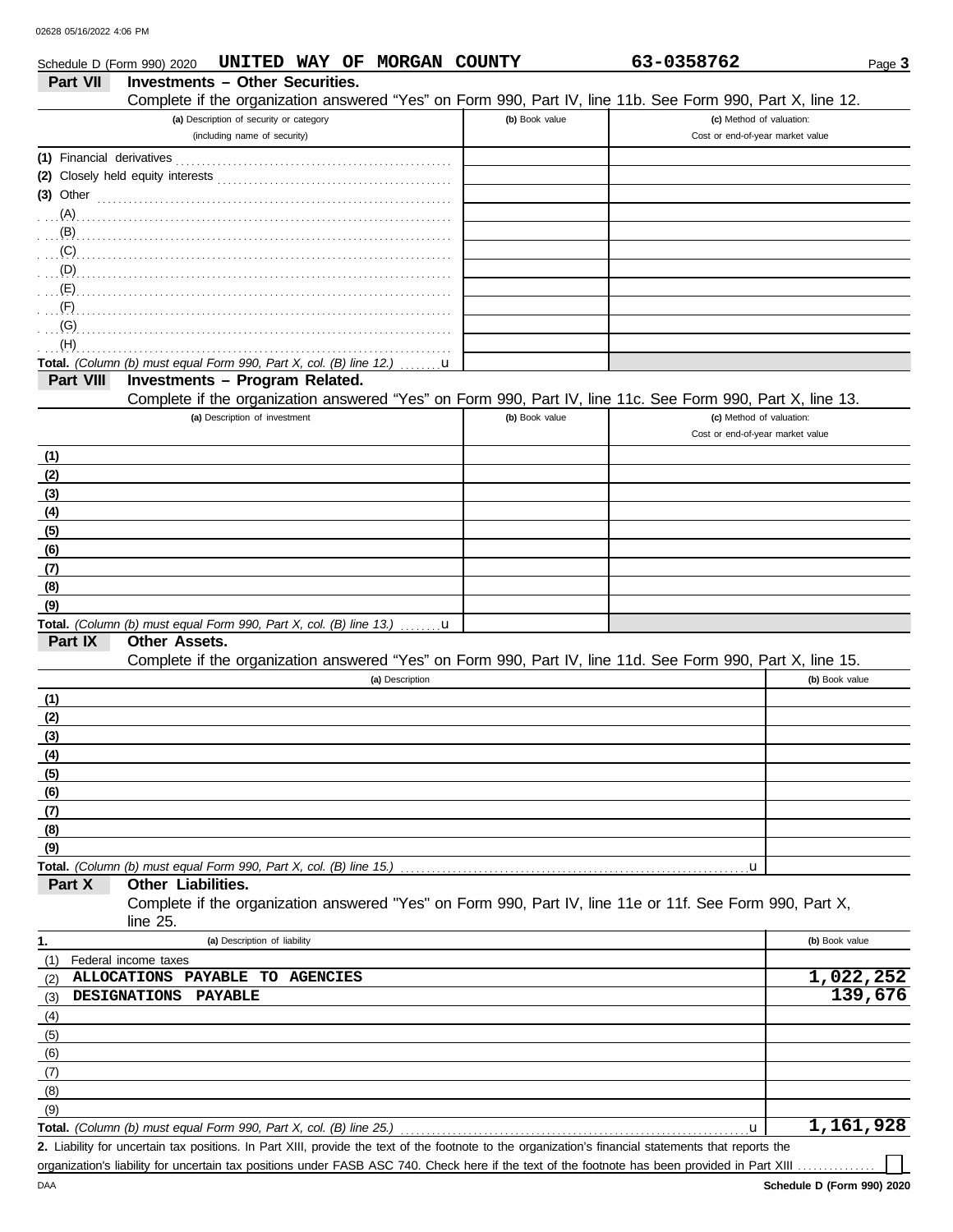|                           | UNITED WAY OF MORGAN COUNTY<br>Schedule D (Form 990) 2020                                                                                                                                                                                 |                | 63-0358762                       | Page 3         |
|---------------------------|-------------------------------------------------------------------------------------------------------------------------------------------------------------------------------------------------------------------------------------------|----------------|----------------------------------|----------------|
| <b>Part VII</b>           | <b>Investments - Other Securities.</b>                                                                                                                                                                                                    |                |                                  |                |
|                           | Complete if the organization answered "Yes" on Form 990, Part IV, line 11b. See Form 990, Part X, line 12.                                                                                                                                |                |                                  |                |
|                           | (a) Description of security or category                                                                                                                                                                                                   | (b) Book value | (c) Method of valuation:         |                |
|                           | (including name of security)                                                                                                                                                                                                              |                | Cost or end-of-year market value |                |
| (1) Financial derivatives |                                                                                                                                                                                                                                           |                |                                  |                |
|                           |                                                                                                                                                                                                                                           |                |                                  |                |
|                           | $(3)$ Other                                                                                                                                                                                                                               |                |                                  |                |
|                           |                                                                                                                                                                                                                                           |                |                                  |                |
|                           |                                                                                                                                                                                                                                           |                |                                  |                |
|                           | $\overline{S}$ (C) and the continuum continuum continuum continuum continuum continuum continuum continuum continuum continuum continuum continuum continuum continuum continuum continuum continuum continuum continuum continuum        |                |                                  |                |
|                           | $\overline{p}$ (D) $\overline{p}$ . The contract of the contract of the contract of the contract of the contract of the contract of the contract of the contract of the contract of the contract of the contract of the contract of the c |                |                                  |                |
|                           |                                                                                                                                                                                                                                           |                |                                  |                |
|                           |                                                                                                                                                                                                                                           |                |                                  |                |
| (G)                       |                                                                                                                                                                                                                                           |                |                                  |                |
| (H)                       | Total. (Column (b) must equal Form 990, Part X, col. (B) line 12.)                                                                                                                                                                        |                |                                  |                |
| Part VIII                 | u<br>Investments - Program Related.                                                                                                                                                                                                       |                |                                  |                |
|                           | Complete if the organization answered "Yes" on Form 990, Part IV, line 11c. See Form 990, Part X, line 13.                                                                                                                                |                |                                  |                |
|                           | (a) Description of investment                                                                                                                                                                                                             | (b) Book value | (c) Method of valuation:         |                |
|                           |                                                                                                                                                                                                                                           |                | Cost or end-of-year market value |                |
| (1)                       |                                                                                                                                                                                                                                           |                |                                  |                |
| (2)                       |                                                                                                                                                                                                                                           |                |                                  |                |
| (3)                       |                                                                                                                                                                                                                                           |                |                                  |                |
| (4)                       |                                                                                                                                                                                                                                           |                |                                  |                |
| (5)                       |                                                                                                                                                                                                                                           |                |                                  |                |
| (6)                       |                                                                                                                                                                                                                                           |                |                                  |                |
| (7)                       |                                                                                                                                                                                                                                           |                |                                  |                |
| (8)                       |                                                                                                                                                                                                                                           |                |                                  |                |
| (9)                       |                                                                                                                                                                                                                                           |                |                                  |                |
|                           | Total. (Column (b) must equal Form 990, Part X, col. (B) line 13.) $\dots \dots u$                                                                                                                                                        |                |                                  |                |
| Part IX                   | Other Assets.                                                                                                                                                                                                                             |                |                                  |                |
|                           | Complete if the organization answered "Yes" on Form 990, Part IV, line 11d. See Form 990, Part X, line 15.                                                                                                                                |                |                                  |                |
|                           | (a) Description                                                                                                                                                                                                                           |                |                                  | (b) Book value |
| (1)                       |                                                                                                                                                                                                                                           |                |                                  |                |
| (2)                       |                                                                                                                                                                                                                                           |                |                                  |                |
| (3)                       |                                                                                                                                                                                                                                           |                |                                  |                |
| (4)                       |                                                                                                                                                                                                                                           |                |                                  |                |
| (5)                       |                                                                                                                                                                                                                                           |                |                                  |                |
| (6)                       |                                                                                                                                                                                                                                           |                |                                  |                |
| (7)                       |                                                                                                                                                                                                                                           |                |                                  |                |
| (8)                       |                                                                                                                                                                                                                                           |                |                                  |                |
| (9)                       |                                                                                                                                                                                                                                           |                |                                  |                |
|                           |                                                                                                                                                                                                                                           |                | u                                |                |
| Part X                    | Other Liabilities.                                                                                                                                                                                                                        |                |                                  |                |
|                           | Complete if the organization answered "Yes" on Form 990, Part IV, line 11e or 11f. See Form 990, Part X,                                                                                                                                  |                |                                  |                |
|                           | line $25$ .                                                                                                                                                                                                                               |                |                                  |                |
| 1.                        | (a) Description of liability                                                                                                                                                                                                              |                |                                  | (b) Book value |
| (1)                       | Federal income taxes                                                                                                                                                                                                                      |                |                                  |                |
| (2)                       | ALLOCATIONS PAYABLE TO<br><b>AGENCIES</b>                                                                                                                                                                                                 |                |                                  | 1,022,252      |
| (3)                       | <b>DESIGNATIONS</b><br><b>PAYABLE</b>                                                                                                                                                                                                     |                |                                  | 139,676        |
| (4)                       |                                                                                                                                                                                                                                           |                |                                  |                |
| (5)                       |                                                                                                                                                                                                                                           |                |                                  |                |
| (6)                       |                                                                                                                                                                                                                                           |                |                                  |                |
| (7)                       |                                                                                                                                                                                                                                           |                |                                  |                |
| (8)                       |                                                                                                                                                                                                                                           |                |                                  |                |
| (9)                       |                                                                                                                                                                                                                                           |                |                                  |                |
|                           | Total. (Column (b) must equal Form 990, Part X, col. (B) line 25.)                                                                                                                                                                        |                | u                                | 1,161,928      |
|                           | 2. Liability for uncertain tax positions. In Part XIII, provide the text of the footnote to the organization's financial statements that reports the                                                                                      |                |                                  |                |

organization's liability for uncertain tax positions under FASB ASC 740. Check here if the text of the footnote has been provided in Part XIII . . . . . . . . . . . . . . .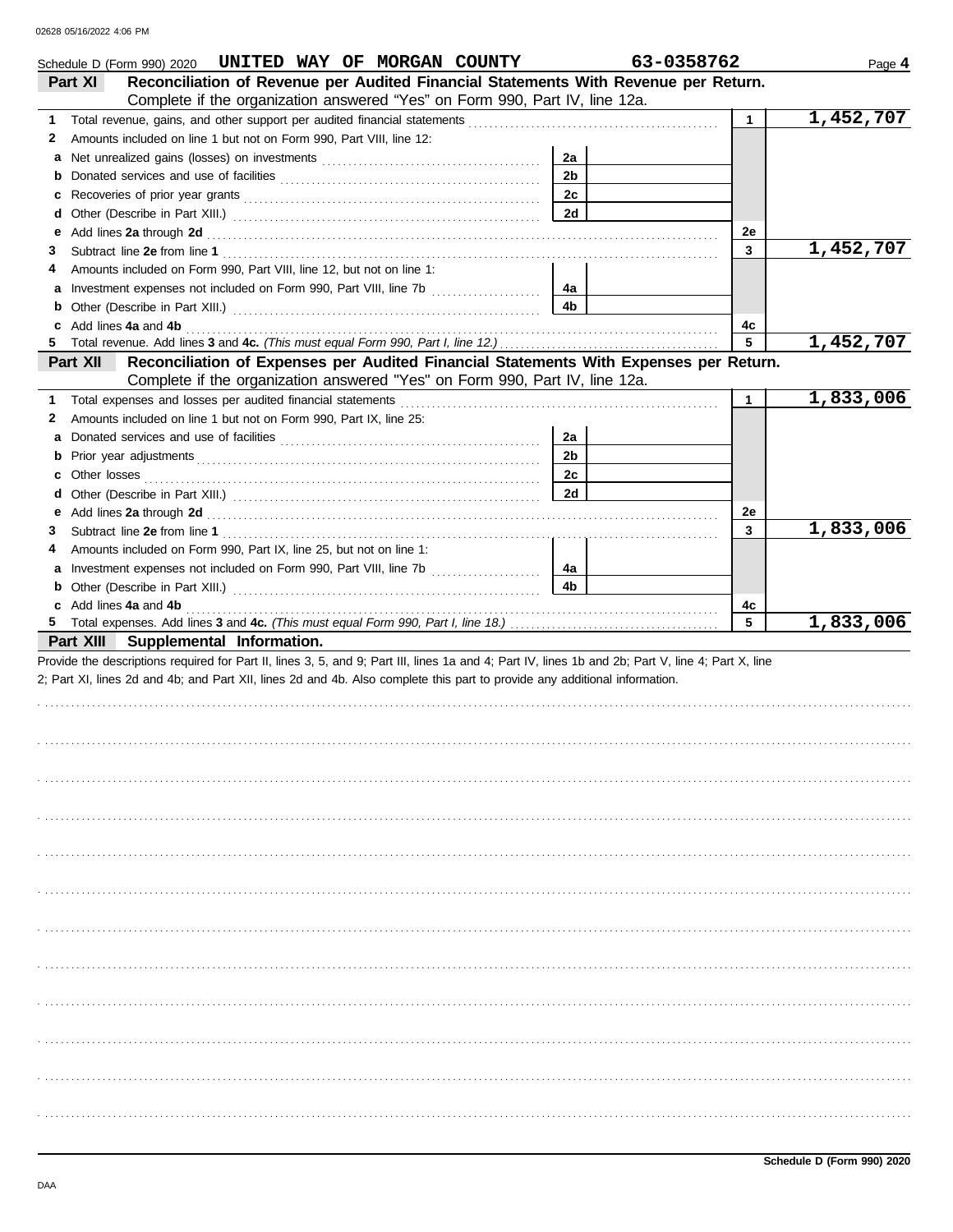|    | UNITED WAY OF MORGAN COUNTY<br>Schedule D (Form 990) 2020                                                                                                                                                                                |                | 63-0358762   | Page 4    |
|----|------------------------------------------------------------------------------------------------------------------------------------------------------------------------------------------------------------------------------------------|----------------|--------------|-----------|
|    | Reconciliation of Revenue per Audited Financial Statements With Revenue per Return.<br>Part XI                                                                                                                                           |                |              |           |
|    | Complete if the organization answered "Yes" on Form 990, Part IV, line 12a.                                                                                                                                                              |                |              |           |
| 1  | Total revenue, gains, and other support per audited financial statements                                                                                                                                                                 |                | $\mathbf{1}$ | 1,452,707 |
| 2  | Amounts included on line 1 but not on Form 990, Part VIII, line 12:                                                                                                                                                                      |                |              |           |
| a  |                                                                                                                                                                                                                                          | 2a             |              |           |
|    | <b>b</b> Donated services and use of facilities <b>constants</b> and the service of the service of the service of the service of the service of the service of the service of the service of the service of the service of the service o | 2 <sub>b</sub> |              |           |
|    |                                                                                                                                                                                                                                          | 2c             |              |           |
| d  |                                                                                                                                                                                                                                          | 2d             |              |           |
| е  |                                                                                                                                                                                                                                          |                | 2e           |           |
| 3  |                                                                                                                                                                                                                                          |                | 3            | 1,452,707 |
| 4  | Amounts included on Form 990, Part VIII, line 12, but not on line 1:                                                                                                                                                                     |                |              |           |
|    | a Investment expenses not included on Form 990, Part VIII, line 7b [100] [100] [100] [100] [100] [100] [100] [100] [100] [100] [100] [100] [100] [100] [100] [100] [100] [100] [100] [100] [100] [100] [100] [100] [100] [100]           | 4a             |              |           |
|    |                                                                                                                                                                                                                                          | 4b             |              |           |
|    | c Add lines 4a and 4b                                                                                                                                                                                                                    |                | 4c           |           |
| 5. |                                                                                                                                                                                                                                          |                | 5            | 1,452,707 |
|    | Reconciliation of Expenses per Audited Financial Statements With Expenses per Return.<br>Part XII                                                                                                                                        |                |              |           |
|    | Complete if the organization answered "Yes" on Form 990, Part IV, line 12a.                                                                                                                                                              |                |              |           |
| 1  |                                                                                                                                                                                                                                          |                | 1            | 1,833,006 |
| 2  | Amounts included on line 1 but not on Form 990, Part IX, line 25:                                                                                                                                                                        |                |              |           |
| a  |                                                                                                                                                                                                                                          | 2a             |              |           |
|    |                                                                                                                                                                                                                                          | 2 <sub>b</sub> |              |           |
|    |                                                                                                                                                                                                                                          | 2c             |              |           |
| d  |                                                                                                                                                                                                                                          | <b>2d</b>      |              |           |
|    |                                                                                                                                                                                                                                          |                | 2e           |           |
| 3. |                                                                                                                                                                                                                                          |                | 3            | 1,833,006 |
| 4  | Amounts included on Form 990, Part IX, line 25, but not on line 1:                                                                                                                                                                       |                |              |           |
|    |                                                                                                                                                                                                                                          | 4a             |              |           |
|    |                                                                                                                                                                                                                                          | 4b             |              |           |
|    | c Add lines 4a and 4b                                                                                                                                                                                                                    |                | 4с           |           |
|    |                                                                                                                                                                                                                                          |                | 5            | 1,833,006 |
|    | Part XIII Supplemental Information.                                                                                                                                                                                                      |                |              |           |
|    | Provide the descriptions required for Part II, lines 3, 5, and 9; Part III, lines 1a and 4; Part IV, lines 1b and 2b; Part V, line 4; Part X, line                                                                                       |                |              |           |
|    |                                                                                                                                                                                                                                          |                |              |           |
|    | 2; Part XI, lines 2d and 4b; and Part XII, lines 2d and 4b. Also complete this part to provide any additional information.                                                                                                               |                |              |           |
|    |                                                                                                                                                                                                                                          |                |              |           |
|    |                                                                                                                                                                                                                                          |                |              |           |
|    |                                                                                                                                                                                                                                          |                |              |           |
|    |                                                                                                                                                                                                                                          |                |              |           |
|    |                                                                                                                                                                                                                                          |                |              |           |
|    |                                                                                                                                                                                                                                          |                |              |           |
|    |                                                                                                                                                                                                                                          |                |              |           |
|    |                                                                                                                                                                                                                                          |                |              |           |
|    |                                                                                                                                                                                                                                          |                |              |           |
|    |                                                                                                                                                                                                                                          |                |              |           |
|    |                                                                                                                                                                                                                                          |                |              |           |
|    |                                                                                                                                                                                                                                          |                |              |           |
|    |                                                                                                                                                                                                                                          |                |              |           |
|    |                                                                                                                                                                                                                                          |                |              |           |
|    |                                                                                                                                                                                                                                          |                |              |           |
|    |                                                                                                                                                                                                                                          |                |              |           |
|    |                                                                                                                                                                                                                                          |                |              |           |
|    |                                                                                                                                                                                                                                          |                |              |           |
|    |                                                                                                                                                                                                                                          |                |              |           |
|    |                                                                                                                                                                                                                                          |                |              |           |
|    |                                                                                                                                                                                                                                          |                |              |           |
|    |                                                                                                                                                                                                                                          |                |              |           |
|    |                                                                                                                                                                                                                                          |                |              |           |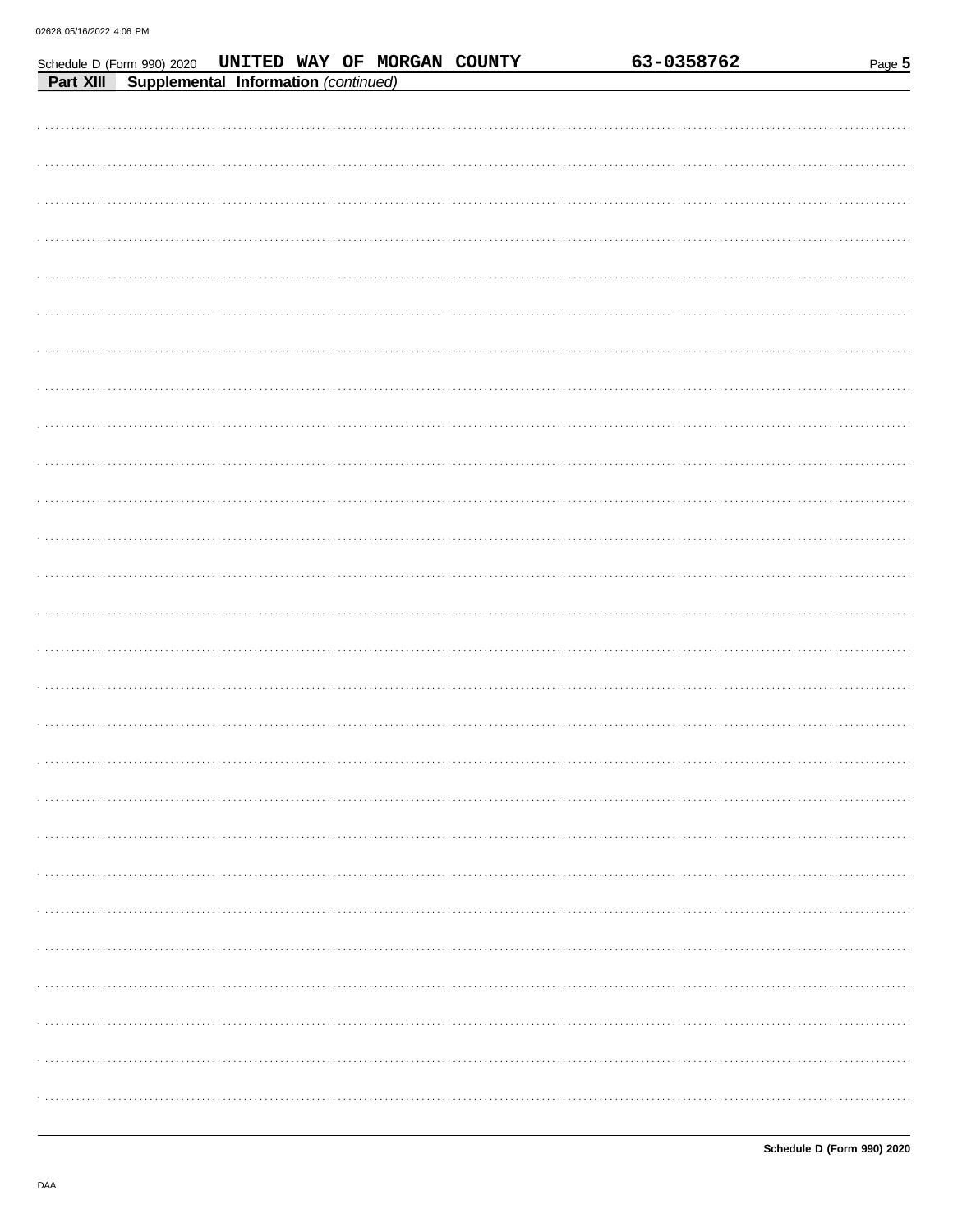| Schedule D (Form 990) 2020 UNITED WAY OF MORGAN COUNTY |  |  | 63-0358762 | Page 5 |
|--------------------------------------------------------|--|--|------------|--------|
| Part XIII Supplemental Information (continued)         |  |  |            |        |
|                                                        |  |  |            |        |
|                                                        |  |  |            |        |
|                                                        |  |  |            |        |
|                                                        |  |  |            |        |
|                                                        |  |  |            |        |
|                                                        |  |  |            |        |
|                                                        |  |  |            |        |
|                                                        |  |  |            |        |
|                                                        |  |  |            |        |
|                                                        |  |  |            |        |
|                                                        |  |  |            |        |
|                                                        |  |  |            |        |
|                                                        |  |  |            |        |
|                                                        |  |  |            |        |
|                                                        |  |  |            |        |
|                                                        |  |  |            |        |
|                                                        |  |  |            |        |
|                                                        |  |  |            |        |
|                                                        |  |  |            |        |
|                                                        |  |  |            |        |
|                                                        |  |  |            |        |
|                                                        |  |  |            |        |
|                                                        |  |  |            |        |
|                                                        |  |  |            |        |
|                                                        |  |  |            |        |
|                                                        |  |  |            |        |
|                                                        |  |  |            |        |
|                                                        |  |  |            |        |
|                                                        |  |  |            |        |
|                                                        |  |  |            |        |
|                                                        |  |  |            |        |
|                                                        |  |  |            |        |
|                                                        |  |  |            |        |
|                                                        |  |  |            |        |
|                                                        |  |  |            |        |
|                                                        |  |  |            |        |
|                                                        |  |  |            |        |
|                                                        |  |  |            |        |
|                                                        |  |  |            |        |
|                                                        |  |  |            |        |
|                                                        |  |  |            |        |
|                                                        |  |  |            |        |
|                                                        |  |  |            |        |
|                                                        |  |  |            |        |
|                                                        |  |  |            |        |
|                                                        |  |  |            |        |
|                                                        |  |  |            |        |
|                                                        |  |  |            |        |
|                                                        |  |  |            |        |

UNITED WAY OF MORGAN COUNTY

63-0358762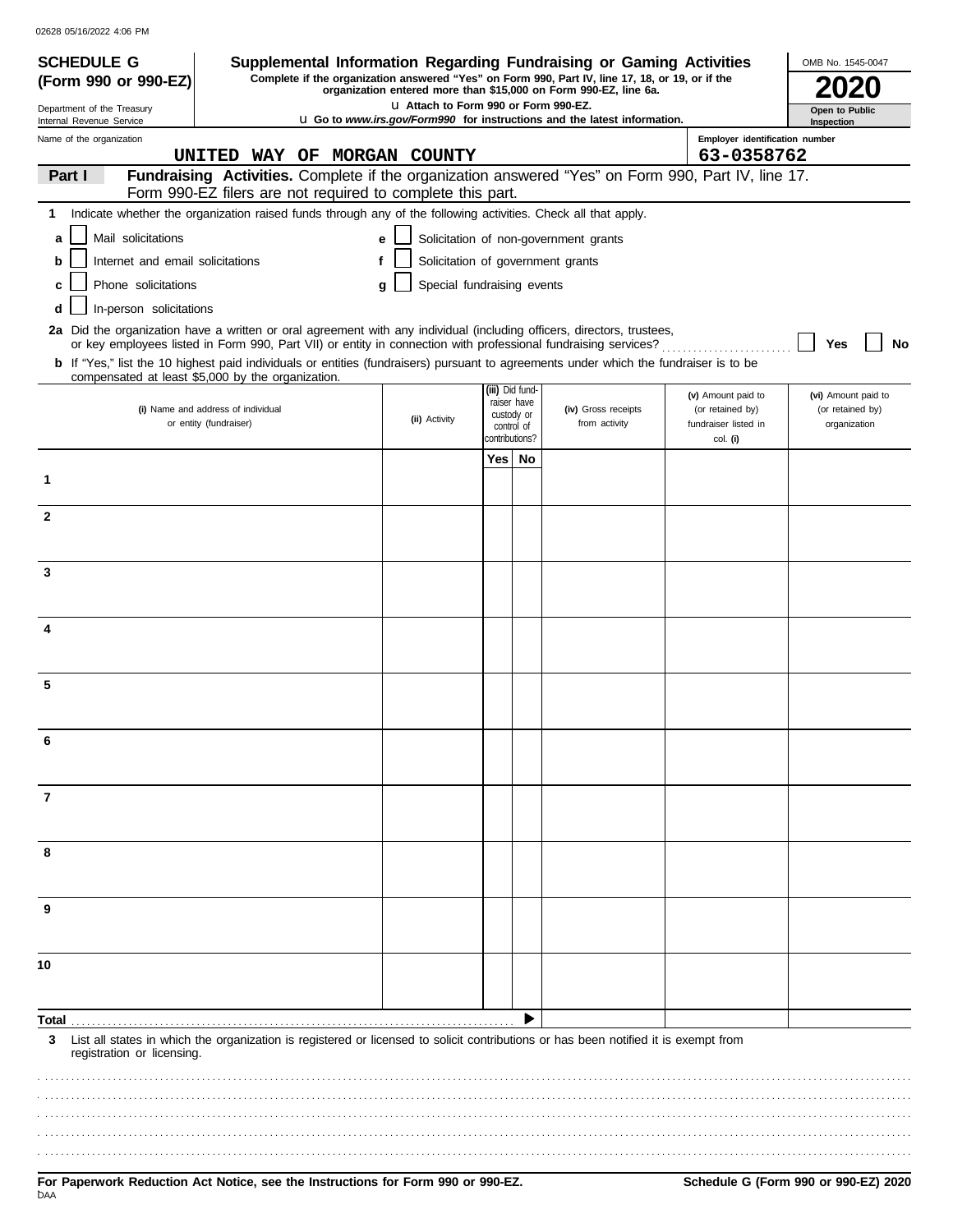02628 05/16/2022 4:06 PM

| UZUZU UJI I UIZUZZ 4.UU FINI<br><b>SCHEDULE G</b>      | Supplemental Information Regarding Fundraising or Gaming Activities                                                                                                                                                                                                                                          |   |                                       |                              |                           |                                                                                                                                                                     |                                  | OMB No. 1545-0047            |
|--------------------------------------------------------|--------------------------------------------------------------------------------------------------------------------------------------------------------------------------------------------------------------------------------------------------------------------------------------------------------------|---|---------------------------------------|------------------------------|---------------------------|---------------------------------------------------------------------------------------------------------------------------------------------------------------------|----------------------------------|------------------------------|
| (Form 990 or 990-EZ)                                   |                                                                                                                                                                                                                                                                                                              |   |                                       |                              |                           | Complete if the organization answered "Yes" on Form 990, Part IV, line 17, 18, or 19, or if the<br>organization entered more than \$15,000 on Form 990-EZ, line 6a. |                                  |                              |
| Department of the Treasury<br>Internal Revenue Service |                                                                                                                                                                                                                                                                                                              |   | LI Attach to Form 990 or Form 990-EZ. |                              |                           | <b>u</b> Go to www.irs.gov/Form990 for instructions and the latest information.                                                                                     |                                  | Open to Public<br>Inspection |
| Name of the organization                               |                                                                                                                                                                                                                                                                                                              |   |                                       |                              |                           |                                                                                                                                                                     | Employer identification number   |                              |
|                                                        | UNITED WAY OF MORGAN COUNTY                                                                                                                                                                                                                                                                                  |   |                                       |                              |                           |                                                                                                                                                                     | 63-0358762                       |                              |
| Part I                                                 | Fundraising Activities. Complete if the organization answered "Yes" on Form 990, Part IV, line 17.<br>Form 990-EZ filers are not required to complete this part.                                                                                                                                             |   |                                       |                              |                           |                                                                                                                                                                     |                                  |                              |
| 1                                                      | Indicate whether the organization raised funds through any of the following activities. Check all that apply.                                                                                                                                                                                                |   |                                       |                              |                           |                                                                                                                                                                     |                                  |                              |
| Mail solicitations<br>a                                |                                                                                                                                                                                                                                                                                                              | e |                                       |                              |                           | Solicitation of non-government grants                                                                                                                               |                                  |                              |
| Internet and email solicitations<br>b                  |                                                                                                                                                                                                                                                                                                              | f | Solicitation of government grants     |                              |                           |                                                                                                                                                                     |                                  |                              |
| Phone solicitations<br>c                               |                                                                                                                                                                                                                                                                                                              | g | Special fundraising events            |                              |                           |                                                                                                                                                                     |                                  |                              |
| In-person solicitations<br>d                           |                                                                                                                                                                                                                                                                                                              |   |                                       |                              |                           |                                                                                                                                                                     |                                  |                              |
|                                                        | 2a Did the organization have a written or oral agreement with any individual (including officers, directors, trustees,                                                                                                                                                                                       |   |                                       |                              |                           |                                                                                                                                                                     |                                  |                              |
|                                                        | or key employees listed in Form 990, Part VII) or entity in connection with professional fundraising services?<br>b If "Yes," list the 10 highest paid individuals or entities (fundraisers) pursuant to agreements under which the fundraiser is to be<br>compensated at least \$5,000 by the organization. |   |                                       |                              |                           |                                                                                                                                                                     |                                  | Yes<br>No                    |
|                                                        |                                                                                                                                                                                                                                                                                                              |   |                                       |                              | (iii) Did fund-           |                                                                                                                                                                     | (v) Amount paid to               | (vi) Amount paid to          |
|                                                        | (i) Name and address of individual                                                                                                                                                                                                                                                                           |   | (ii) Activity                         |                              | raiser have<br>custody or | (iv) Gross receipts                                                                                                                                                 | (or retained by)                 | (or retained by)             |
|                                                        | or entity (fundraiser)                                                                                                                                                                                                                                                                                       |   |                                       | control of<br>contributions? |                           | from activity                                                                                                                                                       | fundraiser listed in<br>col. (i) | organization                 |
|                                                        |                                                                                                                                                                                                                                                                                                              |   |                                       | Yes                          | No                        |                                                                                                                                                                     |                                  |                              |
| 1                                                      |                                                                                                                                                                                                                                                                                                              |   |                                       |                              |                           |                                                                                                                                                                     |                                  |                              |
|                                                        |                                                                                                                                                                                                                                                                                                              |   |                                       |                              |                           |                                                                                                                                                                     |                                  |                              |
| $\mathbf{2}$                                           |                                                                                                                                                                                                                                                                                                              |   |                                       |                              |                           |                                                                                                                                                                     |                                  |                              |
|                                                        |                                                                                                                                                                                                                                                                                                              |   |                                       |                              |                           |                                                                                                                                                                     |                                  |                              |
| 3                                                      |                                                                                                                                                                                                                                                                                                              |   |                                       |                              |                           |                                                                                                                                                                     |                                  |                              |
|                                                        |                                                                                                                                                                                                                                                                                                              |   |                                       |                              |                           |                                                                                                                                                                     |                                  |                              |
|                                                        |                                                                                                                                                                                                                                                                                                              |   |                                       |                              |                           |                                                                                                                                                                     |                                  |                              |
| 4                                                      |                                                                                                                                                                                                                                                                                                              |   |                                       |                              |                           |                                                                                                                                                                     |                                  |                              |
|                                                        |                                                                                                                                                                                                                                                                                                              |   |                                       |                              |                           |                                                                                                                                                                     |                                  |                              |
|                                                        |                                                                                                                                                                                                                                                                                                              |   |                                       |                              |                           |                                                                                                                                                                     |                                  |                              |
| 5                                                      |                                                                                                                                                                                                                                                                                                              |   |                                       |                              |                           |                                                                                                                                                                     |                                  |                              |
|                                                        |                                                                                                                                                                                                                                                                                                              |   |                                       |                              |                           |                                                                                                                                                                     |                                  |                              |
| 6                                                      |                                                                                                                                                                                                                                                                                                              |   |                                       |                              |                           |                                                                                                                                                                     |                                  |                              |
|                                                        |                                                                                                                                                                                                                                                                                                              |   |                                       |                              |                           |                                                                                                                                                                     |                                  |                              |
|                                                        |                                                                                                                                                                                                                                                                                                              |   |                                       |                              |                           |                                                                                                                                                                     |                                  |                              |
| 7                                                      |                                                                                                                                                                                                                                                                                                              |   |                                       |                              |                           |                                                                                                                                                                     |                                  |                              |
|                                                        |                                                                                                                                                                                                                                                                                                              |   |                                       |                              |                           |                                                                                                                                                                     |                                  |                              |
| 8                                                      |                                                                                                                                                                                                                                                                                                              |   |                                       |                              |                           |                                                                                                                                                                     |                                  |                              |
|                                                        |                                                                                                                                                                                                                                                                                                              |   |                                       |                              |                           |                                                                                                                                                                     |                                  |                              |
|                                                        |                                                                                                                                                                                                                                                                                                              |   |                                       |                              |                           |                                                                                                                                                                     |                                  |                              |
| 9                                                      |                                                                                                                                                                                                                                                                                                              |   |                                       |                              |                           |                                                                                                                                                                     |                                  |                              |
|                                                        |                                                                                                                                                                                                                                                                                                              |   |                                       |                              |                           |                                                                                                                                                                     |                                  |                              |
| 10                                                     |                                                                                                                                                                                                                                                                                                              |   |                                       |                              |                           |                                                                                                                                                                     |                                  |                              |
|                                                        |                                                                                                                                                                                                                                                                                                              |   |                                       |                              |                           |                                                                                                                                                                     |                                  |                              |
|                                                        |                                                                                                                                                                                                                                                                                                              |   |                                       |                              |                           |                                                                                                                                                                     |                                  |                              |
| Total                                                  |                                                                                                                                                                                                                                                                                                              |   |                                       |                              |                           |                                                                                                                                                                     |                                  |                              |
| 3<br>registration or licensing.                        | List all states in which the organization is registered or licensed to solicit contributions or has been notified it is exempt from                                                                                                                                                                          |   |                                       |                              |                           |                                                                                                                                                                     |                                  |                              |
|                                                        |                                                                                                                                                                                                                                                                                                              |   |                                       |                              |                           |                                                                                                                                                                     |                                  |                              |
|                                                        |                                                                                                                                                                                                                                                                                                              |   |                                       |                              |                           |                                                                                                                                                                     |                                  |                              |
|                                                        |                                                                                                                                                                                                                                                                                                              |   |                                       |                              |                           |                                                                                                                                                                     |                                  |                              |
|                                                        |                                                                                                                                                                                                                                                                                                              |   |                                       |                              |                           |                                                                                                                                                                     |                                  |                              |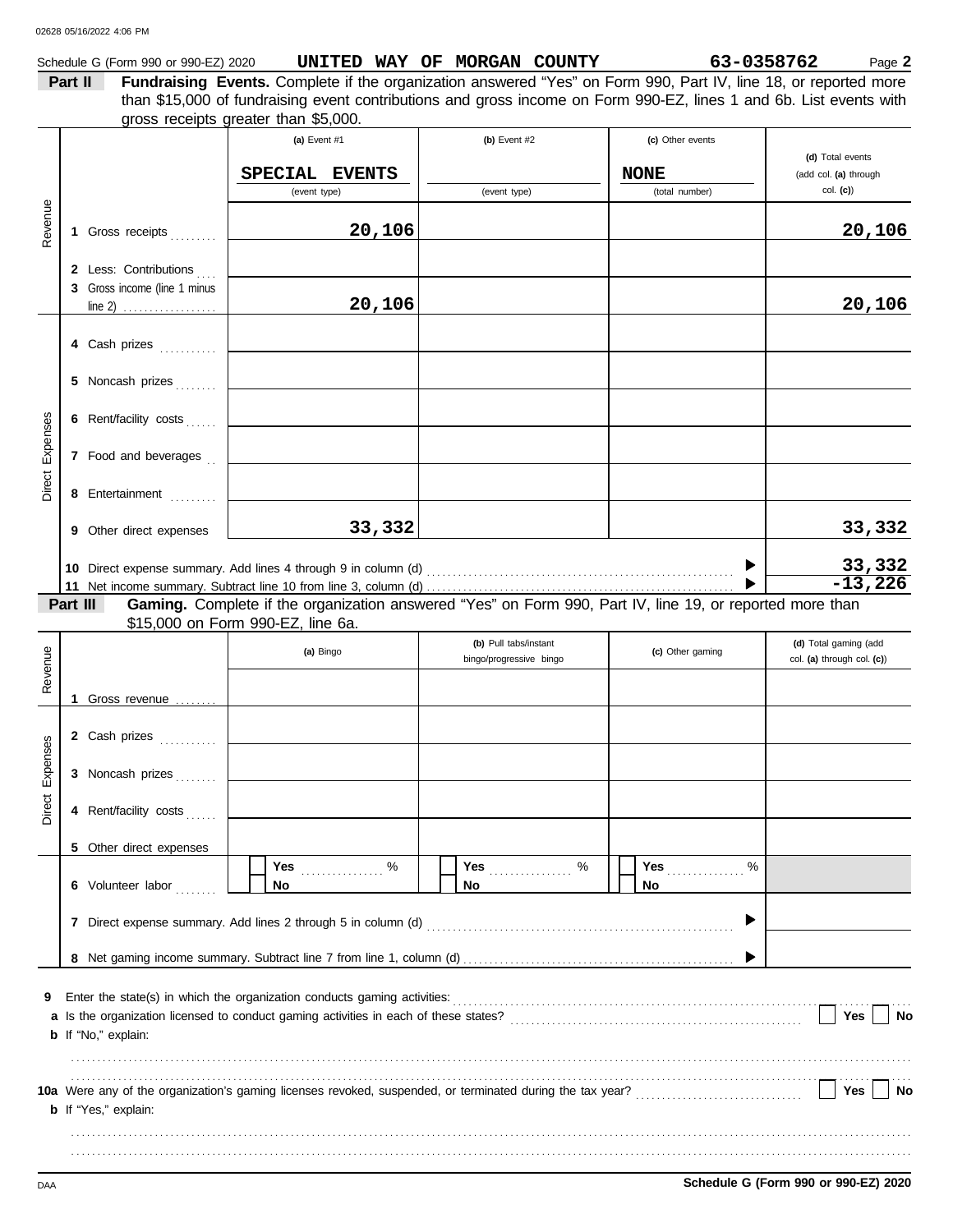|             |                              | gross receipts greater than \$5,000.                                                                                                                                                                                   |                         |                                 |                                           |
|-------------|------------------------------|------------------------------------------------------------------------------------------------------------------------------------------------------------------------------------------------------------------------|-------------------------|---------------------------------|-------------------------------------------|
|             |                              | (a) Event #1<br><b>SPECIAL</b><br><b>EVENTS</b>                                                                                                                                                                        | (b) Event $#2$          | (c) Other events<br><b>NONE</b> | (d) Total events<br>(add col. (a) through |
|             |                              | (event type)                                                                                                                                                                                                           | (event type)            | (total number)                  | col. (c)                                  |
| Revenue     |                              |                                                                                                                                                                                                                        |                         |                                 |                                           |
|             | Gross receipts<br>1          | 20,106                                                                                                                                                                                                                 |                         |                                 | 20,106                                    |
|             | 2 Less: Contributions        |                                                                                                                                                                                                                        |                         |                                 |                                           |
|             | 3 Gross income (line 1 minus |                                                                                                                                                                                                                        |                         |                                 |                                           |
|             |                              | 20,106                                                                                                                                                                                                                 |                         |                                 | 20,106                                    |
|             | 4 Cash prizes                |                                                                                                                                                                                                                        |                         |                                 |                                           |
|             |                              |                                                                                                                                                                                                                        |                         |                                 |                                           |
|             | 5 Noncash prizes             |                                                                                                                                                                                                                        |                         |                                 |                                           |
|             | 6 Rent/facility costs        |                                                                                                                                                                                                                        |                         |                                 |                                           |
| Expenses    |                              |                                                                                                                                                                                                                        |                         |                                 |                                           |
|             | 7 Food and beverages         |                                                                                                                                                                                                                        |                         |                                 |                                           |
| Direct      | 8 Entertainment              |                                                                                                                                                                                                                        |                         |                                 |                                           |
|             |                              |                                                                                                                                                                                                                        |                         |                                 |                                           |
|             | 9 Other direct expenses      | 33,332                                                                                                                                                                                                                 |                         |                                 | 33,332                                    |
|             |                              |                                                                                                                                                                                                                        |                         |                                 | 33,332                                    |
|             |                              |                                                                                                                                                                                                                        |                         |                                 | $-13,226$                                 |
|             | Part III                     | Gaming. Complete if the organization answered "Yes" on Form 990, Part IV, line 19, or reported more than<br>\$15,000 on Form 990-EZ, line 6a.                                                                          |                         |                                 |                                           |
|             |                              |                                                                                                                                                                                                                        | (b) Pull tabs/instant   |                                 | (d) Total gaming (add                     |
| Revenue     |                              | (a) Bingo                                                                                                                                                                                                              | bingo/progressive bingo | (c) Other gaming                | col. (a) through col. (c))                |
|             |                              |                                                                                                                                                                                                                        |                         |                                 |                                           |
|             | Gross revenue<br>1           |                                                                                                                                                                                                                        |                         |                                 |                                           |
|             |                              |                                                                                                                                                                                                                        |                         |                                 |                                           |
|             | 2 Cash prizes                |                                                                                                                                                                                                                        |                         |                                 |                                           |
|             |                              |                                                                                                                                                                                                                        |                         |                                 |                                           |
| penses<br>ú | 3 Noncash prizes             |                                                                                                                                                                                                                        |                         |                                 |                                           |
|             | 4 Rent/facility costs        |                                                                                                                                                                                                                        |                         |                                 |                                           |
| Direct      |                              |                                                                                                                                                                                                                        |                         |                                 |                                           |
|             | 5 Other direct expenses      |                                                                                                                                                                                                                        |                         |                                 |                                           |
|             | 6 Volunteer labor            | $\%$<br>Yes<br>No                                                                                                                                                                                                      | $\%$<br>Yes<br>No       | Yes<br>%<br>No                  |                                           |
|             |                              |                                                                                                                                                                                                                        |                         |                                 |                                           |
|             |                              |                                                                                                                                                                                                                        |                         | ▶                               |                                           |
|             |                              |                                                                                                                                                                                                                        |                         |                                 |                                           |
|             |                              |                                                                                                                                                                                                                        |                         |                                 |                                           |
| 9           |                              | Enter the state(s) in which the organization conducts gaming activities:                                                                                                                                               |                         |                                 |                                           |
|             | <b>b</b> If "No," explain:   |                                                                                                                                                                                                                        |                         |                                 | Yes<br>No                                 |
|             |                              |                                                                                                                                                                                                                        |                         |                                 |                                           |
|             |                              |                                                                                                                                                                                                                        |                         |                                 |                                           |
|             | <b>b</b> If "Yes," explain:  | 10a Were any of the organization's gaming licenses revoked, suspended, or terminated during the tax year?<br>10a Were any of the organization's gaming licenses revoked, suspended, or terminated during the tax year? |                         |                                 | Yes $ $<br>No                             |
|             |                              |                                                                                                                                                                                                                        |                         |                                 |                                           |
|             |                              |                                                                                                                                                                                                                        |                         |                                 |                                           |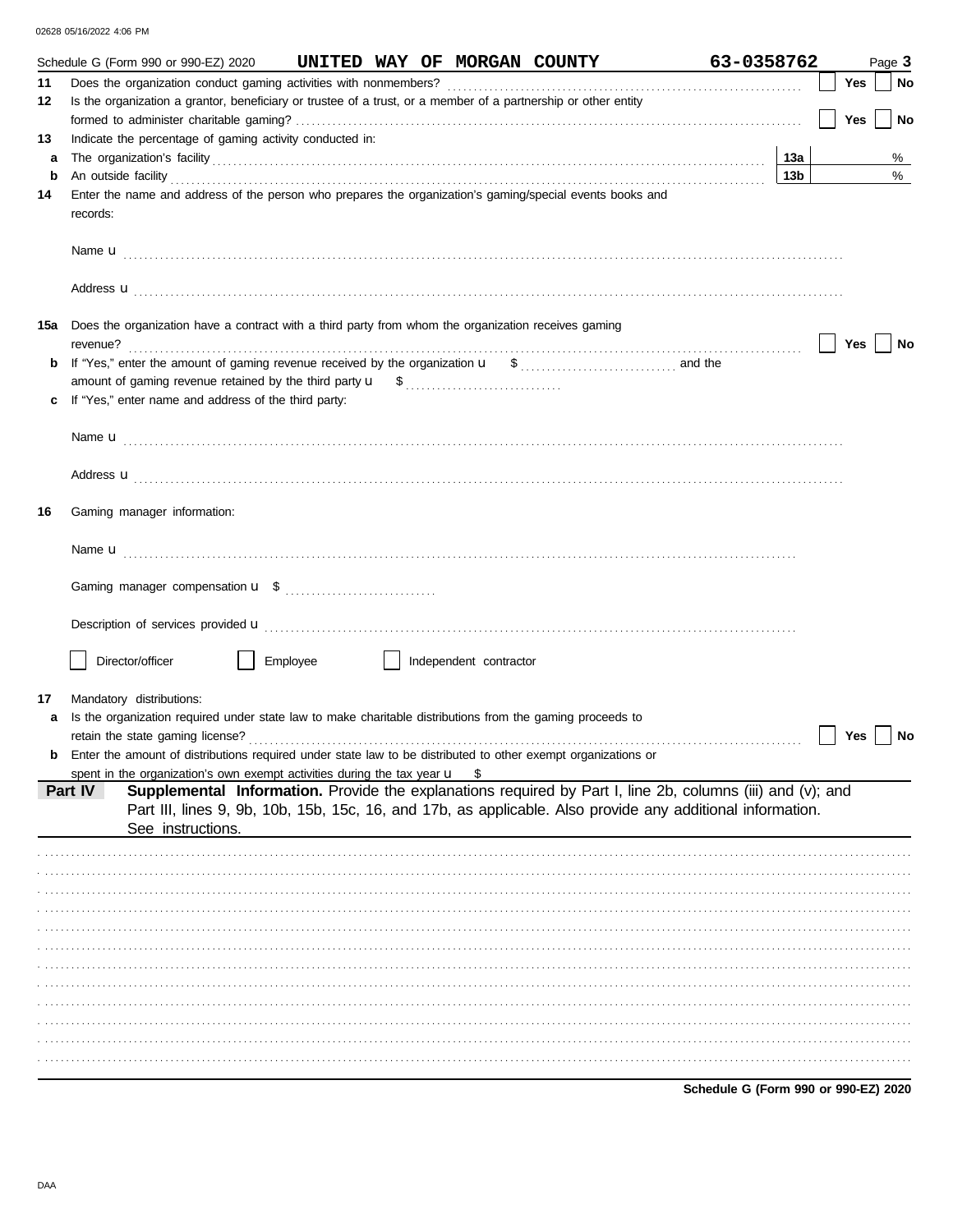02628 05/16/2022 4:06 PM

|         | Schedule G (Form 990 or 990-EZ) 2020<br>UNITED WAY OF MORGAN COUNTY                                                                                                                                                                                                                                                                              | 63-0358762                           |     | Page 3 |
|---------|--------------------------------------------------------------------------------------------------------------------------------------------------------------------------------------------------------------------------------------------------------------------------------------------------------------------------------------------------|--------------------------------------|-----|--------|
| 11      |                                                                                                                                                                                                                                                                                                                                                  |                                      | Yes | No     |
| 12      | Is the organization a grantor, beneficiary or trustee of a trust, or a member of a partnership or other entity                                                                                                                                                                                                                                   |                                      |     |        |
|         |                                                                                                                                                                                                                                                                                                                                                  |                                      | Yes | No     |
| 13      | Indicate the percentage of gaming activity conducted in:                                                                                                                                                                                                                                                                                         |                                      |     |        |
| a       |                                                                                                                                                                                                                                                                                                                                                  | 13a                                  |     | %      |
| b<br>14 | An outside facility <b>contained a set of the contract of the contract of the contract of the contract of the contract of the contract of the contract of the contract of the contract of the contract of the contract of the co</b><br>Enter the name and address of the person who prepares the organization's gaming/special events books and | 13b                                  |     | %      |
|         | records:                                                                                                                                                                                                                                                                                                                                         |                                      |     |        |
|         |                                                                                                                                                                                                                                                                                                                                                  |                                      |     |        |
|         | Address <b>u</b>                                                                                                                                                                                                                                                                                                                                 |                                      |     |        |
|         | 15a Does the organization have a contract with a third party from whom the organization receives gaming<br>revenue?                                                                                                                                                                                                                              |                                      | Yes | No     |
|         |                                                                                                                                                                                                                                                                                                                                                  |                                      |     |        |
|         |                                                                                                                                                                                                                                                                                                                                                  |                                      |     |        |
|         | If "Yes," enter name and address of the third party:                                                                                                                                                                                                                                                                                             |                                      |     |        |
|         |                                                                                                                                                                                                                                                                                                                                                  |                                      |     |        |
|         |                                                                                                                                                                                                                                                                                                                                                  |                                      |     |        |
|         |                                                                                                                                                                                                                                                                                                                                                  |                                      |     |        |
|         | Address <b>u</b>                                                                                                                                                                                                                                                                                                                                 |                                      |     |        |
| 16      | Gaming manager information:                                                                                                                                                                                                                                                                                                                      |                                      |     |        |
|         |                                                                                                                                                                                                                                                                                                                                                  |                                      |     |        |
|         |                                                                                                                                                                                                                                                                                                                                                  |                                      |     |        |
|         | Description of services provided <b>u</b> electron contract the contract of the contract of the contract of the contract of the contract of the contract of the contract of the contract of the contract of the contract of the con                                                                                                              |                                      |     |        |
|         | Director/officer<br>Employee<br>Independent contractor                                                                                                                                                                                                                                                                                           |                                      |     |        |
| 17      | Mandatory distributions:                                                                                                                                                                                                                                                                                                                         |                                      |     |        |
|         | Is the organization required under state law to make charitable distributions from the gaming proceeds to                                                                                                                                                                                                                                        |                                      |     |        |
|         | retain the state gaming license?                                                                                                                                                                                                                                                                                                                 |                                      | Yes | No     |
|         | <b>b</b> Enter the amount of distributions required under state law to be distributed to other exempt organizations or                                                                                                                                                                                                                           |                                      |     |        |
|         | spent in the organization's own exempt activities during the tax year $\mathbf u$                                                                                                                                                                                                                                                                |                                      |     |        |
|         | Supplemental Information. Provide the explanations required by Part I, line 2b, columns (iii) and (v); and<br>Part IV<br>Part III, lines 9, 9b, 10b, 15b, 15c, 16, and 17b, as applicable. Also provide any additional information.<br>See instructions.                                                                                         |                                      |     |        |
|         |                                                                                                                                                                                                                                                                                                                                                  |                                      |     |        |
|         |                                                                                                                                                                                                                                                                                                                                                  |                                      |     |        |
|         |                                                                                                                                                                                                                                                                                                                                                  |                                      |     |        |
|         |                                                                                                                                                                                                                                                                                                                                                  |                                      |     |        |
|         |                                                                                                                                                                                                                                                                                                                                                  |                                      |     |        |
|         |                                                                                                                                                                                                                                                                                                                                                  |                                      |     |        |
|         |                                                                                                                                                                                                                                                                                                                                                  |                                      |     |        |
|         |                                                                                                                                                                                                                                                                                                                                                  |                                      |     |        |
|         |                                                                                                                                                                                                                                                                                                                                                  |                                      |     |        |
|         |                                                                                                                                                                                                                                                                                                                                                  |                                      |     |        |
|         |                                                                                                                                                                                                                                                                                                                                                  |                                      |     |        |
|         |                                                                                                                                                                                                                                                                                                                                                  | Cahadule C (Farm 000 as 000 EZ) 2020 |     |        |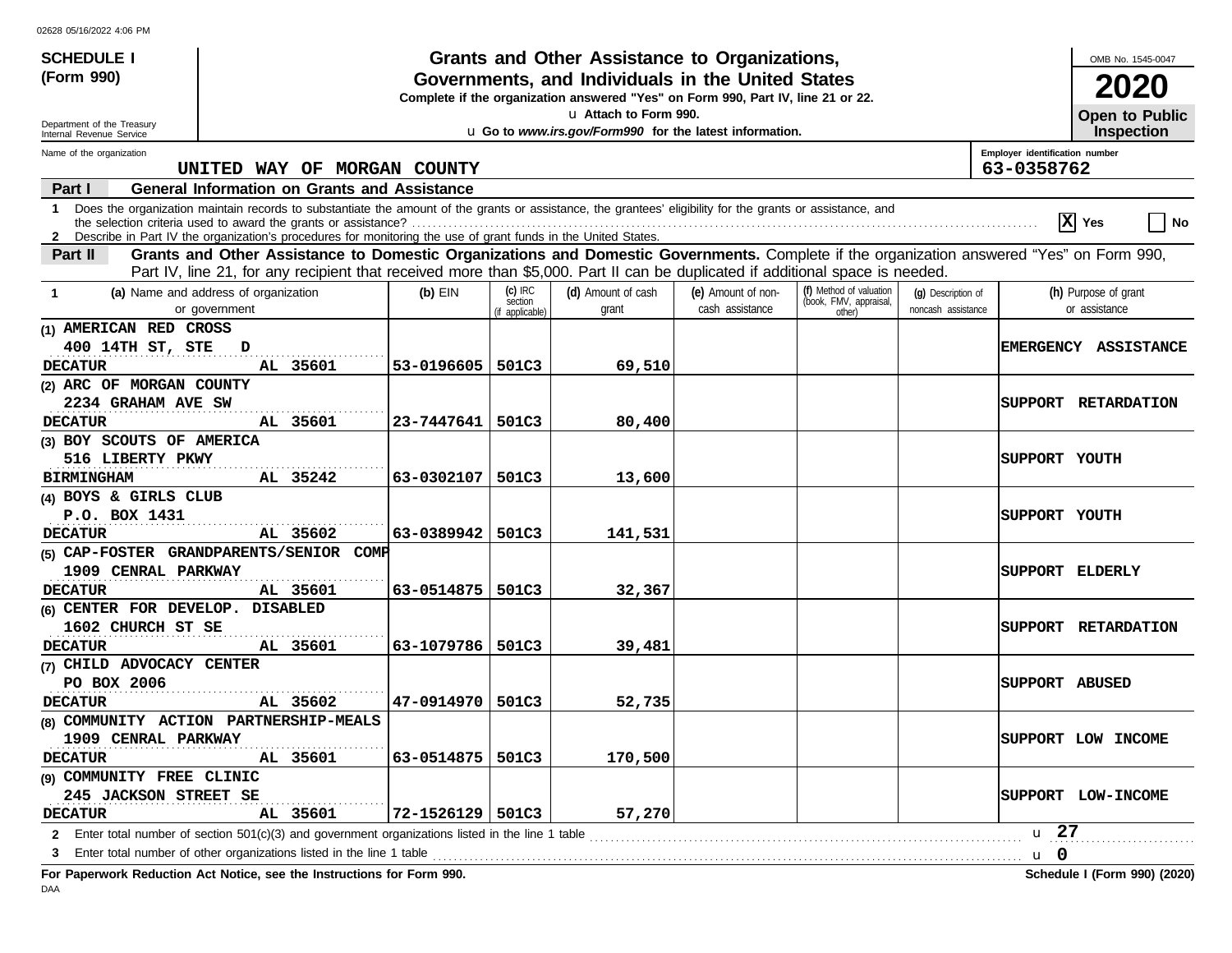| <b>SCHEDULE I</b>                                                                                                                                                                                                                                                               |                    |                                         | Grants and Other Assistance to Organizations,                                                                                         |                                       |                                                             |                                          |                                | OMB No. 1545-0047                     |  |  |
|---------------------------------------------------------------------------------------------------------------------------------------------------------------------------------------------------------------------------------------------------------------------------------|--------------------|-----------------------------------------|---------------------------------------------------------------------------------------------------------------------------------------|---------------------------------------|-------------------------------------------------------------|------------------------------------------|--------------------------------|---------------------------------------|--|--|
| (Form 990)                                                                                                                                                                                                                                                                      |                    |                                         | Governments, and Individuals in the United States<br>Complete if the organization answered "Yes" on Form 990, Part IV, line 21 or 22. |                                       |                                                             |                                          |                                |                                       |  |  |
| Department of the Treasury                                                                                                                                                                                                                                                      |                    |                                         | u Attach to Form 990.                                                                                                                 |                                       |                                                             |                                          |                                | <b>Open to Public</b>                 |  |  |
| Internal Revenue Service                                                                                                                                                                                                                                                        |                    |                                         | u Go to www.irs.gov/Form990 for the latest information.                                                                               |                                       |                                                             |                                          |                                | <b>Inspection</b>                     |  |  |
| Name of the organization                                                                                                                                                                                                                                                        |                    |                                         |                                                                                                                                       |                                       |                                                             |                                          | Employer identification number |                                       |  |  |
| UNITED WAY OF MORGAN COUNTY                                                                                                                                                                                                                                                     |                    |                                         |                                                                                                                                       |                                       |                                                             |                                          | 63-0358762                     |                                       |  |  |
| Part I<br><b>General Information on Grants and Assistance</b>                                                                                                                                                                                                                   |                    |                                         |                                                                                                                                       |                                       |                                                             |                                          |                                |                                       |  |  |
| 1 Does the organization maintain records to substantiate the amount of the grants or assistance, the grantees' eligibility for the grants or assistance, and<br>2 Describe in Part IV the organization's procedures for monitoring the use of grant funds in the United States. |                    |                                         |                                                                                                                                       |                                       |                                                             |                                          | $ X $ Yes                      | No                                    |  |  |
| Grants and Other Assistance to Domestic Organizations and Domestic Governments. Complete if the organization answered "Yes" on Form 990,<br>Part II                                                                                                                             |                    |                                         |                                                                                                                                       |                                       |                                                             |                                          |                                |                                       |  |  |
| Part IV, line 21, for any recipient that received more than \$5,000. Part II can be duplicated if additional space is needed.                                                                                                                                                   |                    |                                         |                                                                                                                                       |                                       |                                                             |                                          |                                |                                       |  |  |
| (a) Name and address of organization<br>-1<br>or government                                                                                                                                                                                                                     | $(b)$ EIN          | $(c)$ IRC<br>section<br>(if applicable) | (d) Amount of cash<br>grant                                                                                                           | (e) Amount of non-<br>cash assistance | (f) Method of valuation<br>(book, FMV, appraisal,<br>other) | (q) Description of<br>noncash assistance |                                | (h) Purpose of grant<br>or assistance |  |  |
| (1) AMERICAN RED CROSS                                                                                                                                                                                                                                                          |                    |                                         |                                                                                                                                       |                                       |                                                             |                                          |                                |                                       |  |  |
| 400 14TH ST, STE<br>. D                                                                                                                                                                                                                                                         |                    |                                         |                                                                                                                                       |                                       |                                                             |                                          |                                | EMERGENCY ASSISTANCE                  |  |  |
| <b>DECATUR</b><br>AL 35601                                                                                                                                                                                                                                                      | 53-0196605         | 501C3                                   | 69,510                                                                                                                                |                                       |                                                             |                                          |                                |                                       |  |  |
| (2) ARC OF MORGAN COUNTY                                                                                                                                                                                                                                                        |                    |                                         |                                                                                                                                       |                                       |                                                             |                                          |                                |                                       |  |  |
| 2234 GRAHAM AVE SW                                                                                                                                                                                                                                                              |                    |                                         |                                                                                                                                       |                                       |                                                             |                                          | <b>SUPPORT RETARDATION</b>     |                                       |  |  |
| <b>DECATUR</b><br>AL 35601                                                                                                                                                                                                                                                      | 23-7447641         | 501C3                                   | 80,400                                                                                                                                |                                       |                                                             |                                          |                                |                                       |  |  |
| (3) BOY SCOUTS OF AMERICA                                                                                                                                                                                                                                                       |                    |                                         |                                                                                                                                       |                                       |                                                             |                                          |                                |                                       |  |  |
| 516 LIBERTY PKWY                                                                                                                                                                                                                                                                |                    |                                         |                                                                                                                                       |                                       |                                                             |                                          | <b>SUPPORT YOUTH</b>           |                                       |  |  |
| AL 35242<br><b>BIRMINGHAM</b>                                                                                                                                                                                                                                                   | 63-0302107         | 501C3                                   | 13,600                                                                                                                                |                                       |                                                             |                                          |                                |                                       |  |  |
| (4) BOYS & GIRLS CLUB                                                                                                                                                                                                                                                           |                    |                                         |                                                                                                                                       |                                       |                                                             |                                          |                                |                                       |  |  |
| P.O. BOX 1431                                                                                                                                                                                                                                                                   |                    |                                         |                                                                                                                                       |                                       |                                                             |                                          | <b>SUPPORT YOUTH</b>           |                                       |  |  |
| AL 35602<br><b>DECATUR</b>                                                                                                                                                                                                                                                      | 63-0389942   501C3 |                                         | 141,531                                                                                                                               |                                       |                                                             |                                          |                                |                                       |  |  |
| (5) CAP-FOSTER GRANDPARENTS/SENIOR COMP<br>1909 CENRAL PARKWAY                                                                                                                                                                                                                  |                    |                                         |                                                                                                                                       |                                       |                                                             |                                          | <b>SUPPORT ELDERLY</b>         |                                       |  |  |
| <b>DECATUR</b><br>AL 35601                                                                                                                                                                                                                                                      | 63-0514875         | 501C3                                   | 32,367                                                                                                                                |                                       |                                                             |                                          |                                |                                       |  |  |
| (6) CENTER FOR DEVELOP. DISABLED                                                                                                                                                                                                                                                |                    |                                         |                                                                                                                                       |                                       |                                                             |                                          |                                |                                       |  |  |
| 1602 CHURCH ST SE                                                                                                                                                                                                                                                               |                    |                                         |                                                                                                                                       |                                       |                                                             |                                          | <b>SUPPORT RETARDATION</b>     |                                       |  |  |
| AL 35601<br><b>DECATUR</b>                                                                                                                                                                                                                                                      | 63-1079786   501C3 |                                         | 39,481                                                                                                                                |                                       |                                                             |                                          |                                |                                       |  |  |
| (7) CHILD ADVOCACY CENTER                                                                                                                                                                                                                                                       |                    |                                         |                                                                                                                                       |                                       |                                                             |                                          |                                |                                       |  |  |
| PO BOX 2006                                                                                                                                                                                                                                                                     |                    |                                         |                                                                                                                                       |                                       |                                                             |                                          | <b>SUPPORT ABUSED</b>          |                                       |  |  |
| AL 35602<br><b>DECATUR</b>                                                                                                                                                                                                                                                      | 47-0914970         | 501C3                                   | 52,735                                                                                                                                |                                       |                                                             |                                          |                                |                                       |  |  |
| (8) COMMUNITY ACTION PARTNERSHIP-MEALS                                                                                                                                                                                                                                          |                    |                                         |                                                                                                                                       |                                       |                                                             |                                          |                                |                                       |  |  |
| 1909 CENRAL PARKWAY                                                                                                                                                                                                                                                             |                    |                                         |                                                                                                                                       |                                       |                                                             |                                          | SUPPORT LOW INCOME             |                                       |  |  |
| <b>DECATUR</b><br>AL 35601                                                                                                                                                                                                                                                      | 63-0514875         | 501C3                                   | 170,500                                                                                                                               |                                       |                                                             |                                          |                                |                                       |  |  |
| (9) COMMUNITY FREE CLINIC                                                                                                                                                                                                                                                       |                    |                                         |                                                                                                                                       |                                       |                                                             |                                          |                                |                                       |  |  |
| 245 JACKSON STREET SE                                                                                                                                                                                                                                                           |                    |                                         |                                                                                                                                       |                                       |                                                             |                                          | SUPPORT LOW-INCOME             |                                       |  |  |
| <b>DECATUR</b><br>AL 35601                                                                                                                                                                                                                                                      | 72-1526129   501C3 |                                         | 57,270                                                                                                                                |                                       |                                                             |                                          |                                |                                       |  |  |
|                                                                                                                                                                                                                                                                                 |                    |                                         |                                                                                                                                       |                                       |                                                             |                                          | u 27                           |                                       |  |  |
| 3 Enter total number of other organizations listed in the line 1 table <b>conserved</b> contained a conserved in the line 1 table                                                                                                                                               |                    |                                         |                                                                                                                                       |                                       |                                                             |                                          | u 0                            |                                       |  |  |

**For Paperwork Reduction Act Notice, see the Instructions for Form 990. Schedule I (Form 990) (2020)**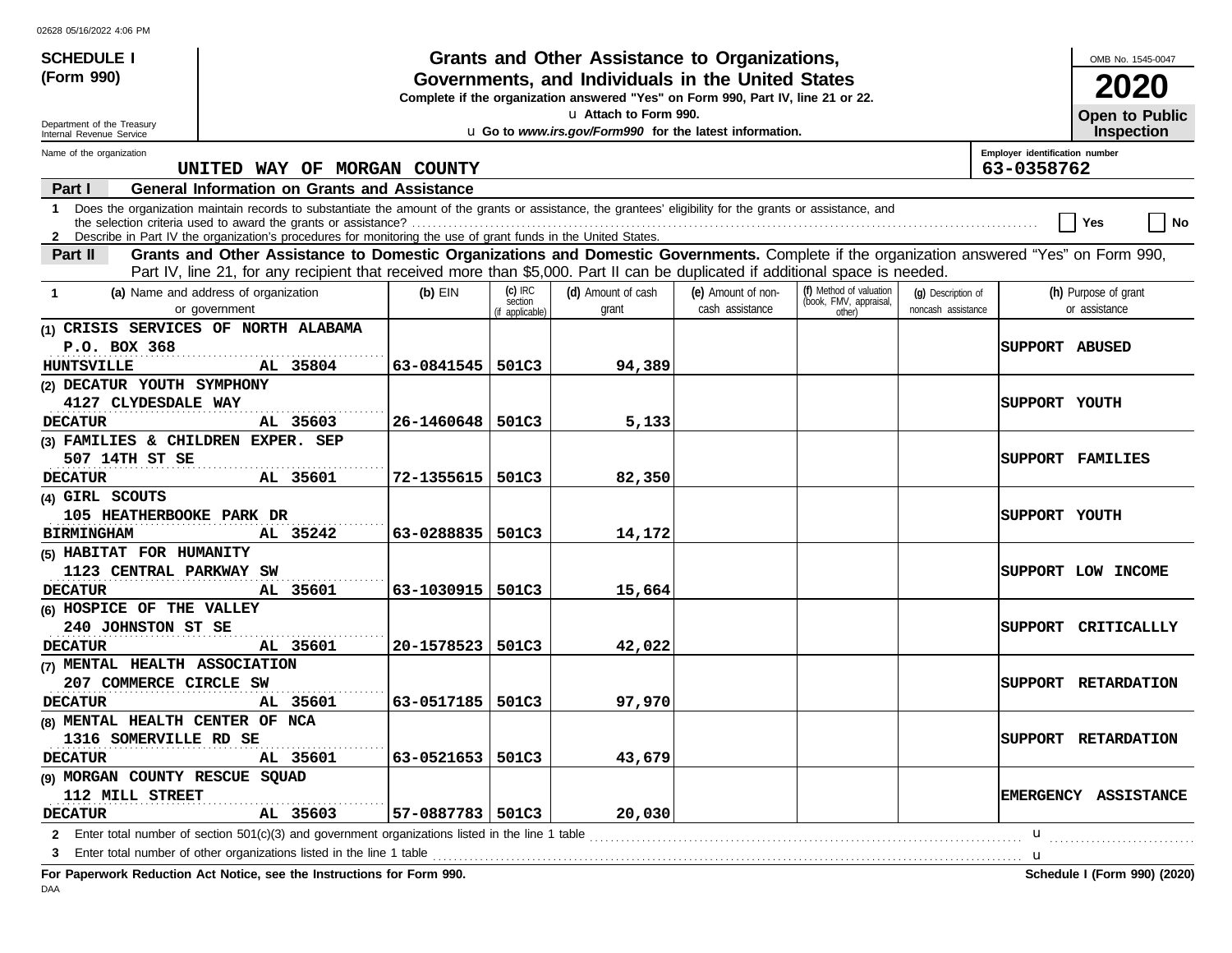| <b>SCHEDULE I</b>                                                                                                                                                                                                                                                               |                                                                                                                                          |                    |                                         | Grants and Other Assistance to Organizations,                                                             |                                       |                                                             |                                          |                                | OMB No. 1545-0047                     |
|---------------------------------------------------------------------------------------------------------------------------------------------------------------------------------------------------------------------------------------------------------------------------------|------------------------------------------------------------------------------------------------------------------------------------------|--------------------|-----------------------------------------|-----------------------------------------------------------------------------------------------------------|---------------------------------------|-------------------------------------------------------------|------------------------------------------|--------------------------------|---------------------------------------|
| (Form 990)                                                                                                                                                                                                                                                                      |                                                                                                                                          |                    |                                         | Governments, and Individuals in the United States                                                         |                                       |                                                             |                                          |                                |                                       |
|                                                                                                                                                                                                                                                                                 |                                                                                                                                          |                    |                                         | Complete if the organization answered "Yes" on Form 990, Part IV, line 21 or 22.<br>u Attach to Form 990. |                                       |                                                             |                                          |                                | <b>Open to Public</b>                 |
| Department of the Treasury<br>Internal Revenue Service                                                                                                                                                                                                                          |                                                                                                                                          |                    |                                         | u Go to www.irs.gov/Form990 for the latest information.                                                   |                                       |                                                             |                                          |                                | <b>Inspection</b>                     |
| Name of the organization                                                                                                                                                                                                                                                        |                                                                                                                                          |                    |                                         |                                                                                                           |                                       |                                                             |                                          | Employer identification number |                                       |
|                                                                                                                                                                                                                                                                                 | UNITED WAY OF MORGAN COUNTY                                                                                                              |                    |                                         |                                                                                                           |                                       |                                                             |                                          | 63-0358762                     |                                       |
| Part I                                                                                                                                                                                                                                                                          | General Information on Grants and Assistance                                                                                             |                    |                                         |                                                                                                           |                                       |                                                             |                                          |                                |                                       |
| 1 Does the organization maintain records to substantiate the amount of the grants or assistance, the grantees' eligibility for the grants or assistance, and<br>2 Describe in Part IV the organization's procedures for monitoring the use of grant funds in the United States. |                                                                                                                                          |                    |                                         |                                                                                                           |                                       |                                                             |                                          |                                | No<br>Yes                             |
| Part II                                                                                                                                                                                                                                                                         | Grants and Other Assistance to Domestic Organizations and Domestic Governments. Complete if the organization answered "Yes" on Form 990, |                    |                                         |                                                                                                           |                                       |                                                             |                                          |                                |                                       |
|                                                                                                                                                                                                                                                                                 | Part IV, line 21, for any recipient that received more than \$5,000. Part II can be duplicated if additional space is needed.            |                    |                                         |                                                                                                           |                                       |                                                             |                                          |                                |                                       |
| (a) Name and address of organization<br>$\mathbf 1$<br>or government                                                                                                                                                                                                            |                                                                                                                                          | $(b)$ EIN          | $(c)$ IRC<br>section<br>(if applicable) | (d) Amount of cash<br>grant                                                                               | (e) Amount of non-<br>cash assistance | (f) Method of valuation<br>(book, FMV, appraisal,<br>other) | (q) Description of<br>noncash assistance |                                | (h) Purpose of grant<br>or assistance |
| (1) CRISIS SERVICES OF NORTH ALABAMA                                                                                                                                                                                                                                            |                                                                                                                                          |                    |                                         |                                                                                                           |                                       |                                                             |                                          |                                |                                       |
| P.O. BOX 368                                                                                                                                                                                                                                                                    |                                                                                                                                          |                    |                                         |                                                                                                           |                                       |                                                             |                                          | SUPPORT ABUSED                 |                                       |
| <b>HUNTSVILLE</b>                                                                                                                                                                                                                                                               | AL 35804                                                                                                                                 | 63-0841545   501C3 |                                         | 94,389                                                                                                    |                                       |                                                             |                                          |                                |                                       |
| (2) DECATUR YOUTH SYMPHONY                                                                                                                                                                                                                                                      |                                                                                                                                          |                    |                                         |                                                                                                           |                                       |                                                             |                                          |                                |                                       |
| 4127 CLYDESDALE WAY                                                                                                                                                                                                                                                             |                                                                                                                                          |                    |                                         |                                                                                                           |                                       |                                                             |                                          | SUPPORT YOUTH                  |                                       |
| <b>DECATUR</b>                                                                                                                                                                                                                                                                  | AL 35603                                                                                                                                 | 26-1460648   501C3 |                                         | 5,133                                                                                                     |                                       |                                                             |                                          |                                |                                       |
| (3) FAMILIES & CHILDREN EXPER. SEP                                                                                                                                                                                                                                              |                                                                                                                                          |                    |                                         |                                                                                                           |                                       |                                                             |                                          |                                |                                       |
| 507 14TH ST SE                                                                                                                                                                                                                                                                  |                                                                                                                                          |                    |                                         |                                                                                                           |                                       |                                                             |                                          |                                | SUPPORT FAMILIES                      |
| <b>DECATUR</b>                                                                                                                                                                                                                                                                  | AL 35601                                                                                                                                 | 72-1355615         | 501C3                                   | 82,350                                                                                                    |                                       |                                                             |                                          |                                |                                       |
| (4) GIRL SCOUTS                                                                                                                                                                                                                                                                 |                                                                                                                                          |                    |                                         |                                                                                                           |                                       |                                                             |                                          |                                |                                       |
| 105 HEATHERBOOKE PARK DR                                                                                                                                                                                                                                                        |                                                                                                                                          |                    |                                         |                                                                                                           |                                       |                                                             |                                          | SUPPORT YOUTH                  |                                       |
| <b>BIRMINGHAM</b>                                                                                                                                                                                                                                                               | AL 35242                                                                                                                                 | 63-0288835   501C3 |                                         | 14,172                                                                                                    |                                       |                                                             |                                          |                                |                                       |
| (5) HABITAT FOR HUMANITY                                                                                                                                                                                                                                                        |                                                                                                                                          |                    |                                         |                                                                                                           |                                       |                                                             |                                          |                                |                                       |
| 1123 CENTRAL PARKWAY SW                                                                                                                                                                                                                                                         |                                                                                                                                          |                    |                                         |                                                                                                           |                                       |                                                             |                                          |                                | <b>SUPPORT LOW INCOME</b>             |
| <b>DECATUR</b>                                                                                                                                                                                                                                                                  | AL 35601                                                                                                                                 | 63-1030915         | 501C3                                   | 15,664                                                                                                    |                                       |                                                             |                                          |                                |                                       |
| (6) HOSPICE OF THE VALLEY                                                                                                                                                                                                                                                       |                                                                                                                                          |                    |                                         |                                                                                                           |                                       |                                                             |                                          |                                |                                       |
| 240 JOHNSTON ST SE                                                                                                                                                                                                                                                              |                                                                                                                                          |                    |                                         |                                                                                                           |                                       |                                                             |                                          |                                | SUPPORT CRITICALLLY                   |
| <b>DECATUR</b>                                                                                                                                                                                                                                                                  | AL 35601                                                                                                                                 | 20-1578523         | 501C3                                   | 42,022                                                                                                    |                                       |                                                             |                                          |                                |                                       |
| (7) MENTAL HEALTH ASSOCIATION                                                                                                                                                                                                                                                   |                                                                                                                                          |                    |                                         |                                                                                                           |                                       |                                                             |                                          |                                |                                       |
| 207 COMMERCE CIRCLE SW                                                                                                                                                                                                                                                          |                                                                                                                                          |                    |                                         |                                                                                                           |                                       |                                                             |                                          |                                | SUPPORT RETARDATION                   |
| <b>DECATUR</b>                                                                                                                                                                                                                                                                  | AL 35601                                                                                                                                 | 63-0517185   501C3 |                                         | 97,970                                                                                                    |                                       |                                                             |                                          |                                |                                       |
| (8) MENTAL HEALTH CENTER OF NCA                                                                                                                                                                                                                                                 |                                                                                                                                          |                    |                                         |                                                                                                           |                                       |                                                             |                                          |                                |                                       |
| 1316 SOMERVILLE RD SE                                                                                                                                                                                                                                                           |                                                                                                                                          |                    |                                         |                                                                                                           |                                       |                                                             |                                          |                                | SUPPORT RETARDATION                   |
| <b>DECATUR</b>                                                                                                                                                                                                                                                                  | AL 35601                                                                                                                                 | 63-0521653   501C3 |                                         | 43,679                                                                                                    |                                       |                                                             |                                          |                                |                                       |
| (9) MORGAN COUNTY RESCUE SQUAD                                                                                                                                                                                                                                                  |                                                                                                                                          |                    |                                         |                                                                                                           |                                       |                                                             |                                          |                                |                                       |
| 112 MILL STREET                                                                                                                                                                                                                                                                 |                                                                                                                                          |                    |                                         |                                                                                                           |                                       |                                                             |                                          |                                | <b>EMERGENCY ASSISTANCE</b>           |
| <b>DECATUR</b>                                                                                                                                                                                                                                                                  | AL 35603                                                                                                                                 | 57-0887783   501C3 |                                         | 20,030                                                                                                    |                                       |                                                             |                                          |                                |                                       |
|                                                                                                                                                                                                                                                                                 |                                                                                                                                          |                    |                                         |                                                                                                           |                                       |                                                             |                                          | u                              |                                       |
|                                                                                                                                                                                                                                                                                 |                                                                                                                                          |                    |                                         |                                                                                                           |                                       |                                                             |                                          |                                |                                       |

**For Paperwork Reduction Act Notice, see the Instructions for Form 990. Schedule I (Form 990) (2020)**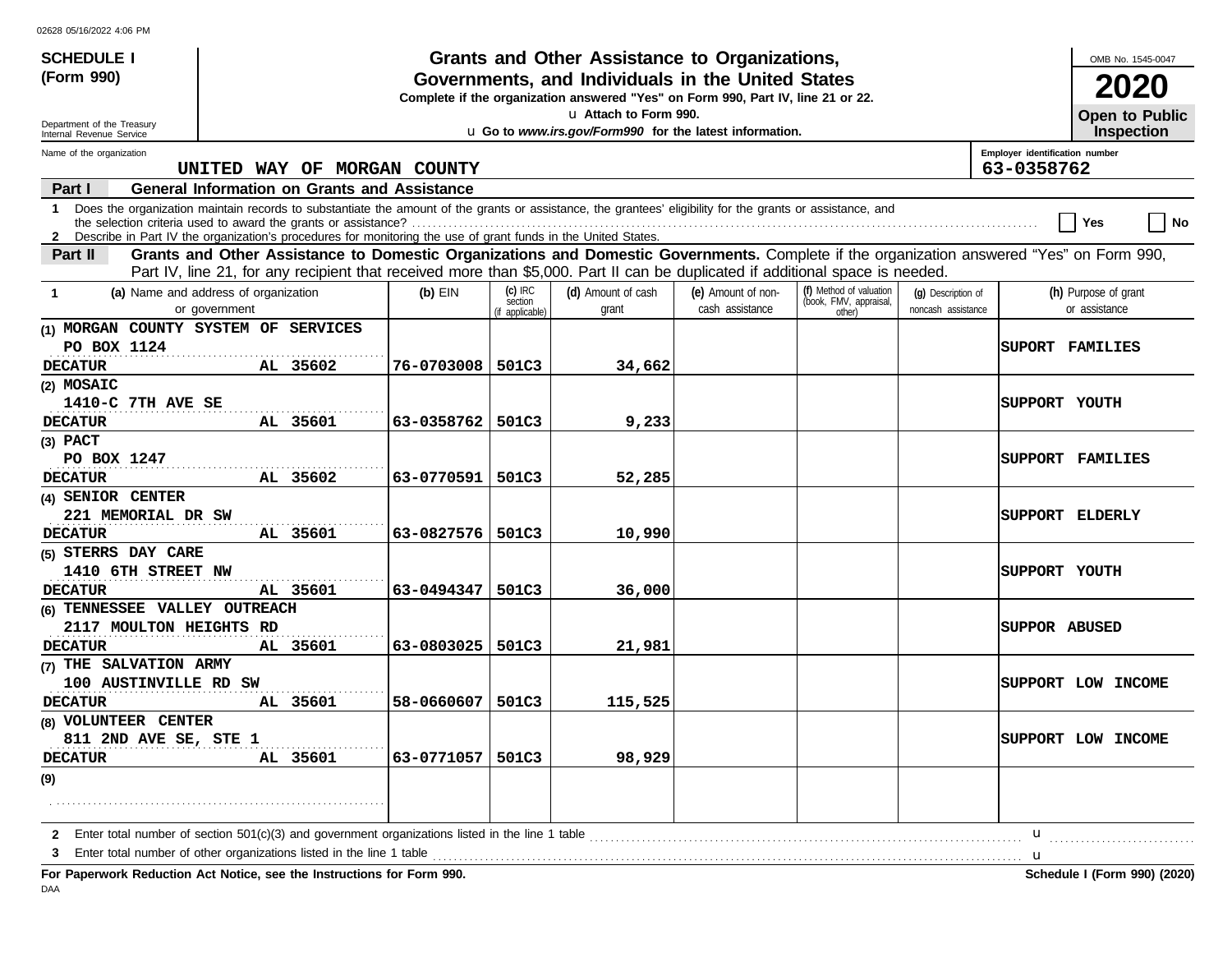| <b>SCHEDULE I</b>                                                                                                                                                                                                                                                                  |            |                                       | Grants and Other Assistance to Organizations,                                                                                         |                                       |                                                             |                                          |                                | OMB No. 1545-0047                     |
|------------------------------------------------------------------------------------------------------------------------------------------------------------------------------------------------------------------------------------------------------------------------------------|------------|---------------------------------------|---------------------------------------------------------------------------------------------------------------------------------------|---------------------------------------|-------------------------------------------------------------|------------------------------------------|--------------------------------|---------------------------------------|
| (Form 990)                                                                                                                                                                                                                                                                         |            |                                       | Governments, and Individuals in the United States<br>Complete if the organization answered "Yes" on Form 990, Part IV, line 21 or 22. |                                       |                                                             |                                          |                                | 2020                                  |
| Department of the Treasury                                                                                                                                                                                                                                                         |            |                                       | u Attach to Form 990.                                                                                                                 |                                       |                                                             |                                          |                                | <b>Open to Public</b>                 |
| Internal Revenue Service<br>Name of the organization                                                                                                                                                                                                                               |            |                                       | u Go to www.irs.gov/Form990 for the latest information.                                                                               |                                       |                                                             |                                          | Employer identification number | <b>Inspection</b>                     |
| WAY OF MORGAN COUNTY<br>UNITED                                                                                                                                                                                                                                                     |            |                                       |                                                                                                                                       |                                       |                                                             |                                          | 63-0358762                     |                                       |
| Part I<br><b>General Information on Grants and Assistance</b>                                                                                                                                                                                                                      |            |                                       |                                                                                                                                       |                                       |                                                             |                                          |                                |                                       |
| Does the organization maintain records to substantiate the amount of the grants or assistance, the grantees' eligibility for the grants or assistance, and<br>1<br>2 Describe in Part IV the organization's procedures for monitoring the use of grant funds in the United States. |            |                                       |                                                                                                                                       |                                       |                                                             |                                          |                                | Yes<br>  No                           |
| Grants and Other Assistance to Domestic Organizations and Domestic Governments. Complete if the organization answered "Yes" on Form 990,<br>Part II                                                                                                                                |            |                                       |                                                                                                                                       |                                       |                                                             |                                          |                                |                                       |
| Part IV, line 21, for any recipient that received more than \$5,000. Part II can be duplicated if additional space is needed.                                                                                                                                                      |            |                                       |                                                                                                                                       |                                       |                                                             |                                          |                                |                                       |
| (a) Name and address of organization<br>$\mathbf 1$<br>or government                                                                                                                                                                                                               | $(b)$ EIN  | (c) IRC<br>section<br>(if applicable) | (d) Amount of cash<br>grant                                                                                                           | (e) Amount of non-<br>cash assistance | (f) Method of valuation<br>(book, FMV, appraisal,<br>other) | (q) Description of<br>noncash assistance |                                | (h) Purpose of grant<br>or assistance |
| (1) MORGAN COUNTY SYSTEM OF SERVICES<br>PO BOX 1124<br><b>DECATUR</b><br>AL 35602                                                                                                                                                                                                  | 76-0703008 | 501C3                                 | 34,662                                                                                                                                |                                       |                                                             |                                          |                                | SUPORT FAMILIES                       |
| (2) MOSAIC<br>1410-C 7TH AVE SE<br>AL 35601<br><b>DECATUR</b>                                                                                                                                                                                                                      | 63-0358762 | 501C3                                 | 9,233                                                                                                                                 |                                       |                                                             |                                          | SUPPORT YOUTH                  |                                       |
| $(3)$ PACT<br>PO BOX 1247<br><b>DECATUR</b><br>AL 35602                                                                                                                                                                                                                            | 63-0770591 | 501C3                                 | 52,285                                                                                                                                |                                       |                                                             |                                          |                                | SUPPORT FAMILIES                      |
| (4) SENIOR CENTER<br>221 MEMORIAL DR SW<br><b>DECATUR</b><br>AL 35601                                                                                                                                                                                                              | 63-0827576 | 501C3                                 | 10,990                                                                                                                                |                                       |                                                             |                                          |                                | <b>SUPPORT ELDERLY</b>                |
| (5) STERRS DAY CARE<br><b>1410 GTH STREET NW</b><br><b>DECATUR</b><br>AL 35601                                                                                                                                                                                                     | 63-0494347 | 501C3                                 | 36,000                                                                                                                                |                                       |                                                             |                                          | SUPPORT YOUTH                  |                                       |
| (6) TENNESSEE VALLEY OUTREACH<br>2117 MOULTON HEIGHTS RD<br>AL 35601<br><b>DECATUR</b>                                                                                                                                                                                             | 63-0803025 | 501C3                                 | 21,981                                                                                                                                |                                       |                                                             |                                          | <b>SUPPOR ABUSED</b>           |                                       |
| (7) THE SALVATION ARMY<br>100 AUSTINVILLE RD SW<br>AL 35601<br><b>DECATUR</b>                                                                                                                                                                                                      | 58-0660607 | 501C3                                 | 115,525                                                                                                                               |                                       |                                                             |                                          |                                | SUPPORT LOW INCOME                    |
| (8) VOLUNTEER CENTER<br>811 2ND AVE SE, STE 1<br>AL 35601<br><b>DECATUR</b>                                                                                                                                                                                                        | 63-0771057 | 501C3                                 | 98,929                                                                                                                                |                                       |                                                             |                                          |                                | SUPPORT LOW INCOME                    |
| (9)                                                                                                                                                                                                                                                                                |            |                                       |                                                                                                                                       |                                       |                                                             |                                          |                                |                                       |
| 2 Enter total number of section 501(c)(3) and government organizations listed in the line 1 table<br>Enter total number of other organizations listed in the line 1 table<br>3                                                                                                     |            | .                                     |                                                                                                                                       |                                       |                                                             |                                          | u<br>$\mathbf u$               |                                       |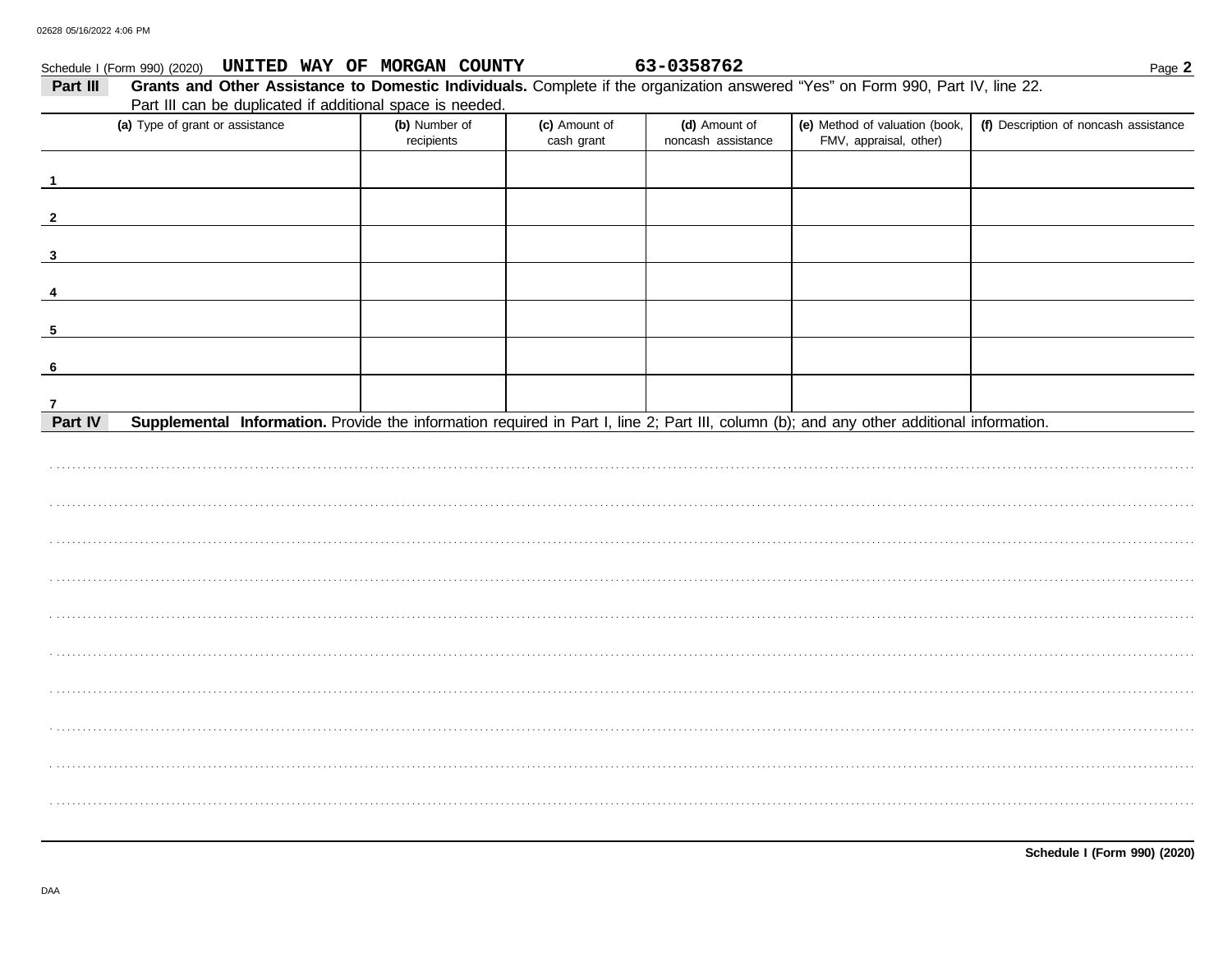| Schedule I (Form 990) (2020) UNITED WAY OF MORGAN COUNTY                                                                                             |                             |                             | 63-0358762                          |                                                          | Page 2                                |
|------------------------------------------------------------------------------------------------------------------------------------------------------|-----------------------------|-----------------------------|-------------------------------------|----------------------------------------------------------|---------------------------------------|
| Grants and Other Assistance to Domestic Individuals. Complete if the organization answered "Yes" on Form 990, Part IV, line 22.<br>Part III          |                             |                             |                                     |                                                          |                                       |
| Part III can be duplicated if additional space is needed.<br>(a) Type of grant or assistance                                                         | (b) Number of<br>recipients | (c) Amount of<br>cash grant | (d) Amount of<br>noncash assistance | (e) Method of valuation (book,<br>FMV, appraisal, other) | (f) Description of noncash assistance |
| $\mathbf{1}$                                                                                                                                         |                             |                             |                                     |                                                          |                                       |
| $\overline{2}$                                                                                                                                       |                             |                             |                                     |                                                          |                                       |
| 3                                                                                                                                                    |                             |                             |                                     |                                                          |                                       |
|                                                                                                                                                      |                             |                             |                                     |                                                          |                                       |
| 5                                                                                                                                                    |                             |                             |                                     |                                                          |                                       |
| 6                                                                                                                                                    |                             |                             |                                     |                                                          |                                       |
|                                                                                                                                                      |                             |                             |                                     |                                                          |                                       |
| Supplemental Information. Provide the information required in Part I, line 2; Part III, column (b); and any other additional information.<br>Part IV |                             |                             |                                     |                                                          |                                       |
|                                                                                                                                                      |                             |                             |                                     |                                                          |                                       |
|                                                                                                                                                      |                             |                             |                                     |                                                          |                                       |
|                                                                                                                                                      |                             |                             |                                     |                                                          |                                       |
|                                                                                                                                                      |                             |                             |                                     |                                                          |                                       |
|                                                                                                                                                      |                             |                             |                                     |                                                          |                                       |
|                                                                                                                                                      |                             |                             |                                     |                                                          |                                       |
|                                                                                                                                                      |                             |                             |                                     |                                                          |                                       |
|                                                                                                                                                      |                             |                             |                                     |                                                          |                                       |
|                                                                                                                                                      |                             |                             |                                     |                                                          |                                       |
|                                                                                                                                                      |                             |                             |                                     |                                                          |                                       |
|                                                                                                                                                      |                             |                             |                                     |                                                          |                                       |
|                                                                                                                                                      |                             |                             |                                     |                                                          |                                       |
|                                                                                                                                                      |                             |                             |                                     |                                                          |                                       |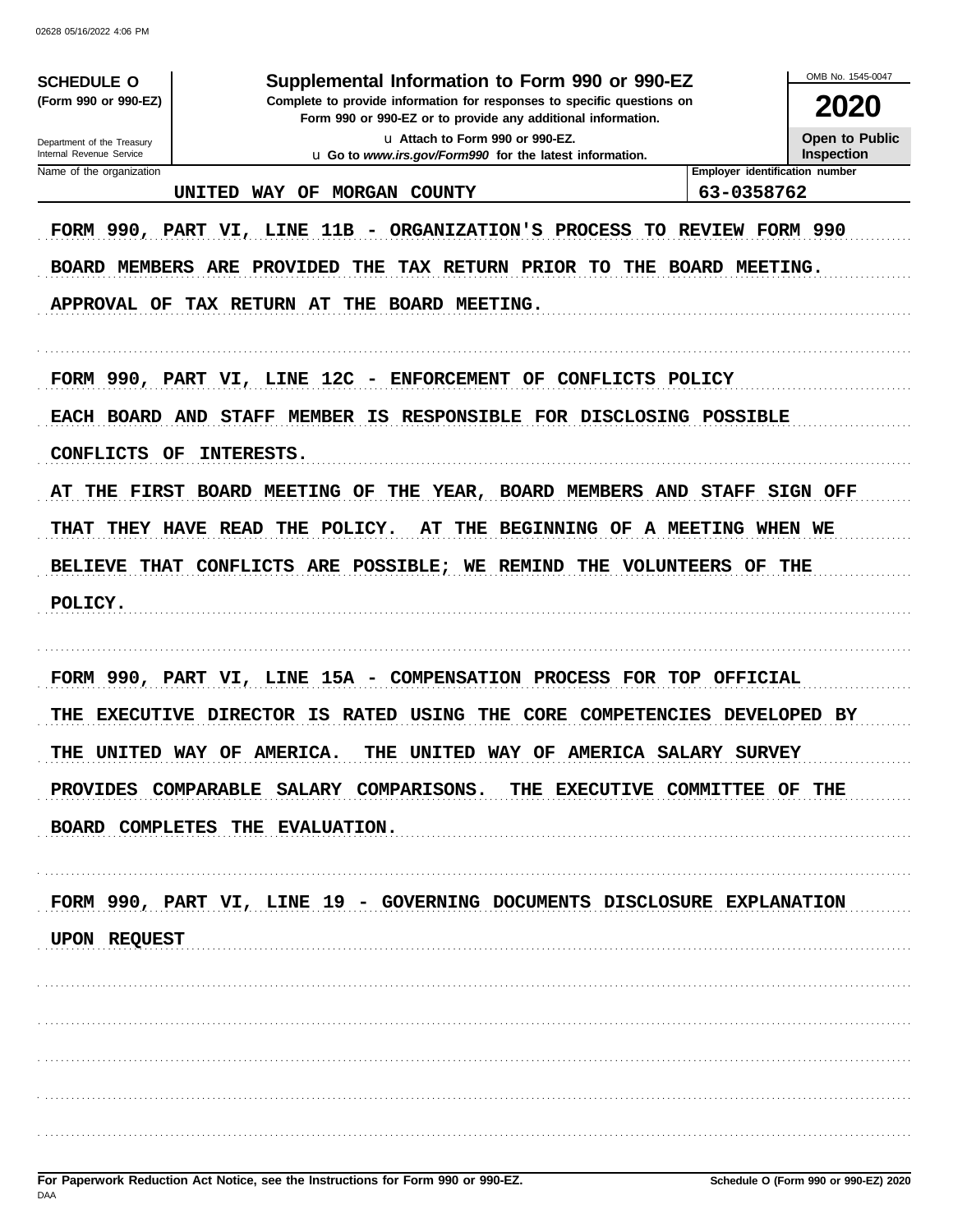02628 05/16/2022 4:06 PM

| <b>SCHEDULE O</b><br>(Form 990 or 990-EZ)<br>Department of the Treasury<br>Internal Revenue Service | Supplemental Information to Form 990 or 990-EZ<br>Complete to provide information for responses to specific questions on<br>Form 990 or 990-EZ or to provide any additional information.<br>La Attach to Form 990 or 990-EZ.<br>u Go to www.irs.gov/Form990 for the latest information. |                                              |  |  |  |
|-----------------------------------------------------------------------------------------------------|-----------------------------------------------------------------------------------------------------------------------------------------------------------------------------------------------------------------------------------------------------------------------------------------|----------------------------------------------|--|--|--|
| Name of the organization                                                                            | UNITED<br><b>WAY OF</b><br><b>MORGAN COUNTY</b>                                                                                                                                                                                                                                         | Employer identification number<br>63-0358762 |  |  |  |
|                                                                                                     | FORM 990, PART VI, LINE 11B - ORGANIZATION'S PROCESS TO REVIEW FORM 990<br>BOARD MEMBERS ARE PROVIDED THE TAX RETURN PRIOR TO THE BOARD MEETING.<br>APPROVAL OF TAX RETURN AT THE BOARD MEETING.                                                                                        |                                              |  |  |  |
|                                                                                                     | FORM 990, PART VI, LINE 12C - ENFORCEMENT OF CONFLICTS POLICY                                                                                                                                                                                                                           |                                              |  |  |  |
|                                                                                                     | EACH BOARD AND STAFF MEMBER IS RESPONSIBLE FOR DISCLOSING POSSIBLE                                                                                                                                                                                                                      |                                              |  |  |  |
| CONFLICTS OF                                                                                        | <b>INTERESTS.</b>                                                                                                                                                                                                                                                                       |                                              |  |  |  |
| AT                                                                                                  | THE FIRST BOARD MEETING OF THE YEAR, BOARD MEMBERS AND STAFF SIGN OFF                                                                                                                                                                                                                   |                                              |  |  |  |
|                                                                                                     | THAT THEY HAVE READ THE POLICY.<br>AТ<br>THE BEGINNING OF A MEETING WHEN WE                                                                                                                                                                                                             |                                              |  |  |  |
|                                                                                                     | BELIEVE THAT CONFLICTS ARE POSSIBLE; WE REMIND THE VOLUNTEERS OF THE                                                                                                                                                                                                                    |                                              |  |  |  |
| POLICY.                                                                                             |                                                                                                                                                                                                                                                                                         |                                              |  |  |  |
|                                                                                                     | FORM 990, PART VI, LINE 15A - COMPENSATION PROCESS FOR TOP OFFICIAL                                                                                                                                                                                                                     |                                              |  |  |  |
| THE                                                                                                 | EXECUTIVE DIRECTOR IS RATED USING THE CORE COMPETENCIES DEVELOPED BY                                                                                                                                                                                                                    |                                              |  |  |  |
|                                                                                                     | THE UNITED WAY OF AMERICA.<br>THE UNITED WAY OF AMERICA SALARY SURVEY                                                                                                                                                                                                                   |                                              |  |  |  |
|                                                                                                     | PROVIDES COMPARABLE SALARY COMPARISONS. THE EXECUTIVE COMMITTEE OF THE                                                                                                                                                                                                                  |                                              |  |  |  |
|                                                                                                     | BOARD COMPLETES THE EVALUATION.                                                                                                                                                                                                                                                         |                                              |  |  |  |
|                                                                                                     |                                                                                                                                                                                                                                                                                         |                                              |  |  |  |
|                                                                                                     | FORM 990, PART VI, LINE 19 - GOVERNING DOCUMENTS DISCLOSURE EXPLANATION                                                                                                                                                                                                                 |                                              |  |  |  |
| <b>UPON REQUEST</b>                                                                                 |                                                                                                                                                                                                                                                                                         |                                              |  |  |  |
|                                                                                                     |                                                                                                                                                                                                                                                                                         |                                              |  |  |  |
|                                                                                                     |                                                                                                                                                                                                                                                                                         |                                              |  |  |  |
|                                                                                                     |                                                                                                                                                                                                                                                                                         |                                              |  |  |  |
|                                                                                                     |                                                                                                                                                                                                                                                                                         |                                              |  |  |  |
|                                                                                                     |                                                                                                                                                                                                                                                                                         |                                              |  |  |  |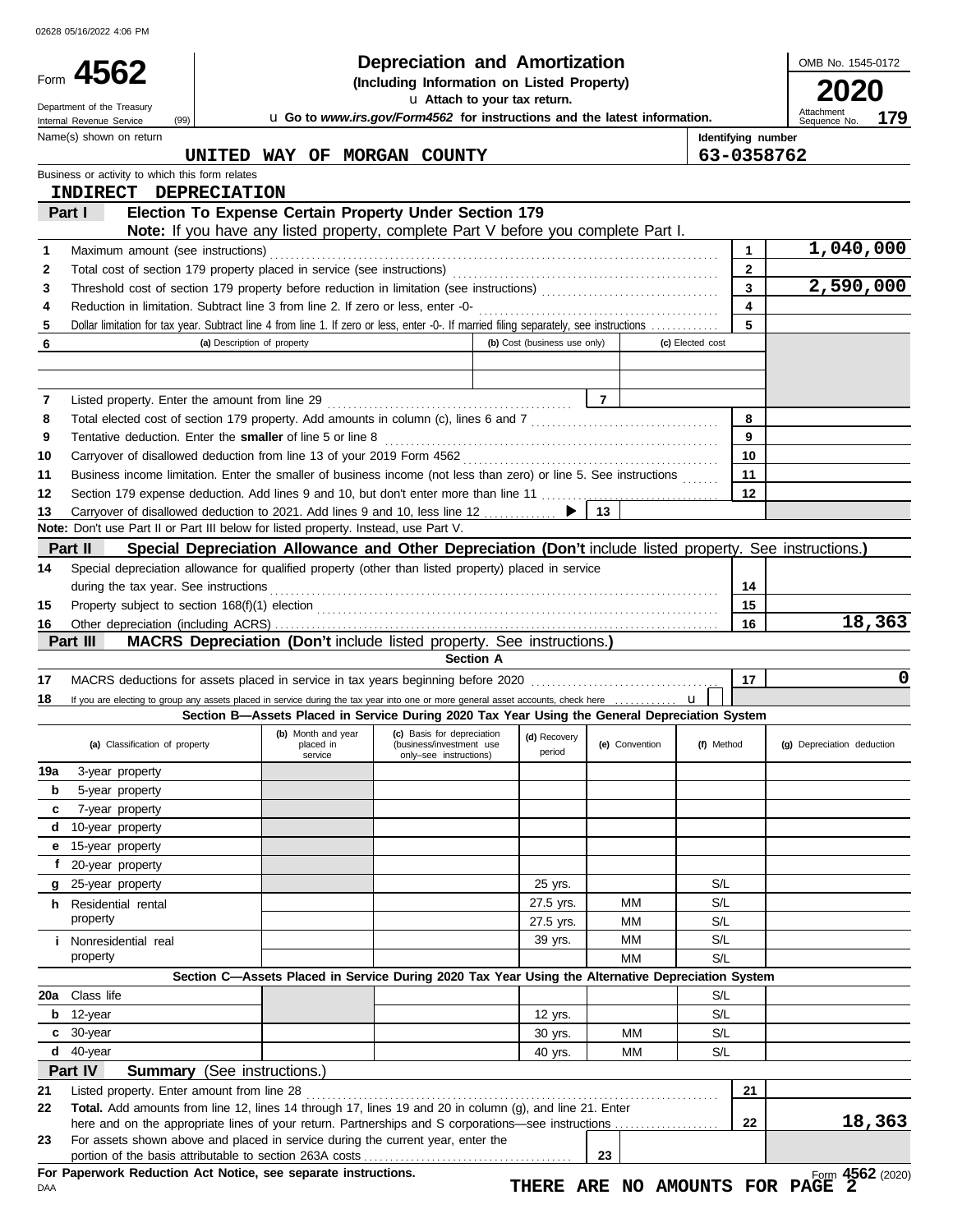|                       | Form 4562<br>Department of the Treasury<br>(99)<br>Internal Revenue Service                                                             | <b>Depreciation and Amortization</b><br>(Including Information on Listed Property)<br>u Go to www.irs.gov/Form4562 for instructions and the latest information. |                                                                                  | OMB No. 1545-0172<br>Attachmen<br>179<br>Sequence No. |                |                  |                    |                            |
|-----------------------|-----------------------------------------------------------------------------------------------------------------------------------------|-----------------------------------------------------------------------------------------------------------------------------------------------------------------|----------------------------------------------------------------------------------|-------------------------------------------------------|----------------|------------------|--------------------|----------------------------|
|                       | Name(s) shown on return                                                                                                                 |                                                                                                                                                                 |                                                                                  |                                                       |                |                  | Identifying number |                            |
|                       |                                                                                                                                         | UNITED WAY OF                                                                                                                                                   | <b>MORGAN COUNTY</b>                                                             |                                                       |                |                  | 63-0358762         |                            |
|                       | Business or activity to which this form relates                                                                                         |                                                                                                                                                                 |                                                                                  |                                                       |                |                  |                    |                            |
|                       | INDIRECT DEPRECIATION<br>Part I                                                                                                         | Election To Expense Certain Property Under Section 179                                                                                                          |                                                                                  |                                                       |                |                  |                    |                            |
|                       |                                                                                                                                         | Note: If you have any listed property, complete Part V before you complete Part I.                                                                              |                                                                                  |                                                       |                |                  |                    |                            |
| 1                     | Maximum amount (see instructions)                                                                                                       |                                                                                                                                                                 |                                                                                  |                                                       |                |                  | $\mathbf 1$        | 1,040,000                  |
| 2                     |                                                                                                                                         |                                                                                                                                                                 |                                                                                  |                                                       |                |                  |                    |                            |
| 3                     |                                                                                                                                         |                                                                                                                                                                 |                                                                                  |                                                       |                |                  | 3                  | 2,590,000                  |
| 4                     |                                                                                                                                         |                                                                                                                                                                 |                                                                                  |                                                       |                |                  | 4                  |                            |
| 5                     | Dollar limitation for tax year. Subtract line 4 from line 1. If zero or less, enter -0-. If married filing separately, see instructions |                                                                                                                                                                 |                                                                                  |                                                       |                |                  | 5                  |                            |
| 6                     |                                                                                                                                         | (a) Description of property                                                                                                                                     |                                                                                  | (b) Cost (business use only)                          |                | (c) Elected cost |                    |                            |
|                       |                                                                                                                                         |                                                                                                                                                                 |                                                                                  |                                                       |                |                  |                    |                            |
| 7                     |                                                                                                                                         |                                                                                                                                                                 |                                                                                  |                                                       | $\overline{7}$ |                  |                    |                            |
| 8                     |                                                                                                                                         |                                                                                                                                                                 |                                                                                  |                                                       |                |                  | 8                  |                            |
| 9                     | Tentative deduction. Enter the smaller of line 5 or line 8                                                                              |                                                                                                                                                                 |                                                                                  |                                                       |                |                  | 9                  |                            |
| 10                    |                                                                                                                                         |                                                                                                                                                                 |                                                                                  |                                                       |                |                  | 10                 |                            |
| 11                    | Business income limitation. Enter the smaller of business income (not less than zero) or line 5. See instructions                       |                                                                                                                                                                 |                                                                                  |                                                       |                |                  | 11                 |                            |
| 12                    |                                                                                                                                         |                                                                                                                                                                 |                                                                                  |                                                       |                |                  | 12                 |                            |
| 13                    | Carryover of disallowed deduction to 2021. Add lines 9 and 10, less line 12                                                             |                                                                                                                                                                 |                                                                                  |                                                       | 13             |                  |                    |                            |
|                       | Note: Don't use Part II or Part III below for listed property. Instead, use Part V.                                                     |                                                                                                                                                                 |                                                                                  |                                                       |                |                  |                    |                            |
|                       | Part II                                                                                                                                 | Special Depreciation Allowance and Other Depreciation (Don't include listed property. See instructions.)                                                        |                                                                                  |                                                       |                |                  |                    |                            |
| 14                    | Special depreciation allowance for qualified property (other than listed property) placed in service                                    |                                                                                                                                                                 |                                                                                  |                                                       |                |                  |                    |                            |
|                       | during the tax year. See instructions                                                                                                   |                                                                                                                                                                 |                                                                                  |                                                       |                |                  | 14                 |                            |
| 15                    |                                                                                                                                         |                                                                                                                                                                 |                                                                                  |                                                       |                |                  | 15                 |                            |
|                       |                                                                                                                                         |                                                                                                                                                                 |                                                                                  |                                                       |                |                  |                    |                            |
|                       |                                                                                                                                         |                                                                                                                                                                 |                                                                                  |                                                       |                |                  | 16                 |                            |
|                       | Part III                                                                                                                                | <b>MACRS Depreciation (Don't include listed property. See instructions.)</b>                                                                                    | <b>Section A</b>                                                                 |                                                       |                |                  |                    |                            |
|                       |                                                                                                                                         |                                                                                                                                                                 |                                                                                  |                                                       |                |                  | 17                 | 18,363<br>0                |
|                       | If you are electing to group any assets placed in service during the tax year into one or more general asset accounts, check here       |                                                                                                                                                                 |                                                                                  |                                                       |                | u                |                    |                            |
|                       |                                                                                                                                         | Section B-Assets Placed in Service During 2020 Tax Year Using the General Depreciation System                                                                   |                                                                                  |                                                       |                |                  |                    |                            |
|                       | (a) Classification of property                                                                                                          | (b) Month and year<br>placed in<br>service                                                                                                                      | (c) Basis for depreciation<br>(business/investment use<br>only-see instructions) | (d) Recovery<br>period                                | (e) Convention | (f) Method       |                    | (g) Depreciation deduction |
|                       | 3-year property                                                                                                                         |                                                                                                                                                                 |                                                                                  |                                                       |                |                  |                    |                            |
| b                     | 5-year property                                                                                                                         |                                                                                                                                                                 |                                                                                  |                                                       |                |                  |                    |                            |
| c                     | 7-year property                                                                                                                         |                                                                                                                                                                 |                                                                                  |                                                       |                |                  |                    |                            |
|                       | <b>d</b> 10-year property                                                                                                               |                                                                                                                                                                 |                                                                                  |                                                       |                |                  |                    |                            |
|                       | e 15-year property                                                                                                                      |                                                                                                                                                                 |                                                                                  |                                                       |                |                  |                    |                            |
|                       | f 20-year property                                                                                                                      |                                                                                                                                                                 |                                                                                  |                                                       |                |                  |                    |                            |
| g                     | 25-year property                                                                                                                        |                                                                                                                                                                 |                                                                                  | 25 yrs.                                               |                | S/L              |                    |                            |
|                       | <b>h</b> Residential rental                                                                                                             |                                                                                                                                                                 |                                                                                  | 27.5 yrs.                                             | MМ             | S/L              |                    |                            |
|                       | property                                                                                                                                |                                                                                                                                                                 |                                                                                  | 27.5 yrs.                                             | MМ             | S/L              |                    |                            |
|                       | <i>i</i> Nonresidential real                                                                                                            |                                                                                                                                                                 |                                                                                  | 39 yrs.                                               | MМ             | S/L              |                    |                            |
| 16<br>17<br>18<br>19a | property                                                                                                                                |                                                                                                                                                                 |                                                                                  |                                                       | MM             | S/L              |                    |                            |
|                       |                                                                                                                                         | Section C-Assets Placed in Service During 2020 Tax Year Using the Alternative Depreciation System                                                               |                                                                                  |                                                       |                |                  |                    |                            |
|                       | Class life<br><b>b</b> 12-year                                                                                                          |                                                                                                                                                                 |                                                                                  | 12 yrs.                                               |                | S/L<br>S/L       |                    |                            |
| 20a                   | $c30-year$                                                                                                                              |                                                                                                                                                                 |                                                                                  | 30 yrs.                                               | ΜМ             | S/L              |                    |                            |
|                       | $d$ 40-year                                                                                                                             |                                                                                                                                                                 |                                                                                  | 40 yrs.                                               | МM             | S/L              |                    |                            |
|                       | Part IV<br><b>Summary</b> (See instructions.)                                                                                           |                                                                                                                                                                 |                                                                                  |                                                       |                |                  |                    |                            |
| 21                    | Listed property. Enter amount from line 28                                                                                              |                                                                                                                                                                 |                                                                                  |                                                       |                |                  | 21                 |                            |
| 22                    | Total. Add amounts from line 12, lines 14 through 17, lines 19 and 20 in column (g), and line 21. Enter                                 |                                                                                                                                                                 |                                                                                  |                                                       |                |                  |                    |                            |
|                       | here and on the appropriate lines of your return. Partnerships and S corporations—see instructions                                      |                                                                                                                                                                 |                                                                                  |                                                       |                |                  | 22                 | 18,363                     |
| 23                    | For assets shown above and placed in service during the current year, enter the                                                         |                                                                                                                                                                 |                                                                                  |                                                       | 23             |                  |                    |                            |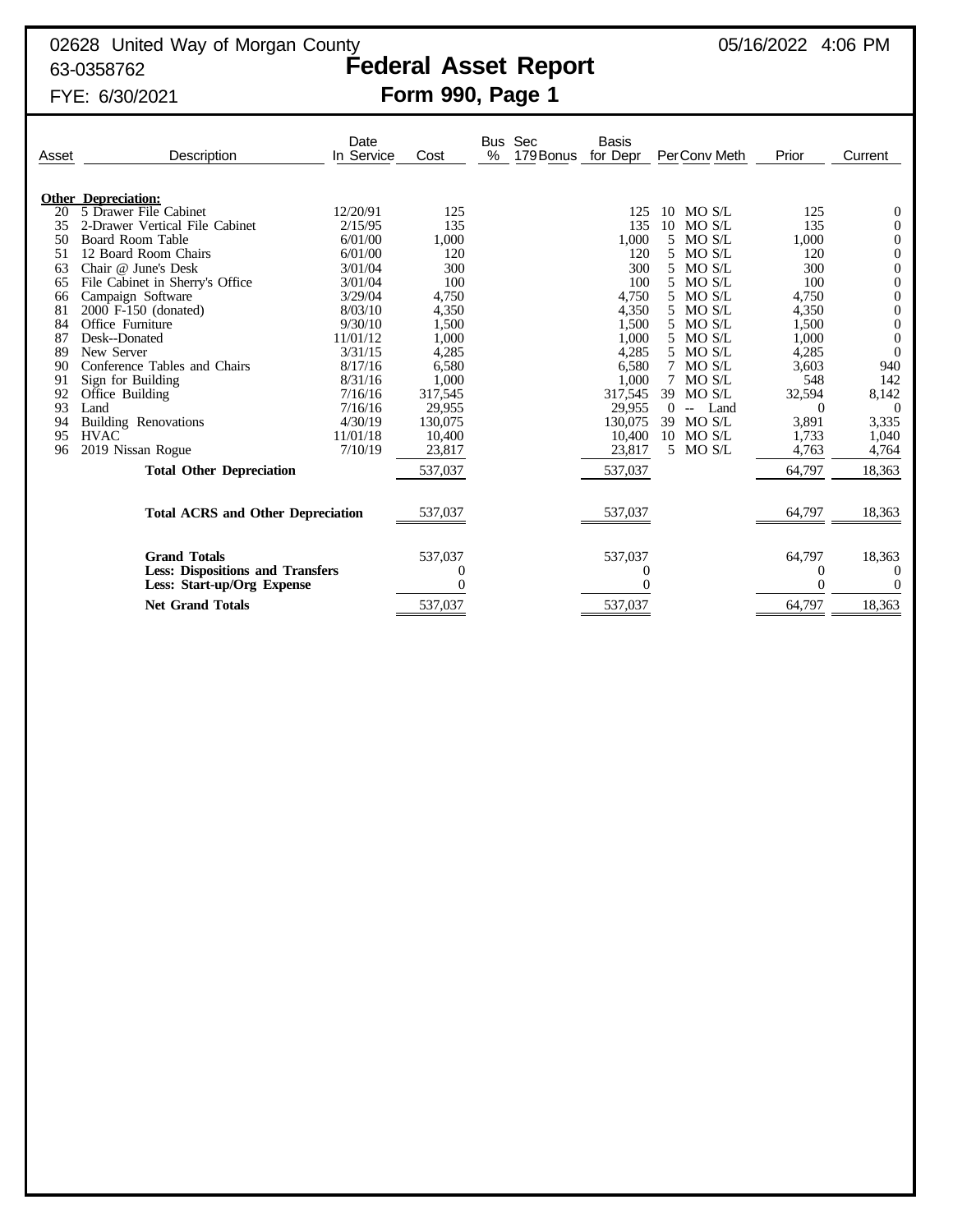# 02628 United Way of Morgan County **05/16/2022 4:06 PM** 63-0358762 **Federal Asset Report**

## FYE: 6/30/2021 **Form 990, Page 1**

| Asset | Description                              | Date<br>In Service | Cost    | % | Bus Sec<br>179 Bonus | <b>Basis</b><br>for Depr | Per Conv Meth             | Prior    | Current          |
|-------|------------------------------------------|--------------------|---------|---|----------------------|--------------------------|---------------------------|----------|------------------|
|       | <b>Other Depreciation:</b>               |                    |         |   |                      |                          |                           |          |                  |
| 20    | 5 Drawer File Cabinet                    | 12/20/91           | 125     |   |                      | 125                      | MO S/L<br>10              | 125      | $\boldsymbol{0}$ |
| 35    | 2-Drawer Vertical File Cabinet           | 2/15/95            | 135     |   |                      | 135                      | MO S/L<br>10              | 135      | $\theta$         |
| 50    | Board Room Table                         | 6/01/00            | 1,000   |   |                      | 1,000                    | MO S/L<br>5               | 1,000    | $\mathbf{0}$     |
| 51    | 12 Board Room Chairs                     | 6/01/00            | 120     |   |                      | 120                      | 5<br>MO S/L               | 120      | $\mathbf{0}$     |
| 63    | Chair @ June's Desk                      | 3/01/04            | 300     |   |                      | 300                      | 5<br>MO S/L               | 300      | $\mathbf{0}$     |
| 65    | File Cabinet in Sherry's Office          | 3/01/04            | 100     |   |                      | 100                      | MO S/L<br>5.              | 100      | $\boldsymbol{0}$ |
| 66    | Campaign Software                        | 3/29/04            | 4,750   |   |                      | 4,750                    | MO S/L<br>5.              | 4,750    | $\boldsymbol{0}$ |
| 81    | 2000 F-150 (donated)                     | 8/03/10            | 4,350   |   |                      | 4,350                    | MO S/L<br>5               | 4,350    | $\mathbf{0}$     |
| 84    | Office Furniture                         | 9/30/10            | 1,500   |   |                      | 1,500                    | MO S/L<br>5.              | 1,500    | $\boldsymbol{0}$ |
| 87    | Desk--Donated                            | 11/01/12           | 1,000   |   |                      | 1,000                    | MO S/L<br>5               | 1,000    | $\mathbf{0}$     |
| 89    | New Server                               | 3/31/15            | 4,285   |   |                      | 4,285                    | MO S/L<br>5               | 4,285    | $\Omega$         |
| 90    | Conference Tables and Chairs             | 8/17/16            | 6,580   |   |                      | 6,580                    | MO S/L                    | 3,603    | 940              |
| 91    | Sign for Building                        | 8/31/16            | 1,000   |   |                      | 1.000                    | MO S/L                    | 548      | 142              |
| 92    | Office Building                          | 7/16/16            | 317,545 |   |                      | 317,545                  | MO S/L<br>39              | 32,594   | 8,142            |
| 93    | Land                                     | 7/16/16            | 29,955  |   |                      | 29,955                   | Land<br>$\Omega$<br>$- -$ | $\theta$ | $\theta$         |
| 94    | Building Renovations                     | 4/30/19            | 130,075 |   |                      | 130.075                  | MO S/L<br>39              | 3,891    | 3,335            |
| 95    | <b>HVAC</b>                              | 11/01/18           | 10,400  |   |                      | 10.400                   | MO S/L<br>10              | 1,733    | 1,040            |
| 96    | 2019 Nissan Rogue                        | 7/10/19            | 23,817  |   |                      | 23,817                   | 5 MO S/L                  | 4,763    | 4,764            |
|       | <b>Total Other Depreciation</b>          |                    | 537,037 |   |                      | 537,037                  |                           | 64,797   | 18,363           |
|       |                                          |                    |         |   |                      |                          |                           |          |                  |
|       | <b>Total ACRS and Other Depreciation</b> |                    | 537,037 |   |                      | 537,037                  |                           | 64,797   | 18,363           |
|       |                                          |                    |         |   |                      |                          |                           |          |                  |
|       | <b>Grand Totals</b>                      |                    | 537,037 |   |                      | 537,037                  |                           | 64,797   | 18,363           |
|       | <b>Less: Dispositions and Transfers</b>  |                    | 0       |   |                      | 0                        |                           | 0        | $\theta$         |
|       | Less: Start-up/Org Expense               |                    |         |   |                      |                          |                           |          | $\Omega$         |
|       | <b>Net Grand Totals</b>                  |                    | 537,037 |   |                      | 537,037                  |                           | 64,797   | 18,363           |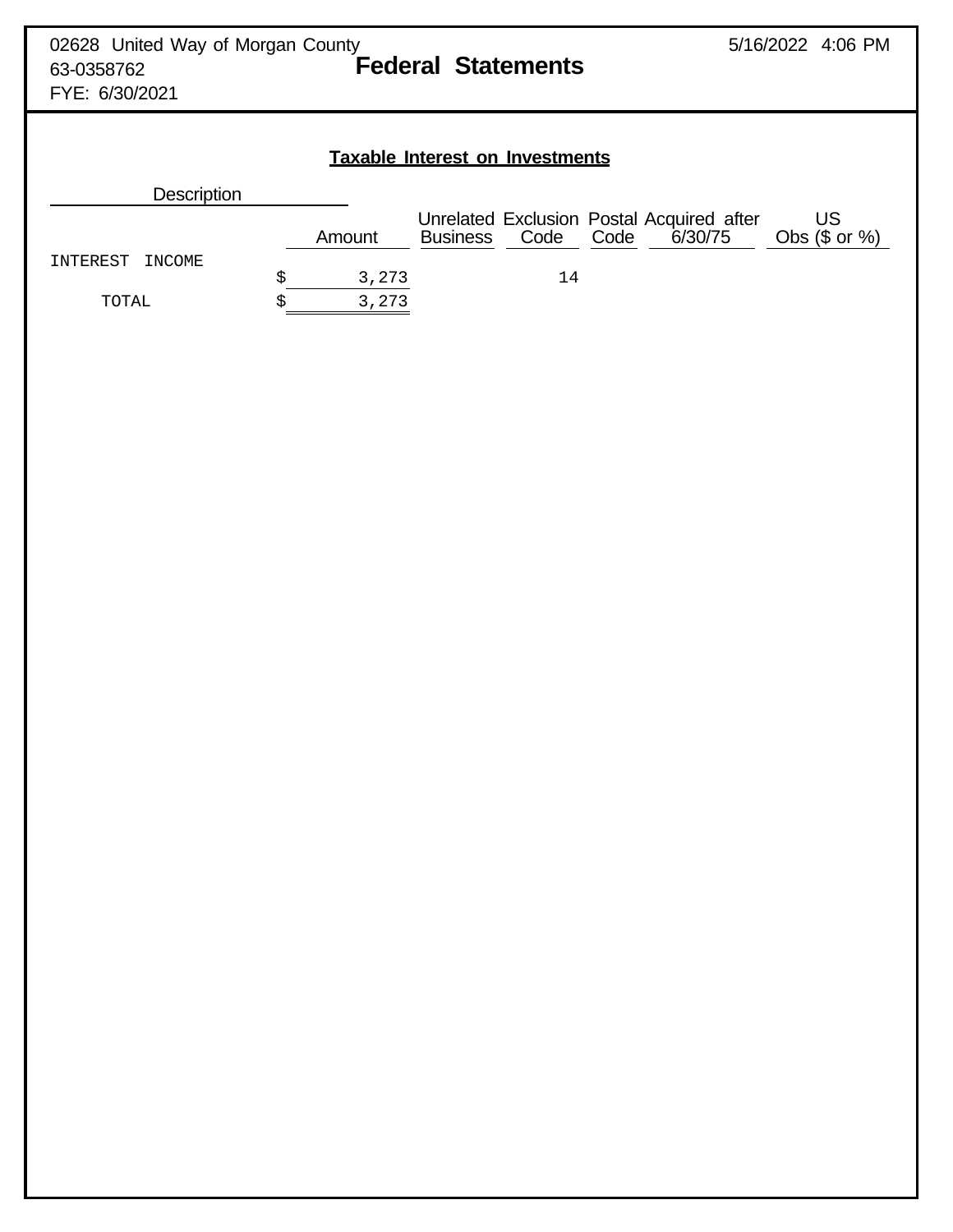| 02628 United Way of Morgan County<br>63-0358762<br>FYE: 6/30/2021 |        | <b>Federal Statements</b>              |      |                                                      | 5/16/2022 4:06 PM      |
|-------------------------------------------------------------------|--------|----------------------------------------|------|------------------------------------------------------|------------------------|
|                                                                   |        | <b>Taxable Interest on Investments</b> |      |                                                      |                        |
| <b>Description</b>                                                |        |                                        |      |                                                      |                        |
| INTEREST<br>INCOME                                                | Amount | Business Code                          | Code | Unrelated Exclusion Postal Acquired after<br>6/30/75 | US<br>Obs $(\$$ or $%$ |

 $\frac{14}{9}$  3,273

TOTAL  $\uparrow$   $\downarrow$  3,273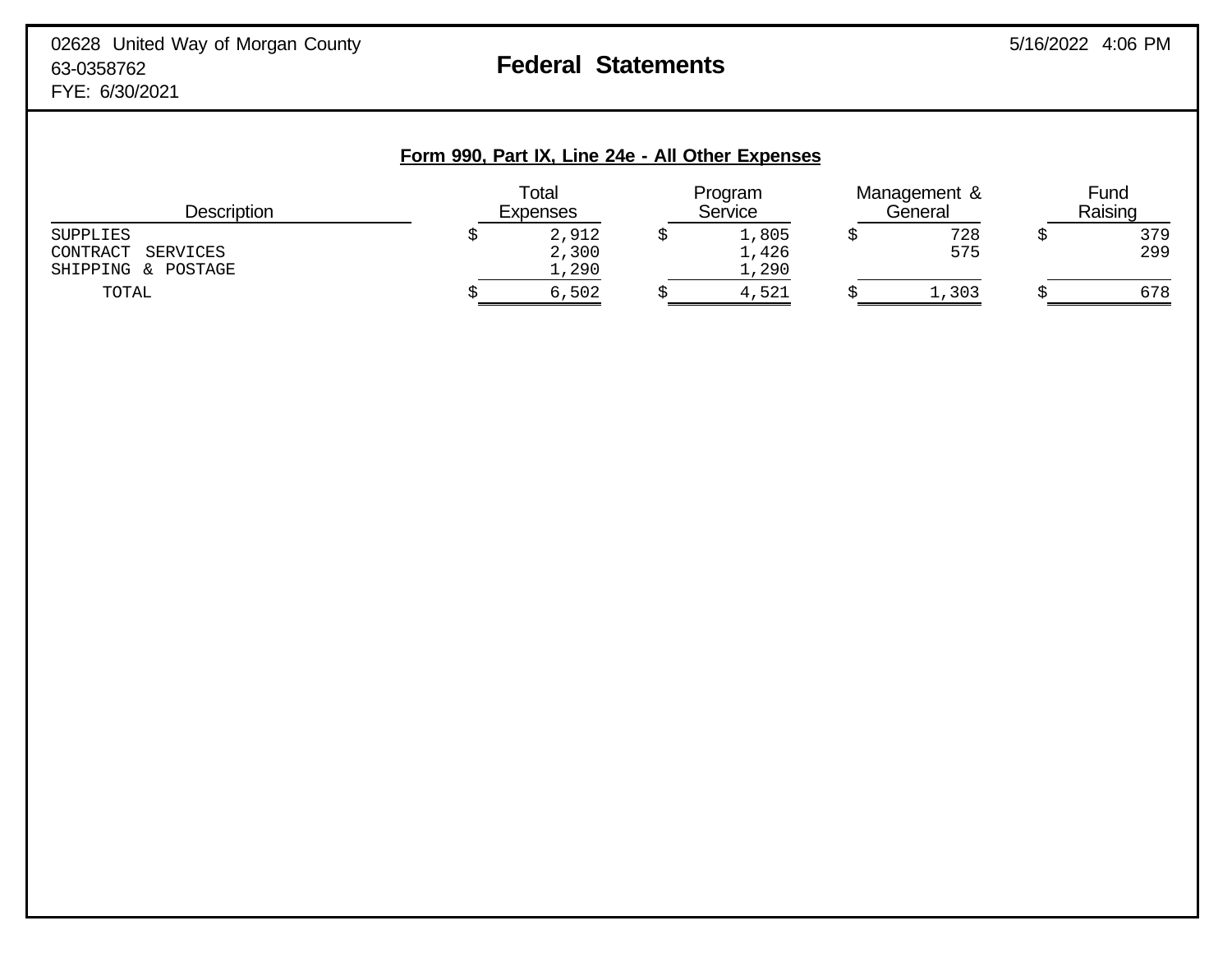## 02628 United Way of Morgan County **5/16/2022** 4:06 PM 63-0358762 **Federal Statements** FYE: 6/30/2021

| Form 990, Part IX, Line 24e - All Other Expenses       |                          |                         |  |                         |  |                         |  |                 |  |
|--------------------------------------------------------|--------------------------|-------------------------|--|-------------------------|--|-------------------------|--|-----------------|--|
| Description                                            | Total<br><b>Expenses</b> |                         |  | Program<br>Service      |  | Management &<br>General |  | Fund<br>Raising |  |
| SUPPLIES<br>SERVICES<br>CONTRACT<br>SHIPPING & POSTAGE |                          | 2,912<br>2,300<br>1,290 |  | 1,805<br>1,426<br>1,290 |  | 728<br>575              |  | 379<br>299      |  |
| TOTAL                                                  |                          | 6,502                   |  | 4,521                   |  | 1,303                   |  | 678             |  |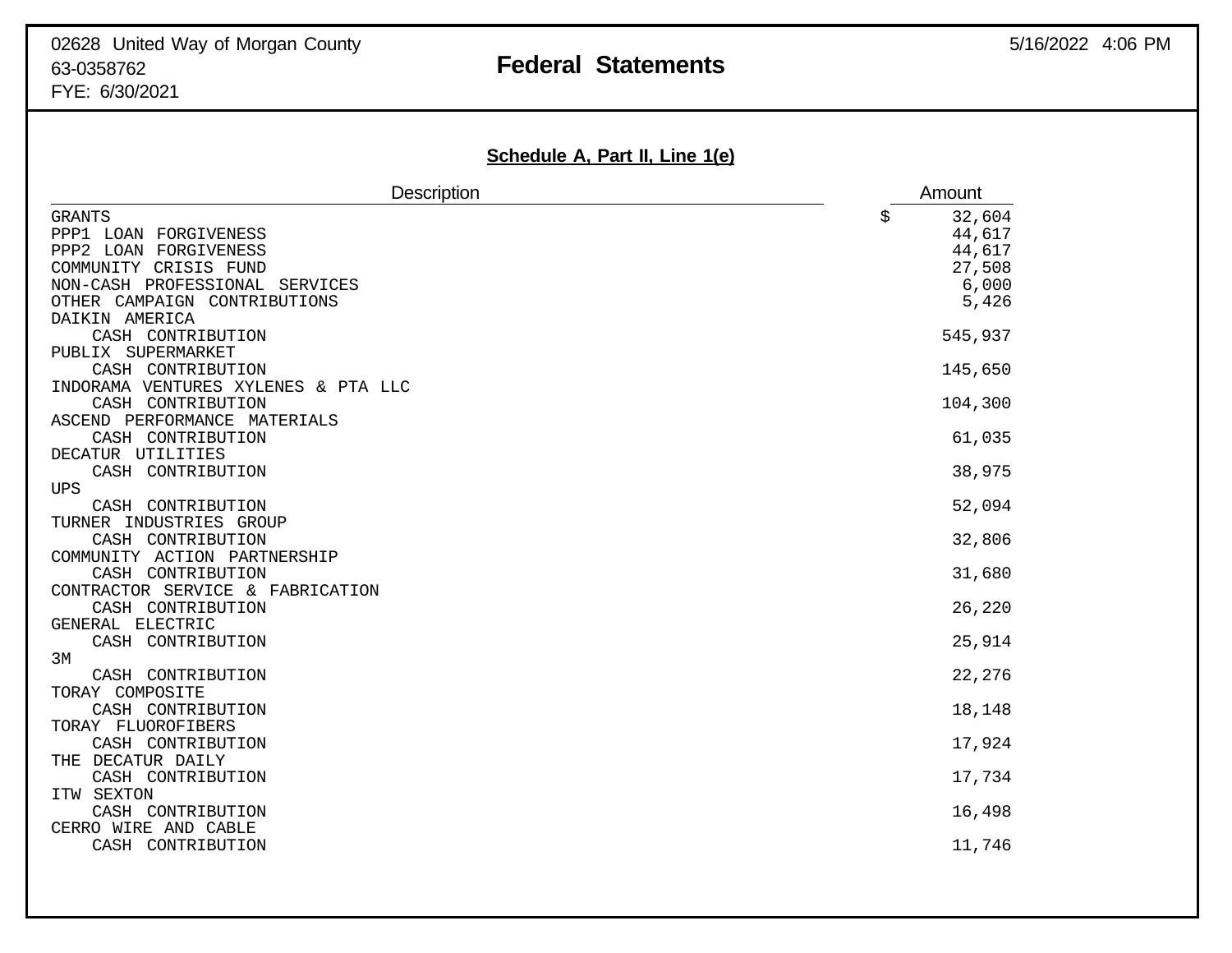## 02628 United Way of Morgan County **5/16/2022** 4:06 PM 63-0358762 **Federal Statements** FYE: 6/30/2021

# **Schedule A, Part II, Line 1(e)**

| <b>Description</b>                  | Amount       |
|-------------------------------------|--------------|
| <b>GRANTS</b>                       | \$<br>32,604 |
| PPP1 LOAN FORGIVENESS               | 44,617       |
| PPP2 LOAN FORGIVENESS               | 44,617       |
| COMMUNITY CRISIS FUND               | 27,508       |
| NON-CASH PROFESSIONAL SERVICES      | 6,000        |
| OTHER CAMPAIGN CONTRIBUTIONS        | 5,426        |
| DAIKIN AMERICA                      |              |
| CASH CONTRIBUTION                   | 545,937      |
| PUBLIX SUPERMARKET                  |              |
| CASH CONTRIBUTION                   | 145,650      |
| INDORAMA VENTURES XYLENES & PTA LLC |              |
| CASH CONTRIBUTION                   | 104,300      |
| ASCEND PERFORMANCE MATERIALS        |              |
| CASH CONTRIBUTION                   | 61,035       |
| DECATUR UTILITIES                   | 38,975       |
| CASH CONTRIBUTION<br><b>UPS</b>     |              |
| CASH CONTRIBUTION                   | 52,094       |
| TURNER INDUSTRIES GROUP             |              |
| CASH CONTRIBUTION                   | 32,806       |
| COMMUNITY ACTION PARTNERSHIP        |              |
| CASH CONTRIBUTION                   | 31,680       |
| CONTRACTOR SERVICE & FABRICATION    |              |
| CASH CONTRIBUTION                   | 26,220       |
| GENERAL ELECTRIC                    |              |
| CASH CONTRIBUTION                   | 25,914       |
| 3М<br>CASH CONTRIBUTION             | 22,276       |
| TORAY COMPOSITE                     |              |
| CASH CONTRIBUTION                   | 18,148       |
| TORAY FLUOROFIBERS                  |              |
| CASH CONTRIBUTION                   | 17,924       |
| THE DECATUR DAILY                   |              |
| CASH CONTRIBUTION                   | 17,734       |
| ITW SEXTON                          |              |
| CASH CONTRIBUTION                   | 16,498       |
| CERRO WIRE AND CABLE                |              |
| CASH CONTRIBUTION                   | 11,746       |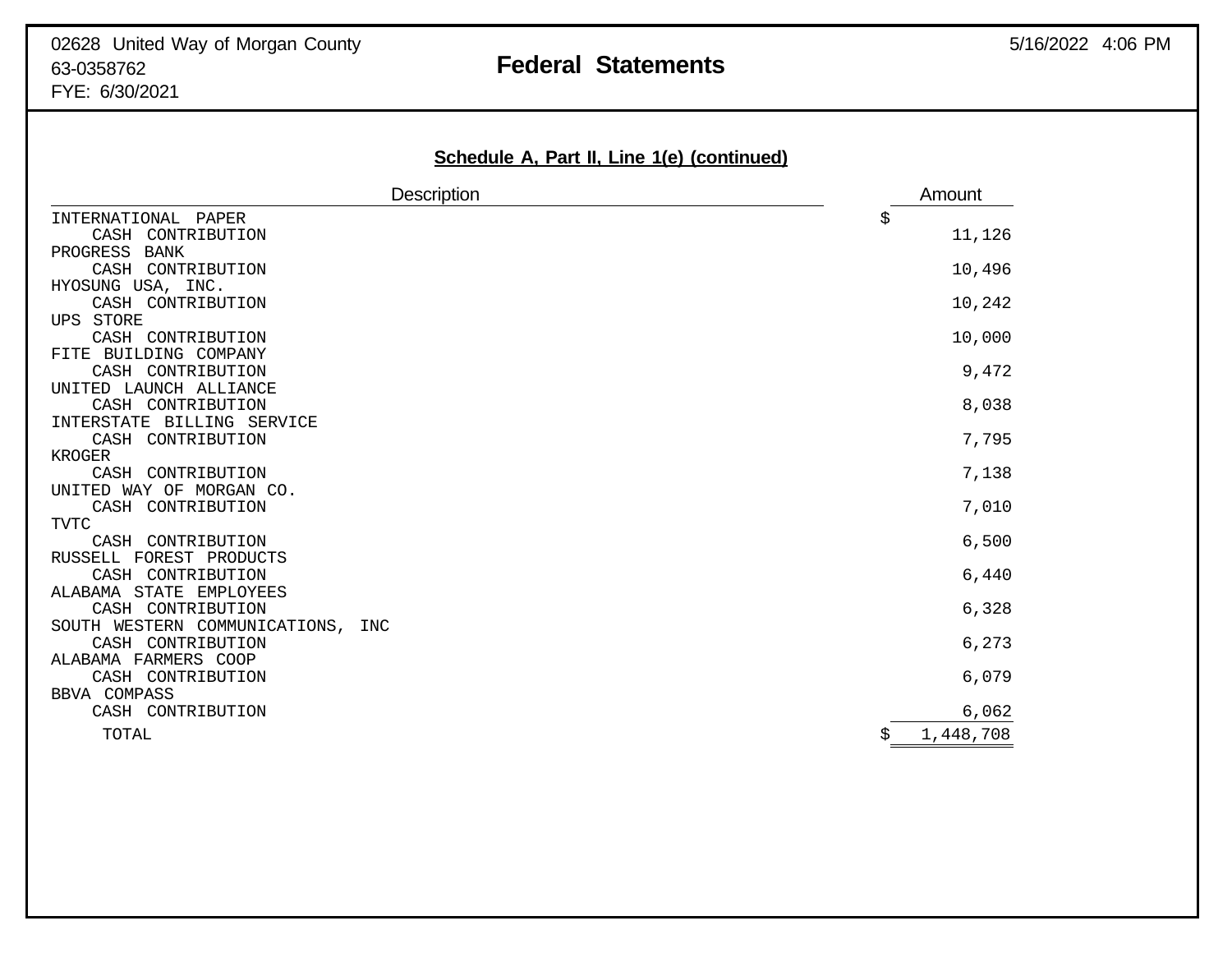## 02628 United Way of Morgan County 600 and the state of the state of the state of the state of the state of the state of the state of the state of the state of the state of the state of the state of the state of the state o 63-0358762 **Federal Statements** FYE: 6/30/2021

#### **Schedule A, Part II, Line 1(e) (continued)** Description **Amount** INTERNATIONAL PAPER \$ CASH CONTRIBUTION 11,126 PROGRESS BANK CASH CONTRIBUTION 10,496 HYOSUNG USA, INC. CASH CONTRIBUTION 10,242 UPS STORE CASH CONTRIBUTION 10,000 FITE BUILDING COMPANY CASH CONTRIBUTION 9,472 UNITED LAUNCH ALLIANCE CASH CONTRIBUTION 8,038 INTERSTATE BILLING SERVICE CASH CONTRIBUTION 7, 795 KROGER CASH CONTRIBUTION 7,138 UNITED WAY OF MORGAN CO. CASH CONTRIBUTION 7,010 TVTC CASH CONTRIBUTION 6,500 RUSSELL FOREST PRODUCTS CASH CONTRIBUTION 6,440 ALABAMA STATE EMPLOYEES CASH CONTRIBUTION 6,328 SOUTH WESTERN COMMUNICATIONS, INC CASH CONTRIBUTION 6,273 ALABAMA FARMERS COOP CASH CONTRIBUTION 6,079 BBVA COMPASS

CASH CONTRIBUTION 6,062  $\texttt{total} \quad \texttt{\$} \quad 1,448,708$